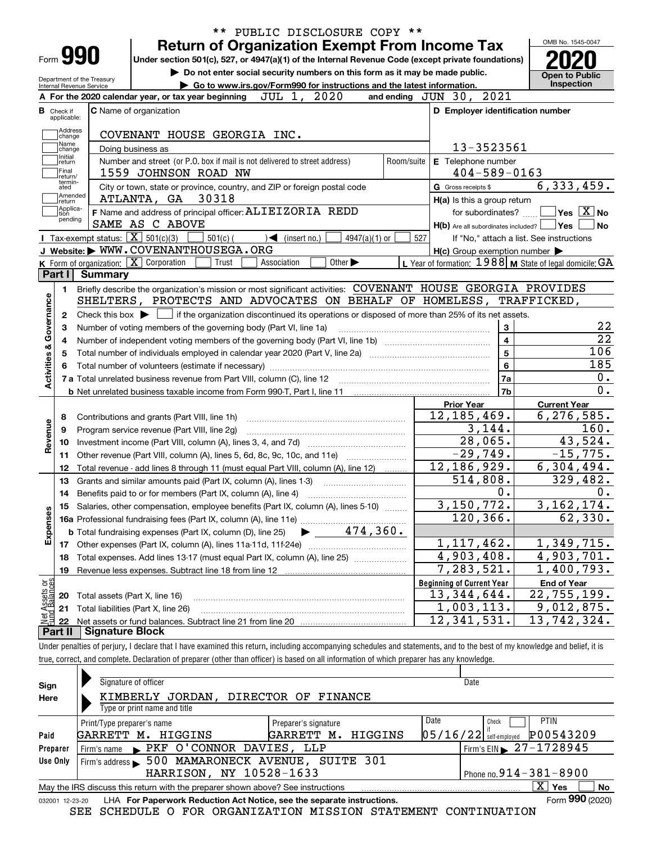|                                                                                  |                                 |                            |                                                   | <b>Return of Organization Exempt From Income Tax</b>                                                                                                                                                             |             |                                   |                             |                 |                      |                                  |                                                                                              |                                            |                                          |
|----------------------------------------------------------------------------------|---------------------------------|----------------------------|---------------------------------------------------|------------------------------------------------------------------------------------------------------------------------------------------------------------------------------------------------------------------|-------------|-----------------------------------|-----------------------------|-----------------|----------------------|----------------------------------|----------------------------------------------------------------------------------------------|--------------------------------------------|------------------------------------------|
|                                                                                  | Form <b>990</b>                 |                            |                                                   | Under section 501(c), 527, or 4947(a)(1) of the Internal Revenue Code (except private foundations)                                                                                                               |             |                                   |                             |                 |                      |                                  |                                                                                              |                                            |                                          |
|                                                                                  | <b>Internal Revenue Service</b> | Department of the Treasury |                                                   | Do not enter social security numbers on this form as it may be made public.<br>Go to www.irs.gov/Form990 for instructions and the latest information.                                                            |             |                                   |                             |                 |                      |                                  |                                                                                              | <b>Open to Public</b><br><b>Inspection</b> |                                          |
|                                                                                  |                                 |                            |                                                   | A For the 2020 calendar year, or tax year beginning                                                                                                                                                              |             | JUL 1, 2020                       |                             |                 | and ending $JUN$ 30, |                                  | 2021                                                                                         |                                            |                                          |
|                                                                                  | <b>B</b> Check if               |                            | <b>C</b> Name of organization                     |                                                                                                                                                                                                                  |             |                                   |                             |                 |                      |                                  | D Employer identification number                                                             |                                            |                                          |
|                                                                                  | applicable:                     |                            |                                                   |                                                                                                                                                                                                                  |             |                                   |                             |                 |                      |                                  |                                                                                              |                                            |                                          |
|                                                                                  | Address<br> change              |                            |                                                   | COVENANT HOUSE GEORGIA INC.                                                                                                                                                                                      |             |                                   |                             |                 |                      |                                  |                                                                                              |                                            |                                          |
|                                                                                  | Name<br>change<br>Initial       |                            | Doing business as                                 |                                                                                                                                                                                                                  |             |                                   |                             |                 |                      |                                  | 13-3523561                                                                                   |                                            |                                          |
|                                                                                  | return                          |                            |                                                   | Number and street (or P.O. box if mail is not delivered to street address)                                                                                                                                       |             |                                   |                             |                 | Room/suite           |                                  | E Telephone number                                                                           |                                            |                                          |
|                                                                                  | Final<br>return/<br>termin-     |                            |                                                   | 1559 JOHNSON ROAD NW                                                                                                                                                                                             |             |                                   |                             |                 |                      |                                  | $404 - 589 - 0163$                                                                           |                                            |                                          |
|                                                                                  | ated<br>Amended                 |                            |                                                   | City or town, state or province, country, and ZIP or foreign postal code                                                                                                                                         |             |                                   |                             |                 |                      | G Gross receipts \$              |                                                                                              | 6,333,459.                                 |                                          |
|                                                                                  | ∣return<br> Applica-            |                            | ATLANTA, GA                                       | 30318<br>F Name and address of principal officer: ALIEIZORIA REDD                                                                                                                                                |             |                                   |                             |                 |                      |                                  | H(a) Is this a group return                                                                  |                                            |                                          |
|                                                                                  | Ition<br>pending                |                            | SAME AS C ABOVE                                   |                                                                                                                                                                                                                  |             |                                   |                             |                 |                      |                                  | for subordinates?                                                                            | $\sqrt{}$ Yes $\sqrt{X}$ No                |                                          |
|                                                                                  |                                 |                            | Tax-exempt status: $\boxed{\mathbf{X}}$ 501(c)(3) | $501(c)$ (                                                                                                                                                                                                       |             | $\sqrt{\frac{1}{1}}$ (insert no.) |                             | $4947(a)(1)$ or | 527                  |                                  | $H(b)$ Are all subordinates included? $\Box$ Yes<br>If "No," attach a list. See instructions |                                            |                                          |
|                                                                                  |                                 |                            |                                                   | J Website: WWW.COVENANTHOUSEGA.ORG                                                                                                                                                                               |             |                                   |                             |                 |                      |                                  | $H(c)$ Group exemption number $\blacktriangleright$                                          |                                            |                                          |
|                                                                                  |                                 |                            | K Form of organization: X Corporation             | Trust                                                                                                                                                                                                            | Association |                                   | Other $\blacktriangleright$ |                 |                      |                                  | L Year of formation: $1988$ M State of legal domicile: GA                                    |                                            |                                          |
|                                                                                  | Part I                          | <b>Summary</b>             |                                                   |                                                                                                                                                                                                                  |             |                                   |                             |                 |                      |                                  |                                                                                              |                                            |                                          |
|                                                                                  |                                 |                            |                                                   |                                                                                                                                                                                                                  |             |                                   |                             |                 |                      |                                  |                                                                                              |                                            |                                          |
|                                                                                  | 2<br>з<br>4                     |                            |                                                   | Check this box $\blacktriangleright$ $\Box$ if the organization discontinued its operations or disposed of more than 25% of its net assets.<br>Number of voting members of the governing body (Part VI, line 1a) |             |                                   |                             |                 |                      |                                  | 3<br>$\overline{\mathbf{4}}$                                                                 |                                            |                                          |
|                                                                                  | 5                               |                            |                                                   |                                                                                                                                                                                                                  |             |                                   |                             |                 |                      |                                  | 5<br>6                                                                                       |                                            |                                          |
|                                                                                  |                                 |                            |                                                   |                                                                                                                                                                                                                  |             |                                   |                             |                 |                      |                                  | 7a                                                                                           |                                            |                                          |
|                                                                                  |                                 |                            |                                                   |                                                                                                                                                                                                                  |             |                                   |                             |                 |                      |                                  | 7b                                                                                           |                                            |                                          |
|                                                                                  |                                 |                            |                                                   |                                                                                                                                                                                                                  |             |                                   |                             |                 |                      | <b>Prior Year</b>                |                                                                                              | <b>Current Year</b>                        |                                          |
|                                                                                  | 8                               |                            | Contributions and grants (Part VIII, line 1h)     |                                                                                                                                                                                                                  |             |                                   |                             |                 |                      |                                  | 12, 185, 469.                                                                                | 6, 276, 585.                               |                                          |
|                                                                                  | 9                               |                            | Program service revenue (Part VIII, line 2g)      |                                                                                                                                                                                                                  |             |                                   |                             |                 |                      |                                  | 3,144.                                                                                       |                                            |                                          |
|                                                                                  | 10                              |                            |                                                   |                                                                                                                                                                                                                  |             |                                   |                             |                 |                      |                                  | 28,065.                                                                                      |                                            |                                          |
|                                                                                  | 11                              |                            |                                                   | Other revenue (Part VIII, column (A), lines 5, 6d, 8c, 9c, 10c, and 11e)                                                                                                                                         |             |                                   |                             |                 |                      |                                  | $-29,749.$                                                                                   | $-15,775.$                                 |                                          |
|                                                                                  | 12                              |                            |                                                   | Total revenue - add lines 8 through 11 (must equal Part VIII, column (A), line 12)                                                                                                                               |             |                                   |                             |                 |                      |                                  | 12,186,929.                                                                                  | 6,304,494.                                 |                                          |
|                                                                                  | 13                              |                            |                                                   | Grants and similar amounts paid (Part IX, column (A), lines 1-3)                                                                                                                                                 |             |                                   |                             |                 |                      |                                  | 514,808.                                                                                     | 329,482.                                   |                                          |
|                                                                                  | 14                              |                            |                                                   |                                                                                                                                                                                                                  |             |                                   |                             |                 |                      |                                  | 0.                                                                                           |                                            |                                          |
|                                                                                  |                                 |                            |                                                   | 15 Salaries, other compensation, employee benefits (Part IX, column (A), lines 5-10)                                                                                                                             |             |                                   |                             |                 |                      |                                  | 3,150,772.                                                                                   | 3, 162, 174.                               |                                          |
|                                                                                  |                                 |                            |                                                   |                                                                                                                                                                                                                  |             |                                   |                             |                 |                      |                                  | 120,366.                                                                                     |                                            |                                          |
|                                                                                  |                                 |                            |                                                   | <b>b</b> Total fundraising expenses (Part IX, column (D), line 25)                                                                                                                                               |             |                                   |                             | $474,360$ .     |                      |                                  |                                                                                              |                                            |                                          |
|                                                                                  | 17<br>18                        |                            |                                                   |                                                                                                                                                                                                                  |             |                                   |                             |                 |                      |                                  | 1, 117, 462.<br>4,903,408.                                                                   | $\overline{1,349}, 715.$<br>4,903,701.     |                                          |
|                                                                                  | 19                              |                            |                                                   | Total expenses. Add lines 13-17 (must equal Part IX, column (A), line 25)<br>Revenue less expenses. Subtract line 18 from line 12                                                                                |             |                                   |                             |                 |                      |                                  | 7,283,521.                                                                                   | 1,400,793.                                 |                                          |
|                                                                                  |                                 |                            |                                                   |                                                                                                                                                                                                                  |             |                                   |                             |                 |                      | <b>Beginning of Current Year</b> |                                                                                              | <b>End of Year</b>                         |                                          |
|                                                                                  | 20                              |                            | Total assets (Part X, line 16)                    |                                                                                                                                                                                                                  |             |                                   |                             |                 |                      | 13, 344, 644.                    |                                                                                              | $\overline{22}$ , 755, 199.                | 106<br>185<br>160.<br>43,524.<br>62,330. |
| Activities & Governance<br>Revenue<br>Expenses<br>t Assets or<br>d Balances<br>舅 | 21                              |                            | Total liabilities (Part X, line 26)               |                                                                                                                                                                                                                  |             |                                   |                             |                 |                      | 12,341,531.                      | 1,003,113.                                                                                   | 9,012,875.<br>13,742,324.                  |                                          |

Under penalties of perjury, I declare that I have examined this return, including accompanying schedules and statements, and to the best of my knowledge and belief, it is true, correct, and complete. Declaration of preparer (other than officer) is based on all information of which preparer has any knowledge.

| Sign     | Signature of officer                                                                                         | Date                                     |  |  |  |  |  |  |  |  |  |  |
|----------|--------------------------------------------------------------------------------------------------------------|------------------------------------------|--|--|--|--|--|--|--|--|--|--|
| Here     | KIMBERLY JORDAN,<br>DIRECTOR OF FINANCE                                                                      |                                          |  |  |  |  |  |  |  |  |  |  |
|          | Type or print name and title                                                                                 |                                          |  |  |  |  |  |  |  |  |  |  |
|          | Print/Type preparer's name<br>Preparer's signature                                                           | Date<br><b>PTIN</b><br>Check             |  |  |  |  |  |  |  |  |  |  |
| Paid     | GARRETT M.<br>HIGGINS<br>GARRETT M.<br>HIGGINS                                                               | P00543209<br>$05/16/22$ self-employed    |  |  |  |  |  |  |  |  |  |  |
| Preparer | Firm's name PKF O'CONNOR DAVIES, LLP                                                                         | Firm's EIN $\geq 27 - 1728945$           |  |  |  |  |  |  |  |  |  |  |
| Use Only | 500 MAMARONECK AVENUE, SUITE 301<br>Firm's address $\blacktriangleright$                                     |                                          |  |  |  |  |  |  |  |  |  |  |
|          | HARRISON, NY 10528-1633                                                                                      | Phone no. $914 - 381 - 8900$             |  |  |  |  |  |  |  |  |  |  |
|          | May the IRS discuss this return with the preparer shown above? See instructions                              | $\overline{\mathrm{X}}$ Yes<br><b>No</b> |  |  |  |  |  |  |  |  |  |  |
|          | Form 990 (2020)<br>LHA For Paperwork Reduction Act Notice, see the separate instructions.<br>032001 12-23-20 |                                          |  |  |  |  |  |  |  |  |  |  |

SEE SCHEDULE O FOR ORGANIZATION MISSION STATEMENT CONTINUATION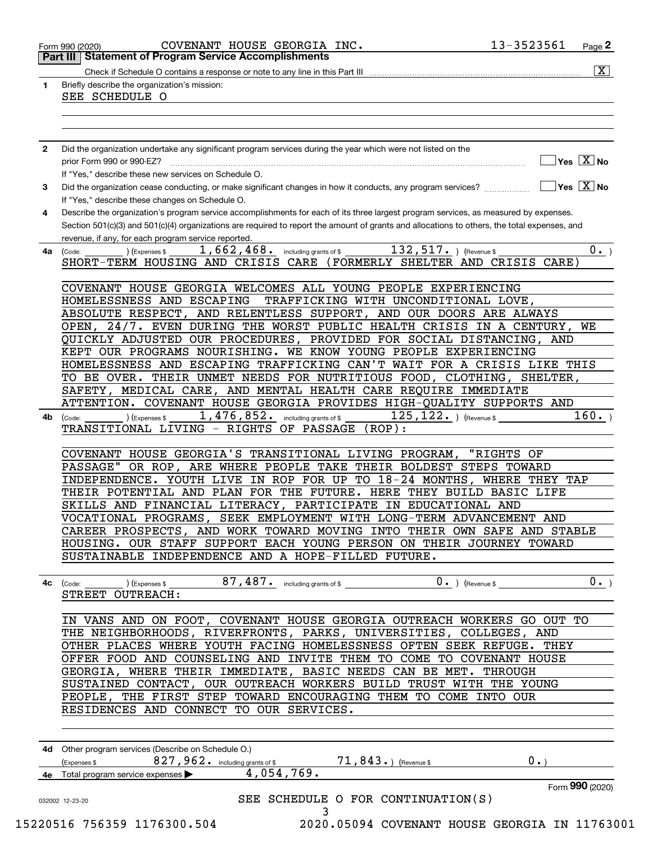|              | <b>Part III Statement of Program Service Accomplishments</b>                                                                                            |
|--------------|---------------------------------------------------------------------------------------------------------------------------------------------------------|
|              | $\overline{\mathbf{x}}$                                                                                                                                 |
| 1.           | Briefly describe the organization's mission:                                                                                                            |
|              | SEE SCHEDULE O                                                                                                                                          |
|              |                                                                                                                                                         |
|              |                                                                                                                                                         |
|              |                                                                                                                                                         |
| $\mathbf{2}$ | Did the organization undertake any significant program services during the year which were not listed on the                                            |
|              | $\overline{\mathsf{Yes}\mathrel{\hspace{0.05cm}\mathbf{X}}$ No                                                                                          |
|              | prior Form 990 or 990-EZ?                                                                                                                               |
|              | If "Yes," describe these new services on Schedule O.                                                                                                    |
| 3            | $\Box$ Yes $[\overline{\mathrm{X}}]$ No<br>Did the organization cease conducting, or make significant changes in how it conducts, any program services? |
|              | If "Yes," describe these changes on Schedule O.                                                                                                         |
| 4            | Describe the organization's program service accomplishments for each of its three largest program services, as measured by expenses.                    |
|              | Section 501(c)(3) and 501(c)(4) organizations are required to report the amount of grants and allocations to others, the total expenses, and            |
|              | revenue, if any, for each program service reported.                                                                                                     |
| 4a           | 132, 517. ) (Revenue \$<br>1,662,468. including grants of \$<br>$0 \cdot$ )<br>) (Expenses \$<br>(Code:                                                 |
|              | SHORT-TERM HOUSING AND CRISIS CARE (FORMERLY SHELTER AND CRISIS CARE)                                                                                   |
|              |                                                                                                                                                         |
|              | COVENANT HOUSE GEORGIA WELCOMES ALL YOUNG PEOPLE EXPERIENCING                                                                                           |
|              | HOMELESSNESS AND ESCAPING<br>TRAFFICKING WITH UNCONDITIONAL LOVE,                                                                                       |
|              | ABSOLUTE RESPECT, AND RELENTLESS SUPPORT, AND OUR DOORS ARE ALWAYS                                                                                      |
|              | OPEN, 24/7. EVEN DURING THE WORST PUBLIC HEALTH CRISIS IN A CENTURY, WE                                                                                 |
|              | QUICKLY ADJUSTED OUR PROCEDURES, PROVIDED FOR SOCIAL DISTANCING, AND                                                                                    |
|              | KEPT OUR PROGRAMS NOURISHING. WE KNOW YOUNG PEOPLE EXPERIENCING                                                                                         |
|              | HOMELESSNESS AND ESCAPING TRAFFICKING CAN'T WAIT FOR A CRISIS LIKE THIS                                                                                 |
|              | TO BE OVER. THEIR UNMET NEEDS FOR NUTRITIOUS FOOD, CLOTHING, SHELTER,                                                                                   |
|              | SAFETY, MEDICAL CARE, AND MENTAL HEALTH CARE REQUIRE IMMEDIATE                                                                                          |
|              | ATTENTION. COVENANT HOUSE GEORGIA PROVIDES HIGH-QUALITY SUPPORTS AND                                                                                    |
| 4b           | 1, 476, 852. including grants of \$<br>160.<br>$125$ , $122$ $\cdot$ ) (Revenue \$<br>) (Expenses \$<br>(Code:                                          |
|              | TRANSITIONAL LIVING - RIGHTS OF PASSAGE (ROP):                                                                                                          |
|              |                                                                                                                                                         |
|              | COVENANT HOUSE GEORGIA'S TRANSITIONAL LIVING PROGRAM, "RIGHTS OF                                                                                        |
|              | PASSAGE" OR ROP, ARE WHERE PEOPLE TAKE THEIR BOLDEST STEPS TOWARD                                                                                       |
|              | INDEPENDENCE. YOUTH LIVE IN ROP FOR UP TO 18-24 MONTHS, WHERE THEY TAP                                                                                  |
|              | THEIR POTENTIAL AND PLAN FOR THE FUTURE. HERE THEY BUILD BASIC LIFE                                                                                     |
|              | SKILLS AND FINANCIAL LITERACY, PARTICIPATE IN EDUCATIONAL AND                                                                                           |
|              | VOCATIONAL PROGRAMS, SEEK EMPLOYMENT WITH LONG-TERM ADVANCEMENT AND                                                                                     |
|              |                                                                                                                                                         |
|              | CAREER PROSPECTS, AND WORK TOWARD MOVING INTO THEIR OWN SAFE AND STABLE                                                                                 |
|              | HOUSING. OUR STAFF SUPPORT EACH YOUNG PERSON ON THEIR JOURNEY TOWARD                                                                                    |
|              | SUSTAINABLE INDEPENDENCE AND A HOPE-FILLED FUTURE.                                                                                                      |
|              |                                                                                                                                                         |
|              | $\overline{0}$ .)<br>$0.$ ) (Revenue \$                                                                                                                 |
|              | STREET OUTREACH:                                                                                                                                        |
|              |                                                                                                                                                         |
|              | IN VANS AND ON FOOT, COVENANT HOUSE GEORGIA OUTREACH WORKERS GO OUT TO                                                                                  |
|              | THE NEIGHBORHOODS, RIVERFRONTS, PARKS, UNIVERSITIES, COLLEGES, AND                                                                                      |
|              | OTHER PLACES WHERE YOUTH FACING HOMELESSNESS OFTEN SEEK REFUGE. THEY                                                                                    |
|              | OFFER FOOD AND COUNSELING AND INVITE THEM TO COME TO COVENANT HOUSE                                                                                     |
|              | GEORGIA, WHERE THEIR IMMEDIATE, BASIC NEEDS CAN BE MET. THROUGH                                                                                         |
|              | SUSTAINED CONTACT, OUR OUTREACH WORKERS BUILD TRUST WITH THE YOUNG                                                                                      |
|              | PEOPLE, THE FIRST STEP TOWARD ENCOURAGING THEM TO COME INTO OUR                                                                                         |
|              | RESIDENCES AND CONNECT TO OUR SERVICES.                                                                                                                 |
|              |                                                                                                                                                         |
|              |                                                                                                                                                         |
|              | 4d Other program services (Describe on Schedule O.)                                                                                                     |
|              | $0 \cdot$ $-$<br>827,962. including grants of \$ 71,843.) (Revenue \$<br>(Expenses \$                                                                   |
|              | 4. Total program service expenses $\blacktriangleright$ 4, 054, 769.                                                                                    |
|              |                                                                                                                                                         |
|              |                                                                                                                                                         |
|              | Form 990 (2020)<br>SEE SCHEDULE O FOR CONTINUATION(S)<br>032002 12-23-20                                                                                |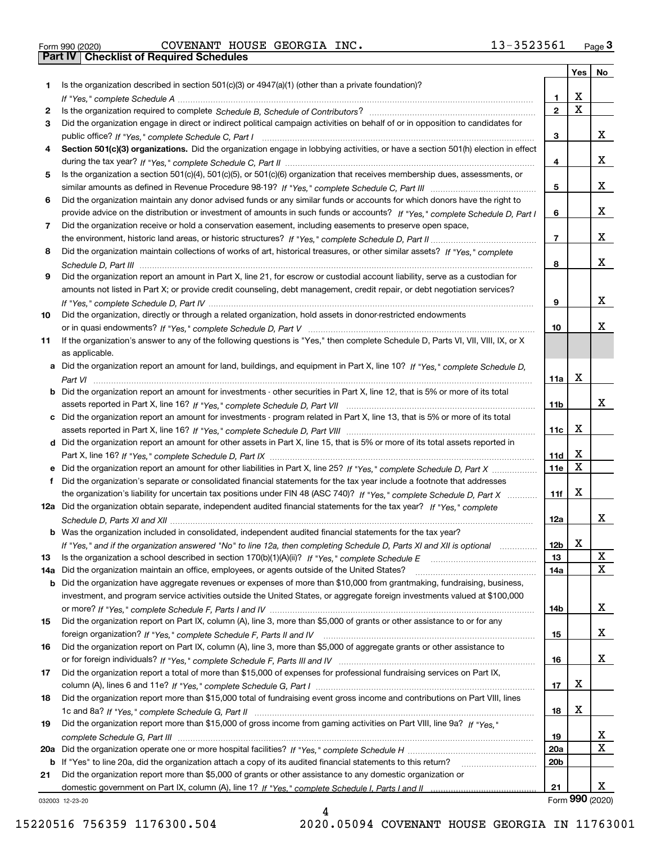| Form 990 (2020) |  |  |
|-----------------|--|--|

Form 990 (2020) COVENANT HOUSE GEORGIA INC **.** 13-3523561 <sub>Page</sub> 3<br>**Part IV | Checklist of Required Schedules** 

|     |                                                                                                                                       |                 | Yes         | No              |
|-----|---------------------------------------------------------------------------------------------------------------------------------------|-----------------|-------------|-----------------|
| 1.  | Is the organization described in section $501(c)(3)$ or $4947(a)(1)$ (other than a private foundation)?                               |                 |             |                 |
|     |                                                                                                                                       | 1               | X           |                 |
| 2   |                                                                                                                                       | $\overline{2}$  | $\mathbf X$ |                 |
| 3   | Did the organization engage in direct or indirect political campaign activities on behalf of or in opposition to candidates for       |                 |             |                 |
|     |                                                                                                                                       | з               |             | x               |
| 4   | Section 501(c)(3) organizations. Did the organization engage in lobbying activities, or have a section 501(h) election in effect      |                 |             |                 |
|     |                                                                                                                                       | 4               |             | x               |
| 5   | Is the organization a section 501(c)(4), 501(c)(5), or 501(c)(6) organization that receives membership dues, assessments, or          |                 |             |                 |
|     |                                                                                                                                       | 5               |             | x               |
| 6   | Did the organization maintain any donor advised funds or any similar funds or accounts for which donors have the right to             |                 |             |                 |
|     | provide advice on the distribution or investment of amounts in such funds or accounts? If "Yes," complete Schedule D, Part I          | 6               |             | x               |
| 7   | Did the organization receive or hold a conservation easement, including easements to preserve open space,                             |                 |             |                 |
|     |                                                                                                                                       | $\overline{7}$  |             | x               |
| 8   | Did the organization maintain collections of works of art, historical treasures, or other similar assets? If "Yes," complete          |                 |             |                 |
|     |                                                                                                                                       | 8               |             | x               |
| 9   | Did the organization report an amount in Part X, line 21, for escrow or custodial account liability, serve as a custodian for         |                 |             |                 |
|     | amounts not listed in Part X; or provide credit counseling, debt management, credit repair, or debt negotiation services?             |                 |             |                 |
|     |                                                                                                                                       | 9               |             | x               |
| 10  | Did the organization, directly or through a related organization, hold assets in donor-restricted endowments                          |                 |             |                 |
|     |                                                                                                                                       | 10              |             | x               |
| 11  | If the organization's answer to any of the following questions is "Yes," then complete Schedule D, Parts VI, VII, VIII, IX, or X      |                 |             |                 |
|     | as applicable.                                                                                                                        |                 |             |                 |
|     | a Did the organization report an amount for land, buildings, and equipment in Part X, line 10? If "Yes," complete Schedule D,         |                 | х           |                 |
|     |                                                                                                                                       | 11a             |             |                 |
|     | <b>b</b> Did the organization report an amount for investments - other securities in Part X, line 12, that is 5% or more of its total |                 |             | x               |
|     | c Did the organization report an amount for investments - program related in Part X, line 13, that is 5% or more of its total         | 11 <sub>b</sub> |             |                 |
|     |                                                                                                                                       | 11c             | х           |                 |
|     | d Did the organization report an amount for other assets in Part X, line 15, that is 5% or more of its total assets reported in       |                 |             |                 |
|     |                                                                                                                                       | 11d             | х           |                 |
|     | e Did the organization report an amount for other liabilities in Part X, line 25? If "Yes," complete Schedule D, Part X               | 11e             | х           |                 |
|     | Did the organization's separate or consolidated financial statements for the tax year include a footnote that addresses               |                 |             |                 |
|     | the organization's liability for uncertain tax positions under FIN 48 (ASC 740)? If "Yes," complete Schedule D, Part X                | 11f             | х           |                 |
|     | 12a Did the organization obtain separate, independent audited financial statements for the tax year? If "Yes," complete               |                 |             |                 |
|     |                                                                                                                                       | 12a             |             | x               |
|     | b Was the organization included in consolidated, independent audited financial statements for the tax year?                           |                 |             |                 |
|     | If "Yes," and if the organization answered "No" to line 12a, then completing Schedule D, Parts XI and XII is optional                 | 12b             | X           |                 |
| 13  |                                                                                                                                       | 13              |             | X               |
| 14a | Did the organization maintain an office, employees, or agents outside of the United States?                                           | 14a             |             | х               |
|     | <b>b</b> Did the organization have aggregate revenues or expenses of more than \$10,000 from grantmaking, fundraising, business,      |                 |             |                 |
|     | investment, and program service activities outside the United States, or aggregate foreign investments valued at \$100,000            |                 |             |                 |
|     |                                                                                                                                       | 14b             |             | x               |
| 15  | Did the organization report on Part IX, column (A), line 3, more than \$5,000 of grants or other assistance to or for any             |                 |             |                 |
|     |                                                                                                                                       | 15              |             | x               |
| 16  | Did the organization report on Part IX, column (A), line 3, more than \$5,000 of aggregate grants or other assistance to              |                 |             |                 |
|     |                                                                                                                                       | 16              |             | x               |
| 17  | Did the organization report a total of more than \$15,000 of expenses for professional fundraising services on Part IX,               |                 |             |                 |
|     |                                                                                                                                       | 17              | x           |                 |
| 18  | Did the organization report more than \$15,000 total of fundraising event gross income and contributions on Part VIII, lines          |                 |             |                 |
|     |                                                                                                                                       | 18              | x           |                 |
| 19  | Did the organization report more than \$15,000 of gross income from gaming activities on Part VIII, line 9a? If "Yes."                |                 |             |                 |
|     |                                                                                                                                       | 19              |             | х               |
|     |                                                                                                                                       | 20a             |             | x               |
|     | b If "Yes" to line 20a, did the organization attach a copy of its audited financial statements to this return?                        | 20 <sub>b</sub> |             |                 |
| 21  | Did the organization report more than \$5,000 of grants or other assistance to any domestic organization or                           |                 |             |                 |
|     |                                                                                                                                       | 21              |             | x               |
|     | 032003 12-23-20                                                                                                                       |                 |             | Form 990 (2020) |

032003 12-23-20

4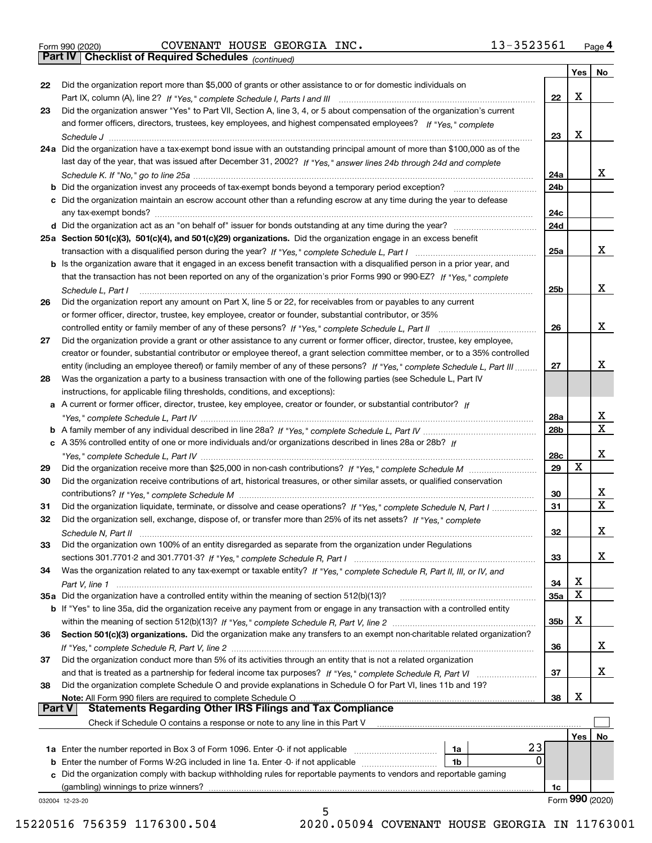|  | Form 990 (2020) |
|--|-----------------|
|  |                 |

Form 990 (2020) COVENANT HOUSE GEORGIA INC **.** 13-3523561 <sub>Page</sub> 4<br>**Part IV | Checklist of Required Schedules** <sub>(continued)</sub>

*(continued)*

|               |                                                                                                                                    |            | Yes | No              |
|---------------|------------------------------------------------------------------------------------------------------------------------------------|------------|-----|-----------------|
| 22            | Did the organization report more than \$5,000 of grants or other assistance to or for domestic individuals on                      |            |     |                 |
|               |                                                                                                                                    | 22         | х   |                 |
| 23            | Did the organization answer "Yes" to Part VII, Section A, line 3, 4, or 5 about compensation of the organization's current         |            |     |                 |
|               | and former officers, directors, trustees, key employees, and highest compensated employees? If "Yes," complete                     |            |     |                 |
|               |                                                                                                                                    | 23         | х   |                 |
|               | 24a Did the organization have a tax-exempt bond issue with an outstanding principal amount of more than \$100,000 as of the        |            |     |                 |
|               | last day of the year, that was issued after December 31, 2002? If "Yes," answer lines 24b through 24d and complete                 |            |     |                 |
|               |                                                                                                                                    | 24a        |     | х               |
|               | <b>b</b> Did the organization invest any proceeds of tax-exempt bonds beyond a temporary period exception?                         | 24b        |     |                 |
|               | c Did the organization maintain an escrow account other than a refunding escrow at any time during the year to defease             |            |     |                 |
|               |                                                                                                                                    | 24c        |     |                 |
|               |                                                                                                                                    | 24d        |     |                 |
|               | 25a Section 501(c)(3), 501(c)(4), and 501(c)(29) organizations. Did the organization engage in an excess benefit                   |            |     |                 |
|               |                                                                                                                                    | 25a        |     | х               |
|               | b Is the organization aware that it engaged in an excess benefit transaction with a disqualified person in a prior year, and       |            |     |                 |
|               | that the transaction has not been reported on any of the organization's prior Forms 990 or 990-EZ? If "Yes," complete              |            |     |                 |
|               | Schedule L, Part I                                                                                                                 | 25b        |     | х               |
| 26            | Did the organization report any amount on Part X, line 5 or 22, for receivables from or payables to any current                    |            |     |                 |
|               | or former officer, director, trustee, key employee, creator or founder, substantial contributor, or 35%                            |            |     |                 |
|               |                                                                                                                                    | 26         |     | х               |
| 27            | Did the organization provide a grant or other assistance to any current or former officer, director, trustee, key employee,        |            |     |                 |
|               | creator or founder, substantial contributor or employee thereof, a grant selection committee member, or to a 35% controlled        |            |     |                 |
|               | entity (including an employee thereof) or family member of any of these persons? If "Yes," complete Schedule L, Part III           | 27         |     | x               |
| 28            | Was the organization a party to a business transaction with one of the following parties (see Schedule L, Part IV                  |            |     |                 |
|               | instructions, for applicable filing thresholds, conditions, and exceptions):                                                       |            |     |                 |
|               | a A current or former officer, director, trustee, key employee, creator or founder, or substantial contributor? If                 |            |     |                 |
|               |                                                                                                                                    | 28a        |     | х               |
|               |                                                                                                                                    | 28b        |     | $\mathbf x$     |
|               | c A 35% controlled entity of one or more individuals and/or organizations described in lines 28a or 28b? If                        |            |     |                 |
|               |                                                                                                                                    | 28c        |     | х               |
| 29            |                                                                                                                                    | 29         | х   |                 |
| 30            | Did the organization receive contributions of art, historical treasures, or other similar assets, or qualified conservation        |            |     |                 |
|               |                                                                                                                                    | 30         |     | х               |
| 31            | Did the organization liquidate, terminate, or dissolve and cease operations? If "Yes," complete Schedule N, Part I                 | 31         |     | X               |
| 32            | Did the organization sell, exchange, dispose of, or transfer more than 25% of its net assets? If "Yes," complete                   |            |     |                 |
|               |                                                                                                                                    | 32         |     | х               |
|               | Did the organization own 100% of an entity disregarded as separate from the organization under Regulations                         |            |     |                 |
|               |                                                                                                                                    | 33         |     | x               |
| 34            | Was the organization related to any tax-exempt or taxable entity? If "Yes," complete Schedule R, Part II, III, or IV, and          |            |     |                 |
|               |                                                                                                                                    | 34         | Χ   |                 |
|               | 35a Did the organization have a controlled entity within the meaning of section 512(b)(13)?                                        | <b>35a</b> | X   |                 |
|               | <b>b</b> If "Yes" to line 35a, did the organization receive any payment from or engage in any transaction with a controlled entity |            |     |                 |
|               |                                                                                                                                    | 35b        | X   |                 |
| 36            | Section 501(c)(3) organizations. Did the organization make any transfers to an exempt non-charitable related organization?         |            |     |                 |
|               |                                                                                                                                    | 36         |     | х               |
| 37            | Did the organization conduct more than 5% of its activities through an entity that is not a related organization                   |            |     |                 |
|               | and that is treated as a partnership for federal income tax purposes? If "Yes," complete Schedule R, Part VI                       | 37         |     | х               |
| 38            | Did the organization complete Schedule O and provide explanations in Schedule O for Part VI, lines 11b and 19?                     |            |     |                 |
|               | Note: All Form 990 filers are required to complete Schedule O                                                                      | 38         | х   |                 |
| <b>Part V</b> | <b>Statements Regarding Other IRS Filings and Tax Compliance</b>                                                                   |            |     |                 |
|               | Check if Schedule O contains a response or note to any line in this Part V                                                         |            |     |                 |
|               |                                                                                                                                    |            | Yes | No              |
|               | 23<br>1a Enter the number reported in Box 3 of Form 1096. Enter -0- if not applicable<br>1a                                        |            |     |                 |
|               | 0<br>1b                                                                                                                            |            |     |                 |
|               | c Did the organization comply with backup withholding rules for reportable payments to vendors and reportable gaming               |            |     |                 |
|               | (gambling) winnings to prize winners?                                                                                              | 1c         |     |                 |
|               | 032004 12-23-20                                                                                                                    |            |     | Form 990 (2020) |
|               | 5                                                                                                                                  |            |     |                 |

 <sup>15220516 756359 1176300.504 2020.05094</sup> COVENANT HOUSE GEORGIA IN 11763001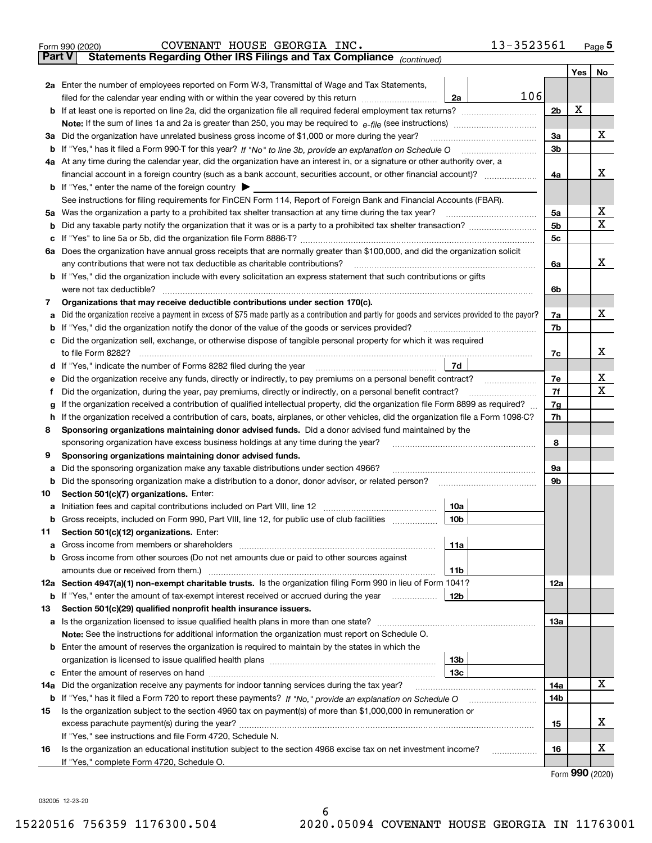|               | 13-3523561<br>COVENANT HOUSE GEORGIA INC.<br>Form 990 (2020)                                                                                    |                |   | Page $5$      |
|---------------|-------------------------------------------------------------------------------------------------------------------------------------------------|----------------|---|---------------|
| <b>Part V</b> | Statements Regarding Other IRS Filings and Tax Compliance (continued)                                                                           |                |   |               |
|               |                                                                                                                                                 |                |   | $Yes \mid No$ |
|               | 2a Enter the number of employees reported on Form W-3, Transmittal of Wage and Tax Statements,                                                  |                |   |               |
|               | 106<br>filed for the calendar year ending with or within the year covered by this return<br>2a                                                  |                |   |               |
|               | <b>b</b> If at least one is reported on line 2a, did the organization file all required federal employment tax returns?                         | 2 <sub>b</sub> | X |               |
|               | <b>Note:</b> If the sum of lines 1a and 2a is greater than 250, you may be required to $e$ -file (see instructions) <i>manimummmmmm</i>         |                |   |               |
|               | 3a Did the organization have unrelated business gross income of \$1,000 or more during the year?                                                | 3a             |   | x             |
|               |                                                                                                                                                 | 3 <sub>b</sub> |   |               |
|               | 4a At any time during the calendar year, did the organization have an interest in, or a signature or other authority over, a                    |                |   |               |
|               |                                                                                                                                                 | 4a             |   | x             |
|               | <b>b</b> If "Yes," enter the name of the foreign country $\blacktriangleright$                                                                  |                |   |               |
|               | See instructions for filing requirements for FinCEN Form 114, Report of Foreign Bank and Financial Accounts (FBAR).                             |                |   |               |
|               | 5a Was the organization a party to a prohibited tax shelter transaction at any time during the tax year?                                        | 5a             |   | x             |
| b             |                                                                                                                                                 | 5 <sub>b</sub> |   | $\mathbf X$   |
| c             |                                                                                                                                                 | 5 <sub>c</sub> |   |               |
|               | 6a Does the organization have annual gross receipts that are normally greater than \$100,000, and did the organization solicit                  |                |   |               |
|               | any contributions that were not tax deductible as charitable contributions?                                                                     | 6a             |   | x             |
|               | b If "Yes," did the organization include with every solicitation an express statement that such contributions or gifts                          |                |   |               |
|               | were not tax deductible?                                                                                                                        | 6b             |   |               |
| 7             | Organizations that may receive deductible contributions under section 170(c).                                                                   |                |   |               |
| а             | Did the organization receive a payment in excess of \$75 made partly as a contribution and partly for goods and services provided to the payor? | 7a             |   | x             |
| b             | If "Yes," did the organization notify the donor of the value of the goods or services provided?                                                 | 7b             |   |               |
| c             | Did the organization sell, exchange, or otherwise dispose of tangible personal property for which it was required                               |                |   |               |
|               | to file Form 8282?                                                                                                                              | 7c             |   | x             |
|               | 7d                                                                                                                                              |                |   |               |
|               | Did the organization receive any funds, directly or indirectly, to pay premiums on a personal benefit contract?                                 | 7е             |   | x             |
|               | Did the organization, during the year, pay premiums, directly or indirectly, on a personal benefit contract?                                    | 7f             |   | $\mathbf X$   |
| a             | If the organization received a contribution of qualified intellectual property, did the organization file Form 8899 as required?                | 7g             |   |               |
| h             | If the organization received a contribution of cars, boats, airplanes, or other vehicles, did the organization file a Form 1098-C?              | 7h             |   |               |
| 8             | Sponsoring organizations maintaining donor advised funds. Did a donor advised fund maintained by the                                            |                |   |               |
|               | sponsoring organization have excess business holdings at any time during the year?                                                              | 8              |   |               |
| 9             | Sponsoring organizations maintaining donor advised funds.                                                                                       |                |   |               |
| а             | Did the sponsoring organization make any taxable distributions under section 4966?                                                              | 9а             |   |               |
| b             | Did the sponsoring organization make a distribution to a donor, donor advisor, or related person?                                               | 9b             |   |               |
| 10            | Section 501(c)(7) organizations. Enter:                                                                                                         |                |   |               |
|               | 10a                                                                                                                                             |                |   |               |
| b             | Gross receipts, included on Form 990, Part VIII, line 12, for public use of club facilities<br>  10b                                            |                |   |               |
| 11            | Section 501(c)(12) organizations. Enter:                                                                                                        |                |   |               |
| а             | 11a<br>Gross income from members or shareholders                                                                                                |                |   |               |
| b             | Gross income from other sources (Do not net amounts due or paid to other sources against                                                        |                |   |               |
|               | amounts due or received from them.)<br>11b                                                                                                      |                |   |               |
|               | 12a Section 4947(a)(1) non-exempt charitable trusts. Is the organization filing Form 990 in lieu of Form 1041?                                  | 12a            |   |               |
|               | <b>b</b> If "Yes," enter the amount of tax-exempt interest received or accrued during the year<br>12b                                           |                |   |               |
| 13            | Section 501(c)(29) qualified nonprofit health insurance issuers.                                                                                |                |   |               |
|               | a Is the organization licensed to issue qualified health plans in more than one state?                                                          | 13а            |   |               |
|               | Note: See the instructions for additional information the organization must report on Schedule O.                                               |                |   |               |
|               | <b>b</b> Enter the amount of reserves the organization is required to maintain by the states in which the                                       |                |   |               |
|               | 13b                                                                                                                                             |                |   |               |
| c             | Enter the amount of reserves on hand<br>13с                                                                                                     |                |   |               |
| 14a           | Did the organization receive any payments for indoor tanning services during the tax year?                                                      | 14a            |   | х             |
|               |                                                                                                                                                 | 14b            |   |               |
| 15            | Is the organization subject to the section 4960 tax on payment(s) of more than \$1,000,000 in remuneration or                                   |                |   |               |
|               | excess parachute payment(s) during the year?                                                                                                    | 15             |   | х             |
|               | If "Yes," see instructions and file Form 4720, Schedule N.                                                                                      |                |   |               |
| 16            | Is the organization an educational institution subject to the section 4968 excise tax on net investment income?                                 | 16             |   | x             |
|               | If "Yes," complete Form 4720, Schedule O.                                                                                                       |                |   |               |

Form (2020) **990**

032005 12-23-20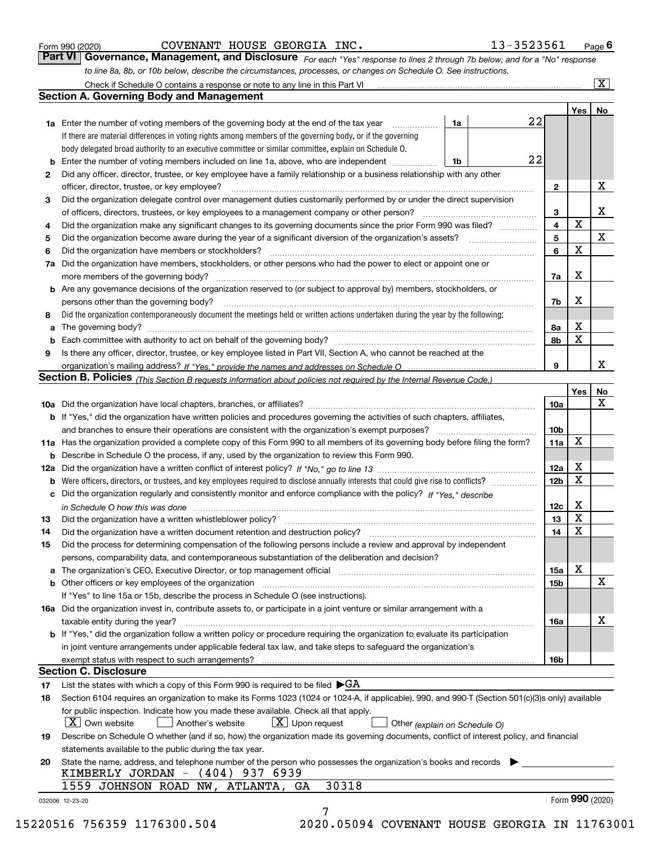|  | Form 990 (2020) |
|--|-----------------|
|  |                 |

COVENANT HOUSE GEORGIA INC. 13-3523561

*For each "Yes" response to lines 2 through 7b below, and for a "No" response to line 8a, 8b, or 10b below, describe the circumstances, processes, or changes on Schedule O. See instructions.* Form 990 (2020) **COVENANT HOUSE GEORGIA INC.** 13-3523561 Page 6<br>**Part VI Governance, Management, and Disclosure** For each "Yes" response to lines 2 through 7b below, and for a "No" response Check if Schedule O contains a response or note to any line in this Part VI

|    |                                                                                                                                                                               |    |  |    |                         | Yes             | No |  |
|----|-------------------------------------------------------------------------------------------------------------------------------------------------------------------------------|----|--|----|-------------------------|-----------------|----|--|
|    | <b>1a</b> Enter the number of voting members of the governing body at the end of the tax year                                                                                 | 1a |  | 22 |                         |                 |    |  |
|    | If there are material differences in voting rights among members of the governing body, or if the governing                                                                   |    |  |    |                         |                 |    |  |
|    | body delegated broad authority to an executive committee or similar committee, explain on Schedule O.                                                                         |    |  |    |                         |                 |    |  |
|    |                                                                                                                                                                               | 1b |  | 22 |                         |                 |    |  |
| 2  | Did any officer, director, trustee, or key employee have a family relationship or a business relationship with any other                                                      |    |  |    |                         |                 |    |  |
|    | officer, director, trustee, or key employee?                                                                                                                                  |    |  |    | $\mathbf{2}$            |                 | X  |  |
| 3  | Did the organization delegate control over management duties customarily performed by or under the direct supervision                                                         |    |  |    |                         |                 |    |  |
|    |                                                                                                                                                                               |    |  |    | 3                       |                 | X  |  |
| 4  | Did the organization make any significant changes to its governing documents since the prior Form 990 was filed?                                                              |    |  |    | $\overline{\mathbf{4}}$ | X               |    |  |
| 5  |                                                                                                                                                                               |    |  |    | 5                       |                 | X  |  |
| 6  | Did the organization have members or stockholders?                                                                                                                            |    |  |    | 6                       | X               |    |  |
|    | 7a Did the organization have members, stockholders, or other persons who had the power to elect or appoint one or                                                             |    |  |    |                         |                 |    |  |
|    |                                                                                                                                                                               |    |  |    | 7a                      | x               |    |  |
|    | <b>b</b> Are any governance decisions of the organization reserved to (or subject to approval by) members, stockholders, or                                                   |    |  |    |                         |                 |    |  |
|    | persons other than the governing body?                                                                                                                                        |    |  |    | 7b                      | X               |    |  |
| 8  | Did the organization contemporaneously document the meetings held or written actions undertaken during the year by the following:                                             |    |  |    |                         |                 |    |  |
| a  |                                                                                                                                                                               |    |  |    | 8a                      | X               |    |  |
|    |                                                                                                                                                                               |    |  |    | 8b                      | X               |    |  |
| 9  | Is there any officer, director, trustee, or key employee listed in Part VII, Section A, who cannot be reached at the                                                          |    |  |    |                         |                 |    |  |
|    |                                                                                                                                                                               |    |  |    | 9                       |                 | х  |  |
|    | Section B. Policies (This Section B requests information about policies not required by the Internal Revenue Code.)                                                           |    |  |    |                         |                 |    |  |
|    |                                                                                                                                                                               |    |  |    |                         | Yes             | No |  |
|    |                                                                                                                                                                               |    |  |    | 10a                     |                 | X  |  |
|    | <b>b</b> If "Yes," did the organization have written policies and procedures governing the activities of such chapters, affiliates,                                           |    |  |    | 10 <sub>b</sub>         |                 |    |  |
|    |                                                                                                                                                                               |    |  |    |                         |                 |    |  |
|    | 11a Has the organization provided a complete copy of this Form 990 to all members of its governing body before filing the form?                                               |    |  |    | 11a                     | X               |    |  |
|    | <b>b</b> Describe in Schedule O the process, if any, used by the organization to review this Form 990.                                                                        |    |  |    |                         |                 |    |  |
|    |                                                                                                                                                                               |    |  |    | 12a                     | X               |    |  |
| b  | Were officers, directors, or trustees, and key employees required to disclose annually interests that could give rise to conflicts?                                           |    |  |    | 12b                     | X               |    |  |
|    | c Did the organization regularly and consistently monitor and enforce compliance with the policy? If "Yes," describe                                                          |    |  |    |                         |                 |    |  |
|    | in Schedule O how this was done manufactured and continuum control of the Schedule O how this was done manufactured and continuum control of the Schedule O how this was done |    |  |    | 12c                     | х               |    |  |
| 13 |                                                                                                                                                                               |    |  |    | 13                      | X               |    |  |
| 14 | Did the organization have a written document retention and destruction policy? manufactured and the organization have a written document retention and destruction policy?    |    |  |    | 14                      | X               |    |  |
| 15 | Did the process for determining compensation of the following persons include a review and approval by independent                                                            |    |  |    |                         |                 |    |  |
|    | persons, comparability data, and contemporaneous substantiation of the deliberation and decision?                                                                             |    |  |    |                         |                 |    |  |
|    |                                                                                                                                                                               |    |  |    | 15a                     | X               |    |  |
|    |                                                                                                                                                                               |    |  |    | 15 <sub>b</sub>         |                 | X  |  |
|    | If "Yes" to line 15a or 15b, describe the process in Schedule O (see instructions).                                                                                           |    |  |    |                         |                 |    |  |
|    | 16a Did the organization invest in, contribute assets to, or participate in a joint venture or similar arrangement with a                                                     |    |  |    |                         |                 |    |  |
|    | taxable entity during the year?                                                                                                                                               |    |  |    | 16a                     |                 | X  |  |
|    | b If "Yes," did the organization follow a written policy or procedure requiring the organization to evaluate its participation                                                |    |  |    |                         |                 |    |  |
|    | in joint venture arrangements under applicable federal tax law, and take steps to safeguard the organization's                                                                |    |  |    |                         |                 |    |  |
|    |                                                                                                                                                                               |    |  |    | 16b                     |                 |    |  |
|    | <b>Section C. Disclosure</b>                                                                                                                                                  |    |  |    |                         |                 |    |  |
| 17 | List the states with which a copy of this Form 990 is required to be filed $\blacktriangleright$ GA                                                                           |    |  |    |                         |                 |    |  |
| 18 | Section 6104 requires an organization to make its Forms 1023 (1024 or 1024-A, if applicable), 990, and 990-T (Section 501(c)(3)s only) available                              |    |  |    |                         |                 |    |  |
|    | for public inspection. Indicate how you made these available. Check all that apply.                                                                                           |    |  |    |                         |                 |    |  |
|    | $\lfloor X \rfloor$ Own website<br>$X$ Upon request<br>Another's website<br>Other (explain on Schedule O)                                                                     |    |  |    |                         |                 |    |  |
| 19 | Describe on Schedule O whether (and if so, how) the organization made its governing documents, conflict of interest policy, and financial                                     |    |  |    |                         |                 |    |  |
|    | statements available to the public during the tax year.                                                                                                                       |    |  |    |                         |                 |    |  |
| 20 | State the name, address, and telephone number of the person who possesses the organization's books and records                                                                |    |  |    |                         |                 |    |  |
|    | KIMBERLY JORDAN $-$ (404) 937 6939                                                                                                                                            |    |  |    |                         |                 |    |  |
|    | 30318<br>1559 JOHNSON ROAD NW, ATLANTA,<br>GA                                                                                                                                 |    |  |    |                         |                 |    |  |
|    | 032006 12-23-20                                                                                                                                                               |    |  |    |                         | Form 990 (2020) |    |  |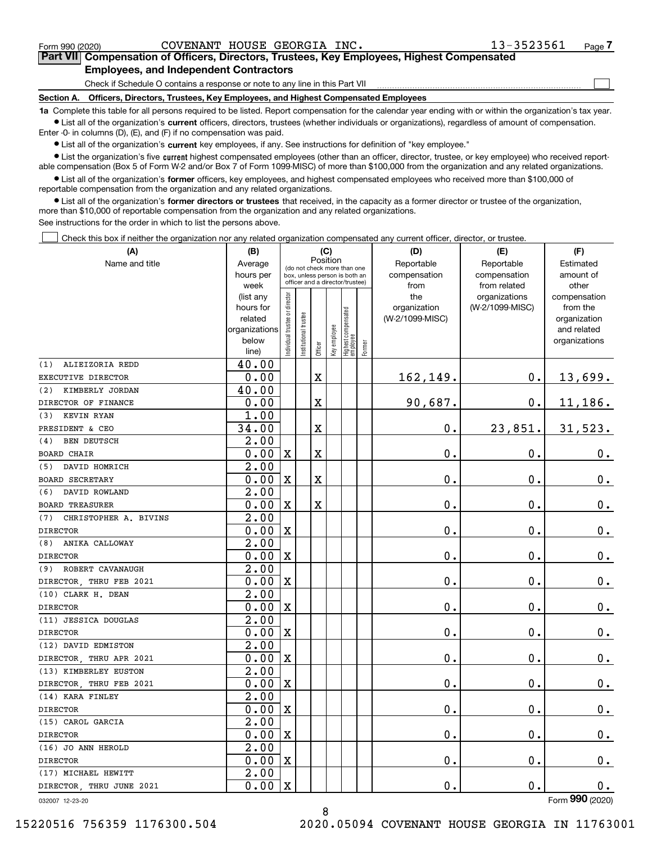$\mathcal{L}^{\text{max}}$ 

| Form 990 (2020) | COVENANT HOUSE GEORGIA INC.                                                                |  | 13-3523561 | Page 7 |
|-----------------|--------------------------------------------------------------------------------------------|--|------------|--------|
|                 | Part VII Compensation of Officers, Directors, Trustees, Key Employees, Highest Compensated |  |            |        |
|                 | <b>Employees, and Independent Contractors</b>                                              |  |            |        |

Check if Schedule O contains a response or note to any line in this Part VII

**Section A. Officers, Directors, Trustees, Key Employees, and Highest Compensated Employees**

**1a**  Complete this table for all persons required to be listed. Report compensation for the calendar year ending with or within the organization's tax year. **•** List all of the organization's current officers, directors, trustees (whether individuals or organizations), regardless of amount of compensation.

Enter -0- in columns (D), (E), and (F) if no compensation was paid.

 $\bullet$  List all of the organization's  $\,$ current key employees, if any. See instructions for definition of "key employee."

**•** List the organization's five current highest compensated employees (other than an officer, director, trustee, or key employee) who received reportable compensation (Box 5 of Form W-2 and/or Box 7 of Form 1099-MISC) of more than \$100,000 from the organization and any related organizations.

**•** List all of the organization's former officers, key employees, and highest compensated employees who received more than \$100,000 of reportable compensation from the organization and any related organizations.

**former directors or trustees**  ¥ List all of the organization's that received, in the capacity as a former director or trustee of the organization, more than \$10,000 of reportable compensation from the organization and any related organizations.

See instructions for the order in which to list the persons above.

Check this box if neither the organization nor any related organization compensated any current officer, director, or trustee.  $\mathcal{L}^{\text{max}}$ 

| (A)                          | (B)                    |                                         |                                                                  | (C)                     |              |                                   |            | (D)                 | (E)                              | (F)                      |
|------------------------------|------------------------|-----------------------------------------|------------------------------------------------------------------|-------------------------|--------------|-----------------------------------|------------|---------------------|----------------------------------|--------------------------|
| Name and title               | Average                | Position<br>(do not check more than one |                                                                  |                         |              |                                   | Reportable | Reportable          | Estimated                        |                          |
|                              | hours per              |                                         | box, unless person is both an<br>officer and a director/trustee) |                         |              |                                   |            | compensation        | compensation                     | amount of                |
|                              | week                   |                                         |                                                                  |                         |              |                                   |            | from                | from related                     | other                    |
|                              | (list any<br>hours for |                                         |                                                                  |                         |              |                                   |            | the<br>organization | organizations<br>(W-2/1099-MISC) | compensation<br>from the |
|                              | related                |                                         |                                                                  |                         |              |                                   |            | (W-2/1099-MISC)     |                                  | organization             |
|                              | organizations          |                                         |                                                                  |                         |              |                                   |            |                     |                                  | and related              |
|                              | below                  | Individual trustee or director          | Institutional trustee                                            |                         | Key employee |                                   |            |                     |                                  | organizations            |
|                              | line)                  |                                         |                                                                  | Officer                 |              | Highest compensated<br>  employee | Former     |                     |                                  |                          |
| ALIEIZORIA REDD<br>(1)       | 40.00                  |                                         |                                                                  |                         |              |                                   |            |                     |                                  |                          |
| EXECUTIVE DIRECTOR           | 0.00                   |                                         |                                                                  | $\overline{\mathbf{X}}$ |              |                                   |            | 162, 149.           | $\mathbf 0$ .                    | 13,699.                  |
| KIMBERLY JORDAN<br>(2)       | 40.00                  |                                         |                                                                  |                         |              |                                   |            |                     |                                  |                          |
| DIRECTOR OF FINANCE          | 0.00                   |                                         |                                                                  | $\overline{\textbf{X}}$ |              |                                   |            | 90,687.             | $\mathbf 0$ .                    | 11,186.                  |
| (3)<br>KEVIN RYAN            | 1.00                   |                                         |                                                                  |                         |              |                                   |            |                     |                                  |                          |
| PRESIDENT & CEO              | 34.00                  |                                         |                                                                  | $\overline{\mathbf{X}}$ |              |                                   |            | 0.                  | 23,851.                          | 31,523.                  |
| <b>BEN DEUTSCH</b><br>(4)    | 2.00                   |                                         |                                                                  |                         |              |                                   |            |                     |                                  |                          |
| <b>BOARD CHAIR</b>           | 0.00                   | $\mathbf X$                             |                                                                  | X                       |              |                                   |            | 0.                  | $\mathbf 0$ .                    | $0_{.}$                  |
| DAVID HOMRICH<br>(5)         | 2.00                   |                                         |                                                                  |                         |              |                                   |            |                     |                                  |                          |
| <b>BOARD SECRETARY</b>       | 0.00                   | $\mathbf x$                             |                                                                  | X                       |              |                                   |            | 0.                  | $\mathbf 0$ .                    | $\mathbf 0$ .            |
| DAVID ROWLAND<br>(6)         | $\overline{2.00}$      |                                         |                                                                  |                         |              |                                   |            |                     |                                  |                          |
| <b>BOARD TREASURER</b>       | 0.00                   | $\mathbf X$                             |                                                                  | X                       |              |                                   |            | 0.                  | $\mathbf 0$ .                    | $\mathbf 0$ .            |
| CHRISTOPHER A. BIVINS<br>(7) | 2.00                   |                                         |                                                                  |                         |              |                                   |            |                     |                                  |                          |
| <b>DIRECTOR</b>              | 0.00                   | $\mathbf X$                             |                                                                  |                         |              |                                   |            | 0.                  | $\mathbf 0$ .                    | $\mathbf 0$ .            |
| ANIKA CALLOWAY<br>(8)        | $\overline{2.00}$      |                                         |                                                                  |                         |              |                                   |            |                     |                                  |                          |
| <b>DIRECTOR</b>              | 0.00                   | $\mathbf X$                             |                                                                  |                         |              |                                   |            | 0.                  | $\mathbf 0$ .                    | $\mathbf 0$ .            |
| ROBERT CAVANAUGH<br>(9)      | 2.00                   |                                         |                                                                  |                         |              |                                   |            |                     |                                  |                          |
| DIRECTOR THRU FEB 2021       | 0.00                   | X                                       |                                                                  |                         |              |                                   |            | 0.                  | $\mathbf 0$ .                    | 0.                       |
| (10) CLARK H. DEAN           | $\overline{2.00}$      |                                         |                                                                  |                         |              |                                   |            |                     |                                  |                          |
| <b>DIRECTOR</b>              | 0.00                   | X                                       |                                                                  |                         |              |                                   |            | $\mathbf{0}$ .      | $\mathbf 0$ .                    | $\mathbf 0$ .            |
| (11) JESSICA DOUGLAS         | 2.00                   |                                         |                                                                  |                         |              |                                   |            |                     |                                  |                          |
| <b>DIRECTOR</b>              | 0.00                   | X                                       |                                                                  |                         |              |                                   |            | 0.                  | $\mathbf 0$ .                    | $0_{.}$                  |
| (12) DAVID EDMISTON          | $\overline{2.00}$      |                                         |                                                                  |                         |              |                                   |            |                     |                                  |                          |
| DIRECTOR, THRU APR 2021      | 0.00                   | $\mathbf x$                             |                                                                  |                         |              |                                   |            | 0.                  | $\mathbf 0$ .                    | $\mathbf 0$ .            |
| (13) KIMBERLEY EUSTON        | $\overline{2.00}$      |                                         |                                                                  |                         |              |                                   |            |                     |                                  |                          |
| DIRECTOR THRU FEB 2021       | 0.00                   | $\mathbf X$                             |                                                                  |                         |              |                                   |            | 0.                  | $\mathbf 0$ .                    | $\mathbf 0$ .            |
| (14) KARA FINLEY             | 2.00                   |                                         |                                                                  |                         |              |                                   |            |                     |                                  |                          |
| <b>DIRECTOR</b>              | 0.00                   | $\mathbf x$                             |                                                                  |                         |              |                                   |            | 0.                  | $\mathbf 0$ .                    | $\mathbf 0$ .            |
| (15) CAROL GARCIA            | $\overline{2.00}$      |                                         |                                                                  |                         |              |                                   |            |                     |                                  |                          |
| <b>DIRECTOR</b>              | 0.00                   | $\mathbf X$                             |                                                                  |                         |              |                                   |            | 0.                  | $\mathbf 0$ .                    | $\mathbf 0$ .            |
| (16) JO ANN HEROLD           | 2.00                   |                                         |                                                                  |                         |              |                                   |            |                     |                                  |                          |
| <b>DIRECTOR</b>              | 0.00                   | $\mathbf X$                             |                                                                  |                         |              |                                   |            | 0.                  | $\mathbf 0$ .                    | 0.                       |
| (17) MICHAEL HEWITT          | 2.00                   |                                         |                                                                  |                         |              |                                   |            |                     |                                  |                          |
| DIRECTOR, THRU JUNE 2021     | 0.00                   | $\mathbf X$                             |                                                                  |                         |              |                                   |            | 0.                  | $\mathbf 0$ .                    | 0.                       |
| 032007 12-23-20              |                        |                                         |                                                                  |                         |              |                                   |            |                     |                                  | Form 990 (2020)          |

032007 12-23-20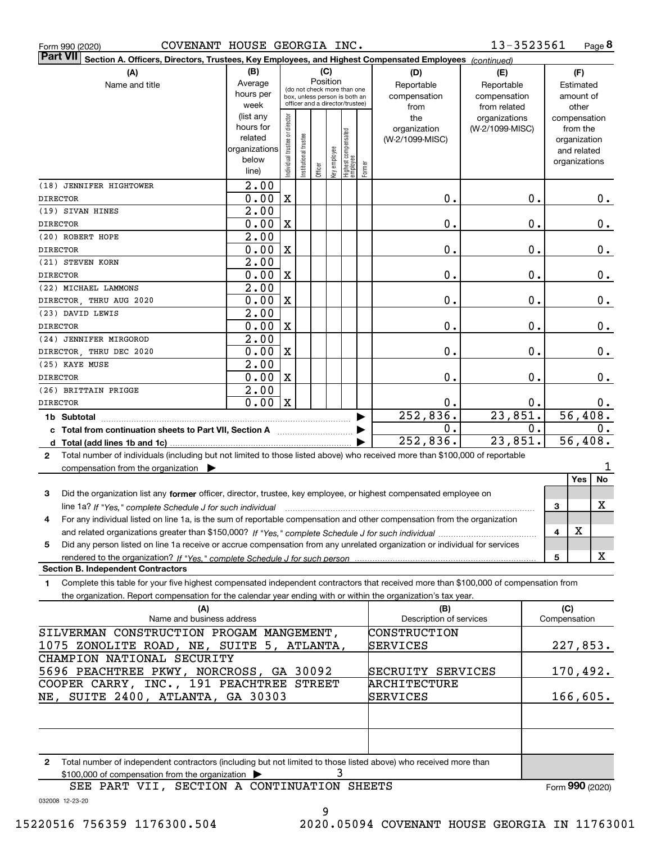|  | Form 990 (2020) |
|--|-----------------|
|  |                 |

**8** 13-3523561

| Part VII <br>Section A. Officers, Directors, Trustees, Key Employees, and Highest Compensated Employees (continued)                              |                        |                                |                                                              |       |              |                                  |        |                         |                 |              |               |       |
|--------------------------------------------------------------------------------------------------------------------------------------------------|------------------------|--------------------------------|--------------------------------------------------------------|-------|--------------|----------------------------------|--------|-------------------------|-----------------|--------------|---------------|-------|
| (A)                                                                                                                                              | (B)                    |                                |                                                              |       | (C)          |                                  |        | (D)                     | (E)             |              | (F)           |       |
| Name and title                                                                                                                                   | Average                |                                |                                                              |       | Position     |                                  |        | Reportable              | Reportable      |              | Estimated     |       |
|                                                                                                                                                  | hours per              |                                | (do not check more than one<br>box, unless person is both an |       |              |                                  |        | compensation            | compensation    |              | amount of     |       |
|                                                                                                                                                  | week                   |                                | officer and a director/trustee)                              |       |              |                                  |        | from                    | from related    |              | other         |       |
|                                                                                                                                                  | (list any              |                                |                                                              |       |              |                                  |        | the                     | organizations   |              | compensation  |       |
|                                                                                                                                                  | hours for              |                                |                                                              |       |              |                                  |        | organization            | (W-2/1099-MISC) |              | from the      |       |
|                                                                                                                                                  | related                |                                |                                                              |       |              |                                  |        | (W-2/1099-MISC)         |                 |              | organization  |       |
|                                                                                                                                                  | organizations<br>below |                                |                                                              |       |              |                                  |        |                         |                 |              | and related   |       |
|                                                                                                                                                  | line)                  | Individual trustee or director | Institutional trustee                                        | [Off] | key employee | Highest compensated<br> employee | Former |                         |                 |              | organizations |       |
|                                                                                                                                                  | $\overline{2.00}$      |                                |                                                              |       |              |                                  |        |                         |                 |              |               |       |
| (18) JENNIFER HIGHTOWER                                                                                                                          |                        |                                |                                                              |       |              |                                  |        |                         |                 |              |               |       |
| <b>DIRECTOR</b>                                                                                                                                  | 0.00                   | $\mathbf X$                    |                                                              |       |              |                                  |        | 0.                      | 0.              |              |               | 0.    |
| (19) SIVAN HINES                                                                                                                                 | 2.00<br>0.00           |                                |                                                              |       |              |                                  |        |                         |                 |              |               |       |
| <b>DIRECTOR</b>                                                                                                                                  | 2.00                   | $\mathbf X$                    |                                                              |       |              |                                  |        | 0.                      | 0.              |              |               | 0.    |
| (20) ROBERT HOPE                                                                                                                                 | 0.00                   | $\mathbf X$                    |                                                              |       |              |                                  |        | 0.                      |                 |              |               |       |
| <b>DIRECTOR</b>                                                                                                                                  | 2.00                   |                                |                                                              |       |              |                                  |        |                         | 0.              |              |               | 0.    |
| (21) STEVEN KORN                                                                                                                                 | 0.00                   |                                |                                                              |       |              |                                  |        |                         |                 |              |               |       |
| <b>DIRECTOR</b>                                                                                                                                  | 2.00                   | $\mathbf X$                    |                                                              |       |              |                                  |        | 0.                      | 0.              |              |               | 0.    |
| (22) MICHAEL LAMMONS                                                                                                                             | 0.00                   | $\mathbf X$                    |                                                              |       |              |                                  |        | 0.                      |                 |              |               |       |
| DIRECTOR, THRU AUG 2020<br>(23) DAVID LEWIS                                                                                                      | 2.00                   |                                |                                                              |       |              |                                  |        |                         | 0.              |              |               | 0.    |
| <b>DIRECTOR</b>                                                                                                                                  | 0.00                   | $\mathbf X$                    |                                                              |       |              |                                  |        | 0.                      | 0.              |              |               | 0.    |
| (24) JENNIFER MIRGOROD                                                                                                                           | 2.00                   |                                |                                                              |       |              |                                  |        |                         |                 |              |               |       |
| DIRECTOR, THRU DEC 2020                                                                                                                          | 0.00                   | X                              |                                                              |       |              |                                  |        | 0.                      | $\mathbf 0$ .   |              |               | 0.    |
| (25) KAYE MUSE                                                                                                                                   | 2.00                   |                                |                                                              |       |              |                                  |        |                         |                 |              |               |       |
| <b>DIRECTOR</b>                                                                                                                                  | 0.00                   | X                              |                                                              |       |              |                                  |        | 0.                      | $\mathbf 0$ .   |              |               | 0.    |
| (26) BRITTAIN PRIGGE                                                                                                                             | 2.00                   |                                |                                                              |       |              |                                  |        |                         |                 |              |               |       |
| <b>DIRECTOR</b>                                                                                                                                  | 0.00                   | $\mathbf X$                    |                                                              |       |              |                                  |        | 0.                      | 0.              |              |               | $0$ . |
|                                                                                                                                                  |                        |                                |                                                              |       |              |                                  |        | 252,836.                | 23,851.         |              | 56,408.       |       |
|                                                                                                                                                  |                        |                                |                                                              |       |              |                                  |        | 0.                      | 0.              |              |               | 0.    |
|                                                                                                                                                  |                        |                                |                                                              |       |              |                                  |        | 252,836.                | 23,851.         |              | 56,408.       |       |
| Total number of individuals (including but not limited to those listed above) who received more than \$100,000 of reportable<br>$\mathbf{2}$     |                        |                                |                                                              |       |              |                                  |        |                         |                 |              |               |       |
| compensation from the organization $\blacktriangleright$                                                                                         |                        |                                |                                                              |       |              |                                  |        |                         |                 |              |               |       |
|                                                                                                                                                  |                        |                                |                                                              |       |              |                                  |        |                         |                 |              | Yes           | No    |
| Did the organization list any former officer, director, trustee, key employee, or highest compensated employee on<br>3                           |                        |                                |                                                              |       |              |                                  |        |                         |                 |              |               |       |
| line 1a? If "Yes," complete Schedule J for such individual manufactured communities in the 1a? If "Yes," complete Schedule J for such individual |                        |                                |                                                              |       |              |                                  |        |                         |                 | 3            |               | X     |
| For any individual listed on line 1a, is the sum of reportable compensation and other compensation from the organization<br>4                    |                        |                                |                                                              |       |              |                                  |        |                         |                 |              |               |       |
|                                                                                                                                                  |                        |                                |                                                              |       |              |                                  |        |                         |                 | 4            | X             |       |
| Did any person listed on line 1a receive or accrue compensation from any unrelated organization or individual for services<br>5                  |                        |                                |                                                              |       |              |                                  |        |                         |                 |              |               |       |
|                                                                                                                                                  |                        |                                |                                                              |       |              |                                  |        |                         |                 | 5            |               | X     |
| <b>Section B. Independent Contractors</b>                                                                                                        |                        |                                |                                                              |       |              |                                  |        |                         |                 |              |               |       |
| Complete this table for your five highest compensated independent contractors that received more than \$100,000 of compensation from<br>1        |                        |                                |                                                              |       |              |                                  |        |                         |                 |              |               |       |
| the organization. Report compensation for the calendar year ending with or within the organization's tax year.                                   |                        |                                |                                                              |       |              |                                  |        |                         |                 |              |               |       |
| (A)                                                                                                                                              |                        |                                |                                                              |       |              |                                  |        | (B)                     |                 | (C)          |               |       |
| Name and business address                                                                                                                        |                        |                                |                                                              |       |              |                                  |        | Description of services |                 | Compensation |               |       |
| SILVERMAN CONSTRUCTION PROGAM MANGEMENT,                                                                                                         |                        |                                |                                                              |       |              |                                  |        | CONSTRUCTION            |                 |              |               |       |
| 1075 ZONOLITE ROAD, NE, SUITE 5, ATLANTA,                                                                                                        |                        |                                |                                                              |       |              |                                  |        | SERVICES                |                 |              | 227,853.      |       |
| CHAMPION NATIONAL SECURITY<br>5696 PEACHTREE PKWY, NORCROSS, GA 30092                                                                            |                        |                                |                                                              |       |              |                                  |        | SECRUITY SERVICES       |                 |              |               |       |
| COOPER CARRY, INC., 191 PEACHTREE STREET                                                                                                         |                        |                                |                                                              |       |              |                                  |        | ARCHITECTURE            |                 |              | 170,492.      |       |
| NE, SUITE 2400, ATLANTA, GA 30303                                                                                                                |                        |                                |                                                              |       |              |                                  |        | SERVICES                |                 |              | 166,605.      |       |
|                                                                                                                                                  |                        |                                |                                                              |       |              |                                  |        |                         |                 |              |               |       |
|                                                                                                                                                  |                        |                                |                                                              |       |              |                                  |        |                         |                 |              |               |       |
|                                                                                                                                                  |                        |                                |                                                              |       |              |                                  |        |                         |                 |              |               |       |
|                                                                                                                                                  |                        |                                |                                                              |       |              |                                  |        |                         |                 |              |               |       |

**2**Total number of independent contractors (including but not limited to those listed above) who received more than \$100,000 of compensation from the organization 3

032008 12-23-20 SEE PART VII, SECTION A CONTINUATION SHEETS

Form (2020) **990**

9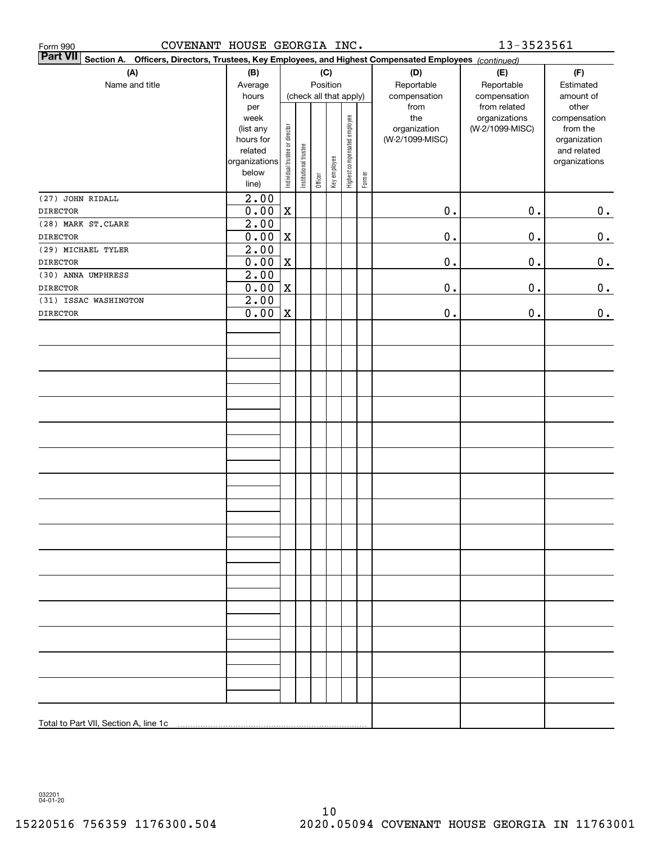| 13-3523561<br>COVENANT HOUSE GEORGIA INC.<br>Form 990                                                           |                           |                                |                        |         |              |                              |        |                                 |                              |                          |
|-----------------------------------------------------------------------------------------------------------------|---------------------------|--------------------------------|------------------------|---------|--------------|------------------------------|--------|---------------------------------|------------------------------|--------------------------|
| Part VII Section A. Officers, Directors, Trustees, Key Employees, and Highest Compensated Employees (continued) |                           |                                |                        |         |              |                              |        |                                 |                              |                          |
| (A)                                                                                                             | (B)                       |                                |                        |         | (C)          |                              |        | (D)                             | (E)                          | (F)                      |
| Name and title                                                                                                  | Average                   |                                |                        |         | Position     |                              |        | Reportable                      | Reportable                   | Estimated                |
|                                                                                                                 | hours<br>per              |                                | (check all that apply) |         |              |                              |        | compensation<br>from            | compensation<br>from related | amount of<br>other       |
|                                                                                                                 | week                      |                                |                        |         |              | Highest compensated employee |        | the                             | organizations                | compensation<br>from the |
|                                                                                                                 | (list any<br>hours for    | Individual trustee or director |                        |         |              |                              |        | organization<br>(W-2/1099-MISC) | (W-2/1099-MISC)              | organization             |
|                                                                                                                 | related                   |                                |                        |         |              |                              |        |                                 |                              | and related              |
|                                                                                                                 | organizations             |                                |                        |         |              |                              |        |                                 |                              | organizations            |
|                                                                                                                 | below                     |                                | Institutional trustee  | Officer | Key employee |                              | Former |                                 |                              |                          |
|                                                                                                                 | line)                     |                                |                        |         |              |                              |        |                                 |                              |                          |
| (27) JOHN RIDALL                                                                                                | 2.00                      |                                |                        |         |              |                              |        |                                 |                              |                          |
| <b>DIRECTOR</b>                                                                                                 | 0.00                      | $\mathbf X$                    |                        |         |              |                              |        | $0$ .                           | $\mathbf 0$ .                | 0.                       |
| (28) MARK ST.CLARE                                                                                              | 2.00                      |                                |                        |         |              |                              |        | $\mathbf 0$ .                   |                              |                          |
| <b>DIRECTOR</b><br>(29) MICHAEL TYLER                                                                           | 0.00<br>$\overline{2.00}$ | $\mathbf X$                    |                        |         |              |                              |        |                                 | 0.                           | $\mathbf 0$ .            |
| <b>DIRECTOR</b>                                                                                                 | 0.00                      | $\mathbf X$                    |                        |         |              |                              |        | $\mathbf 0$ .                   | 0.                           | $\mathbf 0$ .            |
| (30) ANNA UMPHRESS                                                                                              | 2.00                      |                                |                        |         |              |                              |        |                                 |                              |                          |
| <b>DIRECTOR</b>                                                                                                 | 0.00                      | $\mathbf X$                    |                        |         |              |                              |        | $\mathbf 0$ .                   | 0.                           | $0_{.}$                  |
| (31) ISSAC WASHINGTON                                                                                           | 2.00                      |                                |                        |         |              |                              |        |                                 |                              |                          |
| <b>DIRECTOR</b>                                                                                                 | 0.00                      | $\mathbf X$                    |                        |         |              |                              |        | $\mathbf 0$ .                   | $\mathbf 0$ .                | $0_{.}$                  |
|                                                                                                                 |                           |                                |                        |         |              |                              |        |                                 |                              |                          |
|                                                                                                                 |                           |                                |                        |         |              |                              |        |                                 |                              |                          |
|                                                                                                                 |                           |                                |                        |         |              |                              |        |                                 |                              |                          |
|                                                                                                                 |                           |                                |                        |         |              |                              |        |                                 |                              |                          |
|                                                                                                                 |                           |                                |                        |         |              |                              |        |                                 |                              |                          |
|                                                                                                                 |                           |                                |                        |         |              |                              |        |                                 |                              |                          |
|                                                                                                                 |                           |                                |                        |         |              |                              |        |                                 |                              |                          |
|                                                                                                                 |                           |                                |                        |         |              |                              |        |                                 |                              |                          |
|                                                                                                                 |                           |                                |                        |         |              |                              |        |                                 |                              |                          |
|                                                                                                                 |                           |                                |                        |         |              |                              |        |                                 |                              |                          |
|                                                                                                                 |                           |                                |                        |         |              |                              |        |                                 |                              |                          |
|                                                                                                                 |                           |                                |                        |         |              |                              |        |                                 |                              |                          |
|                                                                                                                 |                           |                                |                        |         |              |                              |        |                                 |                              |                          |
|                                                                                                                 |                           |                                |                        |         |              |                              |        |                                 |                              |                          |
|                                                                                                                 |                           |                                |                        |         |              |                              |        |                                 |                              |                          |
|                                                                                                                 |                           |                                |                        |         |              |                              |        |                                 |                              |                          |
|                                                                                                                 |                           |                                |                        |         |              |                              |        |                                 |                              |                          |
|                                                                                                                 |                           |                                |                        |         |              |                              |        |                                 |                              |                          |
|                                                                                                                 |                           |                                |                        |         |              |                              |        |                                 |                              |                          |
|                                                                                                                 |                           |                                |                        |         |              |                              |        |                                 |                              |                          |
|                                                                                                                 |                           |                                |                        |         |              |                              |        |                                 |                              |                          |
|                                                                                                                 |                           |                                |                        |         |              |                              |        |                                 |                              |                          |
|                                                                                                                 |                           |                                |                        |         |              |                              |        |                                 |                              |                          |
|                                                                                                                 |                           |                                |                        |         |              |                              |        |                                 |                              |                          |
|                                                                                                                 |                           |                                |                        |         |              |                              |        |                                 |                              |                          |
|                                                                                                                 |                           |                                |                        |         |              |                              |        |                                 |                              |                          |
|                                                                                                                 |                           |                                |                        |         |              |                              |        |                                 |                              |                          |
|                                                                                                                 |                           |                                |                        |         |              |                              |        |                                 |                              |                          |
|                                                                                                                 |                           |                                |                        |         |              |                              |        |                                 |                              |                          |
|                                                                                                                 |                           |                                |                        |         |              |                              |        |                                 |                              |                          |

032201 04-01-20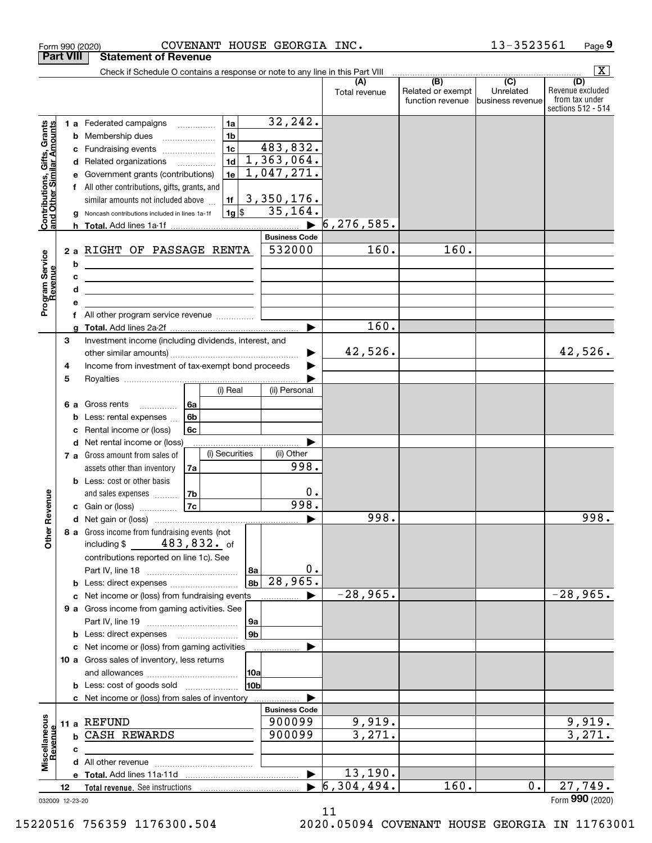|                                                           | Form 990 (2020)  | COVENANT HOUSE GEORGIA INC.                                                                                           |                      |                      |                                                     | 13-3523561                    | Page 9                                                          |
|-----------------------------------------------------------|------------------|-----------------------------------------------------------------------------------------------------------------------|----------------------|----------------------|-----------------------------------------------------|-------------------------------|-----------------------------------------------------------------|
|                                                           | <b>Part VIII</b> | <b>Statement of Revenue</b>                                                                                           |                      |                      |                                                     |                               |                                                                 |
|                                                           |                  | Check if Schedule O contains a response or note to any line in this Part VIII                                         |                      |                      | $\overline{(\mathsf{B})}$ $\overline{(\mathsf{C})}$ |                               | $\boxed{\text{X}}$                                              |
|                                                           |                  |                                                                                                                       |                      | (A)<br>Total revenue | Related or exempt<br>function revenue               | Unrelated<br>business revenue | (D)<br>Revenue excluded<br>from tax under<br>sections 512 - 514 |
| Contributions, Gifts, Grants<br>and Other Similar Amounts |                  | 1a<br>1 a Federated campaigns                                                                                         | 32,242.              |                      |                                                     |                               |                                                                 |
|                                                           | b                | 1 <sub>b</sub><br>Membership dues<br>$\ldots \ldots \ldots \ldots \ldots$<br>1 <sub>c</sub>                           | 483,832.             |                      |                                                     |                               |                                                                 |
|                                                           | с                | Fundraising events<br>1 <sub>d</sub><br>d Related organizations                                                       | 1,363,064.           |                      |                                                     |                               |                                                                 |
|                                                           | е                | 1e<br>Government grants (contributions)                                                                               | 1,047,271.           |                      |                                                     |                               |                                                                 |
|                                                           |                  | f All other contributions, gifts, grants, and                                                                         |                      |                      |                                                     |                               |                                                                 |
|                                                           |                  | 1f<br>similar amounts not included above                                                                              | 3,350,176.           |                      |                                                     |                               |                                                                 |
|                                                           | g                | $1g$ \$<br>Noncash contributions included in lines 1a-1f                                                              | 35, 164.             |                      |                                                     |                               |                                                                 |
|                                                           |                  |                                                                                                                       |                      | 6, 276, 585.         |                                                     |                               |                                                                 |
|                                                           |                  |                                                                                                                       | <b>Business Code</b> |                      |                                                     |                               |                                                                 |
|                                                           |                  | 2 a RIGHT OF PASSAGE RENTA                                                                                            | 532000               | 160.                 | 160.                                                |                               |                                                                 |
|                                                           | b                | <u> 1989 - Johann Barn, mars ann an t-Amhain Aonaich an t-Aonaich an t-Aonaich ann an t-Aonaich ann an t-Aonaich</u>  |                      |                      |                                                     |                               |                                                                 |
|                                                           | c                | <u> 1989 - John Harry Harry Harry Harry Harry Harry Harry Harry Harry Harry Harry Harry Harry Harry Harry Harry H</u> |                      |                      |                                                     |                               |                                                                 |
|                                                           | d                | <u> 1989 - Johann Stein, mars an de Britannich (b. 1989)</u>                                                          |                      |                      |                                                     |                               |                                                                 |
| Program Service<br>Revenue                                | е                |                                                                                                                       |                      |                      |                                                     |                               |                                                                 |
|                                                           | f                | All other program service revenue                                                                                     |                      | 160.                 |                                                     |                               |                                                                 |
|                                                           | a<br>3           | Investment income (including dividends, interest, and                                                                 |                      |                      |                                                     |                               |                                                                 |
|                                                           |                  |                                                                                                                       |                      | 42,526.              |                                                     |                               | 42,526.                                                         |
|                                                           | 4                | Income from investment of tax-exempt bond proceeds                                                                    |                      |                      |                                                     |                               |                                                                 |
|                                                           | 5                |                                                                                                                       |                      |                      |                                                     |                               |                                                                 |
|                                                           |                  | (i) Real                                                                                                              | (ii) Personal        |                      |                                                     |                               |                                                                 |
|                                                           |                  | 6a<br>6 a Gross rents                                                                                                 |                      |                      |                                                     |                               |                                                                 |
|                                                           | b                | 6b<br>Less: rental expenses                                                                                           |                      |                      |                                                     |                               |                                                                 |
|                                                           | c                | Rental income or (loss)<br>6c                                                                                         |                      |                      |                                                     |                               |                                                                 |
|                                                           | d                | Net rental income or (loss)                                                                                           |                      |                      |                                                     |                               |                                                                 |
|                                                           |                  | (i) Securities<br>7 a Gross amount from sales of                                                                      | (ii) Other           |                      |                                                     |                               |                                                                 |
|                                                           |                  | assets other than inventory<br>7a                                                                                     | 998.                 |                      |                                                     |                               |                                                                 |
|                                                           |                  | <b>b</b> Less: cost or other basis                                                                                    | 0.                   |                      |                                                     |                               |                                                                 |
| evenue                                                    |                  | 7b<br>and sales expenses <i>www.</i><br>7c<br>c Gain or (loss)                                                        | 998.                 |                      |                                                     |                               |                                                                 |
|                                                           |                  |                                                                                                                       |                      | 998.                 |                                                     |                               | 998.                                                            |
| Other <sub>R</sub>                                        |                  | 8 a Gross income from fundraising events (not                                                                         |                      |                      |                                                     |                               |                                                                 |
|                                                           |                  | including $$483,832.$ of                                                                                              |                      |                      |                                                     |                               |                                                                 |
|                                                           |                  | contributions reported on line 1c). See                                                                               |                      |                      |                                                     |                               |                                                                 |
|                                                           |                  | 8a                                                                                                                    | 0.                   |                      |                                                     |                               |                                                                 |
|                                                           |                  | 8b<br><b>b</b> Less: direct expenses                                                                                  | 28,965.              |                      |                                                     |                               |                                                                 |
|                                                           |                  | c Net income or (loss) from fundraising events                                                                        |                      | $-28,965.$           |                                                     |                               | $-28,965.$                                                      |
|                                                           |                  | 9 a Gross income from gaming activities. See                                                                          |                      |                      |                                                     |                               |                                                                 |
|                                                           |                  | 9a                                                                                                                    |                      |                      |                                                     |                               |                                                                 |
|                                                           |                  | 9 <sub>b</sub><br><b>b</b> Less: direct expenses <b>manually</b>                                                      |                      |                      |                                                     |                               |                                                                 |
|                                                           |                  | c Net income or (loss) from gaming activities<br>10 a Gross sales of inventory, less returns                          |                      |                      |                                                     |                               |                                                                 |
|                                                           |                  |                                                                                                                       |                      |                      |                                                     |                               |                                                                 |
|                                                           |                  | 10a<br>10bl<br><b>b</b> Less: cost of goods sold                                                                      |                      |                      |                                                     |                               |                                                                 |
|                                                           |                  | c Net income or (loss) from sales of inventory                                                                        |                      |                      |                                                     |                               |                                                                 |
|                                                           |                  |                                                                                                                       | <b>Business Code</b> |                      |                                                     |                               |                                                                 |
|                                                           |                  | 11 a REFUND                                                                                                           | 900099               | 9,919.               |                                                     |                               | 9,919.                                                          |
|                                                           | b                | CASH REWARDS                                                                                                          | 900099               | 3,271.               |                                                     |                               | 3,271.                                                          |
|                                                           | c                |                                                                                                                       |                      |                      |                                                     |                               |                                                                 |
| Miscellaneous<br>Revenue                                  |                  |                                                                                                                       |                      |                      |                                                     |                               |                                                                 |
|                                                           |                  |                                                                                                                       | ▶                    | 13,190.              |                                                     |                               |                                                                 |
|                                                           | 12               | Total revenue. See instructions                                                                                       |                      | 6, 304, 494.         | 160.                                                | 0.                            | 27,749.                                                         |
|                                                           | 032009 12-23-20  |                                                                                                                       |                      |                      |                                                     |                               | Form 990 (2020)                                                 |

032009 12-23-20

11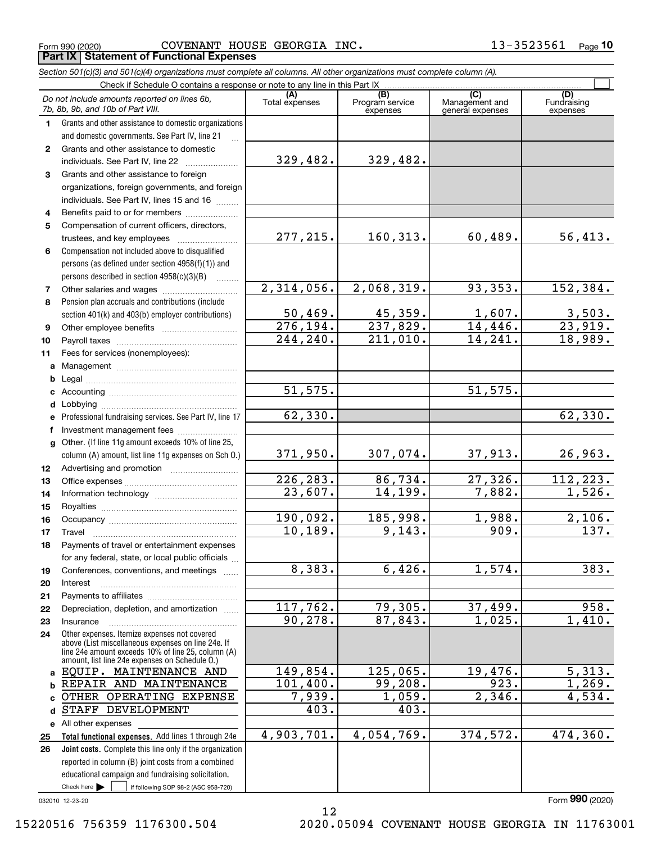Form 990 (2020) COVENANT HOUSE GEORGIA INC. 13-3523561 <sub>Page</sub> **Part IX Statement of Functional Expenses**

*Section 501(c)(3) and 501(c)(4) organizations must complete all columns. All other organizations must complete column (A).*

 $\overline{\phantom{1}}$ 

| Check if Schedule O contains a response or note to any line in this Part IX |                                                                                                          |                          |                                    |                                    |                                |  |  |  |
|-----------------------------------------------------------------------------|----------------------------------------------------------------------------------------------------------|--------------------------|------------------------------------|------------------------------------|--------------------------------|--|--|--|
|                                                                             | Do not include amounts reported on lines 6b,<br>7b, 8b, 9b, and 10b of Part VIII.                        | Total expenses           | (B)<br>Program service<br>expenses | Management and<br>general expenses | (D)<br>Fundraising<br>expenses |  |  |  |
| 1.                                                                          | Grants and other assistance to domestic organizations                                                    |                          |                                    |                                    |                                |  |  |  |
|                                                                             | and domestic governments. See Part IV, line 21                                                           |                          |                                    |                                    |                                |  |  |  |
| $\mathbf{2}$                                                                | Grants and other assistance to domestic                                                                  |                          |                                    |                                    |                                |  |  |  |
|                                                                             | individuals. See Part IV, line 22                                                                        | 329,482.                 | 329,482.                           |                                    |                                |  |  |  |
| 3                                                                           | Grants and other assistance to foreign                                                                   |                          |                                    |                                    |                                |  |  |  |
|                                                                             | organizations, foreign governments, and foreign                                                          |                          |                                    |                                    |                                |  |  |  |
|                                                                             | individuals. See Part IV, lines 15 and 16                                                                |                          |                                    |                                    |                                |  |  |  |
| 4                                                                           | Benefits paid to or for members                                                                          |                          |                                    |                                    |                                |  |  |  |
| 5                                                                           | Compensation of current officers, directors,                                                             |                          |                                    |                                    |                                |  |  |  |
|                                                                             | trustees, and key employees                                                                              | 277,215.                 | 160, 313.                          | 60,489.                            | 56,413.                        |  |  |  |
| 6                                                                           | Compensation not included above to disqualified                                                          |                          |                                    |                                    |                                |  |  |  |
|                                                                             | persons (as defined under section 4958(f)(1)) and                                                        |                          |                                    |                                    |                                |  |  |  |
|                                                                             | persons described in section $4958(c)(3)(B)$                                                             |                          |                                    |                                    |                                |  |  |  |
| 7                                                                           |                                                                                                          | 2,314,056.               | 2,068,319.                         | 93,353.                            | 152, 384.                      |  |  |  |
| 8                                                                           | Pension plan accruals and contributions (include                                                         |                          |                                    |                                    |                                |  |  |  |
|                                                                             | section 401(k) and 403(b) employer contributions)                                                        | $\frac{50,469}{276,194}$ | 45,359.<br>237,829.                | $\frac{1,607.}{14,446.}$           | $\frac{3,503}{23,919}$         |  |  |  |
| 9                                                                           |                                                                                                          |                          |                                    |                                    |                                |  |  |  |
| 10                                                                          |                                                                                                          | 244, 240.                | 211,010.                           | 14, 241.                           | 18,989.                        |  |  |  |
| 11                                                                          | Fees for services (nonemployees):                                                                        |                          |                                    |                                    |                                |  |  |  |
|                                                                             |                                                                                                          |                          |                                    |                                    |                                |  |  |  |
| b                                                                           |                                                                                                          |                          |                                    |                                    |                                |  |  |  |
|                                                                             |                                                                                                          | 51, 575.                 |                                    | 51, 575.                           |                                |  |  |  |
|                                                                             |                                                                                                          |                          |                                    |                                    |                                |  |  |  |
|                                                                             | e Professional fundraising services. See Part IV, line 17                                                | 62,330.                  |                                    |                                    | 62,330.                        |  |  |  |
|                                                                             | Investment management fees                                                                               |                          |                                    |                                    |                                |  |  |  |
|                                                                             | g Other. (If line 11g amount exceeds 10% of line 25,                                                     |                          |                                    |                                    |                                |  |  |  |
|                                                                             | column (A) amount, list line 11g expenses on Sch O.)                                                     | 371,950.                 | 307,074.                           | 37,913.                            | 26,963.                        |  |  |  |
| 12                                                                          |                                                                                                          | 226, 283.                | 86,734.                            | 27,326.                            |                                |  |  |  |
| 13                                                                          |                                                                                                          | 23,607.                  | 14, 199.                           | 7,882.                             | $\frac{112,223.}{1,526.}$      |  |  |  |
| 14                                                                          |                                                                                                          |                          |                                    |                                    |                                |  |  |  |
| 15<br>16                                                                    |                                                                                                          | 190,092.                 | 185,998.                           | 1,988.                             | 2,106.                         |  |  |  |
| 17                                                                          | Travel                                                                                                   | 10, 189.                 | 9, 143.                            | 909.                               | 137.                           |  |  |  |
| 18                                                                          | Payments of travel or entertainment expenses                                                             |                          |                                    |                                    |                                |  |  |  |
|                                                                             | for any federal, state, or local public officials                                                        |                          |                                    |                                    |                                |  |  |  |
| 19                                                                          | Conferences, conventions, and meetings                                                                   | 8,383.                   | 6,426.                             | 1,574.                             | 383.                           |  |  |  |
| 20                                                                          | Interest                                                                                                 |                          |                                    |                                    |                                |  |  |  |
| 21                                                                          |                                                                                                          |                          |                                    |                                    |                                |  |  |  |
| 22                                                                          | Depreciation, depletion, and amortization                                                                | 117,762.                 | 79,305.                            | 37,499.                            | 958.                           |  |  |  |
| 23                                                                          | Insurance                                                                                                | 90, 278.                 | 87,843.                            | 1,025.                             | 1,410.                         |  |  |  |
| 24                                                                          | Other expenses. Itemize expenses not covered                                                             |                          |                                    |                                    |                                |  |  |  |
|                                                                             | above (List miscellaneous expenses on line 24e. If<br>line 24e amount exceeds 10% of line 25, column (A) |                          |                                    |                                    |                                |  |  |  |
|                                                                             | amount, list line 24e expenses on Schedule O.)                                                           |                          |                                    |                                    |                                |  |  |  |
|                                                                             | EOUIP. MAINTENANCE AND                                                                                   | 149,854.                 | 125,065.                           | 19, 476.                           | 5,313.                         |  |  |  |
|                                                                             | REPAIR AND MAINTENANCE                                                                                   | 101,400.                 | 99,208.                            | 923.                               | 1,269.                         |  |  |  |
|                                                                             | OTHER OPERATING EXPENSE                                                                                  | $\overline{7}$ , 939.    | 1,059.                             | 2,346.                             | 4,534.                         |  |  |  |
| d                                                                           | STAFF DEVELOPMENT                                                                                        | 403.                     | 403.                               |                                    |                                |  |  |  |
|                                                                             | e All other expenses                                                                                     |                          |                                    |                                    |                                |  |  |  |
| 25                                                                          | Total functional expenses. Add lines 1 through 24e                                                       | 4,903,701.               | 4,054,769.                         | 374,572.                           | 474,360.                       |  |  |  |
| 26                                                                          | Joint costs. Complete this line only if the organization                                                 |                          |                                    |                                    |                                |  |  |  |
|                                                                             | reported in column (B) joint costs from a combined                                                       |                          |                                    |                                    |                                |  |  |  |
|                                                                             | educational campaign and fundraising solicitation.                                                       |                          |                                    |                                    |                                |  |  |  |
|                                                                             | Check here $\blacktriangleright$<br>if following SOP 98-2 (ASC 958-720)                                  |                          |                                    |                                    |                                |  |  |  |

032010 12-23-20

Form (2020) **990**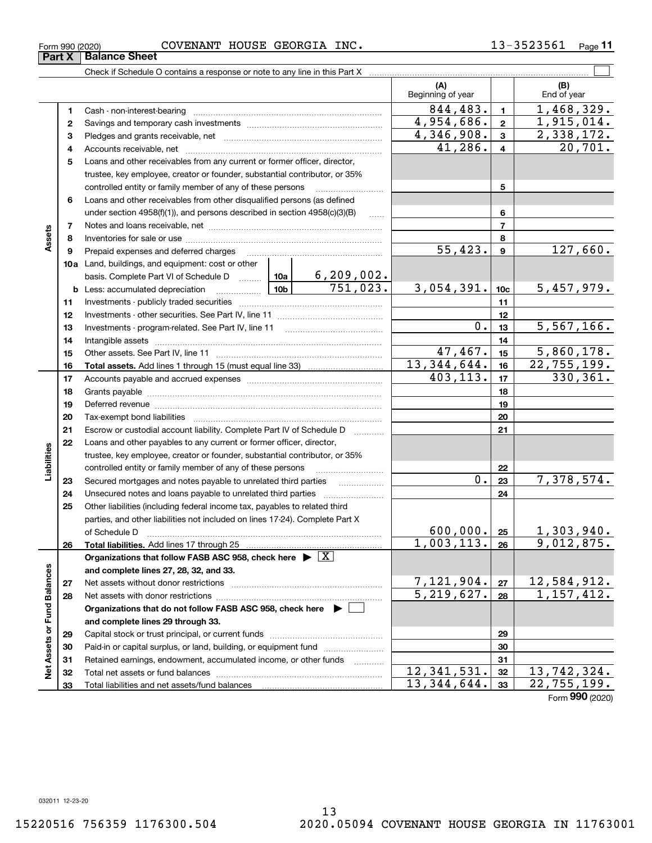**3233**

**Net Assets or Fund Balances**

 $\frac{1}{2}$ 

Assets or Fund Balances

**3233**

 $12,341,531.$   $32 \mid 13,742,324.$ 13,344,644. 22,755,199.

| Form 990 (2020) |                               | COVENANT HOUSE GEORGIA INC. |  | 13-3523561 | Page |
|-----------------|-------------------------------|-----------------------------|--|------------|------|
|                 | <b>Part X   Balance Sheet</b> |                             |  |            |      |

Check if Schedule O contains a response or note to any line in this Part X

Total net assets or fund balances ~~~~~~~~~~~~~~~~~~~~~~

Total liabilities and net assets/fund balances

**(A) (B) 123** Pledges and grants receivable, net  $\ldots$  **multimes contained and grants receivable**, net **multimes contained and grants receivable**, net **multimes contained and grants receivable 45678910a**Land, buildings, and equipment: cost or other **11121314151617181920212223242526272829303112345678910c11121314151617181920212223242526b** Less: accumulated depreciation  $\ldots$  **10b** basis. Complete Part VI of Schedule D will aller **Total assets.**  Add lines 1 through 15 (must equal line 33) **Total liabilities.**  Add lines 17 through 25 **Organizations that follow FASB ASC 958, check here** | X **and complete lines 27, 28, 32, and 33. 2728Organizations that do not follow FASB ASC 958, check here** | **and complete lines 29 through 33. 293031**Beginning of year | | End of year Cash - non-interest-bearing ~~~~~~~~~~~~~~~~~~~~~~~~~ Savings and temporary cash investments ~~~~~~~~~~~~~~~~~~Accounts receivable, net ~~~~~~~~~~~~~~~~~~~~~~~~~~ Loans and other receivables from any current or former officer, director, trustee, key employee, creator or founder, substantial contributor, or 35% controlled entity or family member of any of these persons ............................ Loans and other receivables from other disqualified persons (as defined under section  $4958(f)(1)$ , and persons described in section  $4958(c)(3)(B)$ Notes and loans receivable, net ~~~~~~~~~~~~~~~~~~~~~~~Inventories for sale or use ~~~~~~~~~~~~~~~~~~~~~~~~~~ Prepaid expenses and deferred charges ~~~~~~~~~~~~~~~~~~ Investments - publicly traded securities ~~~~~~~~~~~~~~~~~~~ Investments - other securities. See Part IV, line 11 ~~~~~~~~~~~~~~ Investments - program-related. See Part IV, line 11 [2010] [2010] [2010] [2010] [2010] [2010] [2010] [2010] [2 Intangible assets ~~~~~~~~~~~~~~~~~~~~~~~~~~~~~~ Other assets. See Part IV, line 11 ~~~~~~~~~~~~~~~~~~~~~~ Accounts payable and accrued expenses ~~~~~~~~~~~~~~~~~~ Grants payable ~~~~~~~~~~~~~~~~~~~~~~~~~~~~~~~ Deferred revenue ~~~~~~~~~~~~~~~~~~~~~~~~~~~~~~Tax-exempt bond liabilities …………………………………………………………… Escrow or custodial account liability. Complete Part IV of Schedule D Loans and other payables to any current or former officer, director, trustee, key employee, creator or founder, substantial contributor, or 35% controlled entity or family member of any of these persons ~~~~~~~~~Secured mortgages and notes payable to unrelated third parties Unsecured notes and loans payable to unrelated third parties ~~~~~~~~ Other liabilities (including federal income tax, payables to related third parties, and other liabilities not included on lines 17-24). Complete Part X of Schedule D ~~~~~~~~~~~~~~~~~~~~~~~~~~~~~~~ Net assets without donor restrictions <sub>…………………………………………………</sub>…… Net assets with donor restrictions ~~~~~~~~~~~~~~~~~~~~~~Capital stock or trust principal, or current funds ~~~~~~~~~~~~~~~ Paid-in or capital surplus, or land, building, or equipment fund www.commun.com Retained earnings, endowment, accumulated income, or other funds www.com  $844,483.$  1, 1, 468, 329. 41,286. 20,701. 4,346,908. 2,338,172.  $0.$ | 13 | 5,567,166.  $55,423.$  9 127,660. 6,209,002.  $751,023.$  3,054,391. 10c 5,457,979.  $47,467.$   $15$  5,860,178. 13,344,644. 22,755,199.  $4,954,686. | z | 1,915,014.$  $403, 113.$   $17$  330, 361.  $0. |23| 7,378,574.$  $600,000$ . | 25 | 1,303,940.  $1,003,113. |26 | 9,012,875.$  $7,121,904.$   $|z_7|$  12,584,912.  $5,219,627. |28 | 1,157,412.$ 

Form (2020) **990**

 $\mathcal{L}^{\text{max}}$ 

**Assets**

**Liabilities**

iabilities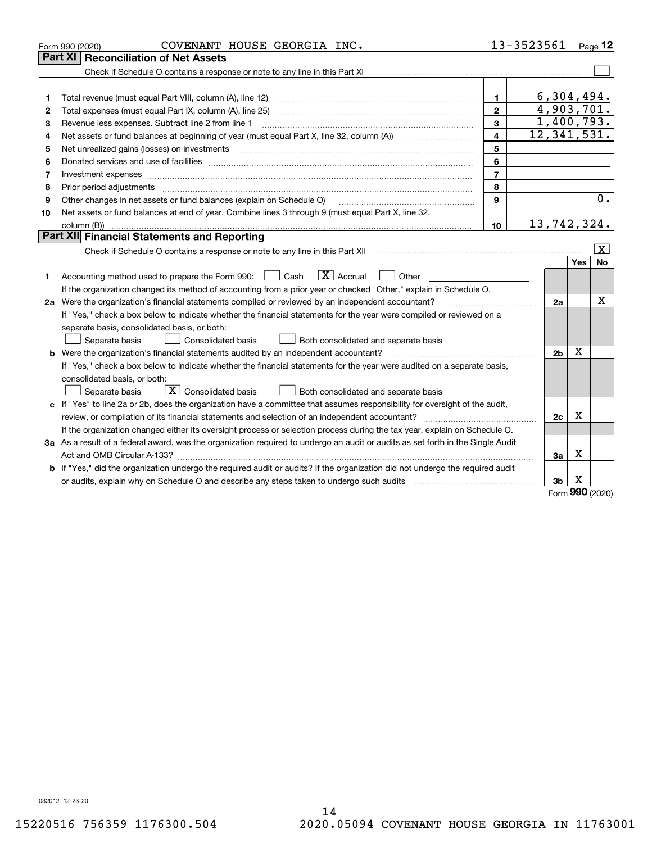|    | COVENANT HOUSE GEORGIA INC.<br>Form 990 (2020)                                                                                                                                                                                |                         | 13-3523561 Page 12          |          |                         |
|----|-------------------------------------------------------------------------------------------------------------------------------------------------------------------------------------------------------------------------------|-------------------------|-----------------------------|----------|-------------------------|
|    | <b>Reconciliation of Net Assets</b><br>Part XI                                                                                                                                                                                |                         |                             |          |                         |
|    |                                                                                                                                                                                                                               |                         |                             |          |                         |
|    |                                                                                                                                                                                                                               |                         |                             |          |                         |
| 1  | Total revenue (must equal Part VIII, column (A), line 12)                                                                                                                                                                     | $\mathbf{1}$            | 6,304,494.                  |          |                         |
| 2  |                                                                                                                                                                                                                               | $\overline{2}$          | 4,903,701.                  |          |                         |
| з  | Revenue less expenses. Subtract line 2 from line 1                                                                                                                                                                            | 3                       | $\overline{1,}$ 400, 793.   |          |                         |
| 4  |                                                                                                                                                                                                                               | $\overline{\mathbf{4}}$ | $\overline{12}$ , 341, 531. |          |                         |
| 5  | Net unrealized gains (losses) on investments                                                                                                                                                                                  | 5                       |                             |          |                         |
| 6  |                                                                                                                                                                                                                               | 6                       |                             |          |                         |
| 7  | Investment expenses www.communication.com/www.communication.com/www.communication.com/www.com                                                                                                                                 | $\overline{7}$          |                             |          |                         |
| 8  | Prior period adjustments                                                                                                                                                                                                      | 8                       |                             |          |                         |
| 9  | Other changes in net assets or fund balances (explain on Schedule O)                                                                                                                                                          | 9                       |                             |          | $\overline{0}$ .        |
| 10 | Net assets or fund balances at end of year. Combine lines 3 through 9 (must equal Part X, line 32,                                                                                                                            |                         |                             |          |                         |
|    |                                                                                                                                                                                                                               | 10                      | 13,742,324.                 |          |                         |
|    | Part XII Financial Statements and Reporting                                                                                                                                                                                   |                         |                             |          |                         |
|    |                                                                                                                                                                                                                               |                         |                             |          | $\overline{\mathbf{X}}$ |
|    |                                                                                                                                                                                                                               |                         |                             | Yes      | No                      |
| 1  | $\boxed{\mathbf{X}}$ Accrual<br>Accounting method used to prepare the Form 990: <u>I</u> Cash<br>Other                                                                                                                        |                         |                             |          |                         |
|    | If the organization changed its method of accounting from a prior year or checked "Other," explain in Schedule O.                                                                                                             |                         |                             |          |                         |
|    | 2a Were the organization's financial statements compiled or reviewed by an independent accountant?                                                                                                                            |                         | 2a                          |          | x                       |
|    | If "Yes," check a box below to indicate whether the financial statements for the year were compiled or reviewed on a                                                                                                          |                         |                             |          |                         |
|    | separate basis, consolidated basis, or both:                                                                                                                                                                                  |                         |                             |          |                         |
|    | Separate basis<br><b>Consolidated basis</b><br>Both consolidated and separate basis                                                                                                                                           |                         |                             |          |                         |
|    | <b>b</b> Were the organization's financial statements audited by an independent accountant?                                                                                                                                   |                         | 2 <sub>b</sub>              | X        |                         |
|    | If "Yes," check a box below to indicate whether the financial statements for the year were audited on a separate basis,                                                                                                       |                         |                             |          |                         |
|    | consolidated basis, or both:                                                                                                                                                                                                  |                         |                             |          |                         |
|    | $\boxed{\textbf{X}}$ Consolidated basis<br>Separate basis<br>Both consolidated and separate basis                                                                                                                             |                         |                             |          |                         |
|    | c If "Yes" to line 2a or 2b, does the organization have a committee that assumes responsibility for oversight of the audit,                                                                                                   |                         |                             |          |                         |
|    |                                                                                                                                                                                                                               |                         | 2c                          | X        |                         |
|    | If the organization changed either its oversight process or selection process during the tax year, explain on Schedule O.                                                                                                     |                         |                             |          |                         |
|    | 3a As a result of a federal award, was the organization required to undergo an audit or audits as set forth in the Single Audit                                                                                               |                         |                             |          |                         |
|    |                                                                                                                                                                                                                               |                         | За                          | х        |                         |
|    | b If "Yes," did the organization undergo the required audit or audits? If the organization did not undergo the required audit                                                                                                 |                         |                             |          |                         |
|    | or audits, explain why on Schedule O and describe any steps taken to undergo such audits [11] contains the school of audits [11] or audits [11] or audits [11] or audits [11] or audits [11] or audits [11] or audits [11] or |                         | 3b                          | х<br>nnn |                         |

Form (2020) **990**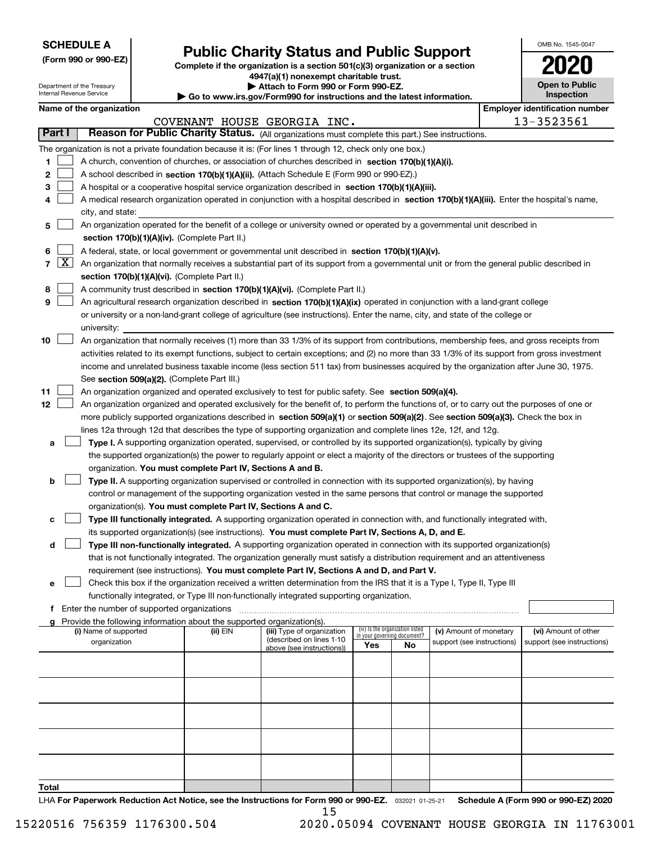| <b>SCHEDULE A</b> |
|-------------------|
|-------------------|

Department of the Treasury Internal Revenue Service

**(Form 990 or 990-EZ)**

## **Public Charity Status and Public Support**

**Complete if the organization is a section 501(c)(3) organization or a section 4947(a)(1) nonexempt charitable trust.**

| Attach to Form 990 or Form 990-EZ.                                            |
|-------------------------------------------------------------------------------|
| $\ldots$ is a set $\ell$ come $000$ fax in the interest and the letant inform |

**| Go to www.irs.gov/Form990 for instructions and the latest information.**

| OMB No. 1545-0047                   |
|-------------------------------------|
| 021                                 |
| <b>Open to Public</b><br>Inspection |

|  | Name of the organization |
|--|--------------------------|
|--|--------------------------|

|        |                     | Name of the organization                                                                                                                                                                        |          |                             |                                    |    |                            |  | <b>Employer identification number</b> |  |  |  |
|--------|---------------------|-------------------------------------------------------------------------------------------------------------------------------------------------------------------------------------------------|----------|-----------------------------|------------------------------------|----|----------------------------|--|---------------------------------------|--|--|--|
| Part I |                     |                                                                                                                                                                                                 |          | COVENANT HOUSE GEORGIA INC. |                                    |    |                            |  | 13-3523561                            |  |  |  |
|        |                     | Reason for Public Charity Status. (All organizations must complete this part.) See instructions.                                                                                                |          |                             |                                    |    |                            |  |                                       |  |  |  |
|        |                     | The organization is not a private foundation because it is: (For lines 1 through 12, check only one box.)                                                                                       |          |                             |                                    |    |                            |  |                                       |  |  |  |
| 1      |                     | A church, convention of churches, or association of churches described in section 170(b)(1)(A)(i).<br>A school described in section 170(b)(1)(A)(ii). (Attach Schedule E (Form 990 or 990-EZ).) |          |                             |                                    |    |                            |  |                                       |  |  |  |
| 2      |                     |                                                                                                                                                                                                 |          |                             |                                    |    |                            |  |                                       |  |  |  |
| 3      |                     | A hospital or a cooperative hospital service organization described in section 170(b)(1)(A)(iii).                                                                                               |          |                             |                                    |    |                            |  |                                       |  |  |  |
| 4      |                     | A medical research organization operated in conjunction with a hospital described in section 170(b)(1)(A)(iii). Enter the hospital's name,                                                      |          |                             |                                    |    |                            |  |                                       |  |  |  |
|        |                     | city, and state:                                                                                                                                                                                |          |                             |                                    |    |                            |  |                                       |  |  |  |
| 5      |                     | An organization operated for the benefit of a college or university owned or operated by a governmental unit described in                                                                       |          |                             |                                    |    |                            |  |                                       |  |  |  |
|        |                     | section 170(b)(1)(A)(iv). (Complete Part II.)                                                                                                                                                   |          |                             |                                    |    |                            |  |                                       |  |  |  |
| 6      |                     | A federal, state, or local government or governmental unit described in section 170(b)(1)(A)(v).                                                                                                |          |                             |                                    |    |                            |  |                                       |  |  |  |
| 7      | $\lfloor x \rfloor$ | An organization that normally receives a substantial part of its support from a governmental unit or from the general public described in                                                       |          |                             |                                    |    |                            |  |                                       |  |  |  |
|        |                     | section 170(b)(1)(A)(vi). (Complete Part II.)                                                                                                                                                   |          |                             |                                    |    |                            |  |                                       |  |  |  |
| 8      |                     | A community trust described in section 170(b)(1)(A)(vi). (Complete Part II.)                                                                                                                    |          |                             |                                    |    |                            |  |                                       |  |  |  |
| 9      |                     | An agricultural research organization described in section 170(b)(1)(A)(ix) operated in conjunction with a land-grant college                                                                   |          |                             |                                    |    |                            |  |                                       |  |  |  |
|        |                     | or university or a non-land-grant college of agriculture (see instructions). Enter the name, city, and state of the college or<br>university:                                                   |          |                             |                                    |    |                            |  |                                       |  |  |  |
| 10     |                     | An organization that normally receives (1) more than 33 1/3% of its support from contributions, membership fees, and gross receipts from                                                        |          |                             |                                    |    |                            |  |                                       |  |  |  |
|        |                     | activities related to its exempt functions, subject to certain exceptions; and (2) no more than 33 1/3% of its support from gross investment                                                    |          |                             |                                    |    |                            |  |                                       |  |  |  |
|        |                     | income and unrelated business taxable income (less section 511 tax) from businesses acquired by the organization after June 30, 1975.                                                           |          |                             |                                    |    |                            |  |                                       |  |  |  |
|        |                     | See section 509(a)(2). (Complete Part III.)                                                                                                                                                     |          |                             |                                    |    |                            |  |                                       |  |  |  |
| 11     |                     | An organization organized and operated exclusively to test for public safety. See section 509(a)(4).                                                                                            |          |                             |                                    |    |                            |  |                                       |  |  |  |
| 12     |                     | An organization organized and operated exclusively for the benefit of, to perform the functions of, or to carry out the purposes of one or                                                      |          |                             |                                    |    |                            |  |                                       |  |  |  |
|        |                     | more publicly supported organizations described in section 509(a)(1) or section 509(a)(2). See section 509(a)(3). Check the box in                                                              |          |                             |                                    |    |                            |  |                                       |  |  |  |
|        |                     | lines 12a through 12d that describes the type of supporting organization and complete lines 12e, 12f, and 12g.                                                                                  |          |                             |                                    |    |                            |  |                                       |  |  |  |
| а      |                     | Type I. A supporting organization operated, supervised, or controlled by its supported organization(s), typically by giving                                                                     |          |                             |                                    |    |                            |  |                                       |  |  |  |
|        |                     | the supported organization(s) the power to regularly appoint or elect a majority of the directors or trustees of the supporting                                                                 |          |                             |                                    |    |                            |  |                                       |  |  |  |
|        |                     | organization. You must complete Part IV, Sections A and B.                                                                                                                                      |          |                             |                                    |    |                            |  |                                       |  |  |  |
| b      |                     | Type II. A supporting organization supervised or controlled in connection with its supported organization(s), by having                                                                         |          |                             |                                    |    |                            |  |                                       |  |  |  |
|        |                     | control or management of the supporting organization vested in the same persons that control or manage the supported                                                                            |          |                             |                                    |    |                            |  |                                       |  |  |  |
|        |                     | organization(s). You must complete Part IV, Sections A and C.                                                                                                                                   |          |                             |                                    |    |                            |  |                                       |  |  |  |
| с      |                     | Type III functionally integrated. A supporting organization operated in connection with, and functionally integrated with,                                                                      |          |                             |                                    |    |                            |  |                                       |  |  |  |
|        |                     | its supported organization(s) (see instructions). You must complete Part IV, Sections A, D, and E.                                                                                              |          |                             |                                    |    |                            |  |                                       |  |  |  |
| d      |                     | Type III non-functionally integrated. A supporting organization operated in connection with its supported organization(s)                                                                       |          |                             |                                    |    |                            |  |                                       |  |  |  |
|        |                     | that is not functionally integrated. The organization generally must satisfy a distribution requirement and an attentiveness                                                                    |          |                             |                                    |    |                            |  |                                       |  |  |  |
|        |                     | requirement (see instructions). You must complete Part IV, Sections A and D, and Part V.                                                                                                        |          |                             |                                    |    |                            |  |                                       |  |  |  |
|        |                     | Check this box if the organization received a written determination from the IRS that it is a Type I, Type II, Type III                                                                         |          |                             |                                    |    |                            |  |                                       |  |  |  |
|        |                     | functionally integrated, or Type III non-functionally integrated supporting organization.                                                                                                       |          |                             |                                    |    |                            |  |                                       |  |  |  |
|        |                     | f Enter the number of supported organizations                                                                                                                                                   |          |                             |                                    |    |                            |  |                                       |  |  |  |
|        |                     | g Provide the following information about the supported organization(s).<br>(i) Name of supported                                                                                               | (ii) EIN | (iii) Type of organization  | (iv) Is the organization listed    |    | (v) Amount of monetary     |  | (vi) Amount of other                  |  |  |  |
|        |                     | organization                                                                                                                                                                                    |          | (described on lines 1-10    | in your governing document?<br>Yes | No | support (see instructions) |  | support (see instructions)            |  |  |  |
|        |                     |                                                                                                                                                                                                 |          | above (see instructions))   |                                    |    |                            |  |                                       |  |  |  |
|        |                     |                                                                                                                                                                                                 |          |                             |                                    |    |                            |  |                                       |  |  |  |
|        |                     |                                                                                                                                                                                                 |          |                             |                                    |    |                            |  |                                       |  |  |  |
|        |                     |                                                                                                                                                                                                 |          |                             |                                    |    |                            |  |                                       |  |  |  |
|        |                     |                                                                                                                                                                                                 |          |                             |                                    |    |                            |  |                                       |  |  |  |
|        |                     |                                                                                                                                                                                                 |          |                             |                                    |    |                            |  |                                       |  |  |  |
|        |                     |                                                                                                                                                                                                 |          |                             |                                    |    |                            |  |                                       |  |  |  |
|        |                     |                                                                                                                                                                                                 |          |                             |                                    |    |                            |  |                                       |  |  |  |
|        |                     |                                                                                                                                                                                                 |          |                             |                                    |    |                            |  |                                       |  |  |  |
|        |                     |                                                                                                                                                                                                 |          |                             |                                    |    |                            |  |                                       |  |  |  |
| Total  |                     |                                                                                                                                                                                                 |          |                             |                                    |    |                            |  |                                       |  |  |  |

LHA For Paperwork Reduction Act Notice, see the Instructions for Form 990 or 990-EZ. <sub>032021</sub> o1-25-21 Schedule A (Form 990 or 990-EZ) 2020 15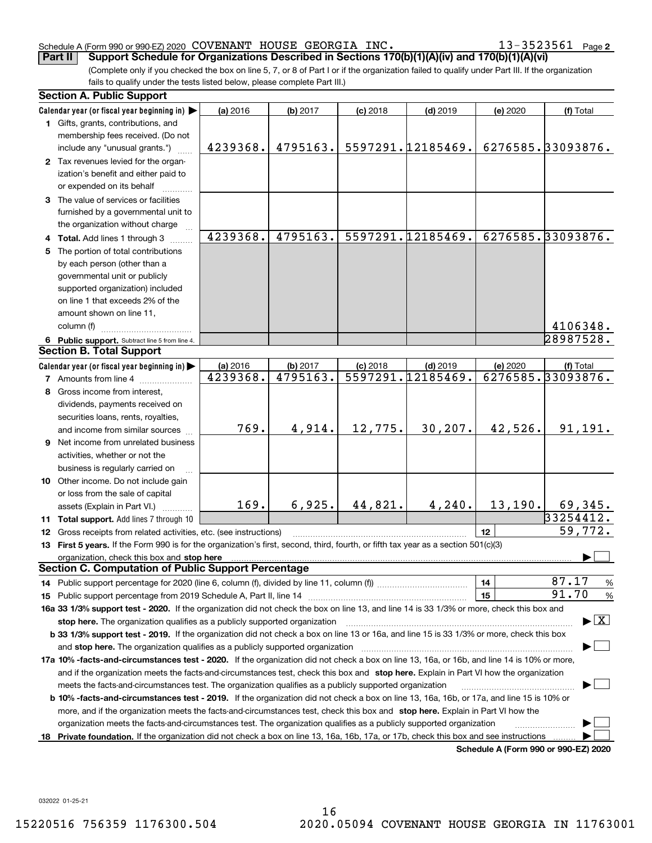## Schedule A (Form 990 or 990-EZ) 2020 Page COVENANT HOUSE GEORGIA INC. 13-3523561

13-3523561 Page 2

(Complete only if you checked the box on line 5, 7, or 8 of Part I or if the organization failed to qualify under Part III. If the organization fails to qualify under the tests listed below, please complete Part III.) **Part II Support Schedule for Organizations Described in Sections 170(b)(1)(A)(iv) and 170(b)(1)(A)(vi)**

| <b>Section A. Public Support</b>                                                                                                               |          |          |            |                   |          |                                         |
|------------------------------------------------------------------------------------------------------------------------------------------------|----------|----------|------------|-------------------|----------|-----------------------------------------|
| Calendar year (or fiscal year beginning in)                                                                                                    | (a) 2016 | (b) 2017 | $(c)$ 2018 | $(d)$ 2019        | (e) 2020 | (f) Total                               |
| 1 Gifts, grants, contributions, and                                                                                                            |          |          |            |                   |          |                                         |
| membership fees received. (Do not                                                                                                              |          |          |            |                   |          |                                         |
| include any "unusual grants.")                                                                                                                 | 4239368. | 4795163. |            | 5597291.12185469. |          | 6276585. 33093876.                      |
| 2 Tax revenues levied for the organ-                                                                                                           |          |          |            |                   |          |                                         |
| ization's benefit and either paid to                                                                                                           |          |          |            |                   |          |                                         |
| or expended on its behalf                                                                                                                      |          |          |            |                   |          |                                         |
| 3 The value of services or facilities                                                                                                          |          |          |            |                   |          |                                         |
| furnished by a governmental unit to                                                                                                            |          |          |            |                   |          |                                         |
| the organization without charge                                                                                                                |          |          |            |                   |          |                                         |
| 4 Total. Add lines 1 through 3                                                                                                                 | 4239368. | 4795163. |            | 5597291.12185469. |          | 6276585.33093876.                       |
| 5 The portion of total contributions                                                                                                           |          |          |            |                   |          |                                         |
| by each person (other than a                                                                                                                   |          |          |            |                   |          |                                         |
| governmental unit or publicly                                                                                                                  |          |          |            |                   |          |                                         |
| supported organization) included                                                                                                               |          |          |            |                   |          |                                         |
| on line 1 that exceeds 2% of the                                                                                                               |          |          |            |                   |          |                                         |
| amount shown on line 11,                                                                                                                       |          |          |            |                   |          |                                         |
| column (f)                                                                                                                                     |          |          |            |                   |          | 4106348.                                |
| 6 Public support. Subtract line 5 from line 4.                                                                                                 |          |          |            |                   |          | 28987528.                               |
| <b>Section B. Total Support</b>                                                                                                                |          |          |            |                   |          |                                         |
| Calendar year (or fiscal year beginning in)                                                                                                    | (a) 2016 | (b) 2017 | $(c)$ 2018 | $(d)$ 2019        | (e) 2020 | (f) Total                               |
| <b>7</b> Amounts from line 4                                                                                                                   | 4239368. | 4795163. |            | 5597291.12185469. |          | 6276585.33093876.                       |
| 8 Gross income from interest,                                                                                                                  |          |          |            |                   |          |                                         |
| dividends, payments received on                                                                                                                |          |          |            |                   |          |                                         |
| securities loans, rents, royalties,                                                                                                            |          |          |            |                   |          |                                         |
| and income from similar sources                                                                                                                | 769.     | 4,914.   | 12,775.    | 30, 207.          | 42,526.  | 91,191.                                 |
| <b>9</b> Net income from unrelated business                                                                                                    |          |          |            |                   |          |                                         |
| activities, whether or not the                                                                                                                 |          |          |            |                   |          |                                         |
| business is regularly carried on                                                                                                               |          |          |            |                   |          |                                         |
| 10 Other income. Do not include gain                                                                                                           |          |          |            |                   |          |                                         |
| or loss from the sale of capital                                                                                                               |          |          |            |                   |          |                                         |
| assets (Explain in Part VI.)                                                                                                                   | 169.     | 6,925.   | 44,821.    | 4,240.            | 13, 190. | 69,345.                                 |
| 11 Total support. Add lines 7 through 10                                                                                                       |          |          |            |                   |          | 33254412.                               |
| 12 Gross receipts from related activities, etc. (see instructions)                                                                             |          |          |            |                   | 12       | 59,772.                                 |
| 13 First 5 years. If the Form 990 is for the organization's first, second, third, fourth, or fifth tax year as a section 501(c)(3)             |          |          |            |                   |          |                                         |
| organization, check this box and stop here                                                                                                     |          |          |            |                   |          |                                         |
| <b>Section C. Computation of Public Support Percentage</b>                                                                                     |          |          |            |                   |          |                                         |
|                                                                                                                                                |          |          |            |                   | 14       | 87.17<br>$\frac{9}{6}$                  |
|                                                                                                                                                |          |          |            |                   | 15       | 91.70<br>%                              |
| 16a 33 1/3% support test - 2020. If the organization did not check the box on line 13, and line 14 is 33 1/3% or more, check this box and      |          |          |            |                   |          |                                         |
| stop here. The organization qualifies as a publicly supported organization                                                                     |          |          |            |                   |          | $\blacktriangleright$ $\vert$ X $\vert$ |
| b 33 1/3% support test - 2019. If the organization did not check a box on line 13 or 16a, and line 15 is 33 1/3% or more, check this box       |          |          |            |                   |          |                                         |
| and stop here. The organization qualifies as a publicly supported organization                                                                 |          |          |            |                   |          |                                         |
| 17a 10% -facts-and-circumstances test - 2020. If the organization did not check a box on line 13, 16a, or 16b, and line 14 is 10% or more,     |          |          |            |                   |          |                                         |
| and if the organization meets the facts and circumstances test, check this box and stop here. Explain in Part VI how the organization          |          |          |            |                   |          |                                         |
| meets the facts-and-circumstances test. The organization qualifies as a publicly supported organization                                        |          |          |            |                   |          |                                         |
| <b>b 10% -facts-and-circumstances test - 2019.</b> If the organization did not check a box on line 13, 16a, 16b, or 17a, and line 15 is 10% or |          |          |            |                   |          |                                         |
| more, and if the organization meets the facts-and-circumstances test, check this box and stop here. Explain in Part VI how the                 |          |          |            |                   |          |                                         |
| organization meets the facts-and-circumstances test. The organization qualifies as a publicly supported organization                           |          |          |            |                   |          |                                         |
| 18 Private foundation. If the organization did not check a box on line 13, 16a, 16b, 17a, or 17b, check this box and see instructions          |          |          |            |                   |          | Schedule A (Form 990 or 990-EZ) 2020    |
|                                                                                                                                                |          |          |            |                   |          |                                         |

**Schedule A (Form 990 or 990-EZ) 2020**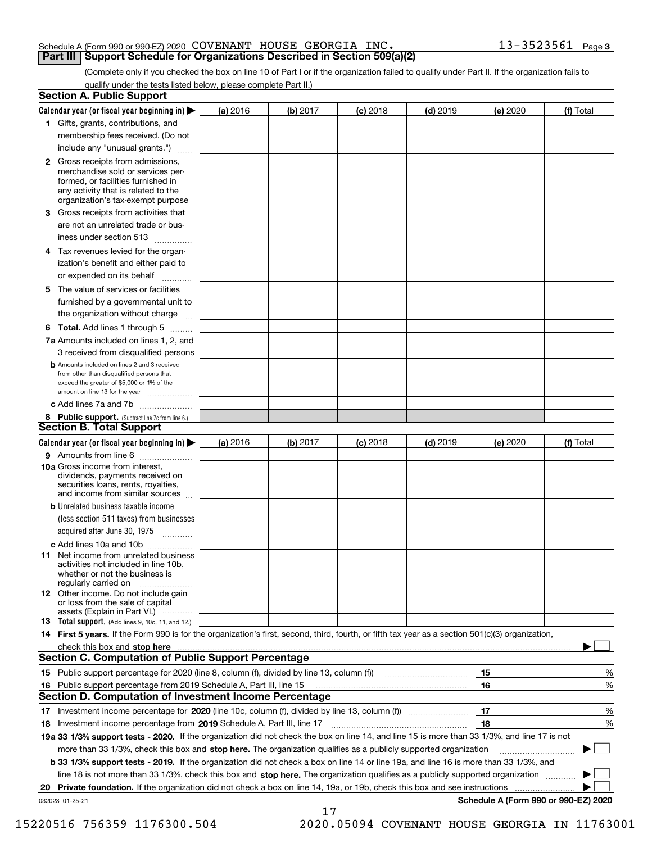## Schedule A (Form 990 or 990-EZ) 2020 Page COVENANT HOUSE GEORGIA INC. 13-3523561 **Part III Support Schedule for Organizations Described in Section 509(a)(2)**

(Complete only if you checked the box on line 10 of Part I or if the organization failed to qualify under Part II. If the organization fails to qualify under the tests listed below, please complete Part II.)

|   | <b>Section A. Public Support</b>                                                                                                                 |          |          |            |            |    |          |                                      |   |
|---|--------------------------------------------------------------------------------------------------------------------------------------------------|----------|----------|------------|------------|----|----------|--------------------------------------|---|
|   | Calendar year (or fiscal year beginning in) $\blacktriangleright$                                                                                | (a) 2016 | (b) 2017 | $(c)$ 2018 | $(d)$ 2019 |    | (e) 2020 | (f) Total                            |   |
|   | 1 Gifts, grants, contributions, and                                                                                                              |          |          |            |            |    |          |                                      |   |
|   | membership fees received. (Do not                                                                                                                |          |          |            |            |    |          |                                      |   |
|   | include any "unusual grants.")                                                                                                                   |          |          |            |            |    |          |                                      |   |
|   | <b>2</b> Gross receipts from admissions,                                                                                                         |          |          |            |            |    |          |                                      |   |
|   | merchandise sold or services per-<br>formed, or facilities furnished in                                                                          |          |          |            |            |    |          |                                      |   |
|   | any activity that is related to the                                                                                                              |          |          |            |            |    |          |                                      |   |
|   | organization's tax-exempt purpose                                                                                                                |          |          |            |            |    |          |                                      |   |
| 3 | Gross receipts from activities that                                                                                                              |          |          |            |            |    |          |                                      |   |
|   | are not an unrelated trade or bus-                                                                                                               |          |          |            |            |    |          |                                      |   |
|   | iness under section 513                                                                                                                          |          |          |            |            |    |          |                                      |   |
|   | 4 Tax revenues levied for the organ-                                                                                                             |          |          |            |            |    |          |                                      |   |
|   | ization's benefit and either paid to                                                                                                             |          |          |            |            |    |          |                                      |   |
|   | or expended on its behalf                                                                                                                        |          |          |            |            |    |          |                                      |   |
| 5 | The value of services or facilities                                                                                                              |          |          |            |            |    |          |                                      |   |
|   | furnished by a governmental unit to                                                                                                              |          |          |            |            |    |          |                                      |   |
|   | the organization without charge                                                                                                                  |          |          |            |            |    |          |                                      |   |
|   | 6 Total. Add lines 1 through 5                                                                                                                   |          |          |            |            |    |          |                                      |   |
|   | 7a Amounts included on lines 1, 2, and                                                                                                           |          |          |            |            |    |          |                                      |   |
|   | 3 received from disqualified persons                                                                                                             |          |          |            |            |    |          |                                      |   |
|   | <b>b</b> Amounts included on lines 2 and 3 received<br>from other than disqualified persons that                                                 |          |          |            |            |    |          |                                      |   |
|   | exceed the greater of \$5,000 or 1% of the                                                                                                       |          |          |            |            |    |          |                                      |   |
|   | amount on line 13 for the year                                                                                                                   |          |          |            |            |    |          |                                      |   |
|   | c Add lines 7a and 7b                                                                                                                            |          |          |            |            |    |          |                                      |   |
|   | 8 Public support. (Subtract line 7c from line 6.)<br><b>Section B. Total Support</b>                                                             |          |          |            |            |    |          |                                      |   |
|   |                                                                                                                                                  |          |          |            |            |    |          |                                      |   |
|   | Calendar year (or fiscal year beginning in) $\blacktriangleright$                                                                                | (a) 2016 | (b) 2017 | $(c)$ 2018 | $(d)$ 2019 |    | (e) 2020 | (f) Total                            |   |
|   | 9 Amounts from line 6<br>10a Gross income from interest,                                                                                         |          |          |            |            |    |          |                                      |   |
|   | dividends, payments received on                                                                                                                  |          |          |            |            |    |          |                                      |   |
|   | securities loans, rents, royalties,                                                                                                              |          |          |            |            |    |          |                                      |   |
|   | and income from similar sources<br><b>b</b> Unrelated business taxable income                                                                    |          |          |            |            |    |          |                                      |   |
|   | (less section 511 taxes) from businesses                                                                                                         |          |          |            |            |    |          |                                      |   |
|   | acquired after June 30, 1975                                                                                                                     |          |          |            |            |    |          |                                      |   |
|   | c Add lines 10a and 10b                                                                                                                          |          |          |            |            |    |          |                                      |   |
|   | <b>11</b> Net income from unrelated business                                                                                                     |          |          |            |            |    |          |                                      |   |
|   | activities not included in line 10b.                                                                                                             |          |          |            |            |    |          |                                      |   |
|   | whether or not the business is<br>regularly carried on                                                                                           |          |          |            |            |    |          |                                      |   |
|   | <b>12</b> Other income. Do not include gain                                                                                                      |          |          |            |            |    |          |                                      |   |
|   | or loss from the sale of capital                                                                                                                 |          |          |            |            |    |          |                                      |   |
|   | assets (Explain in Part VI.)<br><b>13</b> Total support. (Add lines 9, 10c, 11, and 12.)                                                         |          |          |            |            |    |          |                                      |   |
|   | 14 First 5 years. If the Form 990 is for the organization's first, second, third, fourth, or fifth tax year as a section 501(c)(3) organization, |          |          |            |            |    |          |                                      |   |
|   | check this box and stop here <i>macuum macuum macuum macuum macuum macuum macuum macuum macuum macuum</i>                                        |          |          |            |            |    |          |                                      |   |
|   | <b>Section C. Computation of Public Support Percentage</b>                                                                                       |          |          |            |            |    |          |                                      |   |
|   |                                                                                                                                                  |          |          |            |            | 15 |          |                                      | % |
|   | 16 Public support percentage from 2019 Schedule A, Part III, line 15                                                                             |          |          |            |            | 16 |          |                                      | % |
|   | <b>Section D. Computation of Investment Income Percentage</b>                                                                                    |          |          |            |            |    |          |                                      |   |
|   |                                                                                                                                                  |          |          |            |            | 17 |          |                                      | % |
|   | 18 Investment income percentage from 2019 Schedule A, Part III, line 17                                                                          |          |          |            |            | 18 |          |                                      | % |
|   | 19a 33 1/3% support tests - 2020. If the organization did not check the box on line 14, and line 15 is more than 33 1/3%, and line 17 is not     |          |          |            |            |    |          |                                      |   |
|   | more than 33 1/3%, check this box and stop here. The organization qualifies as a publicly supported organization                                 |          |          |            |            |    |          |                                      |   |
|   | b 33 1/3% support tests - 2019. If the organization did not check a box on line 14 or line 19a, and line 16 is more than 33 1/3%, and            |          |          |            |            |    |          |                                      |   |
|   | line 18 is not more than 33 1/3%, check this box and stop here. The organization qualifies as a publicly supported organization                  |          |          |            |            |    |          |                                      |   |
|   | 20 Private foundation. If the organization did not check a box on line 14, 19a, or 19b, check this box and see instructions                      |          |          |            |            |    |          |                                      |   |
|   | 032023 01-25-21                                                                                                                                  |          |          |            |            |    |          | Schedule A (Form 990 or 990-EZ) 2020 |   |

17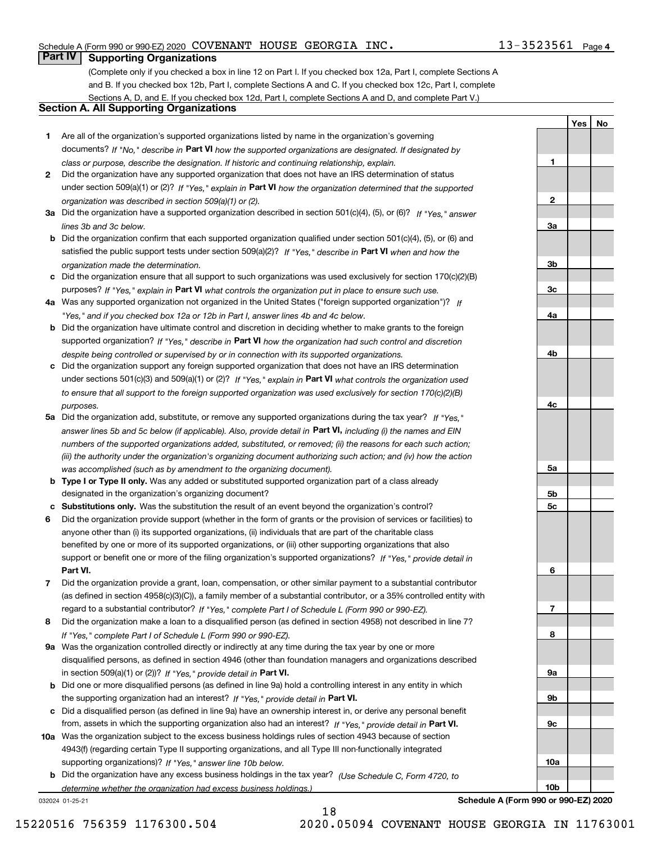## Schedule A (Form 990 or 990-EZ) 2020 Page COVENANT HOUSE GEORGIA INC. 13-3523561

## **Part IV Supporting Organizations**

(Complete only if you checked a box in line 12 on Part I. If you checked box 12a, Part I, complete Sections A and B. If you checked box 12b, Part I, complete Sections A and C. If you checked box 12c, Part I, complete Sections A, D, and E. If you checked box 12d, Part I, complete Sections A and D, and complete Part V.)

## **Section A. All Supporting Organizations**

- **1** Are all of the organization's supported organizations listed by name in the organization's governing documents? If "No," describe in **Part VI** how the supported organizations are designated. If designated by *class or purpose, describe the designation. If historic and continuing relationship, explain.*
- **2** Did the organization have any supported organization that does not have an IRS determination of status under section 509(a)(1) or (2)? If "Yes," explain in Part VI how the organization determined that the supported *organization was described in section 509(a)(1) or (2).*
- **3a** Did the organization have a supported organization described in section 501(c)(4), (5), or (6)? If "Yes," answer *lines 3b and 3c below.*
- **b** Did the organization confirm that each supported organization qualified under section 501(c)(4), (5), or (6) and satisfied the public support tests under section 509(a)(2)? If "Yes," describe in **Part VI** when and how the *organization made the determination.*
- **c**Did the organization ensure that all support to such organizations was used exclusively for section 170(c)(2)(B) purposes? If "Yes," explain in **Part VI** what controls the organization put in place to ensure such use.
- **4a***If* Was any supported organization not organized in the United States ("foreign supported organization")? *"Yes," and if you checked box 12a or 12b in Part I, answer lines 4b and 4c below.*
- **b** Did the organization have ultimate control and discretion in deciding whether to make grants to the foreign supported organization? If "Yes," describe in **Part VI** how the organization had such control and discretion *despite being controlled or supervised by or in connection with its supported organizations.*
- **c** Did the organization support any foreign supported organization that does not have an IRS determination under sections 501(c)(3) and 509(a)(1) or (2)? If "Yes," explain in **Part VI** what controls the organization used *to ensure that all support to the foreign supported organization was used exclusively for section 170(c)(2)(B) purposes.*
- **5a** Did the organization add, substitute, or remove any supported organizations during the tax year? If "Yes," answer lines 5b and 5c below (if applicable). Also, provide detail in **Part VI,** including (i) the names and EIN *numbers of the supported organizations added, substituted, or removed; (ii) the reasons for each such action; (iii) the authority under the organization's organizing document authorizing such action; and (iv) how the action was accomplished (such as by amendment to the organizing document).*
- **b** Type I or Type II only. Was any added or substituted supported organization part of a class already designated in the organization's organizing document?
- **cSubstitutions only.**  Was the substitution the result of an event beyond the organization's control?
- **6** Did the organization provide support (whether in the form of grants or the provision of services or facilities) to **Part VI.** *If "Yes," provide detail in* support or benefit one or more of the filing organization's supported organizations? anyone other than (i) its supported organizations, (ii) individuals that are part of the charitable class benefited by one or more of its supported organizations, or (iii) other supporting organizations that also
- **7**Did the organization provide a grant, loan, compensation, or other similar payment to a substantial contributor *If "Yes," complete Part I of Schedule L (Form 990 or 990-EZ).* regard to a substantial contributor? (as defined in section 4958(c)(3)(C)), a family member of a substantial contributor, or a 35% controlled entity with
- **8** Did the organization make a loan to a disqualified person (as defined in section 4958) not described in line 7? *If "Yes," complete Part I of Schedule L (Form 990 or 990-EZ).*
- **9a** Was the organization controlled directly or indirectly at any time during the tax year by one or more in section 509(a)(1) or (2))? If "Yes," *provide detail in* <code>Part VI.</code> disqualified persons, as defined in section 4946 (other than foundation managers and organizations described
- **b** Did one or more disqualified persons (as defined in line 9a) hold a controlling interest in any entity in which the supporting organization had an interest? If "Yes," provide detail in P**art VI**.
- **c**Did a disqualified person (as defined in line 9a) have an ownership interest in, or derive any personal benefit from, assets in which the supporting organization also had an interest? If "Yes," provide detail in P**art VI.**
- **10a** Was the organization subject to the excess business holdings rules of section 4943 because of section supporting organizations)? If "Yes," answer line 10b below. 4943(f) (regarding certain Type II supporting organizations, and all Type III non-functionally integrated
- **b** Did the organization have any excess business holdings in the tax year? (Use Schedule C, Form 4720, to *determine whether the organization had excess business holdings.)*

032024 01-25-21

**Schedule A (Form 990 or 990-EZ) 2020**

**1**

**2**

**3a**

**3b**

**3c**

**4a**

**4b**

**4c**

**5a**

**5b5c**

**6**

**7**

**8**

**9a**

**9b**

**9c**

**10a**

**10b**

**YesNo**

18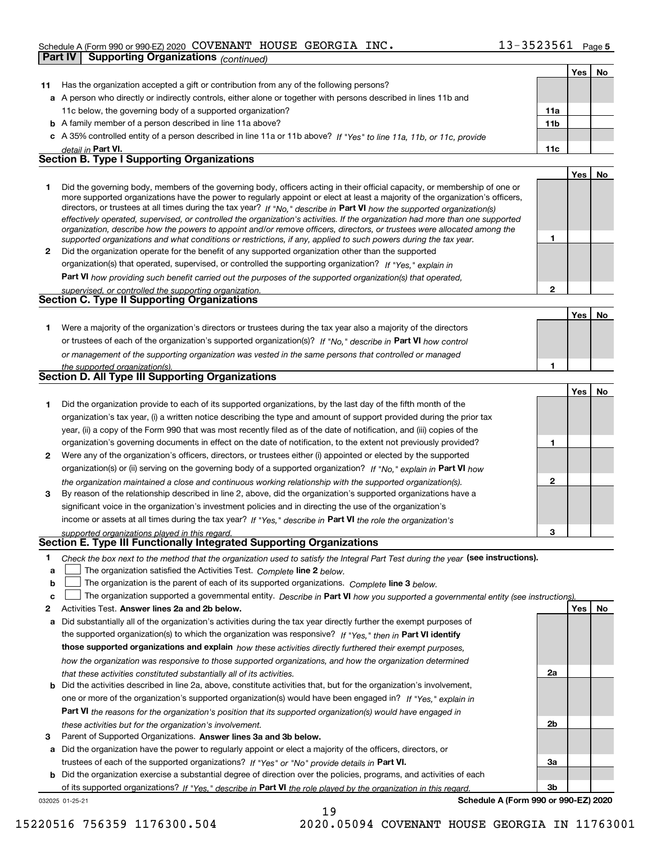## Schedule A (Form 990 or 990-EZ) 2020 Page COVENANT HOUSE GEORGIA INC. 13-3523561

|    | <b>Part IV</b> | <b>Supporting Organizations (continued)</b>                                                                                                                                                                                                                                                                                                                                                                                                                                                                                                                                                                                                          |                 |     |    |
|----|----------------|------------------------------------------------------------------------------------------------------------------------------------------------------------------------------------------------------------------------------------------------------------------------------------------------------------------------------------------------------------------------------------------------------------------------------------------------------------------------------------------------------------------------------------------------------------------------------------------------------------------------------------------------------|-----------------|-----|----|
|    |                |                                                                                                                                                                                                                                                                                                                                                                                                                                                                                                                                                                                                                                                      |                 | Yes | No |
| 11 |                | Has the organization accepted a gift or contribution from any of the following persons?                                                                                                                                                                                                                                                                                                                                                                                                                                                                                                                                                              |                 |     |    |
|    |                | a A person who directly or indirectly controls, either alone or together with persons described in lines 11b and                                                                                                                                                                                                                                                                                                                                                                                                                                                                                                                                     |                 |     |    |
|    |                | 11c below, the governing body of a supported organization?                                                                                                                                                                                                                                                                                                                                                                                                                                                                                                                                                                                           | 11a             |     |    |
|    |                | <b>b</b> A family member of a person described in line 11a above?                                                                                                                                                                                                                                                                                                                                                                                                                                                                                                                                                                                    | 11 <sub>b</sub> |     |    |
|    |                | c A 35% controlled entity of a person described in line 11a or 11b above? If "Yes" to line 11a, 11b, or 11c, provide                                                                                                                                                                                                                                                                                                                                                                                                                                                                                                                                 |                 |     |    |
|    |                | detail in Part VI.                                                                                                                                                                                                                                                                                                                                                                                                                                                                                                                                                                                                                                   | 11c             |     |    |
|    |                | <b>Section B. Type I Supporting Organizations</b>                                                                                                                                                                                                                                                                                                                                                                                                                                                                                                                                                                                                    |                 |     |    |
|    |                |                                                                                                                                                                                                                                                                                                                                                                                                                                                                                                                                                                                                                                                      |                 | Yes | No |
| 1  |                | Did the governing body, members of the governing body, officers acting in their official capacity, or membership of one or<br>more supported organizations have the power to regularly appoint or elect at least a majority of the organization's officers,<br>directors, or trustees at all times during the tax year? If "No," describe in Part VI how the supported organization(s)<br>effectively operated, supervised, or controlled the organization's activities. If the organization had more than one supported<br>organization, describe how the powers to appoint and/or remove officers, directors, or trustees were allocated among the |                 |     |    |
|    |                | supported organizations and what conditions or restrictions, if any, applied to such powers during the tax year.                                                                                                                                                                                                                                                                                                                                                                                                                                                                                                                                     | 1               |     |    |
| 2  |                | Did the organization operate for the benefit of any supported organization other than the supported                                                                                                                                                                                                                                                                                                                                                                                                                                                                                                                                                  |                 |     |    |
|    |                | organization(s) that operated, supervised, or controlled the supporting organization? If "Yes," explain in                                                                                                                                                                                                                                                                                                                                                                                                                                                                                                                                           |                 |     |    |
|    |                | Part VI how providing such benefit carried out the purposes of the supported organization(s) that operated,                                                                                                                                                                                                                                                                                                                                                                                                                                                                                                                                          | $\mathbf{2}$    |     |    |
|    |                | supervised, or controlled the supporting organization.<br><b>Section C. Type II Supporting Organizations</b>                                                                                                                                                                                                                                                                                                                                                                                                                                                                                                                                         |                 |     |    |
|    |                |                                                                                                                                                                                                                                                                                                                                                                                                                                                                                                                                                                                                                                                      |                 | Yes | No |
| 1. |                | Were a majority of the organization's directors or trustees during the tax year also a majority of the directors                                                                                                                                                                                                                                                                                                                                                                                                                                                                                                                                     |                 |     |    |
|    |                | or trustees of each of the organization's supported organization(s)? If "No," describe in Part VI how control                                                                                                                                                                                                                                                                                                                                                                                                                                                                                                                                        |                 |     |    |
|    |                | or management of the supporting organization was vested in the same persons that controlled or managed                                                                                                                                                                                                                                                                                                                                                                                                                                                                                                                                               |                 |     |    |
|    |                | the supported organization(s).                                                                                                                                                                                                                                                                                                                                                                                                                                                                                                                                                                                                                       | 1               |     |    |
|    |                | Section D. All Type III Supporting Organizations                                                                                                                                                                                                                                                                                                                                                                                                                                                                                                                                                                                                     |                 |     |    |
|    |                |                                                                                                                                                                                                                                                                                                                                                                                                                                                                                                                                                                                                                                                      |                 | Yes | No |
| 1. |                | Did the organization provide to each of its supported organizations, by the last day of the fifth month of the                                                                                                                                                                                                                                                                                                                                                                                                                                                                                                                                       |                 |     |    |
|    |                | organization's tax year, (i) a written notice describing the type and amount of support provided during the prior tax                                                                                                                                                                                                                                                                                                                                                                                                                                                                                                                                |                 |     |    |
|    |                | year, (ii) a copy of the Form 990 that was most recently filed as of the date of notification, and (iii) copies of the                                                                                                                                                                                                                                                                                                                                                                                                                                                                                                                               |                 |     |    |
|    |                | organization's governing documents in effect on the date of notification, to the extent not previously provided?                                                                                                                                                                                                                                                                                                                                                                                                                                                                                                                                     | 1               |     |    |
| 2  |                | Were any of the organization's officers, directors, or trustees either (i) appointed or elected by the supported                                                                                                                                                                                                                                                                                                                                                                                                                                                                                                                                     |                 |     |    |
|    |                | organization(s) or (ii) serving on the governing body of a supported organization? If "No," explain in Part VI how                                                                                                                                                                                                                                                                                                                                                                                                                                                                                                                                   |                 |     |    |
|    |                | the organization maintained a close and continuous working relationship with the supported organization(s).                                                                                                                                                                                                                                                                                                                                                                                                                                                                                                                                          | $\mathbf{2}$    |     |    |
| 3  |                | By reason of the relationship described in line 2, above, did the organization's supported organizations have a                                                                                                                                                                                                                                                                                                                                                                                                                                                                                                                                      |                 |     |    |
|    |                | significant voice in the organization's investment policies and in directing the use of the organization's                                                                                                                                                                                                                                                                                                                                                                                                                                                                                                                                           |                 |     |    |
|    |                | income or assets at all times during the tax year? If "Yes," describe in Part VI the role the organization's                                                                                                                                                                                                                                                                                                                                                                                                                                                                                                                                         |                 |     |    |
|    |                | supported organizations played in this regard.<br>Section E. Type III Functionally Integrated Supporting Organizations                                                                                                                                                                                                                                                                                                                                                                                                                                                                                                                               | з               |     |    |
| 1  |                | Check the box next to the method that the organization used to satisfy the Integral Part Test during the year (see instructions).                                                                                                                                                                                                                                                                                                                                                                                                                                                                                                                    |                 |     |    |
| a  |                | The organization satisfied the Activities Test. Complete line 2 below.                                                                                                                                                                                                                                                                                                                                                                                                                                                                                                                                                                               |                 |     |    |
| b  |                | The organization is the parent of each of its supported organizations. Complete line 3 below.                                                                                                                                                                                                                                                                                                                                                                                                                                                                                                                                                        |                 |     |    |
| c  |                | The organization supported a governmental entity. Describe in Part VI how you supported a governmental entity (see instructions).                                                                                                                                                                                                                                                                                                                                                                                                                                                                                                                    |                 |     |    |
| 2  |                | Activities Test. Answer lines 2a and 2b below.                                                                                                                                                                                                                                                                                                                                                                                                                                                                                                                                                                                                       |                 | Yes | No |
| а  |                | Did substantially all of the organization's activities during the tax year directly further the exempt purposes of                                                                                                                                                                                                                                                                                                                                                                                                                                                                                                                                   |                 |     |    |
|    |                | the supported organization(s) to which the organization was responsive? If "Yes," then in Part VI identify                                                                                                                                                                                                                                                                                                                                                                                                                                                                                                                                           |                 |     |    |
|    |                | those supported organizations and explain how these activities directly furthered their exempt purposes,                                                                                                                                                                                                                                                                                                                                                                                                                                                                                                                                             |                 |     |    |
|    |                | how the organization was responsive to those supported organizations, and how the organization determined                                                                                                                                                                                                                                                                                                                                                                                                                                                                                                                                            |                 |     |    |
|    |                | that these activities constituted substantially all of its activities.                                                                                                                                                                                                                                                                                                                                                                                                                                                                                                                                                                               | 2a              |     |    |
| b  |                | Did the activities described in line 2a, above, constitute activities that, but for the organization's involvement,                                                                                                                                                                                                                                                                                                                                                                                                                                                                                                                                  |                 |     |    |
|    |                | one or more of the organization's supported organization(s) would have been engaged in? If "Yes," explain in                                                                                                                                                                                                                                                                                                                                                                                                                                                                                                                                         |                 |     |    |
|    |                | Part VI the reasons for the organization's position that its supported organization(s) would have engaged in                                                                                                                                                                                                                                                                                                                                                                                                                                                                                                                                         |                 |     |    |

**3** Parent of Supported Organizations. Answer lines 3a and 3b below. *these activities but for the organization's involvement.*

**a** Did the organization have the power to regularly appoint or elect a majority of the officers, directors, or trustees of each of the supported organizations? If "Yes" or "No" provide details in **Part VI.** 

**b** Did the organization exercise a substantial degree of direction over the policies, programs, and activities of each of its supported organizations? If "Yes," describe in Part VI the role played by the organization in this regard.

19

032025 01-25-21

**Schedule A (Form 990 or 990-EZ) 2020**

**2b**

**3a**

**3b**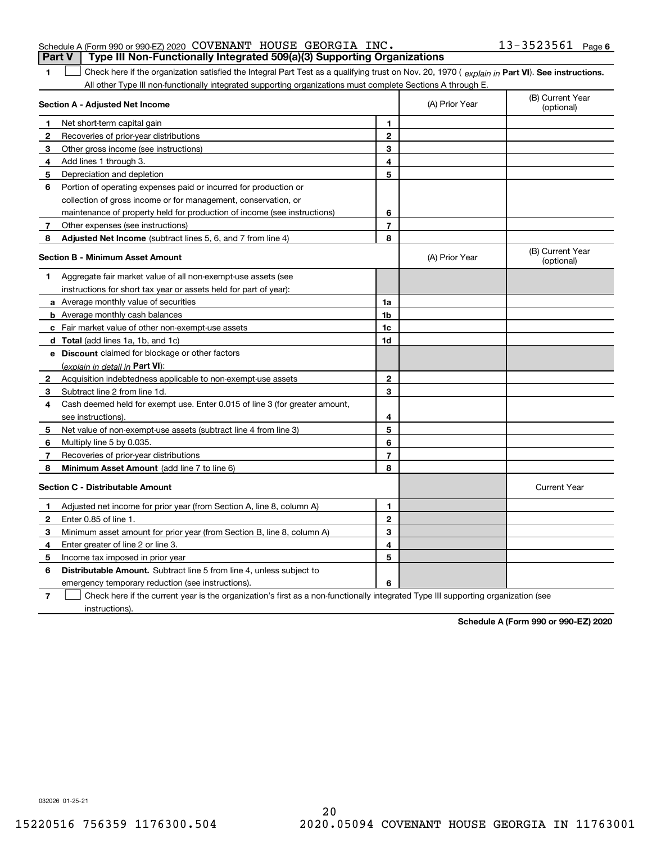## Schedule A (Form 990 or 990-EZ) 2020 Page COVENANT HOUSE GEORGIA INC. 13-3523561 **Part V Type III Non-Functionally Integrated 509(a)(3) Supporting Organizations**

1 Check here if the organization satisfied the Integral Part Test as a qualifying trust on Nov. 20, 1970 (explain in Part VI). See instructions. All other Type III non-functionally integrated supporting organizations must complete Sections A through E.

|              | Section A - Adjusted Net Income                                                                                                   | (A) Prior Year | (B) Current Year<br>(optional) |                                |
|--------------|-----------------------------------------------------------------------------------------------------------------------------------|----------------|--------------------------------|--------------------------------|
| 1            | Net short-term capital gain                                                                                                       | 1              |                                |                                |
| 2            | Recoveries of prior-year distributions                                                                                            | $\overline{2}$ |                                |                                |
| 3            | Other gross income (see instructions)                                                                                             | 3              |                                |                                |
| 4            | Add lines 1 through 3.                                                                                                            | 4              |                                |                                |
| 5            | Depreciation and depletion                                                                                                        | 5              |                                |                                |
| 6            | Portion of operating expenses paid or incurred for production or                                                                  |                |                                |                                |
|              | collection of gross income or for management, conservation, or                                                                    |                |                                |                                |
|              | maintenance of property held for production of income (see instructions)                                                          | 6              |                                |                                |
| 7            | Other expenses (see instructions)                                                                                                 | $\overline{7}$ |                                |                                |
| 8            | Adjusted Net Income (subtract lines 5, 6, and 7 from line 4)                                                                      | 8              |                                |                                |
|              | <b>Section B - Minimum Asset Amount</b>                                                                                           |                | (A) Prior Year                 | (B) Current Year<br>(optional) |
| 1            | Aggregate fair market value of all non-exempt-use assets (see                                                                     |                |                                |                                |
|              | instructions for short tax year or assets held for part of year):                                                                 |                |                                |                                |
|              | <b>a</b> Average monthly value of securities                                                                                      | 1a             |                                |                                |
|              | <b>b</b> Average monthly cash balances                                                                                            | 1 <sub>b</sub> |                                |                                |
|              | c Fair market value of other non-exempt-use assets                                                                                | 1c             |                                |                                |
|              | d Total (add lines 1a, 1b, and 1c)                                                                                                | 1d             |                                |                                |
|              | e Discount claimed for blockage or other factors                                                                                  |                |                                |                                |
|              | (explain in detail in Part VI):                                                                                                   |                |                                |                                |
| $\mathbf{2}$ | Acquisition indebtedness applicable to non-exempt-use assets                                                                      | $\mathbf{2}$   |                                |                                |
| 3            | Subtract line 2 from line 1d.                                                                                                     | 3              |                                |                                |
| 4            | Cash deemed held for exempt use. Enter 0.015 of line 3 (for greater amount,                                                       |                |                                |                                |
|              | see instructions)                                                                                                                 | 4              |                                |                                |
| 5            | Net value of non-exempt-use assets (subtract line 4 from line 3)                                                                  | 5              |                                |                                |
| 6            | Multiply line 5 by 0.035.                                                                                                         | 6              |                                |                                |
| 7            | Recoveries of prior-year distributions                                                                                            | $\overline{7}$ |                                |                                |
| 8            | Minimum Asset Amount (add line 7 to line 6)                                                                                       | 8              |                                |                                |
|              | <b>Section C - Distributable Amount</b>                                                                                           |                |                                | <b>Current Year</b>            |
| 1            | Adjusted net income for prior year (from Section A, line 8, column A)                                                             | 1              |                                |                                |
| 2            | Enter 0.85 of line 1.                                                                                                             | $\overline{2}$ |                                |                                |
| 3            | Minimum asset amount for prior year (from Section B, line 8, column A)                                                            | 3              |                                |                                |
| 4            | Enter greater of line 2 or line 3.                                                                                                | 4              |                                |                                |
| 5            | Income tax imposed in prior year                                                                                                  | 5              |                                |                                |
| 6            | <b>Distributable Amount.</b> Subtract line 5 from line 4, unless subject to                                                       |                |                                |                                |
|              | emergency temporary reduction (see instructions).                                                                                 | 6              |                                |                                |
| 7            | Check here if the current year is the organization's first as a non-functionally integrated Type III supporting organization (see |                |                                |                                |

instructions).

**1**

**Schedule A (Form 990 or 990-EZ) 2020**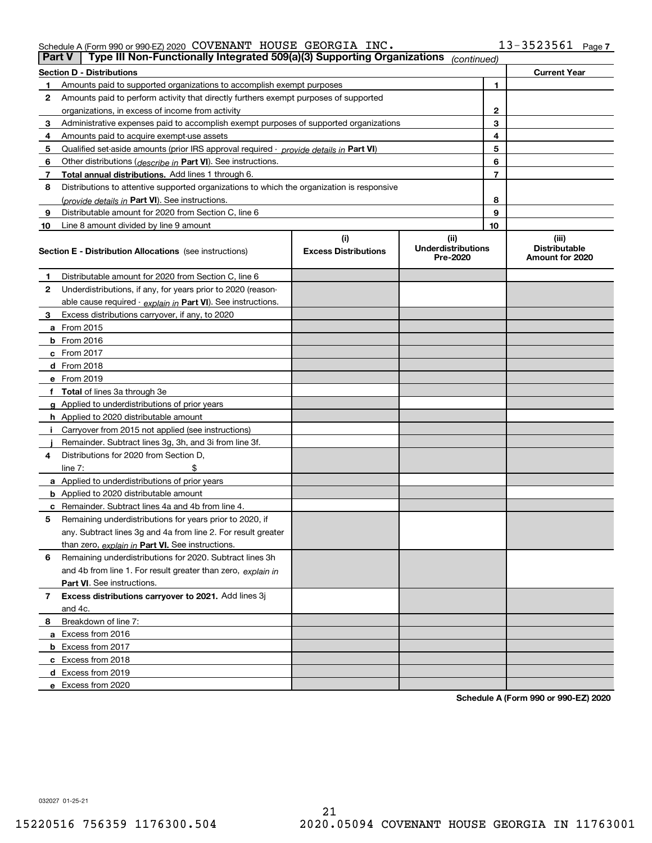## Schedule A (Form 990 or 990-EZ) 2020 Page COVENANT HOUSE GEORGIA INC. 13-3523561

|    | Type III Non-Functionally Integrated 509(a)(3) Supporting Organizations<br>Part V<br>(continued) |                             |                                       |                |                                         |  |
|----|--------------------------------------------------------------------------------------------------|-----------------------------|---------------------------------------|----------------|-----------------------------------------|--|
|    | <b>Section D - Distributions</b>                                                                 |                             |                                       |                | <b>Current Year</b>                     |  |
|    | Amounts paid to supported organizations to accomplish exempt purposes                            |                             |                                       | 1              |                                         |  |
| 2  | Amounts paid to perform activity that directly furthers exempt purposes of supported             |                             |                                       |                |                                         |  |
|    | organizations, in excess of income from activity                                                 |                             | $\mathbf{2}$                          |                |                                         |  |
| 3  | Administrative expenses paid to accomplish exempt purposes of supported organizations            |                             |                                       | 3              |                                         |  |
| 4  | Amounts paid to acquire exempt-use assets                                                        |                             |                                       | 4              |                                         |  |
| 5  | Qualified set aside amounts (prior IRS approval required - provide details in Part VI)           |                             |                                       | 5              |                                         |  |
| 6  | Other distributions ( <i>describe in</i> Part VI). See instructions.                             |                             |                                       | 6              |                                         |  |
| 7  | Total annual distributions. Add lines 1 through 6.                                               |                             |                                       | $\overline{7}$ |                                         |  |
| 8  | Distributions to attentive supported organizations to which the organization is responsive       |                             |                                       |                |                                         |  |
|    | (provide details in Part VI). See instructions.                                                  |                             |                                       | 8              |                                         |  |
| 9  | Distributable amount for 2020 from Section C, line 6                                             |                             |                                       | 9              |                                         |  |
| 10 | Line 8 amount divided by line 9 amount                                                           |                             |                                       | 10             |                                         |  |
|    |                                                                                                  | (i)                         | (ii)                                  |                | (iii)                                   |  |
|    | <b>Section E - Distribution Allocations</b> (see instructions)                                   | <b>Excess Distributions</b> | <b>Underdistributions</b><br>Pre-2020 |                | <b>Distributable</b><br>Amount for 2020 |  |
| 1  | Distributable amount for 2020 from Section C, line 6                                             |                             |                                       |                |                                         |  |
| 2  | Underdistributions, if any, for years prior to 2020 (reason-                                     |                             |                                       |                |                                         |  |
|    | able cause required - explain in Part VI). See instructions.                                     |                             |                                       |                |                                         |  |
| 3  | Excess distributions carryover, if any, to 2020                                                  |                             |                                       |                |                                         |  |
|    | a From 2015                                                                                      |                             |                                       |                |                                         |  |
|    | $b$ From 2016                                                                                    |                             |                                       |                |                                         |  |
|    | $c$ From 2017                                                                                    |                             |                                       |                |                                         |  |
|    | <b>d</b> From 2018                                                                               |                             |                                       |                |                                         |  |
|    | e From 2019                                                                                      |                             |                                       |                |                                         |  |
|    | f Total of lines 3a through 3e                                                                   |                             |                                       |                |                                         |  |
|    | g Applied to underdistributions of prior years                                                   |                             |                                       |                |                                         |  |
|    | <b>h</b> Applied to 2020 distributable amount                                                    |                             |                                       |                |                                         |  |
|    | Carryover from 2015 not applied (see instructions)                                               |                             |                                       |                |                                         |  |
|    | Remainder. Subtract lines 3g, 3h, and 3i from line 3f.                                           |                             |                                       |                |                                         |  |
| 4  | Distributions for 2020 from Section D.                                                           |                             |                                       |                |                                         |  |
|    | line $7:$                                                                                        |                             |                                       |                |                                         |  |
|    | a Applied to underdistributions of prior years                                                   |                             |                                       |                |                                         |  |
|    | <b>b</b> Applied to 2020 distributable amount                                                    |                             |                                       |                |                                         |  |
|    | c Remainder. Subtract lines 4a and 4b from line 4.                                               |                             |                                       |                |                                         |  |
| 5  | Remaining underdistributions for years prior to 2020, if                                         |                             |                                       |                |                                         |  |
|    | any. Subtract lines 3g and 4a from line 2. For result greater                                    |                             |                                       |                |                                         |  |
|    | than zero, explain in Part VI. See instructions.                                                 |                             |                                       |                |                                         |  |
| 6  | Remaining underdistributions for 2020. Subtract lines 3h                                         |                             |                                       |                |                                         |  |
|    | and 4b from line 1. For result greater than zero, explain in                                     |                             |                                       |                |                                         |  |
|    | <b>Part VI.</b> See instructions.                                                                |                             |                                       |                |                                         |  |
| 7  | Excess distributions carryover to 2021. Add lines 3j                                             |                             |                                       |                |                                         |  |
|    | and 4c.                                                                                          |                             |                                       |                |                                         |  |
| 8  | Breakdown of line 7:                                                                             |                             |                                       |                |                                         |  |
|    | a Excess from 2016                                                                               |                             |                                       |                |                                         |  |
|    | <b>b</b> Excess from 2017                                                                        |                             |                                       |                |                                         |  |
|    | c Excess from 2018                                                                               |                             |                                       |                |                                         |  |
|    | d Excess from 2019                                                                               |                             |                                       |                |                                         |  |
|    | e Excess from 2020                                                                               |                             |                                       |                |                                         |  |

**Schedule A (Form 990 or 990-EZ) 2020**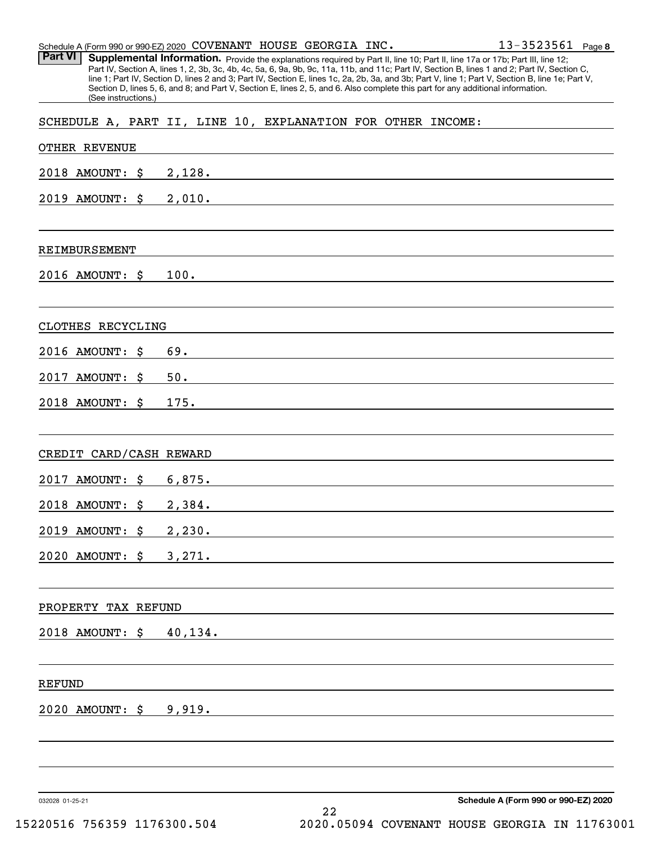| <b>Part VI</b><br>Supplemental Information. Provide the explanations required by Part II, line 10; Part II, line 17a or 17b; Part III, line 12;<br>Part IV, Section A, lines 1, 2, 3b, 3c, 4b, 4c, 5a, 6, 9a, 9b, 9c, 11a, 11b, and 11c; Part IV, Section B, lines 1 and 2; Part IV, Section C,<br>line 1; Part IV, Section D, lines 2 and 3; Part IV, Section E, lines 1c, 2a, 2b, 3a, and 3b; Part V, line 1; Part V, Section B, line 1e; Part V,<br>Section D, lines 5, 6, and 8; and Part V, Section E, lines 2, 5, and 6. Also complete this part for any additional information.<br>(See instructions.)<br>SCHEDULE A, PART II, LINE 10, EXPLANATION FOR OTHER INCOME:<br><b>OTHER REVENUE</b><br>2,128.<br>2018 AMOUNT:<br>\$<br>2019 AMOUNT: \$<br>2,010.<br>REIMBURSEMENT<br>2016 AMOUNT:<br>100.<br>S<br>CLOTHES RECYCLING<br>69.<br>2016 AMOUNT:<br>S<br>2017<br>50.<br><b>AMOUNT:</b><br>S<br>175.<br>2018 AMOUNT:<br>S<br>CREDIT CARD/CASH REWARD<br>6,875.<br>2017<br><b>AMOUNT:</b><br>S<br>2018 AMOUNT:<br>2,384.<br>S.<br>$2019$ AMOUNT: $\zeta$ 2,230.<br>$2020$ AMOUNT: $\sharp$ 3, 271.<br>PROPERTY TAX REFUND<br><u> 1989 - John Stein, Amerikaansk politiker (* 1958)</u><br>2018 AMOUNT: \$ 40,134.<br>REFUND<br>2020 AMOUNT: \$9,919. | Schedule A (Form 990 or 990-EZ) 2020 COVENANT HOUSE GEORGIA INC. | $13 - 3523561$ Page 8 |
|---------------------------------------------------------------------------------------------------------------------------------------------------------------------------------------------------------------------------------------------------------------------------------------------------------------------------------------------------------------------------------------------------------------------------------------------------------------------------------------------------------------------------------------------------------------------------------------------------------------------------------------------------------------------------------------------------------------------------------------------------------------------------------------------------------------------------------------------------------------------------------------------------------------------------------------------------------------------------------------------------------------------------------------------------------------------------------------------------------------------------------------------------------------------------------------------------------------------------------------------------------------|------------------------------------------------------------------|-----------------------|
|                                                                                                                                                                                                                                                                                                                                                                                                                                                                                                                                                                                                                                                                                                                                                                                                                                                                                                                                                                                                                                                                                                                                                                                                                                                               |                                                                  |                       |
|                                                                                                                                                                                                                                                                                                                                                                                                                                                                                                                                                                                                                                                                                                                                                                                                                                                                                                                                                                                                                                                                                                                                                                                                                                                               |                                                                  |                       |
|                                                                                                                                                                                                                                                                                                                                                                                                                                                                                                                                                                                                                                                                                                                                                                                                                                                                                                                                                                                                                                                                                                                                                                                                                                                               |                                                                  |                       |
|                                                                                                                                                                                                                                                                                                                                                                                                                                                                                                                                                                                                                                                                                                                                                                                                                                                                                                                                                                                                                                                                                                                                                                                                                                                               |                                                                  |                       |
|                                                                                                                                                                                                                                                                                                                                                                                                                                                                                                                                                                                                                                                                                                                                                                                                                                                                                                                                                                                                                                                                                                                                                                                                                                                               |                                                                  |                       |
|                                                                                                                                                                                                                                                                                                                                                                                                                                                                                                                                                                                                                                                                                                                                                                                                                                                                                                                                                                                                                                                                                                                                                                                                                                                               |                                                                  |                       |
|                                                                                                                                                                                                                                                                                                                                                                                                                                                                                                                                                                                                                                                                                                                                                                                                                                                                                                                                                                                                                                                                                                                                                                                                                                                               |                                                                  |                       |
|                                                                                                                                                                                                                                                                                                                                                                                                                                                                                                                                                                                                                                                                                                                                                                                                                                                                                                                                                                                                                                                                                                                                                                                                                                                               |                                                                  |                       |
|                                                                                                                                                                                                                                                                                                                                                                                                                                                                                                                                                                                                                                                                                                                                                                                                                                                                                                                                                                                                                                                                                                                                                                                                                                                               |                                                                  |                       |
|                                                                                                                                                                                                                                                                                                                                                                                                                                                                                                                                                                                                                                                                                                                                                                                                                                                                                                                                                                                                                                                                                                                                                                                                                                                               |                                                                  |                       |
|                                                                                                                                                                                                                                                                                                                                                                                                                                                                                                                                                                                                                                                                                                                                                                                                                                                                                                                                                                                                                                                                                                                                                                                                                                                               |                                                                  |                       |
|                                                                                                                                                                                                                                                                                                                                                                                                                                                                                                                                                                                                                                                                                                                                                                                                                                                                                                                                                                                                                                                                                                                                                                                                                                                               |                                                                  |                       |
|                                                                                                                                                                                                                                                                                                                                                                                                                                                                                                                                                                                                                                                                                                                                                                                                                                                                                                                                                                                                                                                                                                                                                                                                                                                               |                                                                  |                       |
|                                                                                                                                                                                                                                                                                                                                                                                                                                                                                                                                                                                                                                                                                                                                                                                                                                                                                                                                                                                                                                                                                                                                                                                                                                                               |                                                                  |                       |
|                                                                                                                                                                                                                                                                                                                                                                                                                                                                                                                                                                                                                                                                                                                                                                                                                                                                                                                                                                                                                                                                                                                                                                                                                                                               |                                                                  |                       |
|                                                                                                                                                                                                                                                                                                                                                                                                                                                                                                                                                                                                                                                                                                                                                                                                                                                                                                                                                                                                                                                                                                                                                                                                                                                               |                                                                  |                       |
|                                                                                                                                                                                                                                                                                                                                                                                                                                                                                                                                                                                                                                                                                                                                                                                                                                                                                                                                                                                                                                                                                                                                                                                                                                                               |                                                                  |                       |
|                                                                                                                                                                                                                                                                                                                                                                                                                                                                                                                                                                                                                                                                                                                                                                                                                                                                                                                                                                                                                                                                                                                                                                                                                                                               |                                                                  |                       |
|                                                                                                                                                                                                                                                                                                                                                                                                                                                                                                                                                                                                                                                                                                                                                                                                                                                                                                                                                                                                                                                                                                                                                                                                                                                               |                                                                  |                       |
|                                                                                                                                                                                                                                                                                                                                                                                                                                                                                                                                                                                                                                                                                                                                                                                                                                                                                                                                                                                                                                                                                                                                                                                                                                                               |                                                                  |                       |
|                                                                                                                                                                                                                                                                                                                                                                                                                                                                                                                                                                                                                                                                                                                                                                                                                                                                                                                                                                                                                                                                                                                                                                                                                                                               |                                                                  |                       |
|                                                                                                                                                                                                                                                                                                                                                                                                                                                                                                                                                                                                                                                                                                                                                                                                                                                                                                                                                                                                                                                                                                                                                                                                                                                               |                                                                  |                       |
|                                                                                                                                                                                                                                                                                                                                                                                                                                                                                                                                                                                                                                                                                                                                                                                                                                                                                                                                                                                                                                                                                                                                                                                                                                                               |                                                                  |                       |
|                                                                                                                                                                                                                                                                                                                                                                                                                                                                                                                                                                                                                                                                                                                                                                                                                                                                                                                                                                                                                                                                                                                                                                                                                                                               |                                                                  |                       |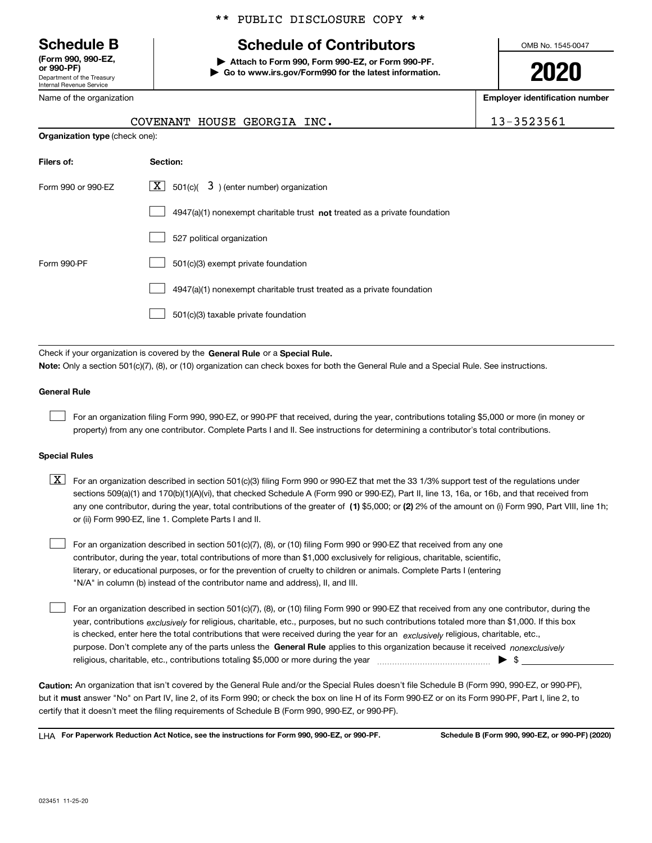Department of the Treasury Internal Revenue Service **(Form 990, 990-EZ, or 990-PF)**

Name of the organization

**Organization type** (check one):

## \*\* PUBLIC DISCLOSURE COPY \*\*

# **Schedule B Schedule of Contributors**

**| Attach to Form 990, Form 990-EZ, or Form 990-PF. | Go to www.irs.gov/Form990 for the latest information.** OMB No. 1545-0047

**2020**

**Employer identification number**

| -352 |
|------|

| 13-3523561<br>COVENANT HOUSE GEORGIA INC. |  |
|-------------------------------------------|--|
|                                           |  |

| Filers of:         | Section:                                                                    |
|--------------------|-----------------------------------------------------------------------------|
| Form 990 or 990-EZ | $\lfloor x \rfloor$ 501(c)( 3) (enter number) organization                  |
|                    | $4947(a)(1)$ nonexempt charitable trust not treated as a private foundation |
|                    | 527 political organization                                                  |
| Form 990-PF        | 501(c)(3) exempt private foundation                                         |
|                    | 4947(a)(1) nonexempt charitable trust treated as a private foundation       |
|                    | 501(c)(3) taxable private foundation                                        |

Check if your organization is covered by the **General Rule** or a **Special Rule. Note:**  Only a section 501(c)(7), (8), or (10) organization can check boxes for both the General Rule and a Special Rule. See instructions.

## **General Rule**

 $\mathcal{L}^{\text{max}}$ 

For an organization filing Form 990, 990-EZ, or 990-PF that received, during the year, contributions totaling \$5,000 or more (in money or property) from any one contributor. Complete Parts I and II. See instructions for determining a contributor's total contributions.

## **Special Rules**

any one contributor, during the year, total contributions of the greater of  $\,$  (1) \$5,000; or **(2)** 2% of the amount on (i) Form 990, Part VIII, line 1h;  $\boxed{\textbf{X}}$  For an organization described in section 501(c)(3) filing Form 990 or 990-EZ that met the 33 1/3% support test of the regulations under sections 509(a)(1) and 170(b)(1)(A)(vi), that checked Schedule A (Form 990 or 990-EZ), Part II, line 13, 16a, or 16b, and that received from or (ii) Form 990-EZ, line 1. Complete Parts I and II.

For an organization described in section 501(c)(7), (8), or (10) filing Form 990 or 990-EZ that received from any one contributor, during the year, total contributions of more than \$1,000 exclusively for religious, charitable, scientific, literary, or educational purposes, or for the prevention of cruelty to children or animals. Complete Parts I (entering "N/A" in column (b) instead of the contributor name and address), II, and III.  $\mathcal{L}^{\text{max}}$ 

purpose. Don't complete any of the parts unless the **General Rule** applies to this organization because it received *nonexclusively* year, contributions <sub>exclusively</sub> for religious, charitable, etc., purposes, but no such contributions totaled more than \$1,000. If this box is checked, enter here the total contributions that were received during the year for an  $\;$ exclusively religious, charitable, etc., For an organization described in section 501(c)(7), (8), or (10) filing Form 990 or 990-EZ that received from any one contributor, during the religious, charitable, etc., contributions totaling \$5,000 or more during the year  $\Box$ — $\Box$   $\Box$  $\mathcal{L}^{\text{max}}$ 

**Caution:**  An organization that isn't covered by the General Rule and/or the Special Rules doesn't file Schedule B (Form 990, 990-EZ, or 990-PF),  **must** but it answer "No" on Part IV, line 2, of its Form 990; or check the box on line H of its Form 990-EZ or on its Form 990-PF, Part I, line 2, to certify that it doesn't meet the filing requirements of Schedule B (Form 990, 990-EZ, or 990-PF).

**For Paperwork Reduction Act Notice, see the instructions for Form 990, 990-EZ, or 990-PF. Schedule B (Form 990, 990-EZ, or 990-PF) (2020)** LHA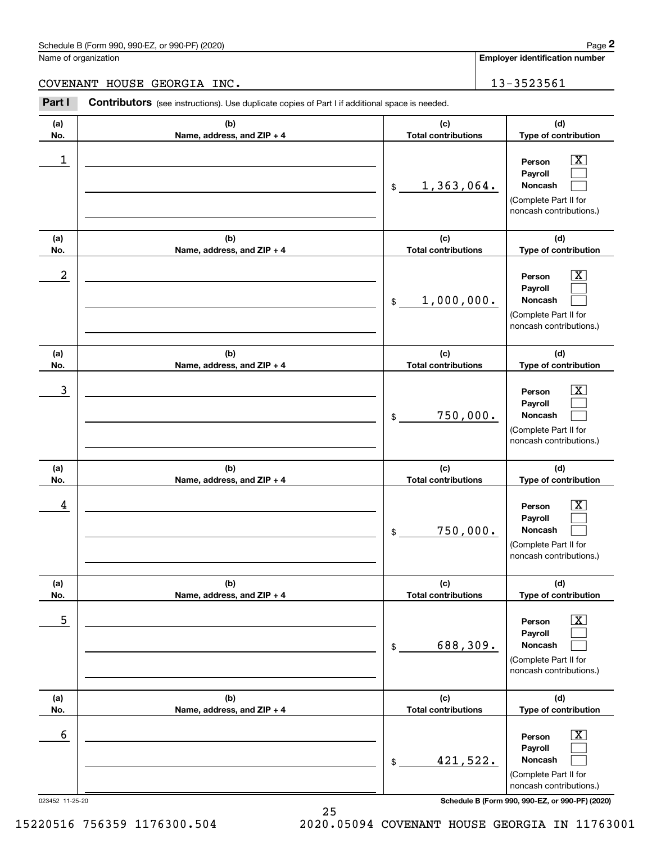## Schedule B (Form 990, 990-EZ, or 990-PF) (2020) **Page 2** Page 2 and the state of the state of the state of the state of the state of the state of the state of the state of the state of the state of the state of the state o

Name of organization

**Employer identification number**

COVENANT HOUSE GEORGIA INC. 13-3523561

**(a)No.(b)Name, address, and ZIP + 4 (c)Total contributions (d)Type of contribution PersonPayrollNoncash (a)No.(b)Name, address, and ZIP + 4 (c)Total contributions (d)Type of contribution PersonPayrollNoncash (a)No.(b)Name, address, and ZIP + 4 (c)Total contributions (d)Type of contribution PersonPayrollNoncash (a) No.(b) Name, address, and ZIP + 4 (c) Total contributions (d) Type of contribution PersonPayrollNoncash (a) No.(b) Name, address, and ZIP + 4 (c) Total contributions (d) Type of contribution PersonPayrollNoncash(a) No.(b)Name, address, and ZIP + 4 (c) Total contributions (d)Type of contribution PersonPayrollNoncash Contributors** (see instructions). Use duplicate copies of Part I if additional space is needed. \$(Complete Part II for noncash contributions.) \$(Complete Part II for noncash contributions.) \$(Complete Part II for noncash contributions.) \$(Complete Part II for noncash contributions.) \$(Complete Part II for noncash contributions.) \$(Complete Part II for noncash contributions.) Chedule B (Form 990, 990-EZ, or 990-PF) (2020)<br> **2Part I 2Part I Contributors** (see instructions). Use duplicate copies of Part I if additional space is needed.<br>
2Part I **Contributors** (see instructions). Use duplicate  $|X|$  $\mathcal{L}^{\text{max}}$  $\mathcal{L}^{\text{max}}$  $\boxed{\text{X}}$  $\mathcal{L}^{\text{max}}$  $\mathcal{L}^{\text{max}}$  $|X|$  $\mathcal{L}^{\text{max}}$  $\mathcal{L}^{\text{max}}$  $\boxed{\text{X}}$  $\mathcal{L}^{\text{max}}$  $\mathcal{L}^{\text{max}}$  $\boxed{\text{X}}$  $\mathcal{L}^{\text{max}}$  $\mathcal{L}^{\text{max}}$  $\lfloor x \rfloor$  $\mathcal{L}^{\text{max}}$  $\mathcal{L}^{\text{max}}$  $\begin{array}{c|c|c|c|c|c} 1 & \hspace{1.5cm} & \hspace{1.5cm} & \hspace{1.5cm} & \hspace{1.5cm} & \hspace{1.5cm} & \hspace{1.5cm} & \hspace{1.5cm} & \hspace{1.5cm} & \hspace{1.5cm} & \hspace{1.5cm} & \hspace{1.5cm} & \hspace{1.5cm} & \hspace{1.5cm} & \hspace{1.5cm} & \hspace{1.5cm} & \hspace{1.5cm} & \hspace{1.5cm} & \hspace{1.5cm} & \hspace{1.5cm} & \hspace{1.5cm} &$ 1,363,064.  $2$  | Person  $\overline{\text{X}}$ 1,000,000.  $\overline{3}$  | Person  $\overline{X}$ 750,000.  $4$  | Person  $\overline{\text{X}}$ 750,000.  $\sim$  5 | Person X 688,309.  $\sim$  6 | Person X 421,522.

023452 11-25-20 **Schedule B (Form 990, 990-EZ, or 990-PF) (2020)**

15220516 756359 1176300.504 2020.05094 COVENANT HOUSE GEORGIA IN 11763001

25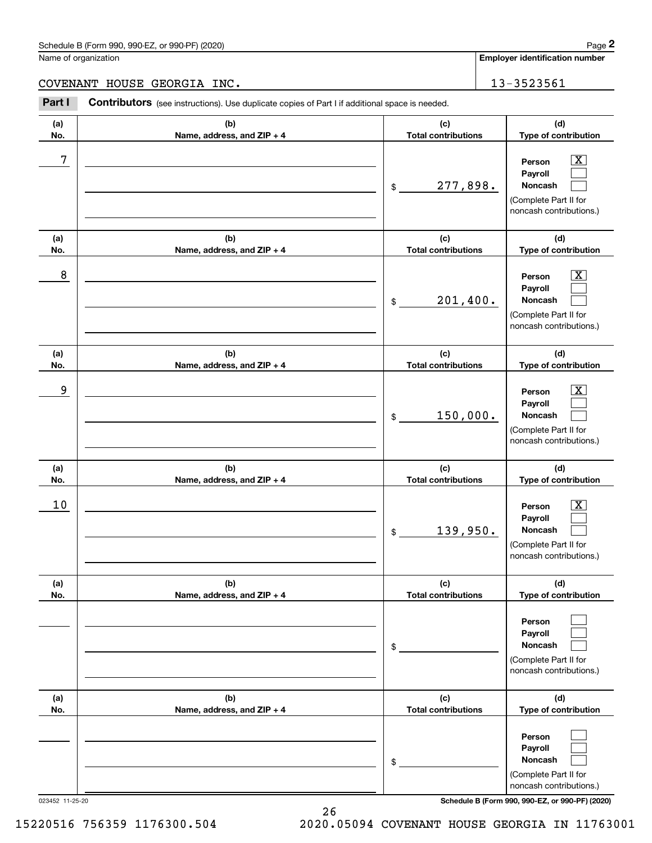## Schedule B (Form 990, 990-EZ, or 990-PF) (2020) **Page 2** Page 2 and the state of the state of the state of the state of the state of the state of the state of the state of the state of the state of the state of the state o

Name of organization

**Employer identification number**

COVENANT HOUSE GEORGIA INC. 13-3523561

**(a)No.(b)Name, address, and ZIP + 4 (c)Total contributions (d)Type of contribution PersonPayrollNoncash (a)No.(b)Name, address, and ZIP + 4 (c)Total contributions (d)Type of contribution PersonPayrollNoncash (a)No.(b)Name, address, and ZIP + 4 (c)Total contributions (d)Type of contribution PersonPayrollNoncash (a) No.(b) Name, address, and ZIP + 4 (c) Total contributions (d) Type of contribution PersonPayrollNoncash (a) No.(b) Name, address, and ZIP + 4 (c) Total contributions (d) Type of contribution PersonPayrollNoncash(a) No.(b)Name, address, and ZIP + 4 (c) Total contributions (d)Type of contribution PersonPayrollNoncash Contributors** (see instructions). Use duplicate copies of Part I if additional space is needed. \$(Complete Part II for noncash contributions.) \$(Complete Part II for noncash contributions.) \$(Complete Part II for noncash contributions.) \$(Complete Part II for noncash contributions.) \$(Complete Part II for noncash contributions.) \$(Complete Part II for noncash contributions.) Chedule B (Form 990, 990-EZ, or 990-PF) (2020)<br> **2Part I 2Part I Contributors** (see instructions). Use duplicate copies of Part I if additional space is needed.<br>
2Part I **Contributors** (see instructions). Use duplicate  $|X|$  $\mathcal{L}^{\text{max}}$  $\mathcal{L}^{\text{max}}$  $\boxed{\text{X}}$  $\mathcal{L}^{\text{max}}$  $\mathcal{L}^{\text{max}}$  $|X|$  $\mathcal{L}^{\text{max}}$  $\mathcal{L}^{\text{max}}$  $|X|$  $\mathcal{L}^{\text{max}}$  $\mathcal{L}^{\text{max}}$  $\mathcal{L}^{\text{max}}$  $\mathcal{L}^{\text{max}}$  $\mathcal{L}^{\text{max}}$  $\mathcal{L}^{\text{max}}$  $\mathcal{L}^{\text{max}}$  $\mathcal{L}^{\text{max}}$ 7 X 277,898. 8 X 201,400. example and the set of the set of the set of the set of the set of the set of the set of the set of the set of 150,000.  $10$  Person  $\overline{\text{X}}$ 139,950.

023452 11-25-20 **Schedule B (Form 990, 990-EZ, or 990-PF) (2020)**

15220516 756359 1176300.504 2020.05094 COVENANT HOUSE GEORGIA IN 11763001

26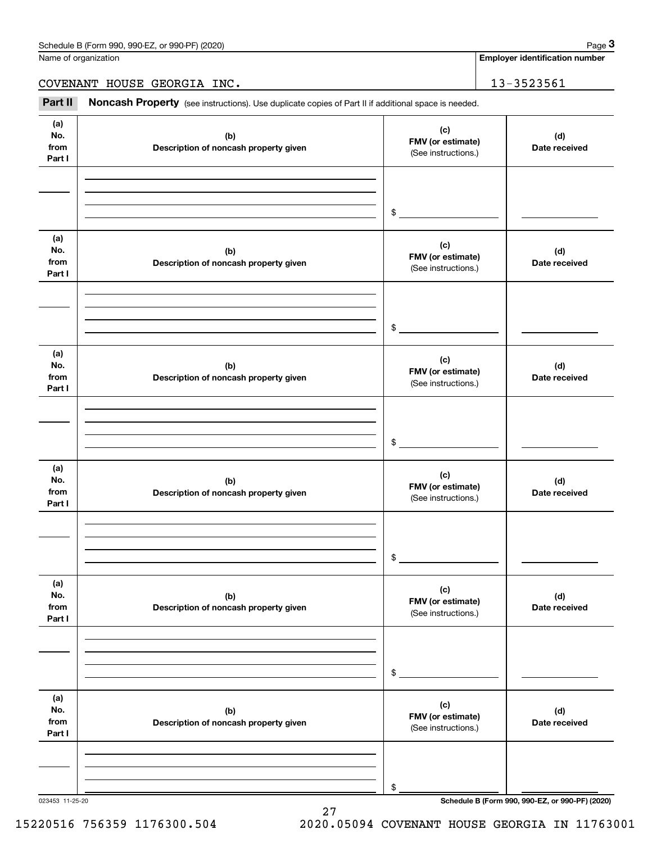**Employer identification number**

COVENANT HOUSE GEORGIA INC. 13-3523561

Chedule B (Form 990, 990-EZ, or 990-PF) (2020)<br>
lame of organization<br> **20VENANT HOUSE GEORGIA INC.**<br> **Part II Noncash Property** (see instructions). Use duplicate copies of Part II if additional space is needed.

| (a)<br>No.<br>from<br>Part I | (b)<br>Description of noncash property given | (c)<br>FMV (or estimate)<br>(See instructions.) | (d)<br>Date received |
|------------------------------|----------------------------------------------|-------------------------------------------------|----------------------|
|                              |                                              | $\frac{1}{2}$                                   |                      |
| (a)<br>No.<br>from<br>Part I | (b)<br>Description of noncash property given | (c)<br>FMV (or estimate)<br>(See instructions.) | (d)<br>Date received |
|                              |                                              | $\frac{1}{2}$                                   |                      |
| (a)<br>No.<br>from<br>Part I | (b)<br>Description of noncash property given | (c)<br>FMV (or estimate)<br>(See instructions.) | (d)<br>Date received |
|                              |                                              | $\frac{1}{2}$                                   |                      |
| (a)<br>No.<br>from<br>Part I | (b)<br>Description of noncash property given | (c)<br>FMV (or estimate)<br>(See instructions.) | (d)<br>Date received |
|                              |                                              | \$                                              |                      |
| (a)<br>No.<br>from<br>Part I | (b)<br>Description of noncash property given | (c)<br>FMV (or estimate)<br>(See instructions.) | (d)<br>Date received |
|                              |                                              | \$                                              |                      |
| (a)<br>No.<br>from<br>Part I | (b)<br>Description of noncash property given | (c)<br>FMV (or estimate)<br>(See instructions.) | (d)<br>Date received |
|                              |                                              | \$                                              |                      |

27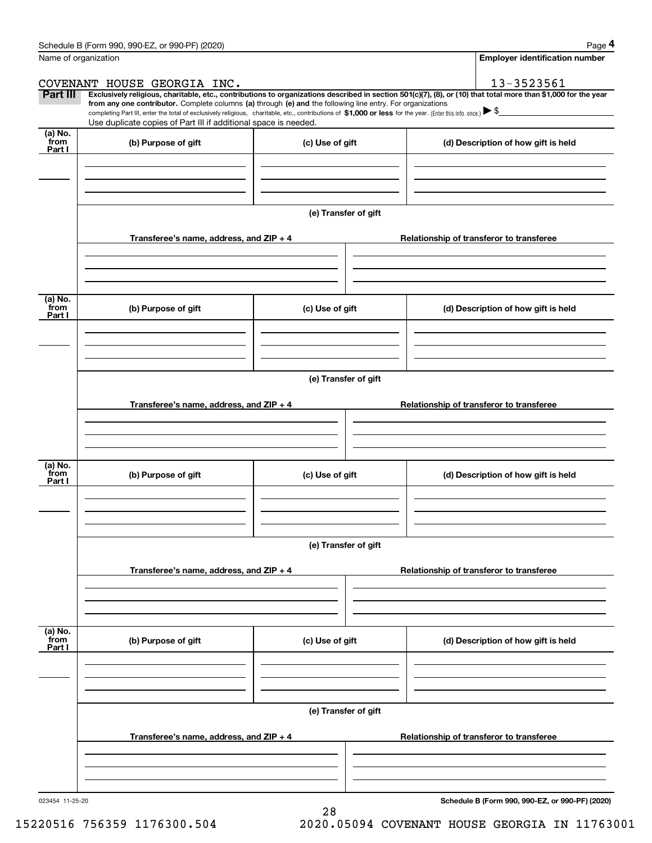|                           | Schedule B (Form 990, 990-EZ, or 990-PF) (2020)                                                                                                                                                                                                                                                 |                      | Page 4                                                                                                                                                         |  |  |  |  |
|---------------------------|-------------------------------------------------------------------------------------------------------------------------------------------------------------------------------------------------------------------------------------------------------------------------------------------------|----------------------|----------------------------------------------------------------------------------------------------------------------------------------------------------------|--|--|--|--|
|                           | Name of organization                                                                                                                                                                                                                                                                            |                      | <b>Employer identification number</b>                                                                                                                          |  |  |  |  |
|                           | COVENANT HOUSE GEORGIA INC.                                                                                                                                                                                                                                                                     |                      | 13-3523561                                                                                                                                                     |  |  |  |  |
| <b>Part III</b>           | from any one contributor. Complete columns (a) through (e) and the following line entry. For organizations<br>completing Part III, enter the total of exclusively religious, charitable, etc., contributions of \$1,000 or less for the year. (Enter this info. once.) $\blacktriangleright$ \$ |                      | Exclusively religious, charitable, etc., contributions to organizations described in section 501(c)(7), (8), or (10) that total more than \$1,000 for the year |  |  |  |  |
|                           | Use duplicate copies of Part III if additional space is needed.                                                                                                                                                                                                                                 |                      |                                                                                                                                                                |  |  |  |  |
| (a) No.<br>from<br>Part I | (b) Purpose of gift                                                                                                                                                                                                                                                                             | (c) Use of gift      | (d) Description of how gift is held                                                                                                                            |  |  |  |  |
|                           |                                                                                                                                                                                                                                                                                                 |                      |                                                                                                                                                                |  |  |  |  |
|                           |                                                                                                                                                                                                                                                                                                 |                      |                                                                                                                                                                |  |  |  |  |
|                           |                                                                                                                                                                                                                                                                                                 | (e) Transfer of gift |                                                                                                                                                                |  |  |  |  |
|                           | Transferee's name, address, and ZIP + 4                                                                                                                                                                                                                                                         |                      | Relationship of transferor to transferee                                                                                                                       |  |  |  |  |
| (a) No.                   |                                                                                                                                                                                                                                                                                                 |                      |                                                                                                                                                                |  |  |  |  |
| from<br>Part I            | (b) Purpose of gift                                                                                                                                                                                                                                                                             | (c) Use of gift      | (d) Description of how gift is held                                                                                                                            |  |  |  |  |
|                           |                                                                                                                                                                                                                                                                                                 |                      |                                                                                                                                                                |  |  |  |  |
|                           | (e) Transfer of gift                                                                                                                                                                                                                                                                            |                      |                                                                                                                                                                |  |  |  |  |
|                           | Transferee's name, address, and $ZIP + 4$                                                                                                                                                                                                                                                       |                      | Relationship of transferor to transferee                                                                                                                       |  |  |  |  |
|                           |                                                                                                                                                                                                                                                                                                 |                      |                                                                                                                                                                |  |  |  |  |
| (a) No.<br>from<br>Part I | (b) Purpose of gift                                                                                                                                                                                                                                                                             | (c) Use of gift      | (d) Description of how gift is held                                                                                                                            |  |  |  |  |
|                           |                                                                                                                                                                                                                                                                                                 |                      |                                                                                                                                                                |  |  |  |  |
|                           | (e) Transfer of gift                                                                                                                                                                                                                                                                            |                      |                                                                                                                                                                |  |  |  |  |
|                           | Transferee's name, address, and ZIP + 4                                                                                                                                                                                                                                                         |                      | Relationship of transferor to transferee                                                                                                                       |  |  |  |  |
|                           |                                                                                                                                                                                                                                                                                                 |                      |                                                                                                                                                                |  |  |  |  |
| (a) No.<br>from<br>Part I | (b) Purpose of gift                                                                                                                                                                                                                                                                             | (c) Use of gift      | (d) Description of how gift is held                                                                                                                            |  |  |  |  |
|                           |                                                                                                                                                                                                                                                                                                 |                      |                                                                                                                                                                |  |  |  |  |
|                           |                                                                                                                                                                                                                                                                                                 | (e) Transfer of gift |                                                                                                                                                                |  |  |  |  |
|                           | Transferee's name, address, and $ZIP + 4$                                                                                                                                                                                                                                                       |                      | Relationship of transferor to transferee                                                                                                                       |  |  |  |  |
|                           |                                                                                                                                                                                                                                                                                                 |                      |                                                                                                                                                                |  |  |  |  |
|                           |                                                                                                                                                                                                                                                                                                 |                      |                                                                                                                                                                |  |  |  |  |

28

023454 11-25-20

**Schedule B (Form 990, 990-EZ, or 990-PF) (2020)**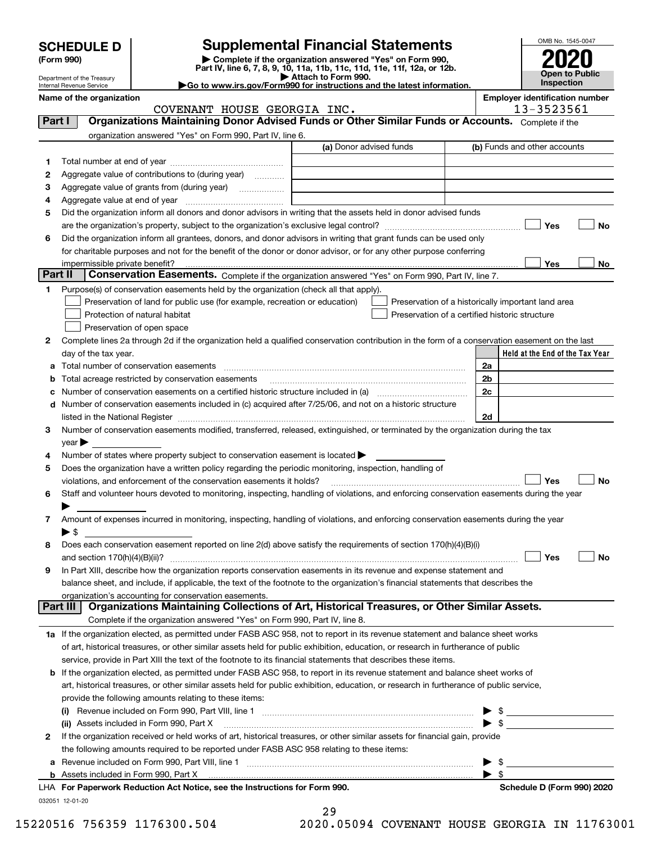| <b>SCHEDULE D</b> |  |
|-------------------|--|
|-------------------|--|

| (Form 990) |  |
|------------|--|
|------------|--|

## **Supplemental Financial Statements**

(Form 990)<br>
Pepartment of the Treasury<br>
Department of the Treasury<br>
Department of the Treasury<br>
Department of the Treasury<br> **Co to www.irs.gov/Form990 for instructions and the latest information.**<br> **Co to www.irs.gov/Form9** 



Department of the Treasury Internal Revenue Service

|         | Name of the organization                                                                                                                                                 | <b>Employer identification number</b><br>13-3523561 |                                                    |           |  |  |
|---------|--------------------------------------------------------------------------------------------------------------------------------------------------------------------------|-----------------------------------------------------|----------------------------------------------------|-----------|--|--|
| Part I  | COVENANT HOUSE GEORGIA INC.<br>Organizations Maintaining Donor Advised Funds or Other Similar Funds or Accounts. Complete if the                                         |                                                     |                                                    |           |  |  |
|         |                                                                                                                                                                          |                                                     |                                                    |           |  |  |
|         | organization answered "Yes" on Form 990, Part IV, line 6.                                                                                                                | (a) Donor advised funds                             | (b) Funds and other accounts                       |           |  |  |
|         |                                                                                                                                                                          |                                                     |                                                    |           |  |  |
| 1.      |                                                                                                                                                                          |                                                     |                                                    |           |  |  |
| 2       | Aggregate value of contributions to (during year)                                                                                                                        |                                                     |                                                    |           |  |  |
| з       | Aggregate value of grants from (during year)                                                                                                                             |                                                     |                                                    |           |  |  |
| 4       |                                                                                                                                                                          |                                                     |                                                    |           |  |  |
| 5       | Did the organization inform all donors and donor advisors in writing that the assets held in donor advised funds                                                         |                                                     |                                                    |           |  |  |
|         |                                                                                                                                                                          |                                                     | Yes                                                | No        |  |  |
| 6       | Did the organization inform all grantees, donors, and donor advisors in writing that grant funds can be used only                                                        |                                                     |                                                    |           |  |  |
|         | for charitable purposes and not for the benefit of the donor or donor advisor, or for any other purpose conferring                                                       |                                                     |                                                    |           |  |  |
| Part II | impermissible private benefit?<br>Conservation Easements. Complete if the organization answered "Yes" on Form 990, Part IV, line 7.                                      |                                                     | Yes                                                | No        |  |  |
|         |                                                                                                                                                                          |                                                     |                                                    |           |  |  |
| 1       | Purpose(s) of conservation easements held by the organization (check all that apply).                                                                                    |                                                     |                                                    |           |  |  |
|         | Preservation of land for public use (for example, recreation or education)                                                                                               |                                                     | Preservation of a historically important land area |           |  |  |
|         | Protection of natural habitat                                                                                                                                            |                                                     | Preservation of a certified historic structure     |           |  |  |
|         | Preservation of open space                                                                                                                                               |                                                     |                                                    |           |  |  |
| 2       | Complete lines 2a through 2d if the organization held a qualified conservation contribution in the form of a conservation easement on the last                           |                                                     |                                                    |           |  |  |
|         | day of the tax year.                                                                                                                                                     |                                                     | Held at the End of the Tax Year                    |           |  |  |
| а       | Total number of conservation easements                                                                                                                                   |                                                     | 2a                                                 |           |  |  |
| b       | Total acreage restricted by conservation easements                                                                                                                       |                                                     | 2b<br>2c                                           |           |  |  |
| с       |                                                                                                                                                                          |                                                     |                                                    |           |  |  |
| d       | Number of conservation easements included in (c) acquired after 7/25/06, and not on a historic structure                                                                 |                                                     |                                                    |           |  |  |
|         |                                                                                                                                                                          |                                                     | 2d                                                 |           |  |  |
| 3       | Number of conservation easements modified, transferred, released, extinguished, or terminated by the organization during the tax                                         |                                                     |                                                    |           |  |  |
|         | $year \blacktriangleright$                                                                                                                                               |                                                     |                                                    |           |  |  |
| 4       | Number of states where property subject to conservation easement is located >                                                                                            |                                                     |                                                    |           |  |  |
| 5       | Does the organization have a written policy regarding the periodic monitoring, inspection, handling of                                                                   |                                                     |                                                    |           |  |  |
|         | violations, and enforcement of the conservation easements it holds?                                                                                                      |                                                     | Yes                                                | <b>No</b> |  |  |
| 6       | Staff and volunteer hours devoted to monitoring, inspecting, handling of violations, and enforcing conservation easements during the year                                |                                                     |                                                    |           |  |  |
|         |                                                                                                                                                                          |                                                     |                                                    |           |  |  |
| 7       | Amount of expenses incurred in monitoring, inspecting, handling of violations, and enforcing conservation easements during the year                                      |                                                     |                                                    |           |  |  |
|         | ▶ \$                                                                                                                                                                     |                                                     |                                                    |           |  |  |
| 8       | Does each conservation easement reported on line 2(d) above satisfy the requirements of section 170(h)(4)(B)(i)                                                          |                                                     |                                                    |           |  |  |
|         | In Part XIII, describe how the organization reports conservation easements in its revenue and expense statement and                                                      |                                                     | Yes                                                | No        |  |  |
|         |                                                                                                                                                                          |                                                     |                                                    |           |  |  |
|         | balance sheet, and include, if applicable, the text of the footnote to the organization's financial statements that describes the                                        |                                                     |                                                    |           |  |  |
|         | organization's accounting for conservation easements.<br>Organizations Maintaining Collections of Art, Historical Treasures, or Other Similar Assets.<br>Part III        |                                                     |                                                    |           |  |  |
|         | Complete if the organization answered "Yes" on Form 990, Part IV, line 8.                                                                                                |                                                     |                                                    |           |  |  |
|         | 1a If the organization elected, as permitted under FASB ASC 958, not to report in its revenue statement and balance sheet works                                          |                                                     |                                                    |           |  |  |
|         | of art, historical treasures, or other similar assets held for public exhibition, education, or research in furtherance of public                                        |                                                     |                                                    |           |  |  |
|         | service, provide in Part XIII the text of the footnote to its financial statements that describes these items.                                                           |                                                     |                                                    |           |  |  |
| b       | If the organization elected, as permitted under FASB ASC 958, to report in its revenue statement and balance sheet works of                                              |                                                     |                                                    |           |  |  |
|         | art, historical treasures, or other similar assets held for public exhibition, education, or research in furtherance of public service,                                  |                                                     |                                                    |           |  |  |
|         |                                                                                                                                                                          |                                                     |                                                    |           |  |  |
|         | provide the following amounts relating to these items:                                                                                                                   |                                                     |                                                    |           |  |  |
|         |                                                                                                                                                                          |                                                     | $\mathbb{S}$ .                                     |           |  |  |
|         | (ii) Assets included in Form 990, Part X<br>If the organization received or held works of art, historical treasures, or other similar assets for financial gain, provide |                                                     | $\blacktriangleright$ \$                           |           |  |  |
| 2       |                                                                                                                                                                          |                                                     |                                                    |           |  |  |
|         | the following amounts required to be reported under FASB ASC 958 relating to these items:                                                                                |                                                     |                                                    |           |  |  |
| а       |                                                                                                                                                                          |                                                     | -\$<br>$\blacktriangleright$ s                     |           |  |  |
|         | <b>b</b> Assets included in Form 990, Part X<br>LHA For Paperwork Reduction Act Notice, see the Instructions for Form 990.                                               |                                                     |                                                    |           |  |  |
|         |                                                                                                                                                                          |                                                     | Schedule D (Form 990) 2020                         |           |  |  |
|         | 032051 12-01-20                                                                                                                                                          | 29                                                  |                                                    |           |  |  |

|     | 29 |  |  |                             |  |
|-----|----|--|--|-----------------------------|--|
| n n |    |  |  | $\cap$ $\cap$ $\cap$ $\cap$ |  |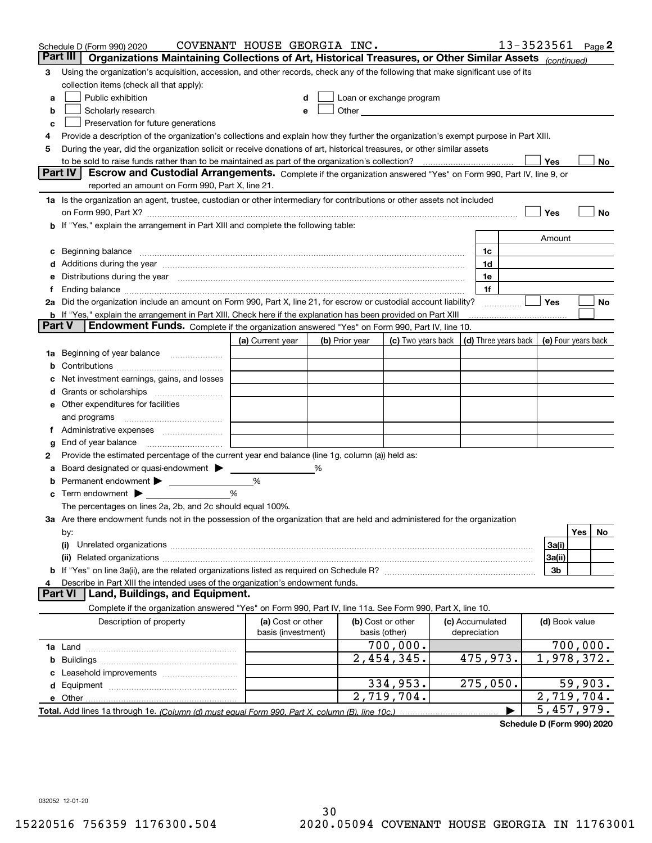|    | Schedule D (Form 990) 2020                                                                                                                                                                                                     | COVENANT HOUSE GEORGIA INC. |   |                |                                                      |                      | 13-3523561          |          | Page 2 |
|----|--------------------------------------------------------------------------------------------------------------------------------------------------------------------------------------------------------------------------------|-----------------------------|---|----------------|------------------------------------------------------|----------------------|---------------------|----------|--------|
|    | Part III<br>Organizations Maintaining Collections of Art, Historical Treasures, or Other Similar Assets (continued)                                                                                                            |                             |   |                |                                                      |                      |                     |          |        |
| 3  | Using the organization's acquisition, accession, and other records, check any of the following that make significant use of its                                                                                                |                             |   |                |                                                      |                      |                     |          |        |
|    | collection items (check all that apply):                                                                                                                                                                                       |                             |   |                |                                                      |                      |                     |          |        |
| a  | Public exhibition                                                                                                                                                                                                              |                             |   |                | Loan or exchange program                             |                      |                     |          |        |
| b  | Scholarly research                                                                                                                                                                                                             |                             | е |                | Other <b>Committee Committee Committee Committee</b> |                      |                     |          |        |
| с  | Preservation for future generations                                                                                                                                                                                            |                             |   |                |                                                      |                      |                     |          |        |
| 4  | Provide a description of the organization's collections and explain how they further the organization's exempt purpose in Part XIII.                                                                                           |                             |   |                |                                                      |                      |                     |          |        |
| 5  | During the year, did the organization solicit or receive donations of art, historical treasures, or other similar assets                                                                                                       |                             |   |                |                                                      |                      |                     |          |        |
|    | to be sold to raise funds rather than to be maintained as part of the organization's collection?                                                                                                                               |                             |   |                |                                                      |                      | Yes                 |          | No     |
|    | <b>Part IV</b><br>Escrow and Custodial Arrangements. Complete if the organization answered "Yes" on Form 990, Part IV, line 9, or                                                                                              |                             |   |                |                                                      |                      |                     |          |        |
|    | reported an amount on Form 990, Part X, line 21.                                                                                                                                                                               |                             |   |                |                                                      |                      |                     |          |        |
|    | 1a Is the organization an agent, trustee, custodian or other intermediary for contributions or other assets not included                                                                                                       |                             |   |                |                                                      |                      |                     |          |        |
|    | on Form 990, Part X? [11] matter contracts and contracts and contracts are contracted as a form 990, Part X?                                                                                                                   |                             |   |                |                                                      |                      | Yes                 |          | No     |
|    | b If "Yes," explain the arrangement in Part XIII and complete the following table:                                                                                                                                             |                             |   |                |                                                      |                      |                     |          |        |
|    |                                                                                                                                                                                                                                |                             |   |                |                                                      |                      | Amount              |          |        |
| c  | Beginning balance measurements and contain a series of the series of the series of the series of the series of                                                                                                                 |                             |   |                |                                                      | 1c                   |                     |          |        |
|    | Additions during the year manufactured and an account of the state of the state of the state of the state of the state of the state of the state of the state of the state of the state of the state of the state of the state |                             |   |                |                                                      | 1d                   |                     |          |        |
|    | Distributions during the year manufactured and continuum and continuum and continuum and continuum and continuum                                                                                                               |                             |   |                |                                                      | 1e                   |                     |          |        |
| Ť. |                                                                                                                                                                                                                                |                             |   |                |                                                      | 1f                   |                     |          |        |
|    | 2a Did the organization include an amount on Form 990, Part X, line 21, for escrow or custodial account liability?                                                                                                             |                             |   |                |                                                      | .                    | Yes                 |          | No     |
|    | <b>b</b> If "Yes," explain the arrangement in Part XIII. Check here if the explanation has been provided on Part XIII<br>Part V                                                                                                |                             |   |                |                                                      |                      |                     |          |        |
|    | Endowment Funds. Complete if the organization answered "Yes" on Form 990, Part IV, line 10.                                                                                                                                    |                             |   |                |                                                      |                      |                     |          |        |
|    |                                                                                                                                                                                                                                | (a) Current year            |   | (b) Prior year | (c) Two years back                                   | (d) Three years back | (e) Four years back |          |        |
| 1a | Beginning of year balance                                                                                                                                                                                                      |                             |   |                |                                                      |                      |                     |          |        |
|    |                                                                                                                                                                                                                                |                             |   |                |                                                      |                      |                     |          |        |
|    | Net investment earnings, gains, and losses                                                                                                                                                                                     |                             |   |                |                                                      |                      |                     |          |        |
| d  |                                                                                                                                                                                                                                |                             |   |                |                                                      |                      |                     |          |        |
|    | e Other expenditures for facilities                                                                                                                                                                                            |                             |   |                |                                                      |                      |                     |          |        |
|    | and programs                                                                                                                                                                                                                   |                             |   |                |                                                      |                      |                     |          |        |
|    |                                                                                                                                                                                                                                |                             |   |                |                                                      |                      |                     |          |        |
| g  | End of year balance                                                                                                                                                                                                            |                             |   |                |                                                      |                      |                     |          |        |
| 2  | Provide the estimated percentage of the current year end balance (line 1g, column (a)) held as:                                                                                                                                |                             |   |                |                                                      |                      |                     |          |        |
| а  | Board designated or quasi-endowment                                                                                                                                                                                            |                             | ℅ |                |                                                      |                      |                     |          |        |
|    | Permanent endowment > 1<br>Term endowment $\blacktriangleright$                                                                                                                                                                | %<br>%                      |   |                |                                                      |                      |                     |          |        |
|    |                                                                                                                                                                                                                                |                             |   |                |                                                      |                      |                     |          |        |
|    | The percentages on lines 2a, 2b, and 2c should equal 100%.<br>3a Are there endowment funds not in the possession of the organization that are held and administered for the organization                                       |                             |   |                |                                                      |                      |                     |          |        |
|    | by:                                                                                                                                                                                                                            |                             |   |                |                                                      |                      |                     | Yes      | No.    |
|    | (i)                                                                                                                                                                                                                            |                             |   |                |                                                      |                      | 3a(i)               |          |        |
|    |                                                                                                                                                                                                                                |                             |   |                |                                                      |                      | 3a(ii)              |          |        |
|    |                                                                                                                                                                                                                                |                             |   |                |                                                      |                      | 3b                  |          |        |
|    | Describe in Part XIII the intended uses of the organization's endowment funds.                                                                                                                                                 |                             |   |                |                                                      |                      |                     |          |        |
|    | Land, Buildings, and Equipment.<br>Part VI                                                                                                                                                                                     |                             |   |                |                                                      |                      |                     |          |        |
|    | Complete if the organization answered "Yes" on Form 990, Part IV, line 11a. See Form 990, Part X, line 10.                                                                                                                     |                             |   |                |                                                      |                      |                     |          |        |
|    | Description of property                                                                                                                                                                                                        | (a) Cost or other           |   |                | (b) Cost or other                                    | (c) Accumulated      | (d) Book value      |          |        |
|    |                                                                                                                                                                                                                                | basis (investment)          |   |                | basis (other)                                        | depreciation         |                     |          |        |
|    |                                                                                                                                                                                                                                |                             |   |                | 700,000.                                             |                      |                     | 700,000. |        |
| b  |                                                                                                                                                                                                                                |                             |   |                | $\overline{2}$ , 454, 345.                           | 475,973.             | 1,978,372.          |          |        |
|    |                                                                                                                                                                                                                                |                             |   |                |                                                      |                      |                     |          |        |
|    |                                                                                                                                                                                                                                |                             |   |                | 334,953.                                             | 275,050.             |                     | 59,903.  |        |
|    | e Other.                                                                                                                                                                                                                       |                             |   |                | 2,719,704.                                           |                      | 2,719,704.          |          |        |
|    |                                                                                                                                                                                                                                |                             |   |                |                                                      |                      | 5,457,979.          |          |        |

**Schedule D (Form 990) 2020**

032052 12-01-20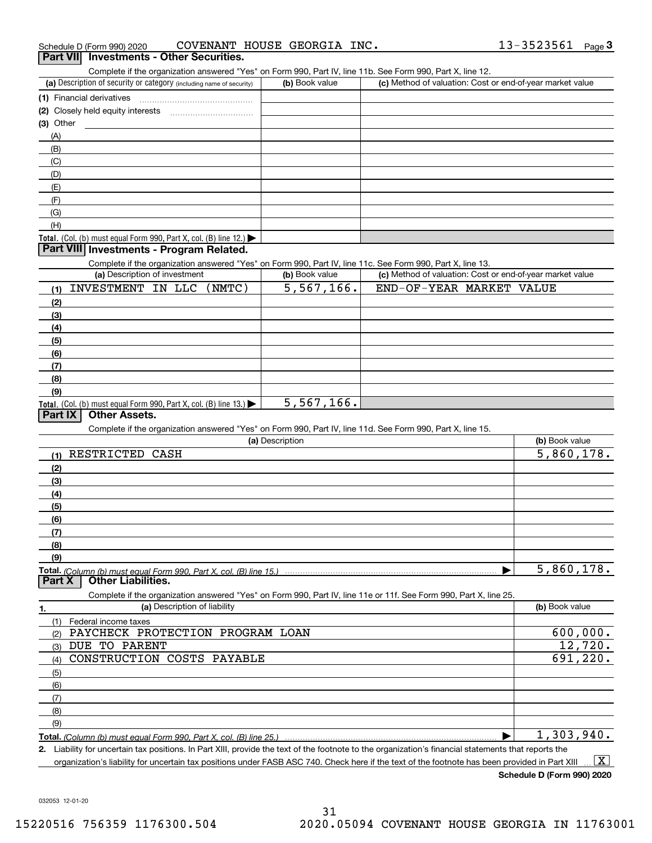| Schedule D (Form 990) 2020 | COVENANT HOUSE GEORGIA INC.              |  | 13-3523561 | $P_{\text{aqe}}$ 3 |
|----------------------------|------------------------------------------|--|------------|--------------------|
|                            | Part VII Investments - Other Securities. |  |            |                    |

| Part VIII Investments - Other Securities.                                                                  |                |                                                           |
|------------------------------------------------------------------------------------------------------------|----------------|-----------------------------------------------------------|
| Complete if the organization answered "Yes" on Form 990, Part IV, line 11b. See Form 990, Part X, line 12. |                |                                                           |
| (a) Description of security or category (including name of security)                                       | (b) Book value | (c) Method of valuation: Cost or end-of-year market value |
| (1) Financial derivatives                                                                                  |                |                                                           |
| (2) Closely held equity interests                                                                          |                |                                                           |
| (3) Other                                                                                                  |                |                                                           |

| $(3)$ Other                                                                            |  |
|----------------------------------------------------------------------------------------|--|
| (A)                                                                                    |  |
| (B)                                                                                    |  |
| (C)                                                                                    |  |
| (D)                                                                                    |  |
| (E)                                                                                    |  |
| (F)                                                                                    |  |
| (G)                                                                                    |  |
| (H)                                                                                    |  |
| Total. (Col. (b) must equal Form 990, Part X, col. (B) line 12.) $\blacktriangleright$ |  |

## **Part VIII Investments - Program Related.**

Complete if the organization answered "Yes" on Form 990, Part IV, line 11c. See Form 990, Part X, line 13.

| (a) Description of investment                                              | (b) Book value | (c) Method of valuation: Cost or end-of-year market value |
|----------------------------------------------------------------------------|----------------|-----------------------------------------------------------|
| INVESTMENT IN LLC (NMTC)<br>(1)                                            | 5,567,166.     | END-OF-YEAR MARKET VALUE                                  |
| (2)                                                                        |                |                                                           |
| $\frac{1}{2}$                                                              |                |                                                           |
| (4)                                                                        |                |                                                           |
| $\frac{1}{2}$                                                              |                |                                                           |
| $\frac{6}{6}$                                                              |                |                                                           |
| (7)                                                                        |                |                                                           |
| (8)                                                                        |                |                                                           |
| (9)                                                                        |                |                                                           |
| <b>Total.</b> (Col. (b) must equal Form 990, Part X, col. (B) line $13.$ ) | 5,567,166.     |                                                           |

### **Part IX Other Assets.**

Complete if the organization answered "Yes" on Form 990, Part IV, line 11d. See Form 990, Part X, line 15.

| (a) Description                                                                                                   | (b) Book value |
|-------------------------------------------------------------------------------------------------------------------|----------------|
| RESTRICTED<br>CASH<br>(1)                                                                                         | 5,860,178.     |
| (2)                                                                                                               |                |
| (3)                                                                                                               |                |
| (4)                                                                                                               |                |
| (5)                                                                                                               |                |
| (6)                                                                                                               |                |
| (7)                                                                                                               |                |
| (8)                                                                                                               |                |
| (9)                                                                                                               |                |
| Total. (Column (b) must equal Form 990. Part X, col. (B) line 15.)<br>.                                           | 5,860,178.     |
| <b>Other Liabilities.</b><br>Part X                                                                               |                |
| Complete if the organization answered "Yes" on Form 990, Part IV, line 11e or 11f. See Form 990, Part X, line 25. |                |
| (a) Description of liability<br>1.                                                                                | (b) Book value |
| (1)<br>Federal income taxes                                                                                       |                |
| PAYCHECK PROTECTION PROGRAM LOAN<br>(2)                                                                           | 600,000.       |
| DUE TO PARENT<br>(3)                                                                                              | 12,720.        |
| CONSTRUCTION<br>COSTS PAYABLE<br>(4)                                                                              | 691,220.       |
| (5)                                                                                                               |                |
| (6)                                                                                                               |                |
| (7)                                                                                                               |                |
| (8)                                                                                                               |                |
| (9)                                                                                                               |                |
| Total. (Column (b) must equal Form 990, Part X, col. (B) line 25.)                                                | 1,303,940.     |

**2.** Liability for uncertain tax positions. In Part XIII, provide the text of the footnote to the organization's financial statements that reports the organization's liability for uncertain tax positions under FASB ASC 740. Check here if the text of the footnote has been provided in Part XIII  $\boxed{\text{X}}$ 

**Schedule D (Form 990) 2020**

032053 12-01-20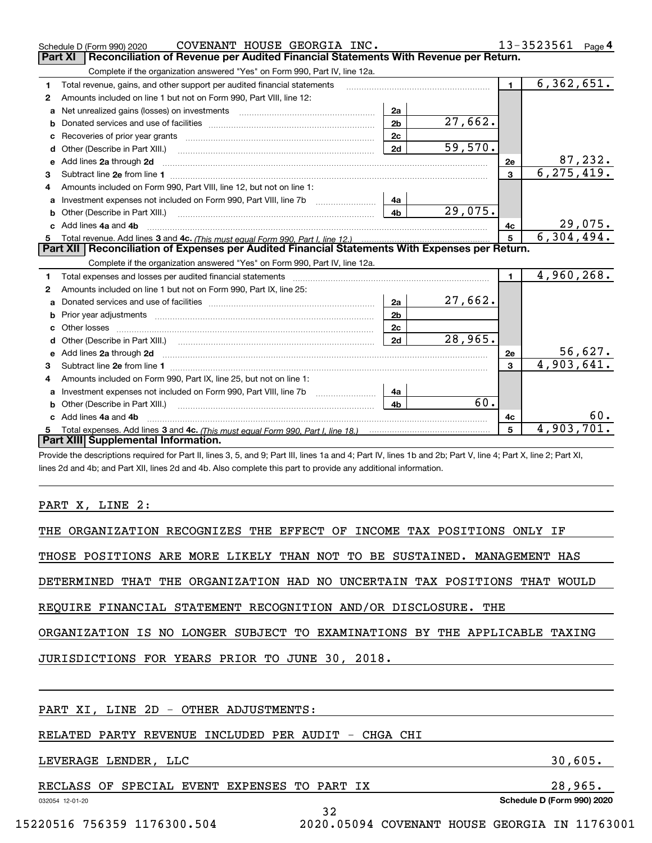|    | COVENANT HOUSE GEORGIA INC.<br>Schedule D (Form 990) 2020                                                                                                                                                                      |                |         |                | 13-3523561<br>Page 4 |
|----|--------------------------------------------------------------------------------------------------------------------------------------------------------------------------------------------------------------------------------|----------------|---------|----------------|----------------------|
|    | Reconciliation of Revenue per Audited Financial Statements With Revenue per Return.<br><b>Part XI</b>                                                                                                                          |                |         |                |                      |
|    | Complete if the organization answered "Yes" on Form 990, Part IV, line 12a.                                                                                                                                                    |                |         |                |                      |
| 1  | Total revenue, gains, and other support per audited financial statements                                                                                                                                                       |                |         | $\blacksquare$ | 6, 362, 651.         |
| 2  | Amounts included on line 1 but not on Form 990, Part VIII, line 12:                                                                                                                                                            |                |         |                |                      |
| a  |                                                                                                                                                                                                                                | 2a             |         |                |                      |
| b  |                                                                                                                                                                                                                                | 2 <sub>b</sub> | 27,662. |                |                      |
| с  |                                                                                                                                                                                                                                | 2c             |         |                |                      |
| d  | Other (Describe in Part XIII.)                                                                                                                                                                                                 | 2d             | 59,570. |                |                      |
| е  | Add lines 2a through 2d                                                                                                                                                                                                        |                |         | 2e             | 87,232.              |
| 3  |                                                                                                                                                                                                                                |                |         | 3              | 6, 275, 419.         |
| 4  | Amounts included on Form 990, Part VIII, line 12, but not on line 1:                                                                                                                                                           |                |         |                |                      |
| a  |                                                                                                                                                                                                                                | 4a             |         |                |                      |
| b  | Other (Describe in Part XIII.) <b>Construction Contract Construction</b> Chemistry Chemistry Chemistry Chemistry Chemistry                                                                                                     | 4b             | 29,075. |                |                      |
| c. | Add lines 4a and 4b                                                                                                                                                                                                            |                |         | 4c             | <u>29,075.</u>       |
| 5  |                                                                                                                                                                                                                                |                |         | 5              | 6,304,494.           |
|    | Part XII   Reconciliation of Expenses per Audited Financial Statements With Expenses per Return.                                                                                                                               |                |         |                |                      |
|    | Complete if the organization answered "Yes" on Form 990, Part IV, line 12a.                                                                                                                                                    |                |         |                |                      |
| 1  | Total expenses and losses per audited financial statements [11] [12] manuscription and the statements [13] Total expenses and losses per audited financial statements [13] manuscription and the statements [13] manuscription |                |         | $\mathbf{1}$   | 4,960,268.           |
| 2  | Amounts included on line 1 but not on Form 990, Part IX, line 25:                                                                                                                                                              |                |         |                |                      |
| a  |                                                                                                                                                                                                                                | 2a             | 27,662. |                |                      |
| b  |                                                                                                                                                                                                                                | 2 <sub>b</sub> |         |                |                      |
| c  |                                                                                                                                                                                                                                | 2c             |         |                |                      |
| d  |                                                                                                                                                                                                                                | 2d             | 28,965. |                |                      |
| е  |                                                                                                                                                                                                                                |                |         | 2е             | 56,627.              |
| 3  |                                                                                                                                                                                                                                |                |         | 3              | 4,903,641.           |
| 4  | Amounts included on Form 990, Part IX, line 25, but not on line 1:                                                                                                                                                             |                |         |                |                      |
| a  | Investment expenses not included on Form 990, Part VIII, line 7b                                                                                                                                                               | 4a             |         |                |                      |
| b  |                                                                                                                                                                                                                                | 4b             | 60.     |                |                      |
|    | c Add lines 4a and 4b                                                                                                                                                                                                          |                |         | 4c             | 60.                  |
| 5  |                                                                                                                                                                                                                                |                |         | 5              | 4,903,701.           |
|    | Part XIII Supplemental Information.                                                                                                                                                                                            |                |         |                |                      |
|    | Provide the descriptions required for Part II, lines 3, 5, and 9; Part III, lines 1a and 4; Part IV, lines 1b and 2b; Part V, line 4; Part X, line 2; Part XI,                                                                 |                |         |                |                      |
|    | lines 2d and 4b; and Part XII, lines 2d and 4b. Also complete this part to provide any additional information.                                                                                                                 |                |         |                |                      |
|    |                                                                                                                                                                                                                                |                |         |                |                      |
|    |                                                                                                                                                                                                                                |                |         |                |                      |
|    | PART X,<br>LINE<br>2 :                                                                                                                                                                                                         |                |         |                |                      |
|    |                                                                                                                                                                                                                                |                |         |                |                      |

| THE ORGANIZATION RECOGNIZES THE EFFECT OF INCOME TAX POSITIONS ONLY IF |  |  |  |  |  |
|------------------------------------------------------------------------|--|--|--|--|--|
|                                                                        |  |  |  |  |  |

THOSE POSITIONS ARE MORE LIKELY THAN NOT TO BE SUSTAINED. MANAGEMENT HAS

DETERMINED THAT THE ORGANIZATION HAD NO UNCERTAIN TAX POSITIONS THAT WOULD

REQUIRE FINANCIAL STATEMENT RECOGNITION AND/OR DISCLOSURE. THE

ORGANIZATION IS NO LONGER SUBJECT TO EXAMINATIONS BY THE APPLICABLE TAXING

32

JURISDICTIONS FOR YEARS PRIOR TO JUNE 30, 2018.

PART XI, LINE 2D - OTHER ADJUSTMENTS:

## RELATED PARTY REVENUE INCLUDED PER AUDIT - CHGA CHI

LEVERAGE LENDER, LLC 30,605.

# RECLASS OF SPECIAL EVENT EXPENSES TO PART IX **1998 128,965.**

**Schedule D (Form 990) 2020**

032054 12-01-20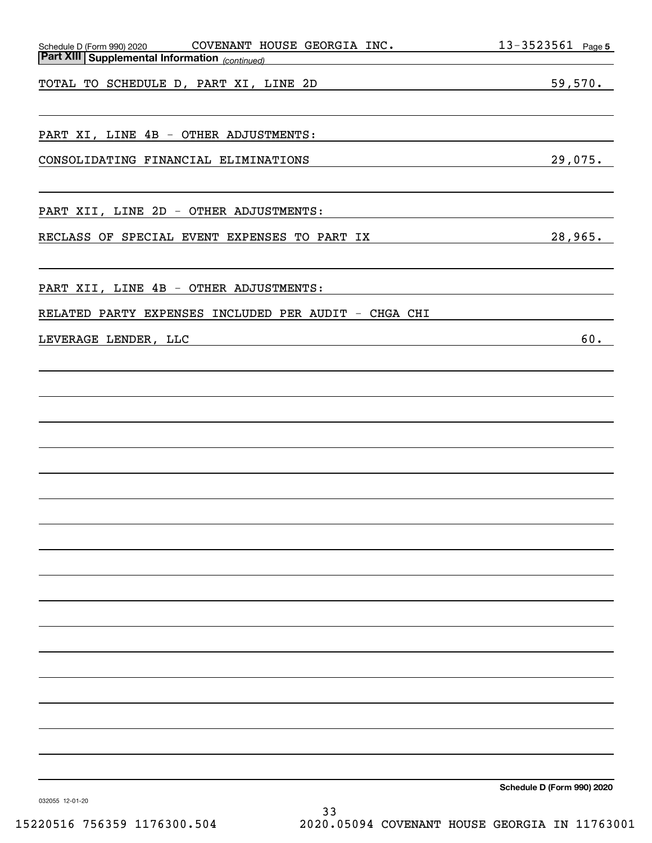| COVENANT HOUSE GEORGIA INC.<br>Schedule D (Form 990) 2020                                                                                      | $13 - 3523561$ Page 5      |
|------------------------------------------------------------------------------------------------------------------------------------------------|----------------------------|
| <b>Part XIII Supplemental Information</b> (continued)<br><u> 1989 - Jan James James School (f. 1989)</u>                                       |                            |
| TOTAL TO SCHEDULE D, PART XI, LINE 2D<br><u> 1989 - Johann Stoff, Amerikaansk politiker (</u>                                                  | 59,570.                    |
| PART XI, LINE 4B - OTHER ADJUSTMENTS:                                                                                                          |                            |
|                                                                                                                                                |                            |
| CONSOLIDATING FINANCIAL ELIMINATIONS<br><u> 1989 - Johann Barbara, martxa alemaniar arg</u>                                                    | 29,075.                    |
| PART XII, LINE 2D - OTHER ADJUSTMENTS:                                                                                                         |                            |
| RECLASS OF SPECIAL EVENT EXPENSES TO PART IX<br><u> 1989 - Johann Barbara, martxa alemaniar a</u>                                              | 28,965.                    |
| PART XII, LINE 4B - OTHER ADJUSTMENTS:                                                                                                         |                            |
| RELATED PARTY EXPENSES INCLUDED PER AUDIT - CHGA CHI                                                                                           |                            |
| LEVERAGE LENDER, LLC<br><u> 1989 - Johann Stoff, deutscher Stoffen und der Stoffen und der Stoffen und der Stoffen und der Stoffen und der</u> | 60.                        |
|                                                                                                                                                |                            |
|                                                                                                                                                |                            |
|                                                                                                                                                |                            |
|                                                                                                                                                |                            |
|                                                                                                                                                |                            |
|                                                                                                                                                |                            |
|                                                                                                                                                |                            |
|                                                                                                                                                |                            |
|                                                                                                                                                |                            |
|                                                                                                                                                |                            |
|                                                                                                                                                |                            |
|                                                                                                                                                |                            |
|                                                                                                                                                |                            |
| 032055 12-01-20                                                                                                                                | Schedule D (Form 990) 2020 |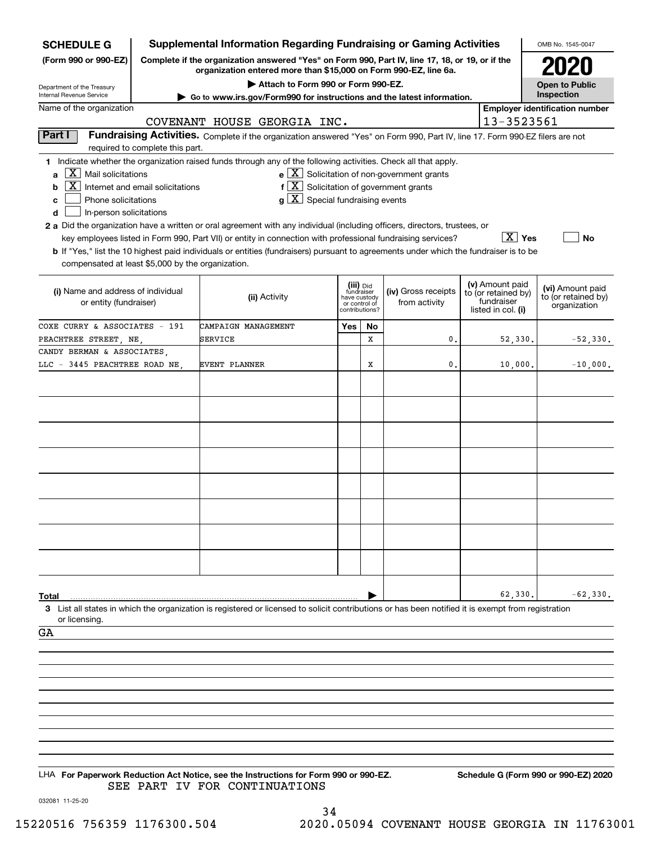| <b>Supplemental Information Regarding Fundraising or Gaming Activities</b><br><b>SCHEDULE G</b> |                                  |                                                                                                                                                                     |              |                                 |                                                                      |                                  |                        | OMB No. 1545-0047                       |
|-------------------------------------------------------------------------------------------------|----------------------------------|---------------------------------------------------------------------------------------------------------------------------------------------------------------------|--------------|---------------------------------|----------------------------------------------------------------------|----------------------------------|------------------------|-----------------------------------------|
| (Form 990 or 990-EZ)                                                                            |                                  | Complete if the organization answered "Yes" on Form 990, Part IV, line 17, 18, or 19, or if the<br>organization entered more than \$15,000 on Form 990-EZ, line 6a. |              |                                 |                                                                      |                                  |                        |                                         |
| Department of the Treasury                                                                      |                                  | Attach to Form 990 or Form 990-EZ.                                                                                                                                  |              |                                 |                                                                      |                                  |                        | <b>Open to Public</b>                   |
| Internal Revenue Service                                                                        |                                  | ► Go to www.irs.gov/Form990 for instructions and the latest information.                                                                                            |              |                                 |                                                                      |                                  |                        | Inspection                              |
| Name of the organization                                                                        |                                  |                                                                                                                                                                     |              |                                 |                                                                      |                                  |                        | <b>Employer identification number</b>   |
|                                                                                                 |                                  | COVENANT HOUSE GEORGIA INC.                                                                                                                                         |              |                                 |                                                                      |                                  | 13-3523561             |                                         |
| Part I                                                                                          | required to complete this part.  | Fundraising Activities. Complete if the organization answered "Yes" on Form 990, Part IV, line 17. Form 990-EZ filers are not                                       |              |                                 |                                                                      |                                  |                        |                                         |
|                                                                                                 |                                  | 1 Indicate whether the organization raised funds through any of the following activities. Check all that apply.                                                     |              |                                 |                                                                      |                                  |                        |                                         |
| X <br>Mail solicitations<br>a                                                                   |                                  |                                                                                                                                                                     |              |                                 | $\mathbf{e} \times \mathbf{X}$ Solicitation of non-government grants |                                  |                        |                                         |
| х<br>b                                                                                          | Internet and email solicitations | $f[X]$ Solicitation of government grants                                                                                                                            |              |                                 |                                                                      |                                  |                        |                                         |
| Phone solicitations<br>с                                                                        |                                  | $g\mid X$ Special fundraising events                                                                                                                                |              |                                 |                                                                      |                                  |                        |                                         |
| In-person solicitations<br>d                                                                    |                                  |                                                                                                                                                                     |              |                                 |                                                                      |                                  |                        |                                         |
|                                                                                                 |                                  | 2 a Did the organization have a written or oral agreement with any individual (including officers, directors, trustees, or                                          |              |                                 |                                                                      |                                  |                        |                                         |
|                                                                                                 |                                  | key employees listed in Form 990, Part VII) or entity in connection with professional fundraising services?                                                         |              |                                 |                                                                      |                                  | $\boxed{\text{X}}$ Yes | <b>No</b>                               |
| compensated at least \$5,000 by the organization.                                               |                                  | b If "Yes," list the 10 highest paid individuals or entities (fundraisers) pursuant to agreements under which the fundraiser is to be                               |              |                                 |                                                                      |                                  |                        |                                         |
|                                                                                                 |                                  |                                                                                                                                                                     |              |                                 |                                                                      |                                  | (v) Amount paid        |                                         |
| (i) Name and address of individual                                                              |                                  | (ii) Activity                                                                                                                                                       | have custody | (iii) Did<br>fundraiser         | (iv) Gross receipts                                                  | to (or retained by)              |                        | (vi) Amount paid<br>to (or retained by) |
| or entity (fundraiser)                                                                          |                                  |                                                                                                                                                                     |              | or control of<br>contributions? | from activity                                                        | fundraiser<br>listed in col. (i) |                        | organization                            |
| COXE CURRY & ASSOCIATES - 191                                                                   |                                  | CAMPAIGN MANAGEMENT                                                                                                                                                 | Yes          | No                              |                                                                      |                                  |                        |                                         |
| PEACHTREE STREET, NE,                                                                           |                                  | SERVICE                                                                                                                                                             |              | х                               | $\mathbf{0}$                                                         |                                  | 52,330.                | $-52,330.$                              |
| CANDY BERMAN & ASSOCIATES,                                                                      |                                  |                                                                                                                                                                     |              |                                 |                                                                      |                                  |                        |                                         |
| LLC - 3445 PEACHTREE ROAD NE                                                                    |                                  | EVENT PLANNER                                                                                                                                                       |              | х                               | $\mathbf{0}$                                                         |                                  | 10,000.                | $-10,000.$                              |
|                                                                                                 |                                  |                                                                                                                                                                     |              |                                 |                                                                      |                                  |                        |                                         |
|                                                                                                 |                                  |                                                                                                                                                                     |              |                                 |                                                                      |                                  |                        |                                         |
|                                                                                                 |                                  |                                                                                                                                                                     |              |                                 |                                                                      |                                  |                        |                                         |
|                                                                                                 |                                  |                                                                                                                                                                     |              |                                 |                                                                      |                                  |                        |                                         |
|                                                                                                 |                                  |                                                                                                                                                                     |              |                                 |                                                                      |                                  |                        |                                         |
|                                                                                                 |                                  |                                                                                                                                                                     |              |                                 |                                                                      |                                  |                        |                                         |
|                                                                                                 |                                  |                                                                                                                                                                     |              |                                 |                                                                      |                                  |                        |                                         |
|                                                                                                 |                                  |                                                                                                                                                                     |              |                                 |                                                                      |                                  |                        |                                         |
|                                                                                                 |                                  |                                                                                                                                                                     |              |                                 |                                                                      |                                  |                        |                                         |
|                                                                                                 |                                  |                                                                                                                                                                     |              |                                 |                                                                      |                                  |                        |                                         |
|                                                                                                 |                                  |                                                                                                                                                                     |              |                                 |                                                                      |                                  |                        |                                         |
|                                                                                                 |                                  |                                                                                                                                                                     |              |                                 |                                                                      |                                  |                        |                                         |
|                                                                                                 |                                  |                                                                                                                                                                     |              |                                 |                                                                      |                                  |                        |                                         |
|                                                                                                 |                                  |                                                                                                                                                                     |              |                                 |                                                                      |                                  |                        |                                         |
|                                                                                                 |                                  |                                                                                                                                                                     |              |                                 |                                                                      |                                  |                        |                                         |
| Total                                                                                           |                                  |                                                                                                                                                                     |              |                                 |                                                                      |                                  | 62,330.                | $-62,330.$                              |
| or licensing.                                                                                   |                                  | 3 List all states in which the organization is registered or licensed to solicit contributions or has been notified it is exempt from registration                  |              |                                 |                                                                      |                                  |                        |                                         |
| GA                                                                                              |                                  |                                                                                                                                                                     |              |                                 |                                                                      |                                  |                        |                                         |
|                                                                                                 |                                  |                                                                                                                                                                     |              |                                 |                                                                      |                                  |                        |                                         |
|                                                                                                 |                                  |                                                                                                                                                                     |              |                                 |                                                                      |                                  |                        |                                         |
|                                                                                                 |                                  |                                                                                                                                                                     |              |                                 |                                                                      |                                  |                        |                                         |
|                                                                                                 |                                  |                                                                                                                                                                     |              |                                 |                                                                      |                                  |                        |                                         |
|                                                                                                 |                                  |                                                                                                                                                                     |              |                                 |                                                                      |                                  |                        |                                         |
|                                                                                                 |                                  |                                                                                                                                                                     |              |                                 |                                                                      |                                  |                        |                                         |
|                                                                                                 |                                  |                                                                                                                                                                     |              |                                 |                                                                      |                                  |                        |                                         |
|                                                                                                 |                                  |                                                                                                                                                                     |              |                                 |                                                                      |                                  |                        |                                         |
|                                                                                                 |                                  |                                                                                                                                                                     |              |                                 |                                                                      |                                  |                        |                                         |
|                                                                                                 |                                  | LHA For Paperwork Reduction Act Notice, see the Instructions for Form 990 or 990-EZ.                                                                                |              |                                 |                                                                      |                                  |                        | Schedule G (Form 990 or 990-EZ) 2020    |
|                                                                                                 |                                  | SEE PART IV FOR CONTINUATIONS                                                                                                                                       |              |                                 |                                                                      |                                  |                        |                                         |
| 032081 11-25-20                                                                                 |                                  | 34                                                                                                                                                                  |              |                                 |                                                                      |                                  |                        |                                         |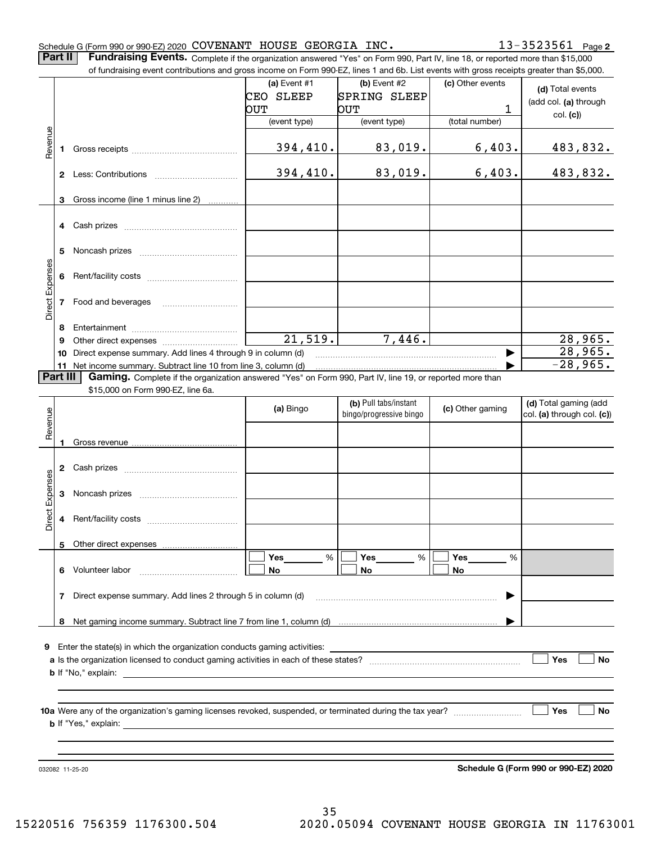## Schedule G (Form 990 or 990-EZ) 2020 Page COVENANT HOUSE GEORGIA INC. 13-3523561

**2**

**Part II** | Fundraising Events. Complete if the organization answered "Yes" on Form 990, Part IV, line 18, or reported more than \$15,000

|                 |          | of fundraising event contributions and gross income on Form 990-EZ, lines 1 and 6b. List events with gross receipts greater than \$5,000. |              |                         |                  |                            |  |  |  |  |  |  |
|-----------------|----------|-------------------------------------------------------------------------------------------------------------------------------------------|--------------|-------------------------|------------------|----------------------------|--|--|--|--|--|--|
|                 |          |                                                                                                                                           | (a) Event #1 | (b) Event #2            | (c) Other events | (d) Total events           |  |  |  |  |  |  |
|                 |          |                                                                                                                                           | CEO SLEEP    | SPRING SLEEP            |                  | (add col. (a) through      |  |  |  |  |  |  |
|                 |          |                                                                                                                                           | OUT          | <b>OUT</b>              | 1                | col. (c)                   |  |  |  |  |  |  |
|                 |          |                                                                                                                                           | (event type) | (event type)            | (total number)   |                            |  |  |  |  |  |  |
| Revenue         |          |                                                                                                                                           |              |                         |                  |                            |  |  |  |  |  |  |
|                 |          |                                                                                                                                           | 394,410.     | 83,019.                 | 6,403.           | 483,832.                   |  |  |  |  |  |  |
|                 |          |                                                                                                                                           |              |                         |                  |                            |  |  |  |  |  |  |
|                 |          |                                                                                                                                           | 394,410.     | 83,019.                 | 6,403.           | 483,832.                   |  |  |  |  |  |  |
|                 |          |                                                                                                                                           |              |                         |                  |                            |  |  |  |  |  |  |
|                 | 3        | Gross income (line 1 minus line 2)                                                                                                        |              |                         |                  |                            |  |  |  |  |  |  |
|                 |          |                                                                                                                                           |              |                         |                  |                            |  |  |  |  |  |  |
|                 |          |                                                                                                                                           |              |                         |                  |                            |  |  |  |  |  |  |
|                 |          |                                                                                                                                           |              |                         |                  |                            |  |  |  |  |  |  |
|                 | 5        |                                                                                                                                           |              |                         |                  |                            |  |  |  |  |  |  |
|                 |          |                                                                                                                                           |              |                         |                  |                            |  |  |  |  |  |  |
|                 |          |                                                                                                                                           |              |                         |                  |                            |  |  |  |  |  |  |
| Direct Expenses |          |                                                                                                                                           |              |                         |                  |                            |  |  |  |  |  |  |
|                 |          | 7 Food and beverages                                                                                                                      |              |                         |                  |                            |  |  |  |  |  |  |
|                 |          |                                                                                                                                           |              |                         |                  |                            |  |  |  |  |  |  |
|                 | 8        |                                                                                                                                           |              |                         |                  |                            |  |  |  |  |  |  |
|                 | 9        |                                                                                                                                           | 21,519.      | 7,446.                  |                  | 28,965.                    |  |  |  |  |  |  |
|                 | 10       | Direct expense summary. Add lines 4 through 9 in column (d)                                                                               |              |                         |                  | 28,965.                    |  |  |  |  |  |  |
|                 |          | 11 Net income summary. Subtract line 10 from line 3, column (d)                                                                           |              |                         |                  | $-28,965.$                 |  |  |  |  |  |  |
|                 | Part III | Gaming. Complete if the organization answered "Yes" on Form 990, Part IV, line 19, or reported more than                                  |              |                         |                  |                            |  |  |  |  |  |  |
|                 |          | \$15,000 on Form 990-EZ, line 6a.                                                                                                         |              |                         |                  |                            |  |  |  |  |  |  |
|                 |          |                                                                                                                                           | (a) Bingo    | (b) Pull tabs/instant   | (c) Other gaming | (d) Total gaming (add      |  |  |  |  |  |  |
| Revenue         |          |                                                                                                                                           |              | bingo/progressive bingo |                  | col. (a) through col. (c)) |  |  |  |  |  |  |
|                 |          |                                                                                                                                           |              |                         |                  |                            |  |  |  |  |  |  |
|                 |          |                                                                                                                                           |              |                         |                  |                            |  |  |  |  |  |  |
|                 |          |                                                                                                                                           |              |                         |                  |                            |  |  |  |  |  |  |
|                 |          |                                                                                                                                           |              |                         |                  |                            |  |  |  |  |  |  |
|                 |          |                                                                                                                                           |              |                         |                  |                            |  |  |  |  |  |  |
| Expenses        |          |                                                                                                                                           |              |                         |                  |                            |  |  |  |  |  |  |
|                 |          |                                                                                                                                           |              |                         |                  |                            |  |  |  |  |  |  |
| Direct          |          |                                                                                                                                           |              |                         |                  |                            |  |  |  |  |  |  |
|                 |          |                                                                                                                                           |              |                         |                  |                            |  |  |  |  |  |  |
|                 |          | 5 Other direct expenses                                                                                                                   |              |                         |                  |                            |  |  |  |  |  |  |
|                 |          |                                                                                                                                           | %<br>Yes     | %<br>Yes                | Yes<br>%         |                            |  |  |  |  |  |  |
|                 |          | 6 Volunteer labor                                                                                                                         | No           | No                      | No               |                            |  |  |  |  |  |  |
|                 |          |                                                                                                                                           |              |                         |                  |                            |  |  |  |  |  |  |
|                 |          | 7 Direct expense summary. Add lines 2 through 5 in column (d)                                                                             |              |                         |                  |                            |  |  |  |  |  |  |
|                 |          |                                                                                                                                           |              |                         |                  |                            |  |  |  |  |  |  |
|                 |          |                                                                                                                                           |              |                         |                  |                            |  |  |  |  |  |  |
|                 |          |                                                                                                                                           |              |                         |                  |                            |  |  |  |  |  |  |
|                 |          | <b>9</b> Enter the state(s) in which the organization conducts gaming activities:                                                         |              |                         |                  |                            |  |  |  |  |  |  |
|                 |          |                                                                                                                                           |              |                         |                  | Yes<br>No                  |  |  |  |  |  |  |
|                 |          |                                                                                                                                           |              |                         |                  |                            |  |  |  |  |  |  |
|                 |          |                                                                                                                                           |              |                         |                  |                            |  |  |  |  |  |  |
|                 |          |                                                                                                                                           |              |                         |                  |                            |  |  |  |  |  |  |
|                 |          | Yes<br>No                                                                                                                                 |              |                         |                  |                            |  |  |  |  |  |  |
|                 |          |                                                                                                                                           |              |                         |                  |                            |  |  |  |  |  |  |
|                 |          |                                                                                                                                           |              |                         |                  |                            |  |  |  |  |  |  |
|                 |          |                                                                                                                                           |              |                         |                  |                            |  |  |  |  |  |  |
|                 |          |                                                                                                                                           |              |                         |                  |                            |  |  |  |  |  |  |

**Schedule G (Form 990 or 990-EZ) 2020**

032082 11-25-20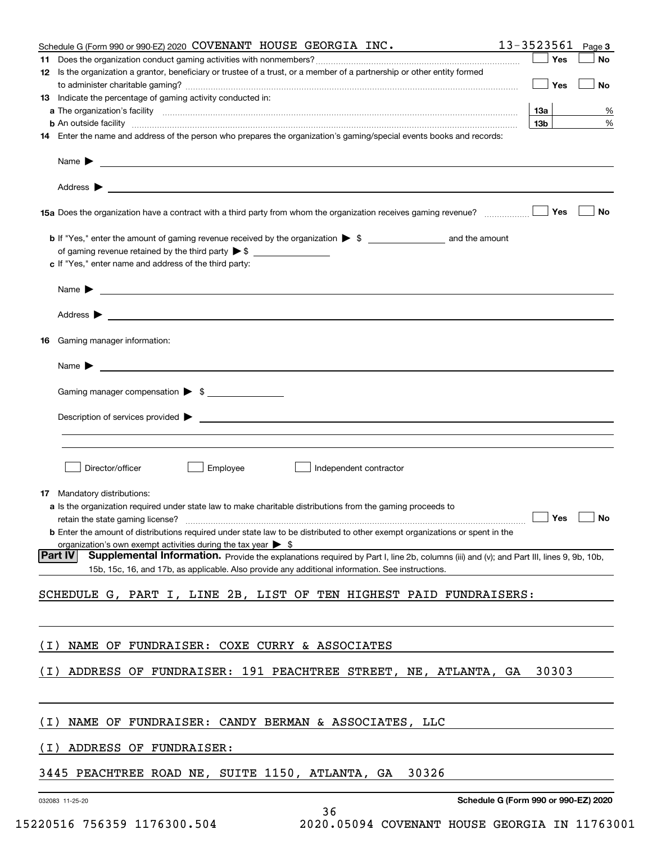| Schedule G (Form 990 or 990-EZ) 2020 COVENANT HOUSE GEORGIA INC.                                                                                                                                                                                                       | 13-3523561      | Page 3 |
|------------------------------------------------------------------------------------------------------------------------------------------------------------------------------------------------------------------------------------------------------------------------|-----------------|--------|
| 12 Is the organization a grantor, beneficiary or trustee of a trust, or a member of a partnership or other entity formed                                                                                                                                               | $\Box$ Yes      | No     |
| 13 Indicate the percentage of gaming activity conducted in:                                                                                                                                                                                                            | $\Box$ Yes      | No     |
|                                                                                                                                                                                                                                                                        | <b>13a</b>      | %      |
| <b>b</b> An outside facility <b>contained a contract and a contract of the contract of the contract of the contract of the contract of the contract of the contract of the contract of the contract of the contract of the contract o</b>                              | 13 <sub>b</sub> | %      |
| 14 Enter the name and address of the person who prepares the organization's gaming/special events books and records:                                                                                                                                                   |                 |        |
|                                                                                                                                                                                                                                                                        |                 |        |
|                                                                                                                                                                                                                                                                        |                 |        |
|                                                                                                                                                                                                                                                                        | Yes             | No     |
| <b>b</b> If "Yes," enter the amount of gaming revenue received by the organization $\triangleright$ \$                                                                                                                                                                 |                 |        |
|                                                                                                                                                                                                                                                                        |                 |        |
| c If "Yes," enter name and address of the third party:                                                                                                                                                                                                                 |                 |        |
| Name $\blacktriangleright$ $\frac{1}{\sqrt{1-\frac{1}{2}}\left(1-\frac{1}{2}\right)}$                                                                                                                                                                                  |                 |        |
|                                                                                                                                                                                                                                                                        |                 |        |
| 16 Gaming manager information:                                                                                                                                                                                                                                         |                 |        |
| Name $\blacktriangleright$ $\lrcorner$                                                                                                                                                                                                                                 |                 |        |
| Gaming manager compensation > \$                                                                                                                                                                                                                                       |                 |        |
| $Description of services provided$ $\triangleright$                                                                                                                                                                                                                    |                 |        |
|                                                                                                                                                                                                                                                                        |                 |        |
| Employee<br>Director/officer<br>Independent contractor                                                                                                                                                                                                                 |                 |        |
| 17 Mandatory distributions:                                                                                                                                                                                                                                            |                 |        |
| a Is the organization required under state law to make charitable distributions from the gaming proceeds to                                                                                                                                                            |                 |        |
| <b>No.</b> 2010 Pres ∴ No. 2010 Pres ∴ No. 2010 Pres ∴ No. 2010 Pres ∴ No. 2010 Pres ∴ No. 2010 Pres ∴ No. 2010 Pres ∴ No. 2010 Pres ∴ No. 2010 Pres ∴ No. 2010 Pres ∴ No. 2010 Pres ∴ No. 2010 Pres ∴ No. 2010 Pres ∴ No. 2010 Pr<br>retain the state gaming license? |                 |        |
| <b>b</b> Enter the amount of distributions required under state law to be distributed to other exempt organizations or spent in the<br>organization's own exempt activities during the tax year $\triangleright$ \$                                                    |                 |        |
| <b>Part IV</b><br>Supplemental Information. Provide the explanations required by Part I, line 2b, columns (iii) and (v); and Part III, lines 9, 9b, 10b,<br>15b, 15c, 16, and 17b, as applicable. Also provide any additional information. See instructions.           |                 |        |
| SCHEDULE G, PART I, LINE 2B, LIST OF TEN HIGHEST PAID FUNDRAISERS:                                                                                                                                                                                                     |                 |        |
|                                                                                                                                                                                                                                                                        |                 |        |
| NAME OF FUNDRAISER: COXE CURRY & ASSOCIATES<br>( L )                                                                                                                                                                                                                   |                 |        |
| ADDRESS OF FUNDRAISER: 191 PEACHTREE STREET, NE, ATLANTA, GA<br>( I )                                                                                                                                                                                                  | 30303           |        |
| NAME OF FUNDRAISER: CANDY BERMAN & ASSOCIATES, LLC<br>(I)                                                                                                                                                                                                              |                 |        |
| ADDRESS OF FUNDRAISER:<br>(I)                                                                                                                                                                                                                                          |                 |        |
| 3445 PEACHTREE ROAD NE, SUITE 1150, ATLANTA, GA<br>30326                                                                                                                                                                                                               |                 |        |
|                                                                                                                                                                                                                                                                        |                 |        |
| Schedule G (Form 990 or 990-EZ) 2020<br>032083 11-25-20<br>36                                                                                                                                                                                                          |                 |        |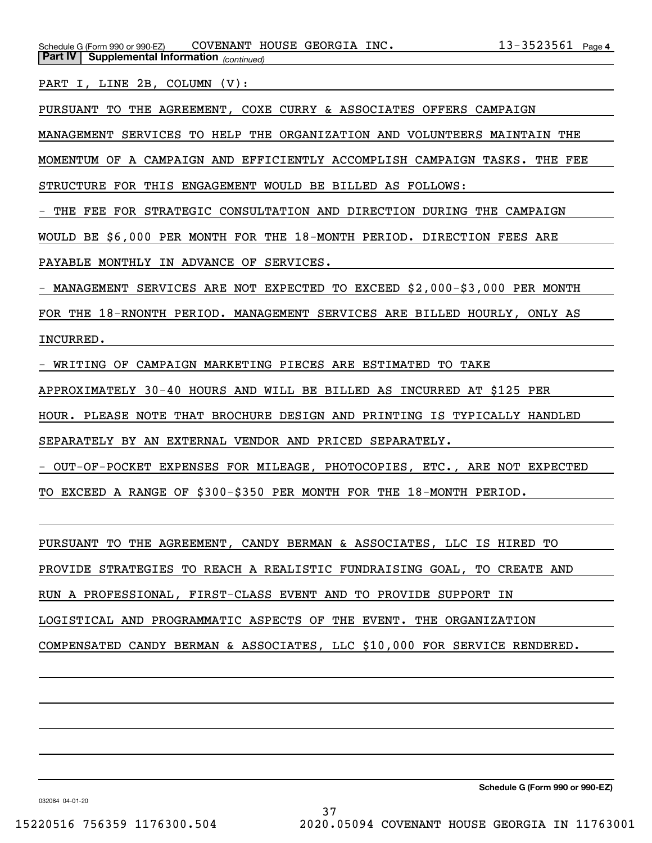PART I, LINE 2B, COLUMN (V):

PURSUANT TO THE AGREEMENT, COXE CURRY & ASSOCIATES OFFERS CAMPAIGN

MANAGEMENT SERVICES TO HELP THE ORGANIZATION AND VOLUNTEERS MAINTAIN THE

MOMENTUM OF A CAMPAIGN AND EFFICIENTLY ACCOMPLISH CAMPAIGN TASKS. THE FEE

STRUCTURE FOR THIS ENGAGEMENT WOULD BE BILLED AS FOLLOWS:

- THE FEE FOR STRATEGIC CONSULTATION AND DIRECTION DURING THE CAMPAIGN

WOULD BE \$6,000 PER MONTH FOR THE 18-MONTH PERIOD. DIRECTION FEES ARE

PAYABLE MONTHLY IN ADVANCE OF SERVICES.

- MANAGEMENT SERVICES ARE NOT EXPECTED TO EXCEED \$2,000-\$3,000 PER MONTH

FOR THE 18-RNONTH PERIOD. MANAGEMENT SERVICES ARE BILLED HOURLY, ONLY AS INCURRED.

- WRITING OF CAMPAIGN MARKETING PIECES ARE ESTIMATED TO TAKE

APPROXIMATELY 30-40 HOURS AND WILL BE BILLED AS INCURRED AT \$125 PER

HOUR. PLEASE NOTE THAT BROCHURE DESIGN AND PRINTING IS TYPICALLY HANDLED

SEPARATELY BY AN EXTERNAL VENDOR AND PRICED SEPARATELY.

- OUT-OF-POCKET EXPENSES FOR MILEAGE, PHOTOCOPIES, ETC., ARE NOT EXPECTED

TO EXCEED A RANGE OF \$300-\$350 PER MONTH FOR THE 18-MONTH PERIOD.

PURSUANT TO THE AGREEMENT, CANDY BERMAN & ASSOCIATES, LLC IS HIRED TO

PROVIDE STRATEGIES TO REACH A REALISTIC FUNDRAISING GOAL, TO CREATE AND

RUN A PROFESSIONAL, FIRST-CLASS EVENT AND TO PROVIDE SUPPORT IN

LOGISTICAL AND PROGRAMMATIC ASPECTS OF THE EVENT. THE ORGANIZATION

COMPENSATED CANDY BERMAN & ASSOCIATES, LLC \$10,000 FOR SERVICE RENDERED.

**Schedule G (Form 990 or 990-EZ)**

032084 04-01-20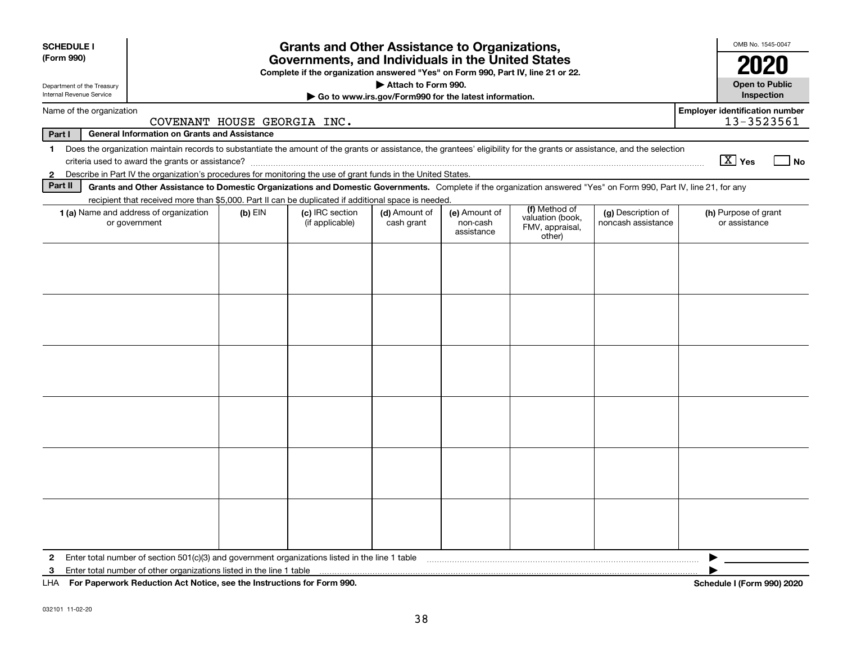| <b>SCHEDULE I</b><br>(Form 990)                        |                                                                                                                                                                          |           | OMB No. 1545-0047<br>2020          |                             |                                                       |                                               |                                          |                                       |                                            |  |  |
|--------------------------------------------------------|--------------------------------------------------------------------------------------------------------------------------------------------------------------------------|-----------|------------------------------------|-----------------------------|-------------------------------------------------------|-----------------------------------------------|------------------------------------------|---------------------------------------|--------------------------------------------|--|--|
| Department of the Treasury<br>Internal Revenue Service |                                                                                                                                                                          |           |                                    | Attach to Form 990.         | Go to www.irs.gov/Form990 for the latest information. |                                               |                                          |                                       | <b>Open to Public</b><br><b>Inspection</b> |  |  |
| Name of the organization                               | COVENANT HOUSE GEORGIA INC.                                                                                                                                              |           |                                    |                             |                                                       |                                               |                                          | <b>Employer identification number</b> | 13-3523561                                 |  |  |
| Part I                                                 | <b>General Information on Grants and Assistance</b>                                                                                                                      |           |                                    |                             |                                                       |                                               |                                          |                                       |                                            |  |  |
| $\mathbf 1$                                            | Does the organization maintain records to substantiate the amount of the grants or assistance, the grantees' eligibility for the grants or assistance, and the selection |           |                                    |                             |                                                       |                                               |                                          | $\boxed{\text{X}}$ Yes                | l No                                       |  |  |
| $\mathbf{2}$                                           | Describe in Part IV the organization's procedures for monitoring the use of grant funds in the United States.                                                            |           |                                    |                             |                                                       |                                               |                                          |                                       |                                            |  |  |
| Part II                                                | Grants and Other Assistance to Domestic Organizations and Domestic Governments. Complete if the organization answered "Yes" on Form 990, Part IV, line 21, for any       |           |                                    |                             |                                                       |                                               |                                          |                                       |                                            |  |  |
|                                                        | recipient that received more than \$5,000. Part II can be duplicated if additional space is needed.<br>(f) Method of                                                     |           |                                    |                             |                                                       |                                               |                                          |                                       |                                            |  |  |
|                                                        | 1 (a) Name and address of organization<br>or government                                                                                                                  | $(b)$ EIN | (c) IRC section<br>(if applicable) | (d) Amount of<br>cash grant | (e) Amount of<br>non-cash<br>assistance               | valuation (book,<br>FMV, appraisal,<br>other) | (g) Description of<br>noncash assistance | (h) Purpose of grant<br>or assistance |                                            |  |  |
|                                                        |                                                                                                                                                                          |           |                                    |                             |                                                       |                                               |                                          |                                       |                                            |  |  |
|                                                        |                                                                                                                                                                          |           |                                    |                             |                                                       |                                               |                                          |                                       |                                            |  |  |
|                                                        |                                                                                                                                                                          |           |                                    |                             |                                                       |                                               |                                          |                                       |                                            |  |  |
|                                                        |                                                                                                                                                                          |           |                                    |                             |                                                       |                                               |                                          |                                       |                                            |  |  |
|                                                        |                                                                                                                                                                          |           |                                    |                             |                                                       |                                               |                                          |                                       |                                            |  |  |
|                                                        |                                                                                                                                                                          |           |                                    |                             |                                                       |                                               |                                          |                                       |                                            |  |  |
|                                                        |                                                                                                                                                                          |           |                                    |                             |                                                       |                                               |                                          |                                       |                                            |  |  |
|                                                        |                                                                                                                                                                          |           |                                    |                             |                                                       |                                               |                                          |                                       |                                            |  |  |
|                                                        |                                                                                                                                                                          |           |                                    |                             |                                                       |                                               |                                          |                                       |                                            |  |  |
|                                                        |                                                                                                                                                                          |           |                                    |                             |                                                       |                                               |                                          |                                       |                                            |  |  |
|                                                        |                                                                                                                                                                          |           |                                    |                             |                                                       |                                               |                                          |                                       |                                            |  |  |
|                                                        |                                                                                                                                                                          |           |                                    |                             |                                                       |                                               |                                          |                                       |                                            |  |  |
| $\mathbf{2}$                                           | Enter total number of section 501(c)(3) and government organizations listed in the line 1 table                                                                          |           |                                    |                             |                                                       |                                               |                                          |                                       |                                            |  |  |
| 3                                                      | Enter total number of other organizations listed in the line 1 table                                                                                                     |           |                                    |                             |                                                       |                                               |                                          |                                       |                                            |  |  |
|                                                        | LHA For Paperwork Reduction Act Notice, see the Instructions for Form 990.                                                                                               |           |                                    |                             |                                                       |                                               |                                          | Schedule I (Form 990) 2020            |                                            |  |  |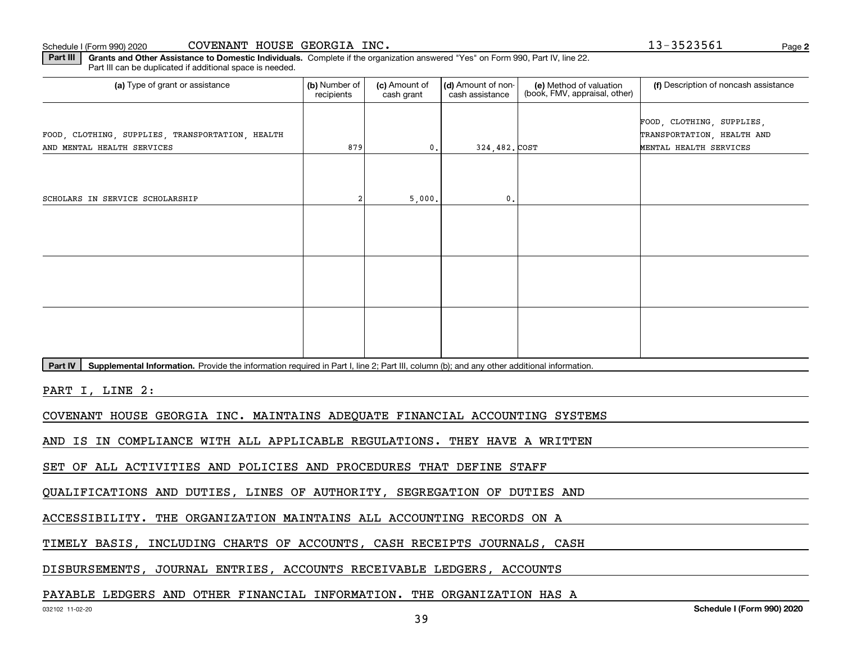**2**

**Part III** | Grants and Other Assistance to Domestic Individuals. Complete if the organization answered "Yes" on Form 990, Part IV, line 22. Part III can be duplicated if additional space is needed.

| (a) Type of grant or assistance                                                                                                                      | (b) Number of<br>recipients | (c) Amount of<br>cash grant | (d) Amount of non-<br>cash assistance | (e) Method of valuation<br>(book, FMV, appraisal, other) | (f) Description of noncash assistance                                             |
|------------------------------------------------------------------------------------------------------------------------------------------------------|-----------------------------|-----------------------------|---------------------------------------|----------------------------------------------------------|-----------------------------------------------------------------------------------|
| FOOD, CLOTHING, SUPPLIES, TRANSPORTATION, HEALTH<br>AND MENTAL HEALTH SERVICES                                                                       | 879                         | $\mathbf{0}$ .              | 324,482. COST                         |                                                          | FOOD, CLOTHING, SUPPLIES,<br>TRANSPORTATION, HEALTH AND<br>MENTAL HEALTH SERVICES |
|                                                                                                                                                      |                             |                             |                                       |                                                          |                                                                                   |
| SCHOLARS IN SERVICE SCHOLARSHIP                                                                                                                      | $\overline{2}$              | 5,000.                      | 0                                     |                                                          |                                                                                   |
|                                                                                                                                                      |                             |                             |                                       |                                                          |                                                                                   |
|                                                                                                                                                      |                             |                             |                                       |                                                          |                                                                                   |
|                                                                                                                                                      |                             |                             |                                       |                                                          |                                                                                   |
|                                                                                                                                                      |                             |                             |                                       |                                                          |                                                                                   |
|                                                                                                                                                      |                             |                             |                                       |                                                          |                                                                                   |
|                                                                                                                                                      |                             |                             |                                       |                                                          |                                                                                   |
| Supplemental Information. Provide the information required in Part I, line 2; Part III, column (b); and any other additional information.<br>Part IV |                             |                             |                                       |                                                          |                                                                                   |
| PART I, LINE 2:                                                                                                                                      |                             |                             |                                       |                                                          |                                                                                   |
| COVENANT HOUSE GEORGIA INC. MAINTAINS ADEQUATE FINANCIAL ACCOUNTING SYSTEMS                                                                          |                             |                             |                                       |                                                          |                                                                                   |
| COMPLIANCE WITH ALL APPLICABLE REGULATIONS. THEY HAVE A WRITTEN<br>IS IN<br>AND                                                                      |                             |                             |                                       |                                                          |                                                                                   |

SET OF ALL ACTIVITIES AND POLICIES AND PROCEDURES THAT DEFINE STAFF

QUALIFICATIONS AND DUTIES, LINES OF AUTHORITY, SEGREGATION OF DUTIES AND

ACCESSIBILITY. THE ORGANIZATION MAINTAINS ALL ACCOUNTING RECORDS ON A

TIMELY BASIS, INCLUDING CHARTS OF ACCOUNTS, CASH RECEIPTS JOURNALS, CASH

DISBURSEMENTS, JOURNAL ENTRIES, ACCOUNTS RECEIVABLE LEDGERS, ACCOUNTS

## PAYABLE LEDGERS AND OTHER FINANCIAL INFORMATION. THE ORGANIZATION HAS A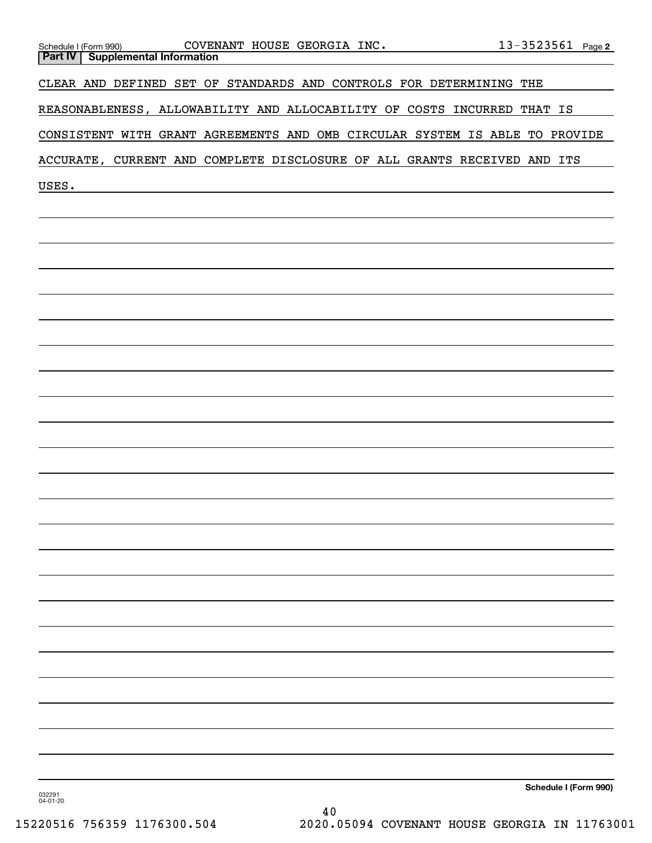| Schedule I (Form 990)<br>Part IV   Supplemental Information                 | COVENANT HOUSE GEORGIA INC. |    |  | $13 - 3523561$ Page 2 |  |
|-----------------------------------------------------------------------------|-----------------------------|----|--|-----------------------|--|
| CLEAR AND DEFINED SET OF STANDARDS AND CONTROLS FOR DETERMINING THE         |                             |    |  |                       |  |
| REASONABLENESS, ALLOWABILITY AND ALLOCABILITY OF COSTS INCURRED THAT IS     |                             |    |  |                       |  |
| CONSISTENT WITH GRANT AGREEMENTS AND OMB CIRCULAR SYSTEM IS ABLE TO PROVIDE |                             |    |  |                       |  |
| ACCURATE, CURRENT AND COMPLETE DISCLOSURE OF ALL GRANTS RECEIVED AND ITS    |                             |    |  |                       |  |
| USES.                                                                       |                             |    |  |                       |  |
|                                                                             |                             |    |  |                       |  |
|                                                                             |                             |    |  |                       |  |
|                                                                             |                             |    |  |                       |  |
|                                                                             |                             |    |  |                       |  |
|                                                                             |                             |    |  |                       |  |
|                                                                             |                             |    |  |                       |  |
|                                                                             |                             |    |  |                       |  |
|                                                                             |                             |    |  |                       |  |
|                                                                             |                             |    |  |                       |  |
|                                                                             |                             |    |  |                       |  |
|                                                                             |                             |    |  |                       |  |
|                                                                             |                             |    |  |                       |  |
|                                                                             |                             |    |  |                       |  |
|                                                                             |                             |    |  |                       |  |
|                                                                             |                             |    |  |                       |  |
|                                                                             |                             |    |  |                       |  |
|                                                                             |                             |    |  |                       |  |
|                                                                             |                             |    |  |                       |  |
|                                                                             |                             |    |  |                       |  |
|                                                                             |                             |    |  |                       |  |
|                                                                             |                             |    |  |                       |  |
|                                                                             |                             |    |  |                       |  |
|                                                                             |                             |    |  |                       |  |
| 032291<br>04-01-20                                                          |                             |    |  | Schedule I (Form 990) |  |
|                                                                             |                             | 40 |  |                       |  |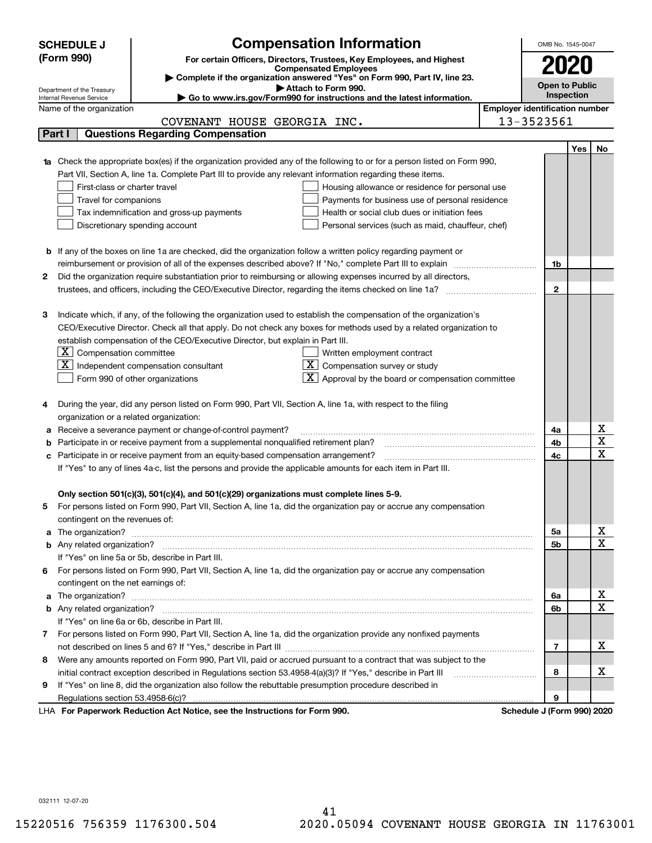|   | <b>SCHEDULE J</b>                                                                   |                                                                                                                                                                                                                                      | OMB No. 1545-0047                                                                                        |                                       |                            |     |                         |  |
|---|-------------------------------------------------------------------------------------|--------------------------------------------------------------------------------------------------------------------------------------------------------------------------------------------------------------------------------------|----------------------------------------------------------------------------------------------------------|---------------------------------------|----------------------------|-----|-------------------------|--|
|   | (Form 990)                                                                          |                                                                                                                                                                                                                                      | <b>Compensation Information</b><br>For certain Officers, Directors, Trustees, Key Employees, and Highest |                                       |                            |     |                         |  |
|   |                                                                                     |                                                                                                                                                                                                                                      | <b>Compensated Employees</b>                                                                             |                                       |                            |     |                         |  |
|   |                                                                                     | Complete if the organization answered "Yes" on Form 990, Part IV, line 23.                                                                                                                                                           |                                                                                                          |                                       | <b>Open to Public</b>      |     |                         |  |
|   | Department of the Treasury<br>Internal Revenue Service                              |                                                                                                                                                                                                                                      | Attach to Form 990.<br>Go to www.irs.gov/Form990 for instructions and the latest information.            |                                       | Inspection                 |     |                         |  |
|   | Name of the organization                                                            |                                                                                                                                                                                                                                      |                                                                                                          | <b>Employer identification number</b> |                            |     |                         |  |
|   |                                                                                     | COVENANT HOUSE GEORGIA INC.                                                                                                                                                                                                          |                                                                                                          | 13-3523561                            |                            |     |                         |  |
|   | Part I                                                                              | <b>Questions Regarding Compensation</b>                                                                                                                                                                                              |                                                                                                          |                                       |                            |     |                         |  |
|   |                                                                                     |                                                                                                                                                                                                                                      |                                                                                                          |                                       |                            | Yes | No.                     |  |
|   |                                                                                     | <b>1a</b> Check the appropriate box(es) if the organization provided any of the following to or for a person listed on Form 990,                                                                                                     |                                                                                                          |                                       |                            |     |                         |  |
|   |                                                                                     | Part VII, Section A, line 1a. Complete Part III to provide any relevant information regarding these items.                                                                                                                           |                                                                                                          |                                       |                            |     |                         |  |
|   | First-class or charter travel                                                       |                                                                                                                                                                                                                                      | Housing allowance or residence for personal use                                                          |                                       |                            |     |                         |  |
|   | Travel for companions                                                               | Payments for business use of personal residence                                                                                                                                                                                      |                                                                                                          |                                       |                            |     |                         |  |
|   | Tax indemnification and gross-up payments                                           | Health or social club dues or initiation fees                                                                                                                                                                                        |                                                                                                          |                                       |                            |     |                         |  |
|   | Discretionary spending account<br>Personal services (such as maid, chauffeur, chef) |                                                                                                                                                                                                                                      |                                                                                                          |                                       |                            |     |                         |  |
|   |                                                                                     |                                                                                                                                                                                                                                      |                                                                                                          |                                       |                            |     |                         |  |
|   |                                                                                     | <b>b</b> If any of the boxes on line 1a are checked, did the organization follow a written policy regarding payment or                                                                                                               |                                                                                                          |                                       |                            |     |                         |  |
|   |                                                                                     |                                                                                                                                                                                                                                      |                                                                                                          |                                       | 1b                         |     |                         |  |
| 2 |                                                                                     | Did the organization require substantiation prior to reimbursing or allowing expenses incurred by all directors,                                                                                                                     |                                                                                                          |                                       |                            |     |                         |  |
|   |                                                                                     |                                                                                                                                                                                                                                      |                                                                                                          |                                       | $\mathbf{2}$               |     |                         |  |
|   |                                                                                     |                                                                                                                                                                                                                                      |                                                                                                          |                                       |                            |     |                         |  |
| З |                                                                                     | Indicate which, if any, of the following the organization used to establish the compensation of the organization's                                                                                                                   |                                                                                                          |                                       |                            |     |                         |  |
|   |                                                                                     | CEO/Executive Director. Check all that apply. Do not check any boxes for methods used by a related organization to                                                                                                                   |                                                                                                          |                                       |                            |     |                         |  |
|   |                                                                                     | establish compensation of the CEO/Executive Director, but explain in Part III.                                                                                                                                                       |                                                                                                          |                                       |                            |     |                         |  |
|   | $\lfloor \texttt{X} \rfloor$ Compensation committee                                 |                                                                                                                                                                                                                                      | Written employment contract                                                                              |                                       |                            |     |                         |  |
|   |                                                                                     | $ \mathbf{X} $ Independent compensation consultant                                                                                                                                                                                   | Compensation survey or study                                                                             |                                       |                            |     |                         |  |
|   |                                                                                     | Form 990 of other organizations                                                                                                                                                                                                      | Approval by the board or compensation committee                                                          |                                       |                            |     |                         |  |
|   |                                                                                     |                                                                                                                                                                                                                                      |                                                                                                          |                                       |                            |     |                         |  |
|   |                                                                                     | During the year, did any person listed on Form 990, Part VII, Section A, line 1a, with respect to the filing                                                                                                                         |                                                                                                          |                                       |                            |     |                         |  |
|   | organization or a related organization:                                             |                                                                                                                                                                                                                                      |                                                                                                          |                                       | 4a                         |     | х                       |  |
| а |                                                                                     | Receive a severance payment or change-of-control payment?<br>Participate in or receive payment from a supplemental nonqualified retirement plan?                                                                                     |                                                                                                          |                                       | 4b                         |     | $\overline{\textbf{x}}$ |  |
|   |                                                                                     | c Participate in or receive payment from an equity-based compensation arrangement?                                                                                                                                                   |                                                                                                          |                                       | 4c                         |     | $\mathbf X$             |  |
|   |                                                                                     | If "Yes" to any of lines 4a-c, list the persons and provide the applicable amounts for each item in Part III.                                                                                                                        |                                                                                                          |                                       |                            |     |                         |  |
|   |                                                                                     |                                                                                                                                                                                                                                      |                                                                                                          |                                       |                            |     |                         |  |
|   |                                                                                     | Only section 501(c)(3), 501(c)(4), and 501(c)(29) organizations must complete lines 5-9.                                                                                                                                             |                                                                                                          |                                       |                            |     |                         |  |
| 5 |                                                                                     | For persons listed on Form 990, Part VII, Section A, line 1a, did the organization pay or accrue any compensation                                                                                                                    |                                                                                                          |                                       |                            |     |                         |  |
|   | contingent on the revenues of:                                                      |                                                                                                                                                                                                                                      |                                                                                                          |                                       |                            |     |                         |  |
|   |                                                                                     | a The organization? <b>With the contract of the contract of the contract of the contract of the contract of the contract of the contract of the contract of the contract of the contract of the contract of the contract of the </b> |                                                                                                          |                                       | 5a                         |     | х                       |  |
|   |                                                                                     |                                                                                                                                                                                                                                      |                                                                                                          |                                       | 5b                         |     | $\mathbf X$             |  |
|   |                                                                                     | If "Yes" on line 5a or 5b, describe in Part III.                                                                                                                                                                                     |                                                                                                          |                                       |                            |     |                         |  |
|   |                                                                                     | 6 For persons listed on Form 990, Part VII, Section A, line 1a, did the organization pay or accrue any compensation                                                                                                                  |                                                                                                          |                                       |                            |     |                         |  |
|   | contingent on the net earnings of:                                                  |                                                                                                                                                                                                                                      |                                                                                                          |                                       |                            |     |                         |  |
|   |                                                                                     |                                                                                                                                                                                                                                      |                                                                                                          |                                       | 6a                         |     | х                       |  |
|   |                                                                                     |                                                                                                                                                                                                                                      |                                                                                                          |                                       | 6b                         |     | X                       |  |
|   |                                                                                     | If "Yes" on line 6a or 6b, describe in Part III.                                                                                                                                                                                     |                                                                                                          |                                       |                            |     |                         |  |
|   |                                                                                     | 7 For persons listed on Form 990, Part VII, Section A, line 1a, did the organization provide any nonfixed payments                                                                                                                   |                                                                                                          |                                       |                            |     |                         |  |
|   |                                                                                     |                                                                                                                                                                                                                                      |                                                                                                          |                                       | 7                          |     | х                       |  |
|   |                                                                                     | 8 Were any amounts reported on Form 990, Part VII, paid or accrued pursuant to a contract that was subject to the                                                                                                                    |                                                                                                          |                                       |                            |     |                         |  |
|   |                                                                                     |                                                                                                                                                                                                                                      |                                                                                                          |                                       | 8                          |     | х                       |  |
| 9 |                                                                                     | If "Yes" on line 8, did the organization also follow the rebuttable presumption procedure described in                                                                                                                               |                                                                                                          |                                       |                            |     |                         |  |
|   |                                                                                     |                                                                                                                                                                                                                                      |                                                                                                          |                                       | 9                          |     |                         |  |
|   |                                                                                     | LHA For Paperwork Reduction Act Notice, see the Instructions for Form 990.                                                                                                                                                           |                                                                                                          |                                       | Schedule J (Form 990) 2020 |     |                         |  |

032111 12-07-20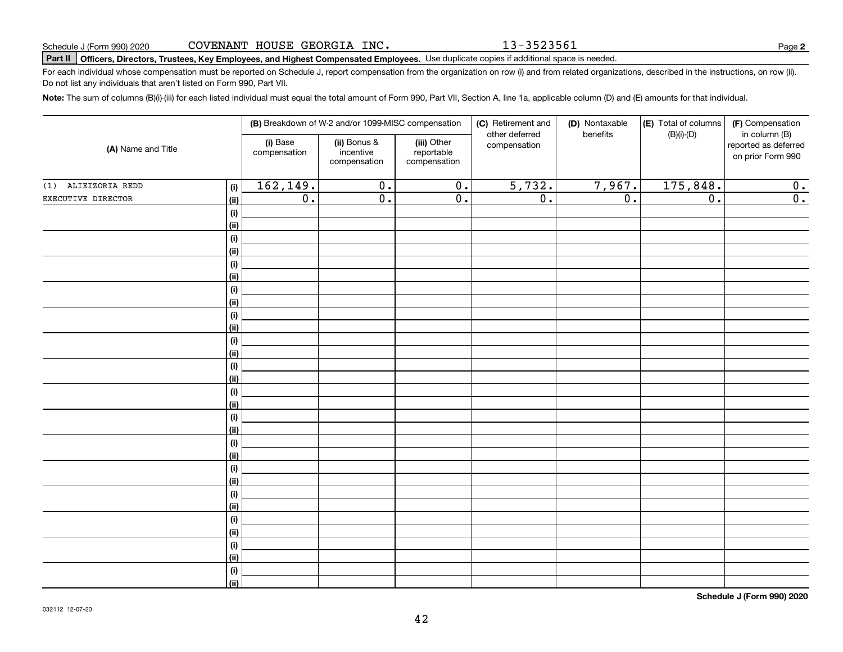13-3523561

**2**

# **Part II Officers, Directors, Trustees, Key Employees, and Highest Compensated Employees.**  Schedule J (Form 990) 2020 Page Use duplicate copies if additional space is needed.

For each individual whose compensation must be reported on Schedule J, report compensation from the organization on row (i) and from related organizations, described in the instructions, on row (ii). Do not list any individuals that aren't listed on Form 990, Part VII.

**Note:**  The sum of columns (B)(i)-(iii) for each listed individual must equal the total amount of Form 990, Part VII, Section A, line 1a, applicable column (D) and (E) amounts for that individual.

|                     |                |                          | (B) Breakdown of W-2 and/or 1099-MISC compensation |                                           | (C) Retirement and<br>other deferred | (D) Nontaxable<br>benefits | (E) Total of columns<br>$(B)(i)-(D)$ | (F) Compensation<br>in column (B)         |  |
|---------------------|----------------|--------------------------|----------------------------------------------------|-------------------------------------------|--------------------------------------|----------------------------|--------------------------------------|-------------------------------------------|--|
| (A) Name and Title  |                | (i) Base<br>compensation | (ii) Bonus &<br>incentive<br>compensation          | (iii) Other<br>reportable<br>compensation | compensation                         |                            |                                      | reported as deferred<br>on prior Form 990 |  |
| (1) ALIEIZORIA REDD | (i)            | 162, 149.                | $\overline{0}$ .                                   | $\overline{0}$ .                          | 5,732.                               | 7,967.                     | 175,848.                             | 0.                                        |  |
| EXECUTIVE DIRECTOR  | (ii)           | $\overline{0}$ .         | $\overline{0}$ .                                   | $\overline{0}$ .                          | $\overline{0}$ .                     | $\overline{0}$ .           | $\overline{0}$ .                     | $\overline{0}$ .                          |  |
|                     | (i)            |                          |                                                    |                                           |                                      |                            |                                      |                                           |  |
|                     | <u>(ii)</u>    |                          |                                                    |                                           |                                      |                            |                                      |                                           |  |
|                     | (i)            |                          |                                                    |                                           |                                      |                            |                                      |                                           |  |
|                     | <u>(ii)</u>    |                          |                                                    |                                           |                                      |                            |                                      |                                           |  |
|                     | (i)            |                          |                                                    |                                           |                                      |                            |                                      |                                           |  |
|                     | <u>(ii)</u>    |                          |                                                    |                                           |                                      |                            |                                      |                                           |  |
|                     | (i)            |                          |                                                    |                                           |                                      |                            |                                      |                                           |  |
|                     | <u>(ii)</u>    |                          |                                                    |                                           |                                      |                            |                                      |                                           |  |
|                     | (i)            |                          |                                                    |                                           |                                      |                            |                                      |                                           |  |
|                     | <u>(ii)</u>    |                          |                                                    |                                           |                                      |                            |                                      |                                           |  |
|                     | (i)            |                          |                                                    |                                           |                                      |                            |                                      |                                           |  |
|                     | (ii)<br>(i)    |                          |                                                    |                                           |                                      |                            |                                      |                                           |  |
|                     | (ii)           |                          |                                                    |                                           |                                      |                            |                                      |                                           |  |
|                     | (i)            |                          |                                                    |                                           |                                      |                            |                                      |                                           |  |
|                     | (ii)           |                          |                                                    |                                           |                                      |                            |                                      |                                           |  |
|                     | (i)            |                          |                                                    |                                           |                                      |                            |                                      |                                           |  |
|                     | (ii)           |                          |                                                    |                                           |                                      |                            |                                      |                                           |  |
|                     | (i)            |                          |                                                    |                                           |                                      |                            |                                      |                                           |  |
|                     | <u>(ii)</u>    |                          |                                                    |                                           |                                      |                            |                                      |                                           |  |
|                     | (i)            |                          |                                                    |                                           |                                      |                            |                                      |                                           |  |
|                     | <u>(ii)</u>    |                          |                                                    |                                           |                                      |                            |                                      |                                           |  |
|                     | (i)            |                          |                                                    |                                           |                                      |                            |                                      |                                           |  |
|                     | <u>(ii)</u>    |                          |                                                    |                                           |                                      |                            |                                      |                                           |  |
|                     | (i)            |                          |                                                    |                                           |                                      |                            |                                      |                                           |  |
|                     | (ii)           |                          |                                                    |                                           |                                      |                            |                                      |                                           |  |
|                     | (i)            |                          |                                                    |                                           |                                      |                            |                                      |                                           |  |
|                     | <u>(ii)</u>    |                          |                                                    |                                           |                                      |                            |                                      |                                           |  |
|                     | (i)            |                          |                                                    |                                           |                                      |                            |                                      |                                           |  |
|                     | $\overline{}}$ |                          |                                                    |                                           |                                      |                            |                                      |                                           |  |

**Schedule J (Form 990) 2020**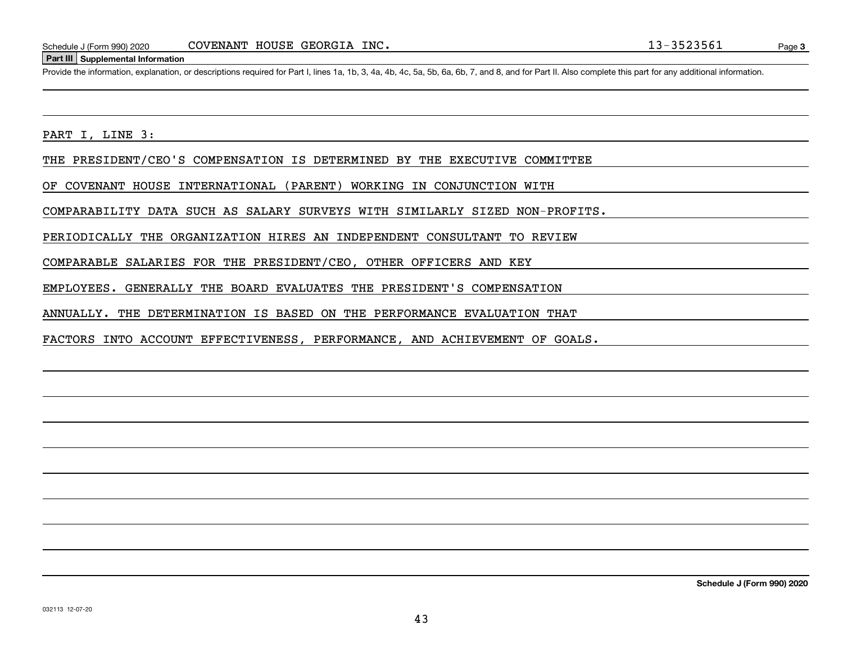### **Part III Supplemental Information**

Schedule J (Form 990) 2020 COVENANT HOUSE GEORGIA INC.<br>Part III Supplemental Information<br>Provide the information, explanation, or descriptions required for Part I, lines 1a, 1b, 3, 4a, 4b, 4c, 5a, 5b, 6a, 6b, 7, and 8, and

PART I, LINE 3:

THE PRESIDENT/CEO'S COMPENSATION IS DETERMINED BY THE EXECUTIVE COMMITTEE

OF COVENANT HOUSE INTERNATIONAL (PARENT) WORKING IN CONJUNCTION WITH

COMPARABILITY DATA SUCH AS SALARY SURVEYS WITH SIMILARLY SIZED NON-PROFITS.

PERIODICALLY THE ORGANIZATION HIRES AN INDEPENDENT CONSULTANT TO REVIEW

COMPARABLE SALARIES FOR THE PRESIDENT/CEO, OTHER OFFICERS AND KEY

EMPLOYEES. GENERALLY THE BOARD EVALUATES THE PRESIDENT'S COMPENSATION

ANNUALLY. THE DETERMINATION IS BASED ON THE PERFORMANCE EVALUATION THAT

FACTORS INTO ACCOUNT EFFECTIVENESS, PERFORMANCE, AND ACHIEVEMENT OF GOALS.

**Schedule J (Form 990) 2020**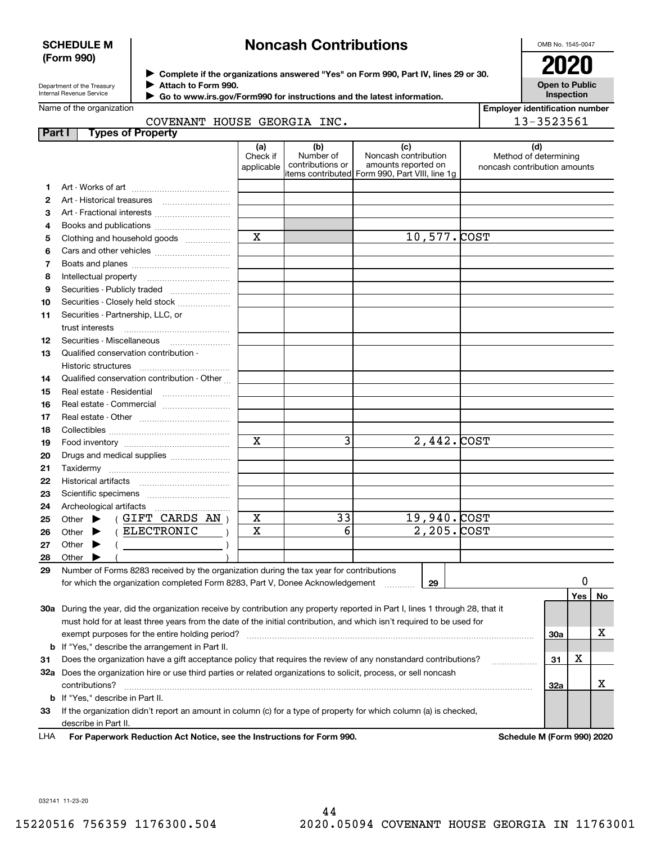## **SCHEDULE M (Form 990)**

# **Noncash Contributions**

OMB No. 1545-0047

**Open to Public Inspection**

| Department of the Treasury      |
|---------------------------------|
| <b>Internal Revenue Service</b> |

**Complete if the organizations answered "Yes" on Form 990, Part IV, lines 29 or 30.** <sup>J</sup>**2020 Attach to Form 990.** J

 **Go to www.irs.gov/Form990 for instructions and the latest information.** J

| Name of the organization |  |
|--------------------------|--|
|--------------------------|--|

| ployer identification numb |  |  |  |           |  |  |
|----------------------------|--|--|--|-----------|--|--|
|                            |  |  |  | $\bullet$ |  |  |

|        | Name of the organization                                                                                                                             | <b>Employer identification number</b> |                                      |                                                                                                      |            |                                                              |                  |    |
|--------|------------------------------------------------------------------------------------------------------------------------------------------------------|---------------------------------------|--------------------------------------|------------------------------------------------------------------------------------------------------|------------|--------------------------------------------------------------|------------------|----|
|        | COVENANT HOUSE GEORGIA INC.                                                                                                                          |                                       |                                      |                                                                                                      | 13-3523561 |                                                              |                  |    |
| Part I | <b>Types of Property</b>                                                                                                                             |                                       |                                      |                                                                                                      |            |                                                              |                  |    |
|        |                                                                                                                                                      | (a)<br>Check if<br>applicable         | (b)<br>Number of<br>contributions or | (c)<br>Noncash contribution<br>amounts reported on<br>items contributed Form 990, Part VIII, line 1g |            | (d)<br>Method of determining<br>noncash contribution amounts |                  |    |
| 1.     |                                                                                                                                                      |                                       |                                      |                                                                                                      |            |                                                              |                  |    |
| 2      |                                                                                                                                                      |                                       |                                      |                                                                                                      |            |                                                              |                  |    |
| 3      | Art - Fractional interests                                                                                                                           |                                       |                                      |                                                                                                      |            |                                                              |                  |    |
| 4      | Books and publications                                                                                                                               |                                       |                                      |                                                                                                      |            |                                                              |                  |    |
| 5      | Clothing and household goods                                                                                                                         | X                                     |                                      | 10,577. COST                                                                                         |            |                                                              |                  |    |
| 6      |                                                                                                                                                      |                                       |                                      |                                                                                                      |            |                                                              |                  |    |
| 7      |                                                                                                                                                      |                                       |                                      |                                                                                                      |            |                                                              |                  |    |
| 8      | Intellectual property                                                                                                                                |                                       |                                      |                                                                                                      |            |                                                              |                  |    |
| 9      | Securities - Publicly traded                                                                                                                         |                                       |                                      |                                                                                                      |            |                                                              |                  |    |
| 10     | Securities - Closely held stock                                                                                                                      |                                       |                                      |                                                                                                      |            |                                                              |                  |    |
| 11     | Securities - Partnership, LLC, or                                                                                                                    |                                       |                                      |                                                                                                      |            |                                                              |                  |    |
|        | trust interests                                                                                                                                      |                                       |                                      |                                                                                                      |            |                                                              |                  |    |
| 12     | Securities - Miscellaneous                                                                                                                           |                                       |                                      |                                                                                                      |            |                                                              |                  |    |
| 13     | Qualified conservation contribution -                                                                                                                |                                       |                                      |                                                                                                      |            |                                                              |                  |    |
|        | Historic structures                                                                                                                                  |                                       |                                      |                                                                                                      |            |                                                              |                  |    |
| 14     | Qualified conservation contribution - Other                                                                                                          |                                       |                                      |                                                                                                      |            |                                                              |                  |    |
| 15     | Real estate - Residential                                                                                                                            |                                       |                                      |                                                                                                      |            |                                                              |                  |    |
| 16     | Real estate - Commercial                                                                                                                             |                                       |                                      |                                                                                                      |            |                                                              |                  |    |
| 17     |                                                                                                                                                      |                                       |                                      |                                                                                                      |            |                                                              |                  |    |
| 18     |                                                                                                                                                      |                                       |                                      |                                                                                                      |            |                                                              |                  |    |
| 19     |                                                                                                                                                      | $\mathbf x$                           | 3                                    | $2,442.$ COST                                                                                        |            |                                                              |                  |    |
| 20     | Drugs and medical supplies                                                                                                                           |                                       |                                      |                                                                                                      |            |                                                              |                  |    |
| 21     |                                                                                                                                                      |                                       |                                      |                                                                                                      |            |                                                              |                  |    |
| 22     |                                                                                                                                                      |                                       |                                      |                                                                                                      |            |                                                              |                  |    |
| 23     |                                                                                                                                                      |                                       |                                      |                                                                                                      |            |                                                              |                  |    |
| 24     |                                                                                                                                                      |                                       |                                      |                                                                                                      |            |                                                              |                  |    |
| 25     | (GIFT CARDS AN)<br>Other $\blacktriangleright$                                                                                                       | X                                     | 33                                   | 19,940.COST                                                                                          |            |                                                              |                  |    |
| 26     | <b>ELECTRONIC</b><br>Other $\blacktriangleright$                                                                                                     | х                                     | 6                                    | 2,205. COST                                                                                          |            |                                                              |                  |    |
| 27     | Other $\blacktriangleright$<br><u> 1999 - John Harry Harry Harry Harry Harry Harry Harry Harry Harry Harry Harry Harry Harry Harry Harry Harry H</u> |                                       |                                      |                                                                                                      |            |                                                              |                  |    |
| 28     | Other $\blacktriangleright$                                                                                                                          |                                       |                                      |                                                                                                      |            |                                                              |                  |    |
| 29     | Number of Forms 8283 received by the organization during the tax year for contributions                                                              |                                       |                                      |                                                                                                      |            |                                                              |                  |    |
|        |                                                                                                                                                      |                                       |                                      |                                                                                                      |            |                                                              | $\boldsymbol{0}$ |    |
|        |                                                                                                                                                      |                                       |                                      |                                                                                                      |            |                                                              | Yes              | No |
|        | 30a During the year, did the organization receive by contribution any property reported in Part I, lines 1 through 28, that it                       |                                       |                                      |                                                                                                      |            |                                                              |                  |    |
|        | must hold for at least three years from the date of the initial contribution, and which isn't required to be used for                                |                                       |                                      |                                                                                                      |            |                                                              |                  |    |
|        | exempt purposes for the entire holding period?                                                                                                       |                                       |                                      |                                                                                                      |            | 30a                                                          |                  | х  |
| b      | If "Yes," describe the arrangement in Part II.                                                                                                       |                                       |                                      |                                                                                                      |            |                                                              |                  |    |
| 31     | Does the organization have a gift acceptance policy that requires the review of any nonstandard contributions?                                       |                                       |                                      |                                                                                                      |            | 31                                                           | х                |    |
|        | 32a Does the organization hire or use third parties or related organizations to solicit, process, or sell noncash                                    |                                       |                                      |                                                                                                      |            |                                                              |                  |    |

**33**If the organization didn't report an amount in column (c) for a type of property for which column (a) is checked, **b**If "Yes," describe in Part II. describe in Part II.

contributions? ~~~~~~~~~~~~~~~~~~~~~~~~~~~~~~~~~~~~~~~~~~~~~~~~~~~~~~

**For Paperwork Reduction Act Notice, see the Instructions for Form 990. Schedule M (Form 990) 2020** LHA

**32a**

X

032141 11-23-20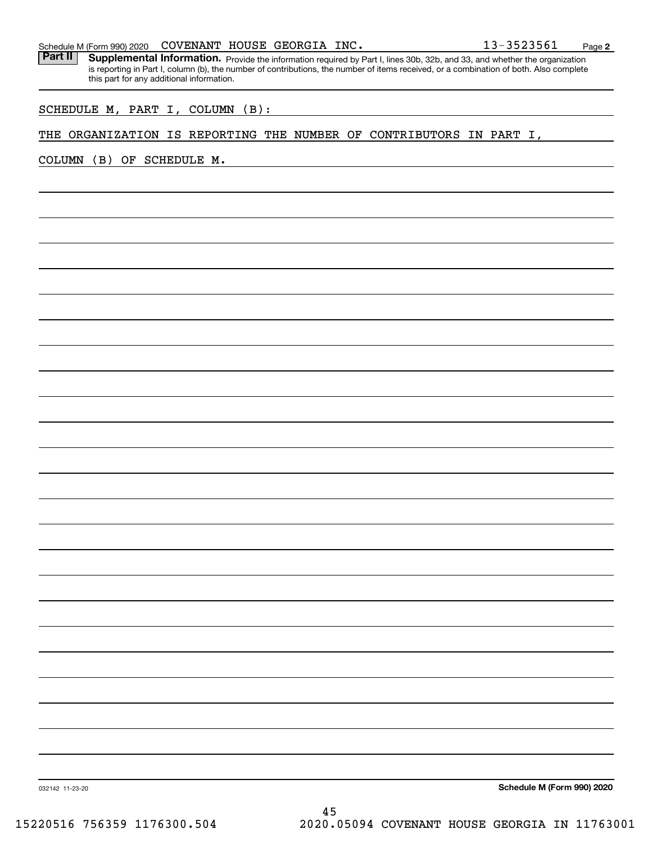| Schedule M (Form 990) 2020 | COVENANT |  | HOUSE GEORGIA . | INC. | 3523561<br>Page |  |
|----------------------------|----------|--|-----------------|------|-----------------|--|
|----------------------------|----------|--|-----------------|------|-----------------|--|

Part II | Supplemental Information. Provide the information required by Part I, lines 30b, 32b, and 33, and whether the organization is reporting in Part I, column (b), the number of contributions, the number of items received, or a combination of both. Also complete this part for any additional information.

SCHEDULE M, PART I, COLUMN (B):

## THE ORGANIZATION IS REPORTING THE NUMBER OF CONTRIBUTORS IN PART I,

COLUMN (B) OF SCHEDULE M.

**Schedule M (Form 990) 2020**

032142 11-23-20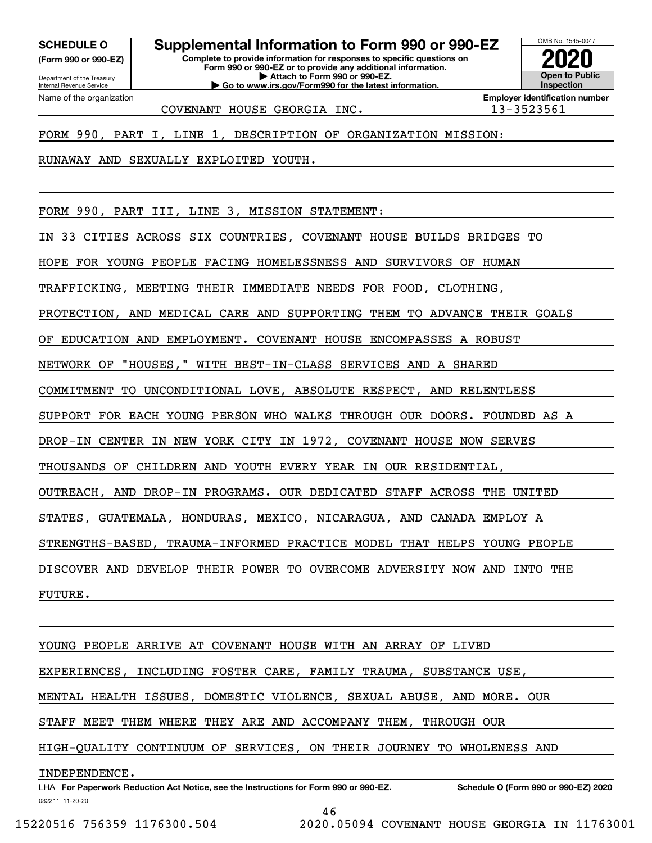**(Form 990 or 990-EZ)**

Department of the Treasury Internal Revenue Service Name of the organization

**SCHEDULE O Supplemental Information to Form 990 or 990-EZ**

**Complete to provide information for responses to specific questions on Form 990 or 990-EZ or to provide any additional information. | Attach to Form 990 or 990-EZ.**

**| Go to www.irs.gov/Form990 for the latest information.**

OMB No. 1545-0047 **Open to Public Inspection2020**

**Employer identification number**

COVENANT HOUSE GEORGIA INC. | 13-3523561

FORM 990, PART I, LINE 1, DESCRIPTION OF ORGANIZATION MISSION:

RUNAWAY AND SEXUALLY EXPLOITED YOUTH.

FORM 990, PART III, LINE 3, MISSION STATEMENT:

IN 33 CITIES ACROSS SIX COUNTRIES, COVENANT HOUSE BUILDS BRIDGES TO

HOPE FOR YOUNG PEOPLE FACING HOMELESSNESS AND SURVIVORS OF HUMAN

TRAFFICKING, MEETING THEIR IMMEDIATE NEEDS FOR FOOD, CLOTHING,

PROTECTION, AND MEDICAL CARE AND SUPPORTING THEM TO ADVANCE THEIR GOALS

OF EDUCATION AND EMPLOYMENT. COVENANT HOUSE ENCOMPASSES A ROBUST

NETWORK OF "HOUSES," WITH BEST-IN-CLASS SERVICES AND A SHARED

COMMITMENT TO UNCONDITIONAL LOVE, ABSOLUTE RESPECT, AND RELENTLESS

SUPPORT FOR EACH YOUNG PERSON WHO WALKS THROUGH OUR DOORS. FOUNDED AS A

DROP-IN CENTER IN NEW YORK CITY IN 1972, COVENANT HOUSE NOW SERVES

THOUSANDS OF CHILDREN AND YOUTH EVERY YEAR IN OUR RESIDENTIAL,

OUTREACH, AND DROP-IN PROGRAMS. OUR DEDICATED STAFF ACROSS THE UNITED

STATES, GUATEMALA, HONDURAS, MEXICO, NICARAGUA, AND CANADA EMPLOY A

STRENGTHS-BASED, TRAUMA-INFORMED PRACTICE MODEL THAT HELPS YOUNG PEOPLE

DISCOVER AND DEVELOP THEIR POWER TO OVERCOME ADVERSITY NOW AND INTO THE

FUTURE.

YOUNG PEOPLE ARRIVE AT COVENANT HOUSE WITH AN ARRAY OF LIVED EXPERIENCES, INCLUDING FOSTER CARE, FAMILY TRAUMA, SUBSTANCE USE, MENTAL HEALTH ISSUES, DOMESTIC VIOLENCE, SEXUAL ABUSE, AND MORE. OUR STAFF MEET THEM WHERE THEY ARE AND ACCOMPANY THEM, THROUGH OUR HIGH-QUALITY CONTINUUM OF SERVICES, ON THEIR JOURNEY TO WHOLENESS AND INDEPENDENCE.

032211 11-20-20 LHA For Paperwork Reduction Act Notice, see the Instructions for Form 990 or 990-EZ. Schedule O (Form 990 or 990-EZ) 2020 46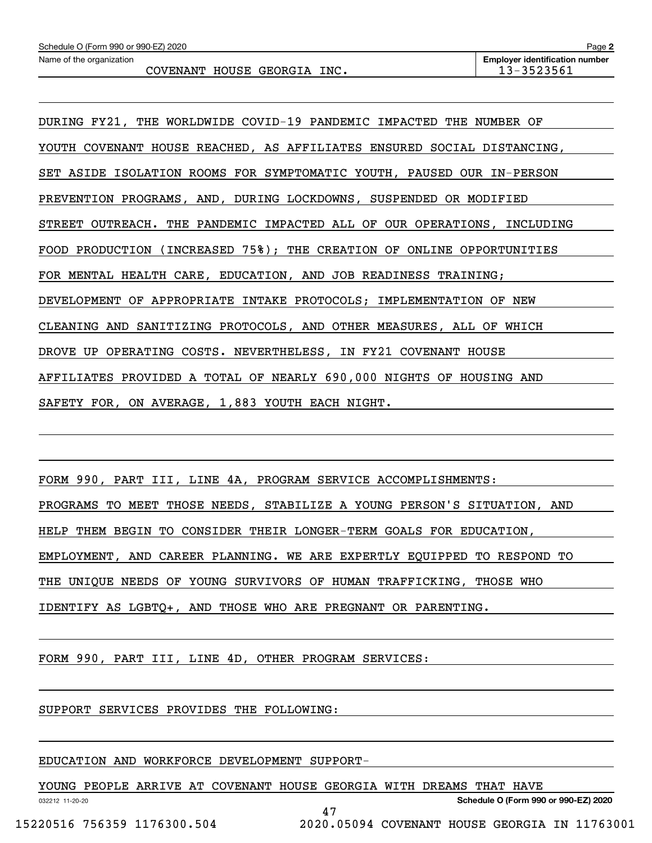DURING FY21, THE WORLDWIDE COVID-19 PANDEMIC IMPACTED THE NUMBER OF YOUTH COVENANT HOUSE REACHED, AS AFFILIATES ENSURED SOCIAL DISTANCING, SET ASIDE ISOLATION ROOMS FOR SYMPTOMATIC YOUTH, PAUSED OUR IN-PERSON PREVENTION PROGRAMS, AND, DURING LOCKDOWNS, SUSPENDED OR MODIFIED STREET OUTREACH. THE PANDEMIC IMPACTED ALL OF OUR OPERATIONS, INCLUDING FOOD PRODUCTION (INCREASED 75%); THE CREATION OF ONLINE OPPORTUNITIES FOR MENTAL HEALTH CARE, EDUCATION, AND JOB READINESS TRAINING; DEVELOPMENT OF APPROPRIATE INTAKE PROTOCOLS; IMPLEMENTATION OF NEW CLEANING AND SANITIZING PROTOCOLS, AND OTHER MEASURES, ALL OF WHICH DROVE UP OPERATING COSTS. NEVERTHELESS, IN FY21 COVENANT HOUSE AFFILIATES PROVIDED A TOTAL OF NEARLY 690,000 NIGHTS OF HOUSING AND SAFETY FOR, ON AVERAGE, 1,883 YOUTH EACH NIGHT.

FORM 990, PART III, LINE 4A, PROGRAM SERVICE ACCOMPLISHMENTS: PROGRAMS TO MEET THOSE NEEDS, STABILIZE A YOUNG PERSON'S SITUATION, AND HELP THEM BEGIN TO CONSIDER THEIR LONGER-TERM GOALS FOR EDUCATION, EMPLOYMENT, AND CAREER PLANNING. WE ARE EXPERTLY EQUIPPED TO RESPOND TO THE UNIQUE NEEDS OF YOUNG SURVIVORS OF HUMAN TRAFFICKING, THOSE WHO IDENTIFY AS LGBTQ+, AND THOSE WHO ARE PREGNANT OR PARENTING.

FORM 990, PART III, LINE 4D, OTHER PROGRAM SERVICES:

SUPPORT SERVICES PROVIDES THE FOLLOWING:

EDUCATION AND WORKFORCE DEVELOPMENT SUPPORT-

YOUNG PEOPLE ARRIVE AT COVENANT HOUSE GEORGIA WITH DREAMS THAT HAVE

47

**Schedule O (Form 990 or 990-EZ) 2020**

032212 11-20-20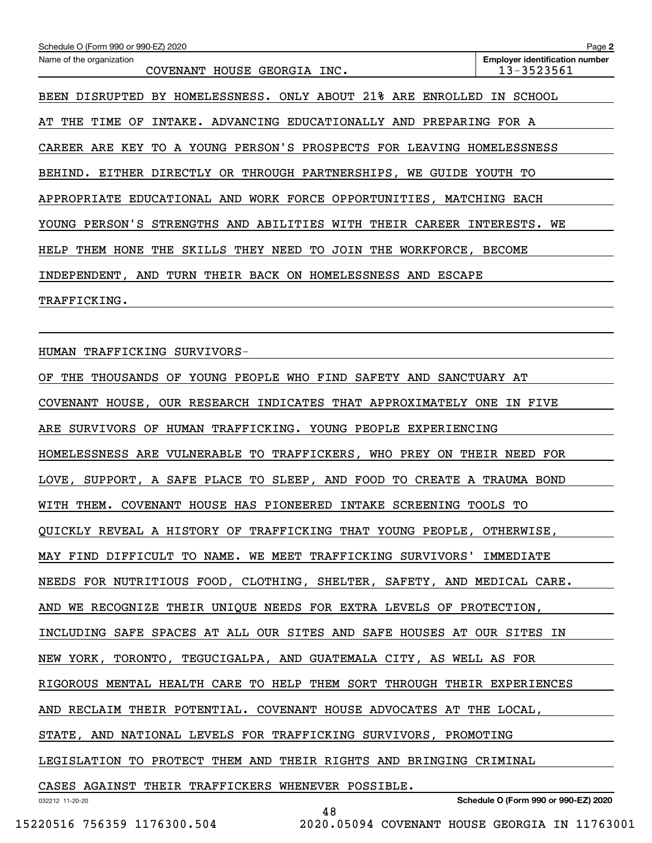| Schedule O (Form 990 or 990-EZ) 2020                                      | Page 2                                              |
|---------------------------------------------------------------------------|-----------------------------------------------------|
| Name of the organization<br>COVENANT HOUSE GEORGIA INC.                   | <b>Employer identification number</b><br>13-3523561 |
| BEEN DISRUPTED BY HOMELESSNESS. ONLY ABOUT 21% ARE ENROLLED               | IN SCHOOL                                           |
| THE TIME OF<br>INTAKE. ADVANCING EDUCATIONALLY AND PREPARING FOR A<br>AT. |                                                     |
| CAREER ARE KEY TO A YOUNG PERSON'S PROSPECTS FOR LEAVING HOMELESSNESS     |                                                     |
| BEHIND. EITHER DIRECTLY OR THROUGH PARTNERSHIPS, WE GUIDE YOUTH TO        |                                                     |
| APPROPRIATE EDUCATIONAL AND WORK FORCE OPPORTUNITIES, MATCHING EACH       |                                                     |
| YOUNG PERSON'S STRENGTHS AND ABILITIES WITH THEIR CAREER INTERESTS. WE    |                                                     |
| THEM HONE THE SKILLS THEY NEED TO JOIN THE WORKFORCE, BECOME<br>HELP      |                                                     |
| INDEPENDENT, AND TURN THEIR BACK ON HOMELESSNESS AND ESCAPE               |                                                     |
| TRAFFICKING.                                                              |                                                     |
|                                                                           |                                                     |
| HUMAN TRAFFICKING SURVIVORS-                                              |                                                     |
| THE THOUSANDS OF YOUNG PEOPLE WHO FIND SAFETY AND SANCTUARY AT<br>OF      |                                                     |
| COVENANT HOUSE, OUR RESEARCH INDICATES THAT APPROXIMATELY ONE IN FIVE     |                                                     |
| ARE SURVIVORS OF HUMAN TRAFFICKING. YOUNG PEOPLE EXPERIENCING             |                                                     |
| HOMELESSNESS ARE VULNERABLE TO TRAFFICKERS, WHO PREY ON THEIR NEED FOR    |                                                     |
| LOVE, SUPPORT, A SAFE PLACE TO SLEEP, AND FOOD TO CREATE A TRAUMA BOND    |                                                     |
| WITH THEM. COVENANT HOUSE HAS PIONEERED INTAKE SCREENING TOOLS TO         |                                                     |
| QUICKLY REVEAL A HISTORY OF TRAFFICKING THAT YOUNG PEOPLE, OTHERWISE,     |                                                     |
| MAY FIND DIFFICULT TO NAME. WE MEET TRAFFICKING SURVIVORS' IMMEDIATE      |                                                     |
| NEEDS FOR NUTRITIOUS FOOD, CLOTHING, SHELTER, SAFETY, AND MEDICAL CARE.   |                                                     |
| AND WE RECOGNIZE THEIR UNIQUE NEEDS FOR EXTRA LEVELS OF PROTECTION,       |                                                     |
| INCLUDING SAFE SPACES AT ALL OUR SITES AND SAFE HOUSES AT OUR SITES IN    |                                                     |
| NEW YORK, TORONTO, TEGUCIGALPA, AND GUATEMALA CITY, AS WELL AS FOR        |                                                     |
| RIGOROUS MENTAL HEALTH CARE TO HELP THEM SORT THROUGH THEIR EXPERIENCES   |                                                     |
| AND RECLAIM THEIR POTENTIAL. COVENANT HOUSE ADVOCATES AT THE LOCAL,       |                                                     |
| STATE, AND NATIONAL LEVELS FOR TRAFFICKING SURVIVORS, PROMOTING           |                                                     |
| LEGISLATION TO PROTECT THEM AND THEIR RIGHTS AND BRINGING CRIMINAL        |                                                     |
| CASES AGAINST THEIR TRAFFICKERS WHENEVER POSSIBLE.                        |                                                     |
| 032212 11-20-20<br>$\sqrt{2}$                                             | Schedule O (Form 990 or 990-EZ) 2020                |

48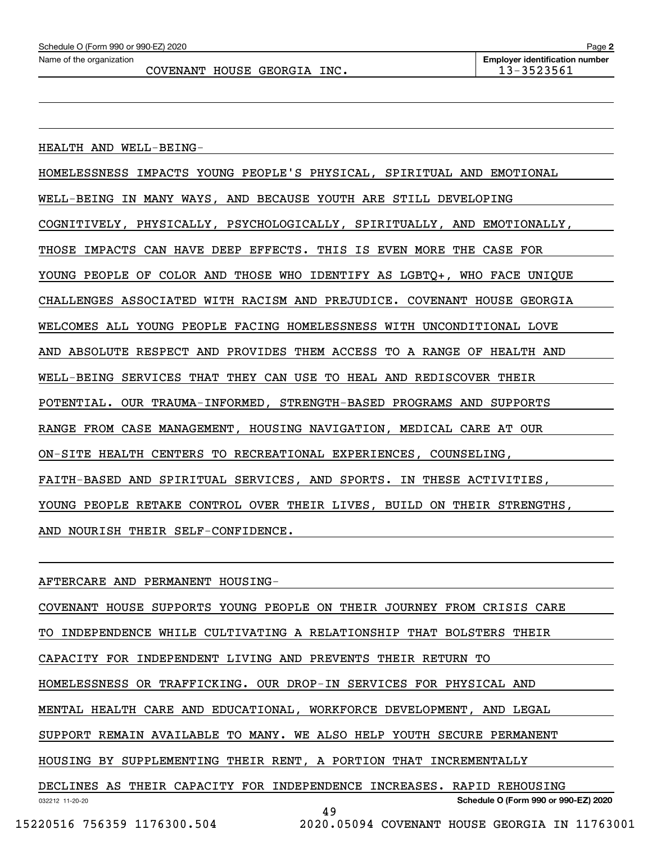HEALTH AND WELL-BEING-

HOMELESSNESS IMPACTS YOUNG PEOPLE'S PHYSICAL, SPIRITUAL AND EMOTIONAL WELL-BEING IN MANY WAYS, AND BECAUSE YOUTH ARE STILL DEVELOPING COGNITIVELY, PHYSICALLY, PSYCHOLOGICALLY, SPIRITUALLY, AND EMOTIONALLY, THOSE IMPACTS CAN HAVE DEEP EFFECTS. THIS IS EVEN MORE THE CASE FOR YOUNG PEOPLE OF COLOR AND THOSE WHO IDENTIFY AS LGBTQ+, WHO FACE UNIQUE CHALLENGES ASSOCIATED WITH RACISM AND PREJUDICE. COVENANT HOUSE GEORGIA WELCOMES ALL YOUNG PEOPLE FACING HOMELESSNESS WITH UNCONDITIONAL LOVE AND ABSOLUTE RESPECT AND PROVIDES THEM ACCESS TO A RANGE OF HEALTH AND WELL-BEING SERVICES THAT THEY CAN USE TO HEAL AND REDISCOVER THEIR POTENTIAL. OUR TRAUMA-INFORMED, STRENGTH-BASED PROGRAMS AND SUPPORTS RANGE FROM CASE MANAGEMENT, HOUSING NAVIGATION, MEDICAL CARE AT OUR ON-SITE HEALTH CENTERS TO RECREATIONAL EXPERIENCES, COUNSELING, FAITH-BASED AND SPIRITUAL SERVICES, AND SPORTS. IN THESE ACTIVITIES, YOUNG PEOPLE RETAKE CONTROL OVER THEIR LIVES, BUILD ON THEIR STRENGTHS, AND NOURISH THEIR SELF-CONFIDENCE.

AFTERCARE AND PERMANENT HOUSING-

032212 11-20-20 **Schedule O (Form 990 or 990-EZ) 2020** COVENANT HOUSE SUPPORTS YOUNG PEOPLE ON THEIR JOURNEY FROM CRISIS CARE TO INDEPENDENCE WHILE CULTIVATING A RELATIONSHIP THAT BOLSTERS THEIR CAPACITY FOR INDEPENDENT LIVING AND PREVENTS THEIR RETURN TO HOMELESSNESS OR TRAFFICKING. OUR DROP-IN SERVICES FOR PHYSICAL AND MENTAL HEALTH CARE AND EDUCATIONAL, WORKFORCE DEVELOPMENT, AND LEGAL SUPPORT REMAIN AVAILABLE TO MANY. WE ALSO HELP YOUTH SECURE PERMANENT HOUSING BY SUPPLEMENTING THEIR RENT, A PORTION THAT INCREMENTALLY DECLINES AS THEIR CAPACITY FOR INDEPENDENCE INCREASES. RAPID REHOUSING 49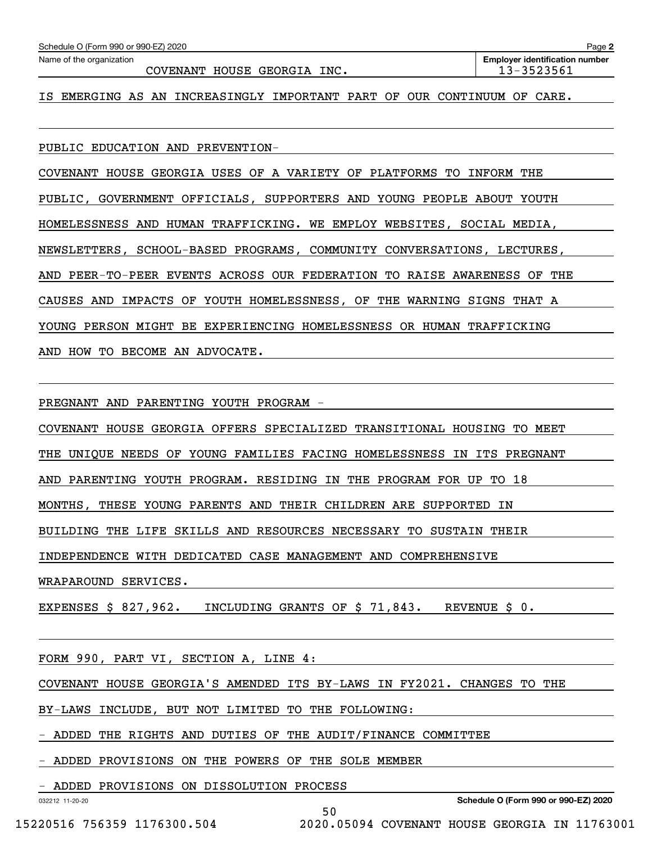| Schedule O (Form 990 or 990-EZ) 2020                                           | Page 2                                              |
|--------------------------------------------------------------------------------|-----------------------------------------------------|
| Name of the organization<br>HOUSE<br>GEORGIA INC.<br>COVENANT                  | <b>Employer identification number</b><br>13-3523561 |
| EMERGING AS AN INCREASINGLY IMPORTANT PART OF<br>OUR<br>CONTINUUM<br>ΙS        | CARE.<br>OF.                                        |
| PUBLIC EDUCATION AND PREVENTION-                                               |                                                     |
| HOUSE<br>GEORGIA USES OF<br>A VARIETY<br>OF<br>PLATFORMS<br>COVENANT<br>TО     | INFORM THE                                          |
| GOVERNMENT OFFICIALS, SUPPORTERS AND YOUNG PEOPLE<br>PUBLIC,                   | ABOUT<br>YOUTH                                      |
| HOMELESSNESS AND<br>HUMAN TRAFFICKING. WE EMPLOY WEBSITES, SOCIAL MEDIA,       |                                                     |
| NEWSLETTERS, SCHOOL-BASED PROGRAMS, COMMUNITY CONVERSATIONS, LECTURES,         |                                                     |
| PEER-TO-PEER EVENTS<br>ACROSS<br>OUR FEDERATION TO RAISE<br>AND                | AWARENESS<br>THE<br>OF.                             |
| CAUSES<br><b>IMPACTS</b><br>YOUTH HOMELESSNESS, OF THE<br>AND<br>OF<br>WARNING | SIGNS THAT A                                        |
| YOUNG<br>MIGHT<br>HOMELESSNESS<br>OR HUMAN<br>PERSON<br>BE.<br>EXPERIENCING    | TRAFFICKING                                         |

AND HOW TO BECOME AN ADVOCATE.

PREGNANT AND PARENTING YOUTH PROGRAM -

COVENANT HOUSE GEORGIA OFFERS SPECIALIZED TRANSITIONAL HOUSING TO MEET

THE UNIQUE NEEDS OF YOUNG FAMILIES FACING HOMELESSNESS IN ITS PREGNANT

AND PARENTING YOUTH PROGRAM. RESIDING IN THE PROGRAM FOR UP TO 18

MONTHS, THESE YOUNG PARENTS AND THEIR CHILDREN ARE SUPPORTED IN

BUILDING THE LIFE SKILLS AND RESOURCES NECESSARY TO SUSTAIN THEIR

INDEPENDENCE WITH DEDICATED CASE MANAGEMENT AND COMPREHENSIVE

WRAPAROUND SERVICES.

EXPENSES \$ 827,962. INCLUDING GRANTS OF \$ 71,843. REVENUE \$ 0.

FORM 990, PART VI, SECTION A, LINE 4:

COVENANT HOUSE GEORGIA'S AMENDED ITS BY-LAWS IN FY2021. CHANGES TO THE

50

BY-LAWS INCLUDE, BUT NOT LIMITED TO THE FOLLOWING:

- ADDED THE RIGHTS AND DUTIES OF THE AUDIT/FINANCE COMMITTEE

- ADDED PROVISIONS ON THE POWERS OF THE SOLE MEMBER

- ADDED PROVISIONS ON DISSOLUTION PROCESS

032212 11-20-20

**Schedule O (Form 990 or 990-EZ) 2020**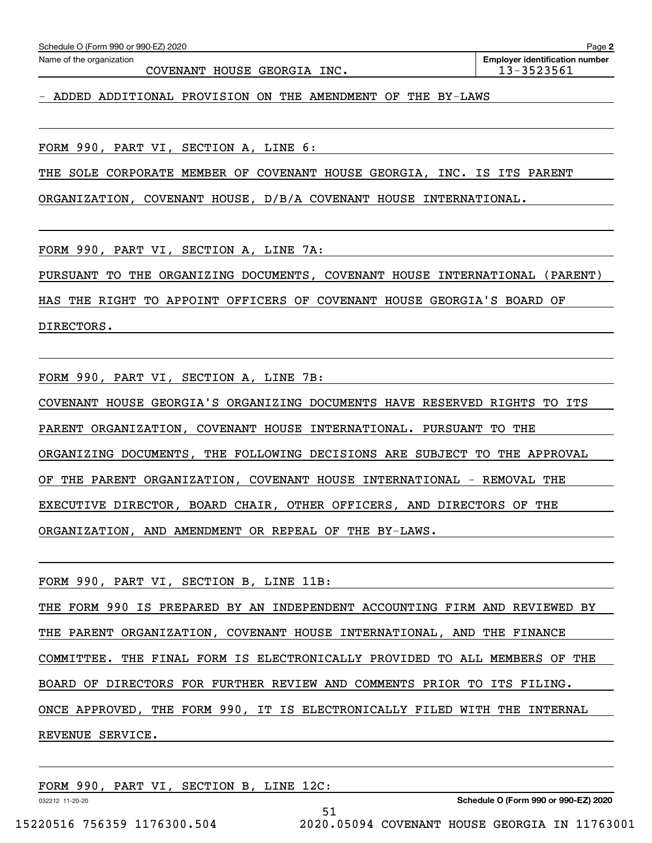|                                         | FORM 990, PART VI, SECTION A, LINE 7B:                                     |
|-----------------------------------------|----------------------------------------------------------------------------|
|                                         | COVENANT HOUSE GEORGIA'S ORGANIZING DOCUMENTS HAVE RESERVED RIGHTS TO ITS  |
|                                         | PARENT ORGANIZATION, COVENANT HOUSE INTERNATIONAL. PURSUANT TO THE         |
|                                         | ORGANIZING DOCUMENTS, THE FOLLOWING DECISIONS ARE SUBJECT TO THE APPROVAL  |
|                                         | OF THE PARENT ORGANIZATION, COVENANT HOUSE INTERNATIONAL - REMOVAL THE     |
|                                         | EXECUTIVE DIRECTOR, BOARD CHAIR, OTHER OFFICERS, AND DIRECTORS OF THE      |
|                                         | ORGANIZATION, AND AMENDMENT OR REPEAL OF THE BY-LAWS.                      |
|                                         |                                                                            |
| FORM 990, PART VI, SECTION B, LINE 11B: |                                                                            |
|                                         | THE FORM 990 IS PREPARED BY AN INDEPENDENT ACCOUNTING FIRM AND REVIEWED BY |
|                                         | THE PARENT ORGANIZATION, COVENANT HOUSE INTERNATIONAL, AND THE FINANCE     |
|                                         | COMMITTEE. THE FINAL FORM IS ELECTRONICALLY PROVIDED TO ALL MEMBERS OF THE |
|                                         | BOARD OF DIRECTORS FOR FURTHER REVIEW AND COMMENTS PRIOR TO ITS FILING.    |
|                                         | ONCE APPROVED, THE FORM 990, IT IS ELECTRONICALLY FILED WITH THE INTERNAL  |
| REVENUE SERVICE.                        |                                                                            |
|                                         |                                                                            |

FORM 990, PART VI, SECTION A, LINE 6:

THE SOLE CORPORATE MEMBER OF COVENANT HOUSE GEORGIA, INC. IS ITS PARENT

ORGANIZATION, COVENANT HOUSE, D/B/A COVENANT HOUSE INTERNATIONAL.

- ADDED ADDITIONAL PROVISION ON THE AMENDMENT OF THE BY-LAWS

FORM 990, PART VI, SECTION A, LINE 7A:

PURSUANT TO THE ORGANIZING DOCUMENTS, COVENANT HOUSE INTERNATIONAL (PARENT) HAS THE RIGHT TO APPOINT OFFICERS OF COVENANT HOUSE GEORGIA'S BOARD OF

**Employer identification number**

COVENANT HOUSE GEORGIA INC. | 13-3523561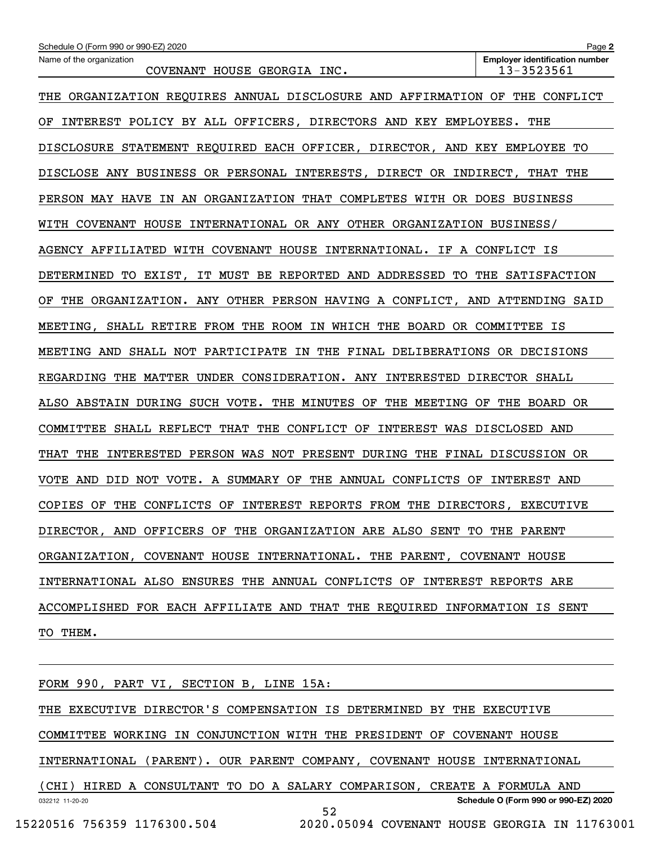| Schedule O (Form 990 or 990-EZ) 2020                                           | Page 2                                              |
|--------------------------------------------------------------------------------|-----------------------------------------------------|
| Name of the organization<br>COVENANT HOUSE GEORGIA INC.                        | <b>Employer identification number</b><br>13-3523561 |
| THE ORGANIZATION REQUIRES ANNUAL DISCLOSURE AND AFFIRMATION OF THE CONFLICT    |                                                     |
| INTEREST POLICY BY ALL OFFICERS, DIRECTORS AND KEY EMPLOYEES. THE<br>ОF        |                                                     |
| DISCLOSURE STATEMENT REQUIRED EACH OFFICER, DIRECTOR, AND KEY EMPLOYEE TO      |                                                     |
| DISCLOSE ANY BUSINESS OR PERSONAL INTERESTS, DIRECT OR INDIRECT, THAT THE      |                                                     |
| PERSON MAY HAVE IN AN ORGANIZATION THAT COMPLETES WITH OR DOES BUSINESS        |                                                     |
| WITH COVENANT HOUSE INTERNATIONAL OR ANY OTHER ORGANIZATION BUSINESS/          |                                                     |
| AGENCY AFFILIATED WITH COVENANT HOUSE INTERNATIONAL. IF A CONFLICT IS          |                                                     |
| DETERMINED TO EXIST, IT MUST BE REPORTED AND ADDRESSED TO THE SATISFACTION     |                                                     |
| THE ORGANIZATION. ANY OTHER PERSON HAVING A CONFLICT, AND ATTENDING SAID<br>ОF |                                                     |
| MEETING, SHALL RETIRE FROM THE ROOM IN WHICH THE BOARD OR COMMITTEE IS         |                                                     |
| MEETING AND SHALL NOT PARTICIPATE IN THE FINAL DELIBERATIONS OR DECISIONS      |                                                     |
| REGARDING THE MATTER UNDER CONSIDERATION. ANY INTERESTED DIRECTOR SHALL        |                                                     |
| ALSO ABSTAIN DURING SUCH VOTE. THE MINUTES OF THE MEETING OF THE BOARD OR      |                                                     |
| COMMITTEE SHALL REFLECT THAT THE CONFLICT OF INTEREST WAS DISCLOSED AND        |                                                     |
| THAT THE INTERESTED PERSON WAS NOT PRESENT DURING THE FINAL DISCUSSION OR      |                                                     |
| VOTE AND DID NOT VOTE. A SUMMARY OF THE ANNUAL CONFLICTS OF INTEREST AND       |                                                     |
| COPIES OF THE CONFLICTS OF INTEREST REPORTS FROM THE DIRECTORS, EXECUTIVE      |                                                     |
| DIRECTOR, AND OFFICERS OF THE ORGANIZATION ARE ALSO SENT TO THE PARENT         |                                                     |
| ORGANIZATION, COVENANT HOUSE INTERNATIONAL. THE PARENT, COVENANT HOUSE         |                                                     |
| INTERNATIONAL ALSO ENSURES THE ANNUAL CONFLICTS OF INTEREST REPORTS ARE        |                                                     |
| ACCOMPLISHED FOR EACH AFFILIATE AND THAT THE REQUIRED INFORMATION IS SENT      |                                                     |
| TO THEM.                                                                       |                                                     |
|                                                                                |                                                     |

| FORM 990, PART VI, SECTION B, LINE 15A:                                  |
|--------------------------------------------------------------------------|
| THE EXECUTIVE DIRECTOR'S COMPENSATION IS DETERMINED BY THE EXECUTIVE     |
|                                                                          |
| COMMITTEE WORKING IN CONJUNCTION WITH THE PRESIDENT OF COVENANT HOUSE    |
| INTERNATIONAL (PARENT). OUR PARENT COMPANY, COVENANT HOUSE INTERNATIONAL |
|                                                                          |
| (CHI) HIRED A CONSULTANT TO DO A SALARY COMPARISON, CREATE A FORMULA AND |
| Schedule O (Form 990 or 990-EZ) 2020<br>032212 11-20-20                  |
| 52                                                                       |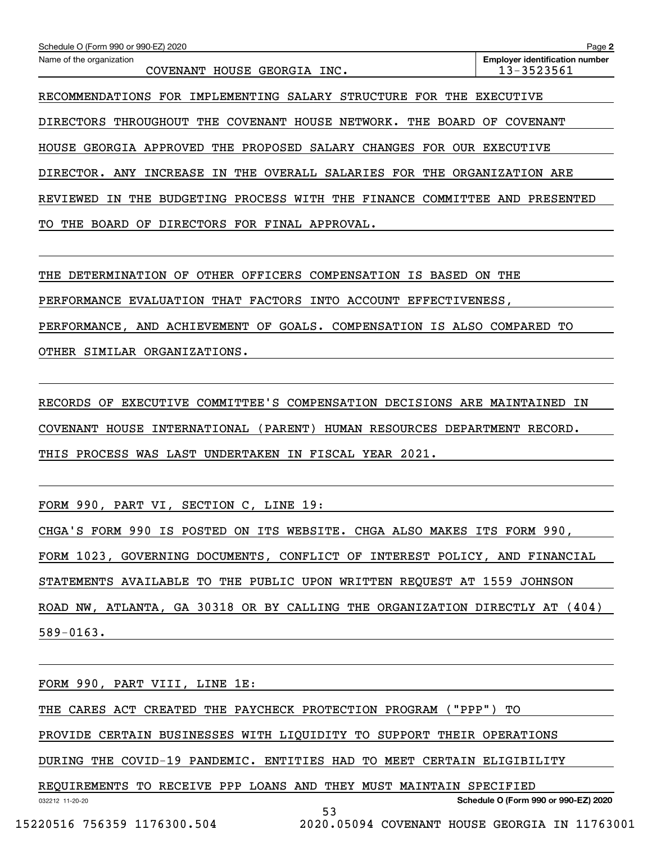| Schedule O (Form 990 or 990-EZ) 2020                                                          | Page 2                                              |
|-----------------------------------------------------------------------------------------------|-----------------------------------------------------|
| Name of the organization<br>HOUSE GEORGIA INC.<br>COVENANT                                    | <b>Employer identification number</b><br>13-3523561 |
| IMPLEMENTING SALARY STRUCTURE FOR<br>RECOMMENDATIONS FOR<br>THE                               | EXECUTIVE                                           |
| COVENANT HOUSE NETWORK.<br>THE<br><b>DIRECTORS</b><br>THROUGHOUT THE<br>BOARD OF              | COVENANT                                            |
| GEORGIA APPROVED THE PROPOSED SALARY CHANGES FOR<br>HOUSE                                     | OUR EXECUTIVE                                       |
| ANY INCREASE IN THE OVERALL SALARIES FOR THE ORGANIZATION ARE<br>DIRECTOR.                    |                                                     |
| BUDGETING PROCESS WITH THE<br><b>FINANCE</b><br>COMMITTEE AND<br><b>REVIEWED</b><br>THE<br>ΙN | PRESENTED                                           |
| DIRECTORS FOR FINAL APPROVAL.<br>BOARD<br>OF.<br>TО<br>THE                                    |                                                     |

THE DETERMINATION OF OTHER OFFICERS COMPENSATION IS BASED ON THE

PERFORMANCE EVALUATION THAT FACTORS INTO ACCOUNT EFFECTIVENESS,

PERFORMANCE, AND ACHIEVEMENT OF GOALS. COMPENSATION IS ALSO COMPARED TO

OTHER SIMILAR ORGANIZATIONS.

RECORDS OF EXECUTIVE COMMITTEE'S COMPENSATION DECISIONS ARE MAINTAINED IN COVENANT HOUSE INTERNATIONAL (PARENT) HUMAN RESOURCES DEPARTMENT RECORD. THIS PROCESS WAS LAST UNDERTAKEN IN FISCAL YEAR 2021.

FORM 990, PART VI, SECTION C, LINE 19:

|               |  |  |  | CHGA'S FORM 990 IS POSTED ON ITS WEBSITE. CHGA ALSO MAKES ITS FORM 990,     |  |  |  |  |
|---------------|--|--|--|-----------------------------------------------------------------------------|--|--|--|--|
|               |  |  |  | FORM 1023, GOVERNING DOCUMENTS, CONFLICT OF INTEREST POLICY, AND FINANCIAL  |  |  |  |  |
|               |  |  |  |                                                                             |  |  |  |  |
|               |  |  |  | STATEMENTS AVAILABLE TO THE PUBLIC UPON WRITTEN REQUEST AT 1559 JOHNSON     |  |  |  |  |
|               |  |  |  | ROAD NW, ATLANTA, GA 30318 OR BY CALLING THE ORGANIZATION DIRECTLY AT (404) |  |  |  |  |
| $589 - 0163.$ |  |  |  |                                                                             |  |  |  |  |

| FORM 990, PART VIII, LINE 1E:                                          |
|------------------------------------------------------------------------|
| THE CARES ACT CREATED THE PAYCHECK PROTECTION PROGRAM ("PPP") TO       |
| PROVIDE CERTAIN BUSINESSES WITH LIQUIDITY TO SUPPORT THEIR OPERATIONS  |
| DURING THE COVID-19 PANDEMIC. ENTITIES HAD TO MEET CERTAIN ELIGIBILITY |
|                                                                        |
| REQUIREMENTS TO RECEIVE PPP LOANS AND THEY MUST MAINTAIN SPECIFIED     |
| Schedule O (Form 990 or 990-EZ) 2020<br>032212 11-20-20                |
| 53                                                                     |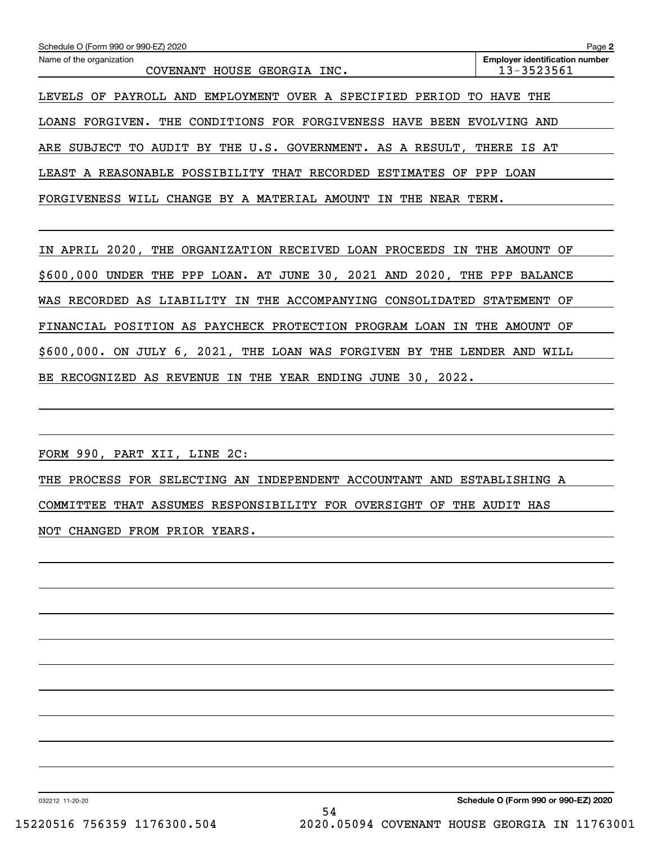| Schedule O (Form 990 or 990-EZ) 2020                                    | Page 2                                              |
|-------------------------------------------------------------------------|-----------------------------------------------------|
| Name of the organization<br>COVENANT HOUSE GEORGIA INC.                 | <b>Employer identification number</b><br>13-3523561 |
| PAYROLL AND EMPLOYMENT OVER A SPECIFIED<br>PERIOD<br>LEVELS OF<br>TO.   | <b>HAVE</b><br>THE                                  |
| THE CONDITIONS FOR FORGIVENESS HAVE BEEN<br>LOANS FORGIVEN.             | EVOLVING AND                                        |
| AUDIT BY THE U.S. GOVERNMENT. AS A RESULT,<br>SUBJECT TO<br>ARE         | THERE IS AT                                         |
| LEAST A REASONABLE POSSIBILITY THAT RECORDED<br>ESTIMATES<br>OF.        | PPP LOAN                                            |
| FORGIVENESS WILL CHANGE BY A MATERIAL AMOUNT<br>THE<br>NEAR TERM.<br>IN |                                                     |
|                                                                         |                                                     |

IN APRIL 2020, THE ORGANIZATION RECEIVED LOAN PROCEEDS IN THE AMOUNT OF \$600,000 UNDER THE PPP LOAN. AT JUNE 30, 2021 AND 2020, THE PPP BALANCE WAS RECORDED AS LIABILITY IN THE ACCOMPANYING CONSOLIDATED STATEMENT OF FINANCIAL POSITION AS PAYCHECK PROTECTION PROGRAM LOAN IN THE AMOUNT OF \$600,000. ON JULY 6, 2021, THE LOAN WAS FORGIVEN BY THE LENDER AND WILL BE RECOGNIZED AS REVENUE IN THE YEAR ENDING JUNE 30, 2022.

FORM 990, PART XII, LINE 2C:

THE PROCESS FOR SELECTING AN INDEPENDENT ACCOUNTANT AND ESTABLISHING A COMMITTEE THAT ASSUMES RESPONSIBILITY FOR OVERSIGHT OF THE AUDIT HAS NOT CHANGED FROM PRIOR YEARS.

032212 11-20-20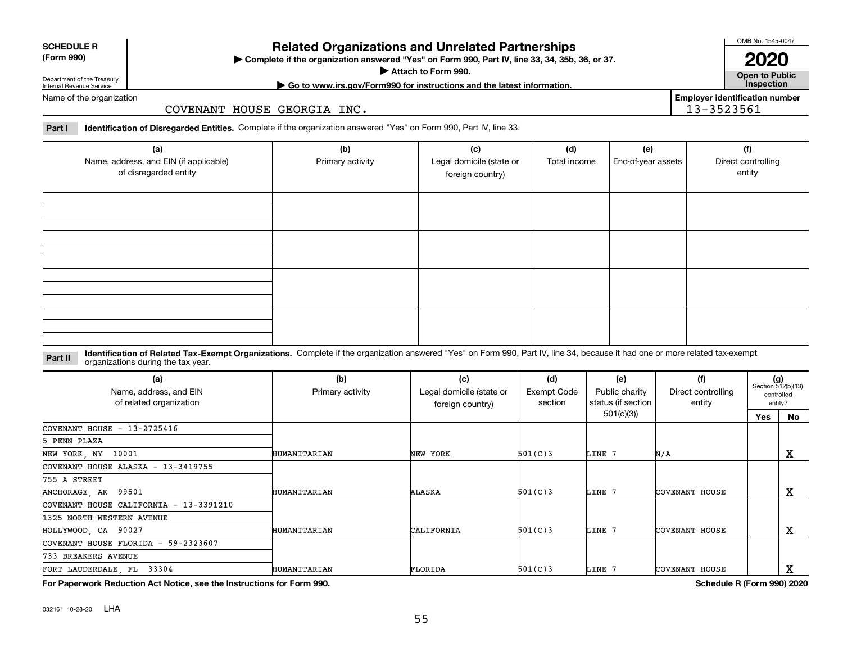032161 10-28-20 LHA

# Department of the Treasury Internal Revenue Service

## Name of the organization

**SCHEDULE R (Form 990)**

## COVENANT HOUSE GEORGIA INC.

**Part I Identification of Disregarded Entities.**  Complete if the organization answered "Yes" on Form 990, Part IV, line 33.

| (a)<br>Name, address, and EIN (if applicable)<br>of disregarded entity | (b)<br>Primary activity | (c)<br>Legal domicile (state or<br>foreign country) | (d)<br>Total income | (e)<br>End-of-year assets | (f)<br>Direct controlling<br>entity |
|------------------------------------------------------------------------|-------------------------|-----------------------------------------------------|---------------------|---------------------------|-------------------------------------|
|                                                                        |                         |                                                     |                     |                           |                                     |
|                                                                        |                         |                                                     |                     |                           |                                     |
|                                                                        |                         |                                                     |                     |                           |                                     |
|                                                                        |                         |                                                     |                     |                           |                                     |

### **Identification of Related Tax-Exempt Organizations.** Complete if the organization answered "Yes" on Form 990, Part IV, line 34, because it had one or more related tax-exempt **Part II** organizations during the tax year.

| (a)<br>Name, address, and EIN<br>of related organization | (b)<br>Primary activity | (c)<br>Legal domicile (state or<br>foreign country) | (d)<br>Exempt Code<br>section | (e)<br>Public charity<br>status (if section | (f)<br>Direct controlling<br>entity | $(g)$<br>Section 512(b)(13) | controlled<br>entity? |
|----------------------------------------------------------|-------------------------|-----------------------------------------------------|-------------------------------|---------------------------------------------|-------------------------------------|-----------------------------|-----------------------|
|                                                          |                         |                                                     |                               | 501(c)(3)                                   |                                     | Yes                         | No.                   |
| COVENANT HOUSE $-13-2725416$                             |                         |                                                     |                               |                                             |                                     |                             |                       |
| 5 PENN PLAZA                                             |                         |                                                     |                               |                                             |                                     |                             |                       |
| NEW YORK, NY 10001                                       | HUMANITARIAN            | NEW YORK                                            | 501(C)3                       | LINE 7                                      | N/A                                 |                             | х                     |
| COVENANT HOUSE ALASKA - 13-3419755                       |                         |                                                     |                               |                                             |                                     |                             |                       |
| 755 A STREET                                             |                         |                                                     |                               |                                             |                                     |                             |                       |
| ANCHORAGE, AK 99501                                      | HUMANITARIAN            | ALASKA                                              | 501(C)3                       | LINE 7                                      | COVENANT HOUSE                      |                             | х                     |
| COVENANT HOUSE CALIFORNIA - 13-3391210                   |                         |                                                     |                               |                                             |                                     |                             |                       |
| 1325 NORTH WESTERN AVENUE                                |                         |                                                     |                               |                                             |                                     |                             |                       |
| HOLLYWOOD, CA 90027                                      | HUMANITARIAN            | CALIFORNIA                                          | 501(C)3                       | LINE 7                                      | COVENANT HOUSE                      |                             | х                     |
| COVENANT HOUSE FLORIDA - 59-2323607                      |                         |                                                     |                               |                                             |                                     |                             |                       |
| 733 BREAKERS AVENUE                                      |                         |                                                     |                               |                                             |                                     |                             |                       |
| FORT LAUDERDALE, FL<br>33304                             | HUMANITARIAN            | FLORIDA                                             | 501(C)3                       | LINE 7                                      | COVENANT HOUSE                      |                             | х                     |

**For Paperwork Reduction Act Notice, see the Instructions for Form 990. Schedule R (Form 990) 2020**

# **Related Organizations and Unrelated Partnerships**

**| Go to www.irs.gov/Form990 for instructions and the latest information. Inspection**

**Complete if the organization answered "Yes" on Form 990, Part IV, line 33, 34, 35b, 36, or 37.** |

**Attach to Form 990.**  |



**Employer identification number**

13-3523561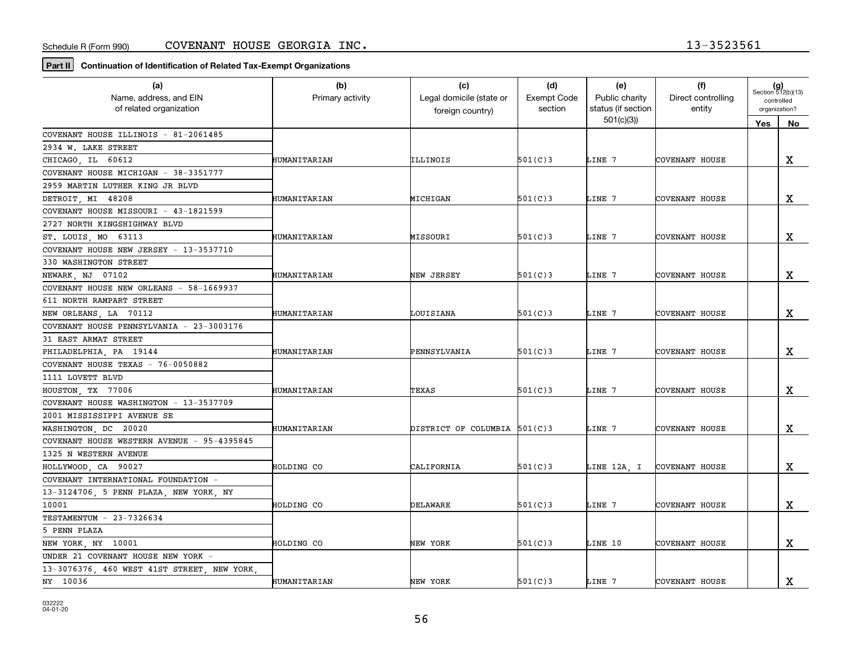**Part II Continuation of Identification of Related Tax-Exempt Organizations**

| (a)                                        | (b)              | (c)                          | (d)                | (e)                | (f)                   | $(g)$<br>Section 512(b)(13) |             |
|--------------------------------------------|------------------|------------------------------|--------------------|--------------------|-----------------------|-----------------------------|-------------|
| Name, address, and EIN                     | Primary activity | Legal domicile (state or     | <b>Exempt Code</b> | Public charity     | Direct controlling    | controlled                  |             |
| of related organization                    |                  | foreign country)             | section            | status (if section | entity                | organization?               |             |
|                                            |                  |                              |                    | 501(c)(3)          |                       | Yes                         | No          |
| COVENANT HOUSE ILLINOIS - 81-2061485       |                  |                              |                    |                    |                       |                             |             |
| 2934 W. LAKE STREET                        |                  |                              |                    |                    |                       |                             |             |
| CHICAGO IL 60612                           | HUMANITARIAN     | ILLINOIS                     | 501(C)3            | LINE 7             | COVENANT HOUSE        |                             | X           |
| COVENANT HOUSE MICHIGAN - 38-3351777       |                  |                              |                    |                    |                       |                             |             |
| 2959 MARTIN LUTHER KING JR BLVD            |                  |                              |                    |                    |                       |                             |             |
| DETROIT, MI 48208                          | HUMANITARIAN     | MICHIGAN                     | 501(C)3            | LINE 7             | COVENANT HOUSE        |                             | $\mathbf X$ |
| COVENANT HOUSE MISSOURI - 43-1821599       |                  |                              |                    |                    |                       |                             |             |
| 2727 NORTH KINGSHIGHWAY BLVD               |                  |                              |                    |                    |                       |                             |             |
| ST. LOUIS, MO 63113                        | HUMANITARIAN     | MISSOURI                     | 501(C)3            | LINE 7             | COVENANT HOUSE        |                             | $\mathbf x$ |
| COVENANT HOUSE NEW JERSEY - 13-3537710     |                  |                              |                    |                    |                       |                             |             |
| 330 WASHINGTON STREET                      |                  |                              |                    |                    |                       |                             |             |
| NEWARK, NJ 07102                           | HUMANITARIAN     | NEW JERSEY                   | 501(C)3            | LINE 7             | COVENANT HOUSE        |                             | X           |
| COVENANT HOUSE NEW ORLEANS - 58-1669937    |                  |                              |                    |                    |                       |                             |             |
| 611 NORTH RAMPART STREET                   |                  |                              |                    |                    |                       |                             |             |
| NEW ORLEANS, LA 70112                      | HUMANITARIAN     | LOUISIANA                    | 501(C)3            | LINE 7             | COVENANT HOUSE        |                             | х           |
| COVENANT HOUSE PENNSYLVANIA - 23-3003176   |                  |                              |                    |                    |                       |                             |             |
| 31 EAST ARMAT STREET                       |                  |                              |                    |                    |                       |                             |             |
| PHILADELPHIA, PA 19144                     | HUMANITARIAN     | PENNSYLVANIA                 | 501(C)3            | LINE 7             | COVENANT HOUSE        |                             | $\mathbf x$ |
| COVENANT HOUSE TEXAS - 76-0050882          |                  |                              |                    |                    |                       |                             |             |
| 1111 LOVETT BLVD                           |                  |                              |                    |                    |                       |                             |             |
| HOUSTON, TX 77006                          | HUMANITARIAN     | TEXAS                        | 501(C)3            | LINE 7             | COVENANT HOUSE        |                             | $\mathbf X$ |
| COVENANT HOUSE WASHINGTON - 13-3537709     |                  |                              |                    |                    |                       |                             |             |
| 2001 MISSISSIPPI AVENUE SE                 |                  |                              |                    |                    |                       |                             |             |
| WASHINGTON, DC 20020                       | HUMANITARIAN     | DISTRICT OF COLUMBIA 501(C)3 |                    | LINE 7             | COVENANT HOUSE        |                             | $\mathbf X$ |
| COVENANT HOUSE WESTERN AVENUE - 95-4395845 |                  |                              |                    |                    |                       |                             |             |
| 1325 N WESTERN AVENUE                      |                  |                              |                    |                    |                       |                             |             |
| HOLLYWOOD, CA 90027                        | HOLDING CO       | CALIFORNIA                   | 501(C)3            | LINE 12A, I        | <b>COVENANT HOUSE</b> |                             | $\mathbf X$ |
| COVENANT INTERNATIONAL FOUNDATION          |                  |                              |                    |                    |                       |                             |             |
| 13-3124706, 5 PENN PLAZA, NEW YORK, NY     |                  |                              |                    |                    |                       |                             |             |
| 10001                                      | HOLDING CO       | DELAWARE                     | 501(C)3            | LINE 7             | COVENANT HOUSE        |                             | $\mathbf X$ |
| TESTAMENTUM - 23-7326634                   |                  |                              |                    |                    |                       |                             |             |
| 5 PENN PLAZA                               |                  |                              |                    |                    |                       |                             |             |
| NEW YORK, NY 10001                         | HOLDING CO       | NEW YORK                     | 501(C)3            | LINE 10            | COVENANT HOUSE        |                             | $\mathbf X$ |
| UNDER 21 COVENANT HOUSE NEW YORK -         |                  |                              |                    |                    |                       |                             |             |
| 13-3076376, 460 WEST 41ST STREET, NEW YORK |                  |                              |                    |                    |                       |                             |             |
| NY 10036                                   | HUMANITARIAN     | NEW YORK                     | 501(C)3            | LINE 7             | <b>COVENANT HOUSE</b> |                             | $\mathbf X$ |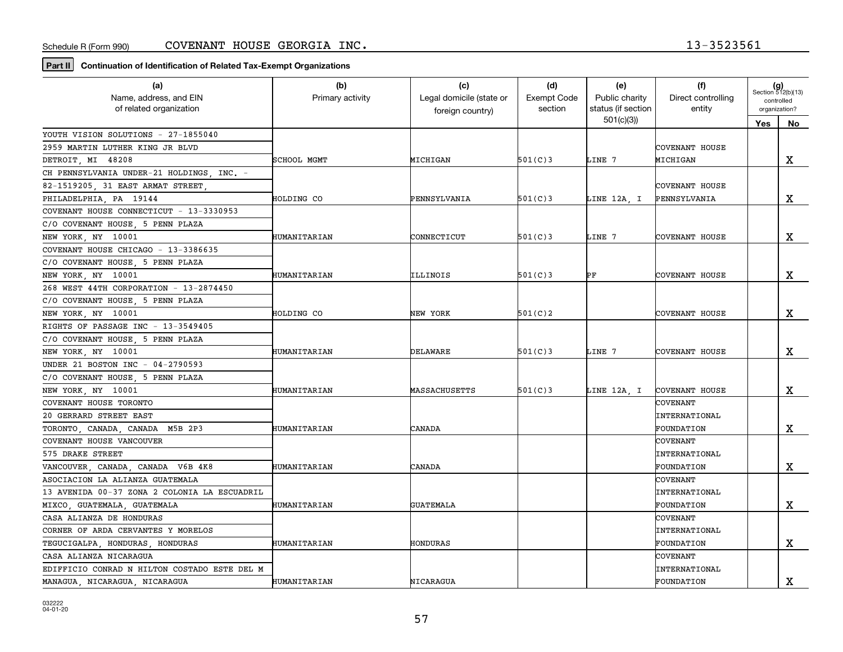**Part II** Continuation of Identification of Related Tax-Exempt Organizations

| (a)                                          | (b)              | (c)                      | (d)                | (e)                | (f)                | $(g)$<br>Section 512(b)(13) |    |
|----------------------------------------------|------------------|--------------------------|--------------------|--------------------|--------------------|-----------------------------|----|
| Name, address, and EIN                       | Primary activity | Legal domicile (state or | <b>Exempt Code</b> | Public charity     | Direct controlling | controlled                  |    |
| of related organization                      |                  | foreign country)         | section            | status (if section | entity             | organization?               |    |
|                                              |                  |                          |                    | 501(c)(3)          |                    | Yes                         | No |
| YOUTH VISION SOLUTIONS - 27-1855040          |                  |                          |                    |                    |                    |                             |    |
| 2959 MARTIN LUTHER KING JR BLVD              |                  |                          |                    |                    | COVENANT HOUSE     |                             |    |
| DETROIT, MI 48208                            | SCHOOL MGMT      | MICHIGAN                 | 501(C)3            | LINE 7             | MICHIGAN           |                             | X  |
| CH PENNSYLVANIA UNDER-21 HOLDINGS, INC. -    |                  |                          |                    |                    |                    |                             |    |
| 82-1519205, 31 EAST ARMAT STREET,            |                  |                          |                    |                    | COVENANT HOUSE     |                             |    |
| PHILADELPHIA, PA 19144                       | HOLDING CO       | PENNSYLVANIA             | 501(C)3            | LINE 12A, I        | PENNSYLVANIA       |                             | X  |
| COVENANT HOUSE CONNECTICUT - 13-3330953      |                  |                          |                    |                    |                    |                             |    |
| C/O COVENANT HOUSE, 5 PENN PLAZA             |                  |                          |                    |                    |                    |                             |    |
| NEW YORK, NY 10001                           | HUMANITARIAN     | CONNECTICUT              | 501(C)3            | LINE 7             | COVENANT HOUSE     |                             | x  |
| COVENANT HOUSE CHICAGO - 13-3386635          |                  |                          |                    |                    |                    |                             |    |
| C/O COVENANT HOUSE, 5 PENN PLAZA             |                  |                          |                    |                    |                    |                             |    |
| NEW YORK, NY 10001                           | HUMANITARIAN     | ILLINOIS                 | 501(C)3            | РF                 | COVENANT HOUSE     |                             | X  |
| 268 WEST 44TH CORPORATION - 13-2874450       |                  |                          |                    |                    |                    |                             |    |
| C/O COVENANT HOUSE, 5 PENN PLAZA             |                  |                          |                    |                    |                    |                             |    |
| NEW YORK, NY 10001                           | HOLDING CO       | NEW YORK                 | 501(C)2            |                    | COVENANT HOUSE     |                             | X  |
| RIGHTS OF PASSAGE INC - 13-3549405           |                  |                          |                    |                    |                    |                             |    |
| C/O COVENANT HOUSE, 5 PENN PLAZA             |                  |                          |                    |                    |                    |                             |    |
| NEW YORK, NY 10001                           | HUMANITARIAN     | DELAWARE                 | 501(C)3            | LINE 7             | COVENANT HOUSE     |                             | x  |
| UNDER 21 BOSTON INC - 04-2790593             |                  |                          |                    |                    |                    |                             |    |
| C/O COVENANT HOUSE, 5 PENN PLAZA             |                  |                          |                    |                    |                    |                             |    |
| NEW YORK, NY 10001                           | HUMANITARIAN     | MASSACHUSETTS            | 501(C)3            | LINE 12A, I        | COVENANT HOUSE     |                             | x  |
| COVENANT HOUSE TORONTO                       |                  |                          |                    |                    | <b>COVENANT</b>    |                             |    |
| 20 GERRARD STREET EAST                       |                  |                          |                    |                    | INTERNATIONAL      |                             |    |
| TORONTO CANADA CANADA M5B 2P3                | HUMANITARIAN     | CANADA                   |                    |                    | FOUNDATION         |                             | x  |
| COVENANT HOUSE VANCOUVER                     |                  |                          |                    |                    | <b>COVENANT</b>    |                             |    |
| 575 DRAKE STREET                             |                  |                          |                    |                    | INTERNATIONAL      |                             |    |
| VANCOUVER, CANADA, CANADA V6B 4K8            | HUMANITARIAN     | CANADA                   |                    |                    | <b>FOUNDATION</b>  |                             | X  |
| ASOCIACION LA ALIANZA GUATEMALA              |                  |                          |                    |                    | COVENANT           |                             |    |
| 13 AVENIDA 00-37 ZONA 2 COLONIA LA ESCUADRIL |                  |                          |                    |                    | INTERNATIONAL      |                             |    |
| MIXCO, GUATEMALA, GUATEMALA                  | HUMANITARIAN     | <b>GUATEMALA</b>         |                    |                    | <b>FOUNDATION</b>  |                             | x  |
| CASA ALIANZA DE HONDURAS                     |                  |                          |                    |                    | COVENANT           |                             |    |
| CORNER OF ARDA CERVANTES Y MORELOS           |                  |                          |                    |                    | INTERNATIONAL      |                             |    |
| TEGUCIGALPA, HONDURAS, HONDURAS              | HUMANITARIAN     | <b>HONDURAS</b>          |                    |                    | FOUNDATION         |                             | x  |
| CASA ALIANZA NICARAGUA                       |                  |                          |                    |                    | COVENANT           |                             |    |
| EDIFFICIO CONRAD N HILTON COSTADO ESTE DEL M |                  |                          |                    |                    | INTERNATIONAL      |                             |    |
| MANAGUA, NICARAGUA, NICARAGUA                | HUMANITARIAN     | NICARAGUA                |                    |                    | FOUNDATION         |                             | X  |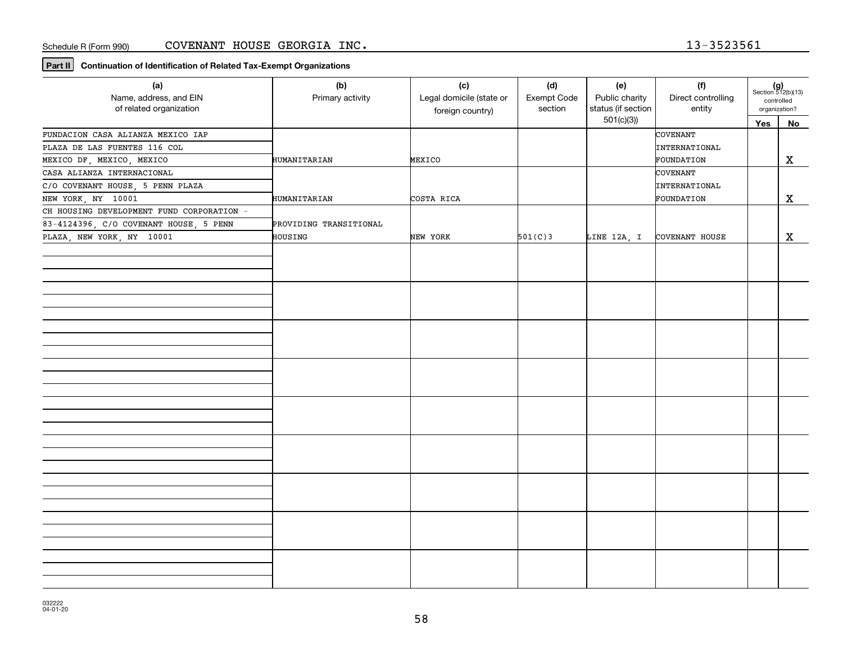**Part II Continuation of Identification of Related Tax-Exempt Organizations**

| (a)<br>Name, address, and EIN<br>of related organization | (b)<br>Primary activity | (c)<br>Legal domicile (state or<br>foreign country) | (d)<br>Exempt Code<br>section | (e)<br>Public charity<br>status (if section | (f)<br>Direct controlling<br>entity | $(g)$<br>Section 512(b)(13)<br>organization? | controlled |
|----------------------------------------------------------|-------------------------|-----------------------------------------------------|-------------------------------|---------------------------------------------|-------------------------------------|----------------------------------------------|------------|
|                                                          |                         |                                                     |                               | 501(c)(3)                                   |                                     | Yes                                          | No         |
| FUNDACION CASA ALIANZA MEXICO IAP                        |                         |                                                     |                               |                                             | COVENANT                            |                                              |            |
| PLAZA DE LAS FUENTES 116 COL                             |                         |                                                     |                               |                                             | INTERNATIONAL                       |                                              |            |
| MEXICO DF, MEXICO, MEXICO                                | HUMANITARIAN            | MEXICO                                              |                               |                                             | FOUNDATION                          |                                              | X          |
| CASA ALIANZA INTERNACIONAL                               |                         |                                                     |                               |                                             | COVENANT                            |                                              |            |
| C/O COVENANT HOUSE, 5 PENN PLAZA                         |                         |                                                     |                               |                                             | INTERNATIONAL                       |                                              |            |
| NEW YORK, NY 10001                                       | HUMANITARIAN            | COSTA RICA                                          |                               |                                             | FOUNDATION                          |                                              | X          |
| CH HOUSING DEVELOPMENT FUND CORPORATION -                |                         |                                                     |                               |                                             |                                     |                                              |            |
| 83-4124396, C/O COVENANT HOUSE, 5 PENN                   | PROVIDING TRANSITIONAL  |                                                     |                               |                                             |                                     |                                              |            |
| PLAZA, NEW YORK, NY 10001                                | HOUSING                 | NEW YORK                                            | 501(C)3                       | LINE 12A, I                                 | COVENANT HOUSE                      |                                              | X          |
|                                                          |                         |                                                     |                               |                                             |                                     |                                              |            |
|                                                          |                         |                                                     |                               |                                             |                                     |                                              |            |
|                                                          |                         |                                                     |                               |                                             |                                     |                                              |            |
|                                                          |                         |                                                     |                               |                                             |                                     |                                              |            |
|                                                          |                         |                                                     |                               |                                             |                                     |                                              |            |
|                                                          |                         |                                                     |                               |                                             |                                     |                                              |            |
|                                                          |                         |                                                     |                               |                                             |                                     |                                              |            |
|                                                          |                         |                                                     |                               |                                             |                                     |                                              |            |
|                                                          |                         |                                                     |                               |                                             |                                     |                                              |            |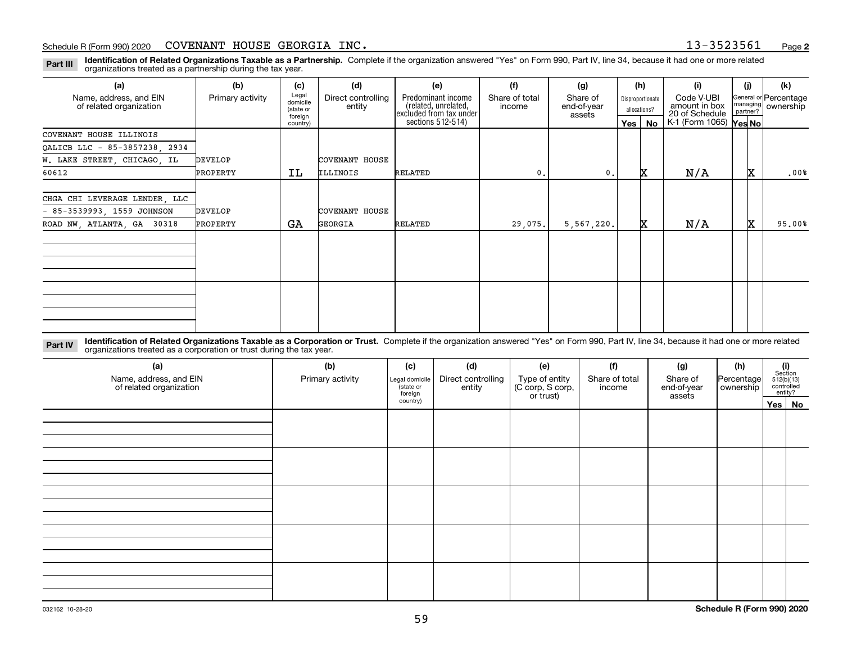**Identification of Related Organizations Taxable as a Partnership.** Complete if the organization answered "Yes" on Form 990, Part IV, line 34, because it had one or more related **Part III** organizations treated as a partnership during the tax year.

| (a)                                               | (b)              | (c)                                       | (d)                          | (e)                                                                   | (f)                      | (g)                               |         | (h)                              | (i)                                           | (i) | (k)                                                                                                             |
|---------------------------------------------------|------------------|-------------------------------------------|------------------------------|-----------------------------------------------------------------------|--------------------------|-----------------------------------|---------|----------------------------------|-----------------------------------------------|-----|-----------------------------------------------------------------------------------------------------------------|
| Name, address, and EIN<br>of related organization | Primary activity | Legal<br>domicile<br>(state or<br>foreign | Direct controlling<br>entity | Predominant income<br>related, unrelated,<br> excluded from tax under | Share of total<br>income | Share of<br>end-of-year<br>assets |         | Disproportionate<br>allocations? | Code V-UBI<br>amount in box<br>20 of Schedule |     | General or Percentage<br>$\left[\begin{array}{c}\text{managing} \\ \text{partner?}\end{array}\right]$ ownership |
|                                                   |                  | country)                                  |                              | sections 512-514)                                                     |                          |                                   | Yes $ $ | <b>No</b>                        | K-1 (Form 1065) Yes No                        |     |                                                                                                                 |
| COVENANT HOUSE ILLINOIS                           |                  |                                           |                              |                                                                       |                          |                                   |         |                                  |                                               |     |                                                                                                                 |
| QALICB LLC - 85-3857238, 2934                     |                  |                                           |                              |                                                                       |                          |                                   |         |                                  |                                               |     |                                                                                                                 |
| W. LAKE STREET, CHICAGO, IL                       | DEVELOP          |                                           | COVENANT HOUSE               |                                                                       |                          |                                   |         |                                  |                                               |     |                                                                                                                 |
| 60612                                             | PROPERTY         | IL                                        | ILLINOIS                     | RELATED                                                               | $\mathfrak{o}$ .         | 0.                                |         | x                                | N/A                                           | x   | .00%                                                                                                            |
| CHGA CHI LEVERAGE LENDER, LLC                     |                  |                                           |                              |                                                                       |                          |                                   |         |                                  |                                               |     |                                                                                                                 |
| $-85-3539993, 1559$ JOHNSON                       | DEVELOP          |                                           | COVENANT HOUSE               |                                                                       |                          |                                   |         |                                  |                                               |     |                                                                                                                 |
| ROAD NW, ATLANTA, GA 30318                        | PROPERTY         | GA                                        | <b>GEORGIA</b>               | RELATED                                                               | 29,075.                  | 5, 567, 220.                      |         | x                                | N/A                                           | x   | 95.00%                                                                                                          |
|                                                   |                  |                                           |                              |                                                                       |                          |                                   |         |                                  |                                               |     |                                                                                                                 |
|                                                   |                  |                                           |                              |                                                                       |                          |                                   |         |                                  |                                               |     |                                                                                                                 |
|                                                   |                  |                                           |                              |                                                                       |                          |                                   |         |                                  |                                               |     |                                                                                                                 |
|                                                   |                  |                                           |                              |                                                                       |                          |                                   |         |                                  |                                               |     |                                                                                                                 |
|                                                   |                  |                                           |                              |                                                                       |                          |                                   |         |                                  |                                               |     |                                                                                                                 |
|                                                   |                  |                                           |                              |                                                                       |                          |                                   |         |                                  |                                               |     |                                                                                                                 |
|                                                   |                  |                                           |                              |                                                                       |                          |                                   |         |                                  |                                               |     |                                                                                                                 |
|                                                   |                  |                                           |                              |                                                                       |                          |                                   |         |                                  |                                               |     |                                                                                                                 |

**Identification of Related Organizations Taxable as a Corporation or Trust.** Complete if the organization answered "Yes" on Form 990, Part IV, line 34, because it had one or more related **Part IV** organizations treated as a corporation or trust during the tax year.

| (a)<br>Name, address, and EIN<br>of related organization | (b)<br>Primary activity | (c)<br>Legal domicile<br>(state or<br>foreign | (d)<br>Direct controlling<br>entity | (e)<br>Type of entity<br>(C corp, S corp,<br>or trust) | (f)<br>Share of total<br>income | (g)<br>Share of<br>end-of-year<br>assets | (h)<br> Percentage <br>ownership | $\begin{array}{c} \textbf{(i)}\\ \text{Section}\\ 512 \text{(b)} \text{(13)}\\ \text{controlled}\end{array}$ | entity? |
|----------------------------------------------------------|-------------------------|-----------------------------------------------|-------------------------------------|--------------------------------------------------------|---------------------------------|------------------------------------------|----------------------------------|--------------------------------------------------------------------------------------------------------------|---------|
|                                                          |                         | country)                                      |                                     |                                                        |                                 |                                          |                                  | Yes No                                                                                                       |         |
|                                                          |                         |                                               |                                     |                                                        |                                 |                                          |                                  |                                                                                                              |         |
|                                                          |                         |                                               |                                     |                                                        |                                 |                                          |                                  |                                                                                                              |         |
|                                                          |                         |                                               |                                     |                                                        |                                 |                                          |                                  |                                                                                                              |         |
|                                                          |                         |                                               |                                     |                                                        |                                 |                                          |                                  |                                                                                                              |         |
|                                                          |                         |                                               |                                     |                                                        |                                 |                                          |                                  |                                                                                                              |         |
|                                                          |                         |                                               |                                     |                                                        |                                 |                                          |                                  |                                                                                                              |         |
|                                                          |                         |                                               |                                     |                                                        |                                 |                                          |                                  |                                                                                                              |         |
|                                                          |                         |                                               |                                     |                                                        |                                 |                                          |                                  |                                                                                                              |         |
|                                                          |                         |                                               |                                     |                                                        |                                 |                                          |                                  |                                                                                                              |         |
|                                                          |                         |                                               |                                     |                                                        |                                 |                                          |                                  |                                                                                                              |         |
|                                                          |                         |                                               |                                     |                                                        |                                 |                                          |                                  |                                                                                                              |         |
|                                                          |                         |                                               |                                     |                                                        |                                 |                                          |                                  |                                                                                                              |         |
|                                                          |                         |                                               |                                     |                                                        |                                 |                                          |                                  |                                                                                                              |         |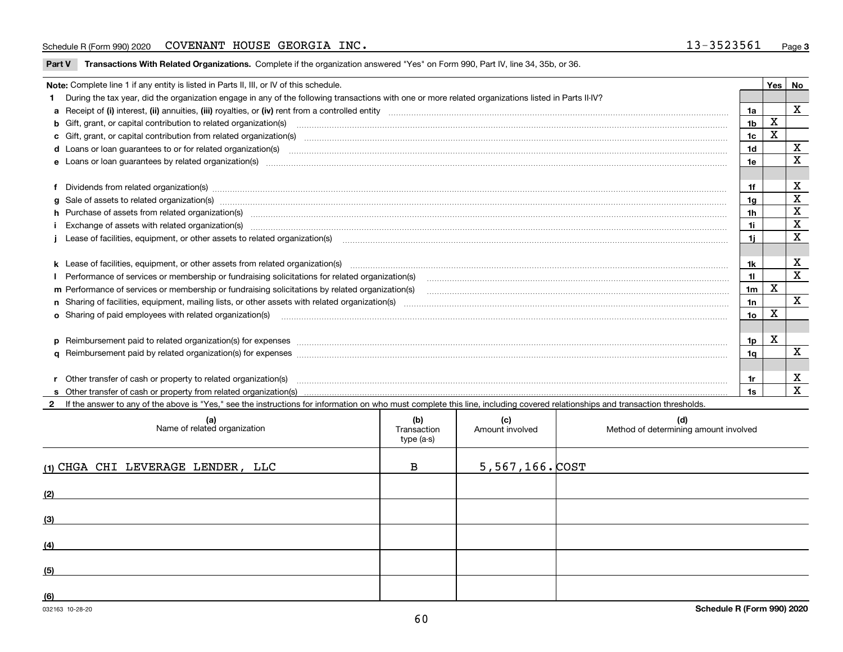## Schedule R (Form 990) 2020  ${\rm COVENANT}$   ${\rm HOUSE}$   ${\rm GECRGIA}$   ${\rm INC}$  .  ${\rm IV}$  and  ${\rm IV}$  and  ${\rm IV}$  and  ${\rm IV}$  and  ${\rm IV}$  and  ${\rm IV}$  and  ${\rm IV}$  and  ${\rm IV}$  and  ${\rm IV}$  and  ${\rm IV}$  and  ${\rm IV}$  and  ${\rm IV}$  and  ${\rm IV}$  and  ${\rm IV}$  and  ${\$

**Part V** T**ransactions With Related Organizations.** Complete if the organization answered "Yes" on Form 990, Part IV, line 34, 35b, or 36.

| Note: Complete line 1 if any entity is listed in Parts II, III, or IV of this schedule. |                                                                                                                                                                                                                                   |                |             |                         |  |  |
|-----------------------------------------------------------------------------------------|-----------------------------------------------------------------------------------------------------------------------------------------------------------------------------------------------------------------------------------|----------------|-------------|-------------------------|--|--|
|                                                                                         | 1 During the tax year, did the organization engage in any of the following transactions with one or more related organizations listed in Parts II-IV?                                                                             |                |             |                         |  |  |
|                                                                                         |                                                                                                                                                                                                                                   |                |             | X                       |  |  |
|                                                                                         | b Gift, grant, or capital contribution to related organization(s) manufactured and contribution to related organization(s)                                                                                                        | 1 <sub>b</sub> | X           |                         |  |  |
|                                                                                         | c Gift, grant, or capital contribution from related organization(s) matches contains and contribution from related organization(s) matches contains and contribution from related organization(s) matches contains and contain    | 1c             | X           |                         |  |  |
|                                                                                         | d Loans or loan guarantees to or for related organization(s) committion contracts are constructed as a control or contract or contract or contract or contract or contract or contract or contract or contract or contract or     | 1d             |             | X                       |  |  |
|                                                                                         |                                                                                                                                                                                                                                   | 1e             |             | X                       |  |  |
|                                                                                         |                                                                                                                                                                                                                                   |                |             |                         |  |  |
|                                                                                         | f Dividends from related organization(s) manufactured contains and contained a series of the contact of the contact of the contact of the contact of the contact of the contact of the contact of the contact of the contact o    | 1f             |             | X                       |  |  |
|                                                                                         | g Sale of assets to related organization(s) www.assettion.com/www.assettion.com/www.assettion.com/www.assettion.com/www.assettion.com/www.assettion.com/www.assettion.com/www.assettion.com/www.assettion.com/www.assettion.co    | 1a             |             | $\mathbf X$             |  |  |
|                                                                                         | h Purchase of assets from related organization(s) manufactured content to content the content of the content of the content of the content of the content of the content of the content of the content of the content of the c    | 1h             |             | X                       |  |  |
|                                                                                         | Exchange of assets with related organization(s) www.communically.communically.communically and a strategy of assets with related organization(s) www.communically.communically and a strategy of assets with related organizat    | 1i.            |             | X                       |  |  |
|                                                                                         | Lease of facilities, equipment, or other assets to related organization(s) использованно положенно положенно по                                                                                                                   | 11             |             | $\mathbf x$             |  |  |
|                                                                                         |                                                                                                                                                                                                                                   |                |             |                         |  |  |
|                                                                                         |                                                                                                                                                                                                                                   | 1k             |             | X                       |  |  |
|                                                                                         |                                                                                                                                                                                                                                   | 11             |             | $\overline{\mathbf{x}}$ |  |  |
|                                                                                         | m Performance of services or membership or fundraising solicitations by related organization(s)                                                                                                                                   | 1 <sub>m</sub> | $\mathbf x$ |                         |  |  |
|                                                                                         |                                                                                                                                                                                                                                   | 1n             |             | X                       |  |  |
|                                                                                         | <b>o</b> Sharing of paid employees with related organization(s)                                                                                                                                                                   | 10             | X           |                         |  |  |
|                                                                                         |                                                                                                                                                                                                                                   |                |             |                         |  |  |
|                                                                                         | p Reimbursement paid to related organization(s) for expenses [1111] and manufacture manufacture manufacture manufacture manufacture manufacture manufacture manufacture manufacture manufacture manufacture manufacture manufa    | 1p.            | X           |                         |  |  |
|                                                                                         |                                                                                                                                                                                                                                   | 1q             |             | X                       |  |  |
|                                                                                         |                                                                                                                                                                                                                                   |                |             |                         |  |  |
|                                                                                         | r Other transfer of cash or property to related organization(s)                                                                                                                                                                   | 1r             |             | X                       |  |  |
|                                                                                         | r Other transfer of cash or property to related organization(s) www.community.com/www.community.com/www.communi<br>S Other transfer of cash or property from related organization(s) www.community.community.community.community. | 1s             |             | $\mathbf X$             |  |  |
|                                                                                         | 2 If the answer to any of the above is "Yes," see the instructions for information on who must complete this line, including covered relationships and transaction thresholds.                                                    |                |             |                         |  |  |

| (a)<br>Name of related organization | (b)<br>Transaction<br>type (a-s) | (c)<br>Amount involved | (d)<br>Method of determining amount involved |
|-------------------------------------|----------------------------------|------------------------|----------------------------------------------|
| (1) CHGA CHI LEVERAGE LENDER, LLC   | B                                | $5,567,166$ . $COST$   |                                              |
| (2)                                 |                                  |                        |                                              |
| (3)                                 |                                  |                        |                                              |
| (4)                                 |                                  |                        |                                              |
| (5)                                 |                                  |                        |                                              |
| (6)                                 |                                  |                        |                                              |

 $\overline{\phantom{a}}$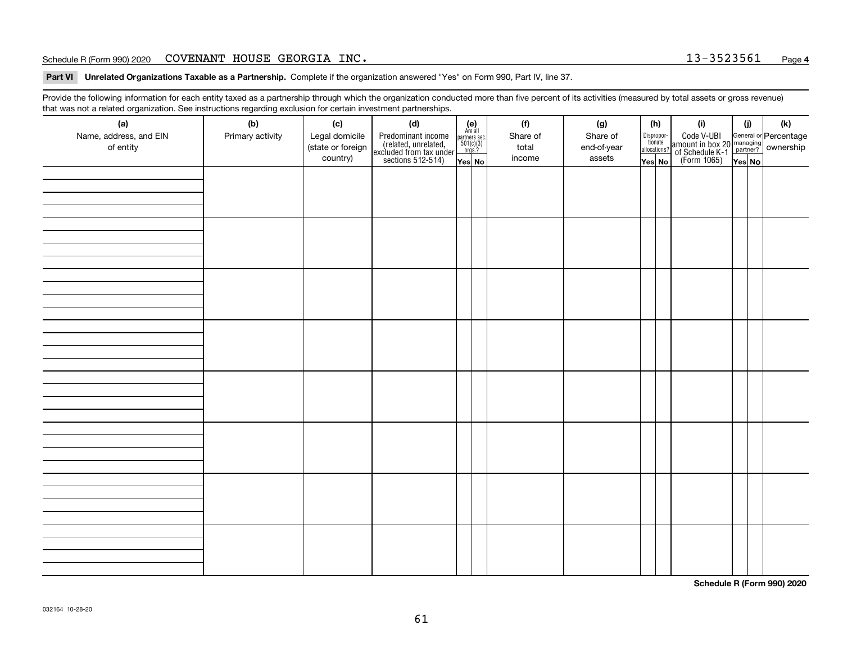## Schedule R (Form 990) 2020  ${\rm COVENANT}$   ${\rm HOUSE}$   ${\rm GEORGIA}$   ${\rm INC}$  .  ${\rm I2}$  . The contract of the contract of the contract of the contract of the contract of the contract of the contract of the contract of the contract of th

**Part VI Unrelated Organizations Taxable as a Partnership. Complete if the organization answered "Yes" on Form 990, Part IV, line 37.** 

Provide the following information for each entity taxed as a partnership through which the organization conducted more than five percent of its activities (measured by total assets or gross revenue) that was not a related organization. See instructions regarding exclusion for certain investment partnerships.

| ັ                      | ັ<br>ັ           |                   | . .                                                                                        |                                                                                              |          |             |                                  |                                                                                                        |        |     |
|------------------------|------------------|-------------------|--------------------------------------------------------------------------------------------|----------------------------------------------------------------------------------------------|----------|-------------|----------------------------------|--------------------------------------------------------------------------------------------------------|--------|-----|
| (a)                    | (b)              | (c)               | (d)                                                                                        | (e)<br>Are all                                                                               | (f)      | (g)         | (h)                              | (i)                                                                                                    | (i)    | (k) |
| Name, address, and EIN | Primary activity | Legal domicile    |                                                                                            | $\begin{array}{c}\n\text{partners} & \text{sec.} \\ 501(c)(3) & \text{orgs.?} \n\end{array}$ | Share of | Share of    | Disproportionate<br>allocations? |                                                                                                        |        |     |
| of entity              |                  | (state or foreign |                                                                                            |                                                                                              | total    | end-of-year |                                  |                                                                                                        |        |     |
|                        |                  | country)          | Predominant income<br>(related, unrelated,<br>excluded from tax under<br>sections 512-514) | Yes No                                                                                       | income   | assets      | Yes No                           | Code V-UBI<br>amount in box 20 managing<br>of Schedule K-1 partner? ownership<br>(Form 1065)<br>ves No | Yes No |     |
|                        |                  |                   |                                                                                            |                                                                                              |          |             |                                  |                                                                                                        |        |     |
|                        |                  |                   |                                                                                            |                                                                                              |          |             |                                  |                                                                                                        |        |     |
|                        |                  |                   |                                                                                            |                                                                                              |          |             |                                  |                                                                                                        |        |     |
|                        |                  |                   |                                                                                            |                                                                                              |          |             |                                  |                                                                                                        |        |     |
|                        |                  |                   |                                                                                            |                                                                                              |          |             |                                  |                                                                                                        |        |     |
|                        |                  |                   |                                                                                            |                                                                                              |          |             |                                  |                                                                                                        |        |     |
|                        |                  |                   |                                                                                            |                                                                                              |          |             |                                  |                                                                                                        |        |     |
|                        |                  |                   |                                                                                            |                                                                                              |          |             |                                  |                                                                                                        |        |     |
|                        |                  |                   |                                                                                            |                                                                                              |          |             |                                  |                                                                                                        |        |     |
|                        |                  |                   |                                                                                            |                                                                                              |          |             |                                  |                                                                                                        |        |     |
|                        |                  |                   |                                                                                            |                                                                                              |          |             |                                  |                                                                                                        |        |     |
|                        |                  |                   |                                                                                            |                                                                                              |          |             |                                  |                                                                                                        |        |     |
|                        |                  |                   |                                                                                            |                                                                                              |          |             |                                  |                                                                                                        |        |     |
|                        |                  |                   |                                                                                            |                                                                                              |          |             |                                  |                                                                                                        |        |     |
|                        |                  |                   |                                                                                            |                                                                                              |          |             |                                  |                                                                                                        |        |     |
|                        |                  |                   |                                                                                            |                                                                                              |          |             |                                  |                                                                                                        |        |     |
|                        |                  |                   |                                                                                            |                                                                                              |          |             |                                  |                                                                                                        |        |     |
|                        |                  |                   |                                                                                            |                                                                                              |          |             |                                  |                                                                                                        |        |     |
|                        |                  |                   |                                                                                            |                                                                                              |          |             |                                  |                                                                                                        |        |     |
|                        |                  |                   |                                                                                            |                                                                                              |          |             |                                  |                                                                                                        |        |     |
|                        |                  |                   |                                                                                            |                                                                                              |          |             |                                  |                                                                                                        |        |     |
|                        |                  |                   |                                                                                            |                                                                                              |          |             |                                  |                                                                                                        |        |     |
|                        |                  |                   |                                                                                            |                                                                                              |          |             |                                  |                                                                                                        |        |     |
|                        |                  |                   |                                                                                            |                                                                                              |          |             |                                  |                                                                                                        |        |     |
|                        |                  |                   |                                                                                            |                                                                                              |          |             |                                  |                                                                                                        |        |     |
|                        |                  |                   |                                                                                            |                                                                                              |          |             |                                  |                                                                                                        |        |     |
|                        |                  |                   |                                                                                            |                                                                                              |          |             |                                  |                                                                                                        |        |     |
|                        |                  |                   |                                                                                            |                                                                                              |          |             |                                  |                                                                                                        |        |     |
|                        |                  |                   |                                                                                            |                                                                                              |          |             |                                  |                                                                                                        |        |     |
|                        |                  |                   |                                                                                            |                                                                                              |          |             |                                  |                                                                                                        |        |     |
|                        |                  |                   |                                                                                            |                                                                                              |          |             |                                  |                                                                                                        |        |     |
|                        |                  |                   |                                                                                            |                                                                                              |          |             |                                  |                                                                                                        |        |     |
|                        |                  |                   |                                                                                            |                                                                                              |          |             |                                  |                                                                                                        |        |     |
|                        |                  |                   |                                                                                            |                                                                                              |          |             |                                  |                                                                                                        |        |     |
|                        |                  |                   |                                                                                            |                                                                                              |          |             |                                  |                                                                                                        |        |     |
|                        |                  |                   |                                                                                            |                                                                                              |          |             |                                  |                                                                                                        |        |     |
|                        |                  |                   |                                                                                            |                                                                                              |          |             |                                  |                                                                                                        |        |     |

**Schedule R (Form 990) 2020**